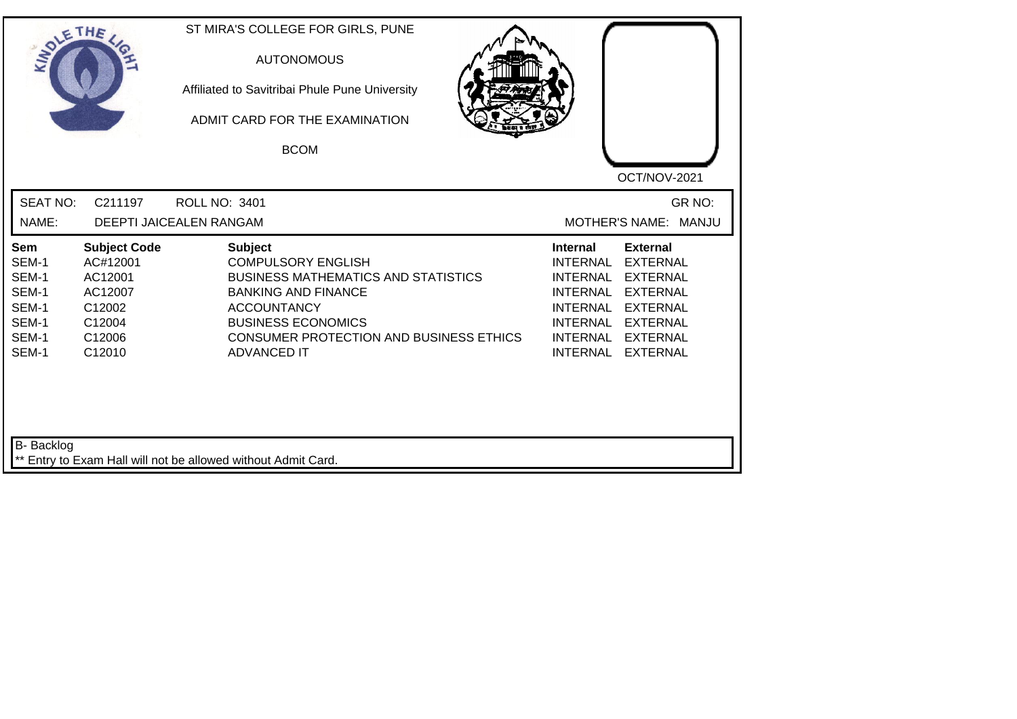| SOLETHE                                                            |                                                                                               | ST MIRA'S COLLEGE FOR GIRLS, PUNE<br><b>AUTONOMOUS</b><br>Affiliated to Savitribai Phule Pune University<br>ADMIT CARD FOR THE EXAMINATION<br><b>BCOM</b>                                                                                          | OCT/NOV-2021                                                                                                                                                                                                                                                                                          |
|--------------------------------------------------------------------|-----------------------------------------------------------------------------------------------|----------------------------------------------------------------------------------------------------------------------------------------------------------------------------------------------------------------------------------------------------|-------------------------------------------------------------------------------------------------------------------------------------------------------------------------------------------------------------------------------------------------------------------------------------------------------|
| <b>SEAT NO:</b><br>NAME:                                           | C211197                                                                                       | <b>ROLL NO: 3401</b><br>DEEPTI JAICEALEN RANGAM                                                                                                                                                                                                    | GR NO:<br>MOTHER'S NAME: MANJU                                                                                                                                                                                                                                                                        |
| Sem<br>SEM-1<br>SEM-1<br>SEM-1<br>SEM-1<br>SEM-1<br>SEM-1<br>SEM-1 | <b>Subject Code</b><br>AC#12001<br>AC12001<br>AC12007<br>C12002<br>C12004<br>C12006<br>C12010 | <b>Subject</b><br><b>COMPULSORY ENGLISH</b><br><b>BUSINESS MATHEMATICS AND STATISTICS</b><br><b>BANKING AND FINANCE</b><br><b>ACCOUNTANCY</b><br><b>BUSINESS ECONOMICS</b><br><b>CONSUMER PROTECTION AND BUSINESS ETHICS</b><br><b>ADVANCED IT</b> | <b>External</b><br>Internal<br><b>INTERNAL</b><br><b>EXTERNAL</b><br><b>EXTERNAL</b><br><b>INTERNAL</b><br><b>INTERNAL</b><br><b>EXTERNAL</b><br><b>INTERNAL</b><br><b>EXTERNAL</b><br><b>INTERNAL</b><br><b>EXTERNAL</b><br><b>INTERNAL</b><br><b>EXTERNAL</b><br><b>INTERNAL</b><br><b>EXTERNAL</b> |
| <b>B-</b> Backlog                                                  |                                                                                               | ** Entry to Exam Hall will not be allowed without Admit Card.                                                                                                                                                                                      |                                                                                                                                                                                                                                                                                                       |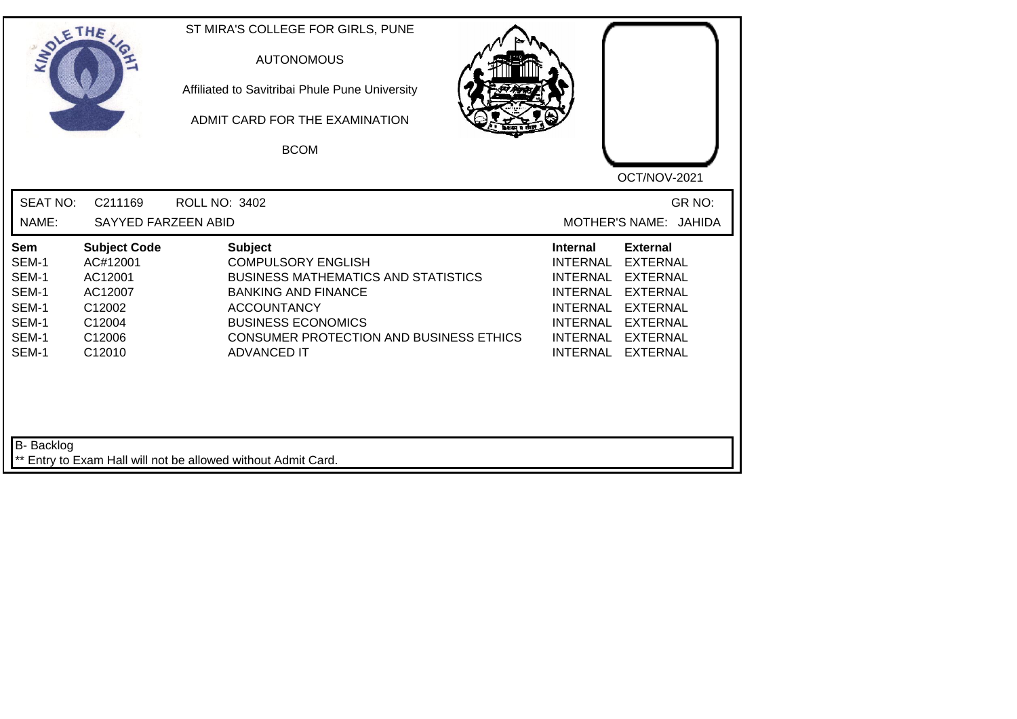| SOLETHE .                                                          |                                                                                               | ST MIRA'S COLLEGE FOR GIRLS, PUNE<br><b>AUTONOMOUS</b><br>Affiliated to Savitribai Phule Pune University<br>ADMIT CARD FOR THE EXAMINATION<br><b>BCOM</b>                                                                                   | OCT/NOV-2021                                                                                                                                                                                                                                                                                          |
|--------------------------------------------------------------------|-----------------------------------------------------------------------------------------------|---------------------------------------------------------------------------------------------------------------------------------------------------------------------------------------------------------------------------------------------|-------------------------------------------------------------------------------------------------------------------------------------------------------------------------------------------------------------------------------------------------------------------------------------------------------|
| <b>SEAT NO:</b><br>NAME:                                           | C211169<br>SAYYED FARZEEN ABID                                                                | <b>ROLL NO: 3402</b>                                                                                                                                                                                                                        | GR NO:<br>MOTHER'S NAME: JAHIDA                                                                                                                                                                                                                                                                       |
| Sem<br>SEM-1<br>SEM-1<br>SEM-1<br>SEM-1<br>SEM-1<br>SEM-1<br>SEM-1 | <b>Subject Code</b><br>AC#12001<br>AC12001<br>AC12007<br>C12002<br>C12004<br>C12006<br>C12010 | <b>Subject</b><br><b>COMPULSORY ENGLISH</b><br><b>BUSINESS MATHEMATICS AND STATISTICS</b><br><b>BANKING AND FINANCE</b><br><b>ACCOUNTANCY</b><br><b>BUSINESS ECONOMICS</b><br>CONSUMER PROTECTION AND BUSINESS ETHICS<br><b>ADVANCED IT</b> | <b>Internal</b><br><b>External</b><br><b>EXTERNAL</b><br>INTERNAL<br><b>INTERNAL</b><br><b>EXTERNAL</b><br><b>INTERNAL</b><br><b>EXTERNAL</b><br><b>INTERNAL</b><br><b>EXTERNAL</b><br><b>INTERNAL</b><br><b>EXTERNAL</b><br><b>INTERNAL</b><br><b>EXTERNAL</b><br><b>INTERNAL</b><br><b>EXTERNAL</b> |
| <b>B-</b> Backlog                                                  |                                                                                               | ** Entry to Exam Hall will not be allowed without Admit Card.                                                                                                                                                                               |                                                                                                                                                                                                                                                                                                       |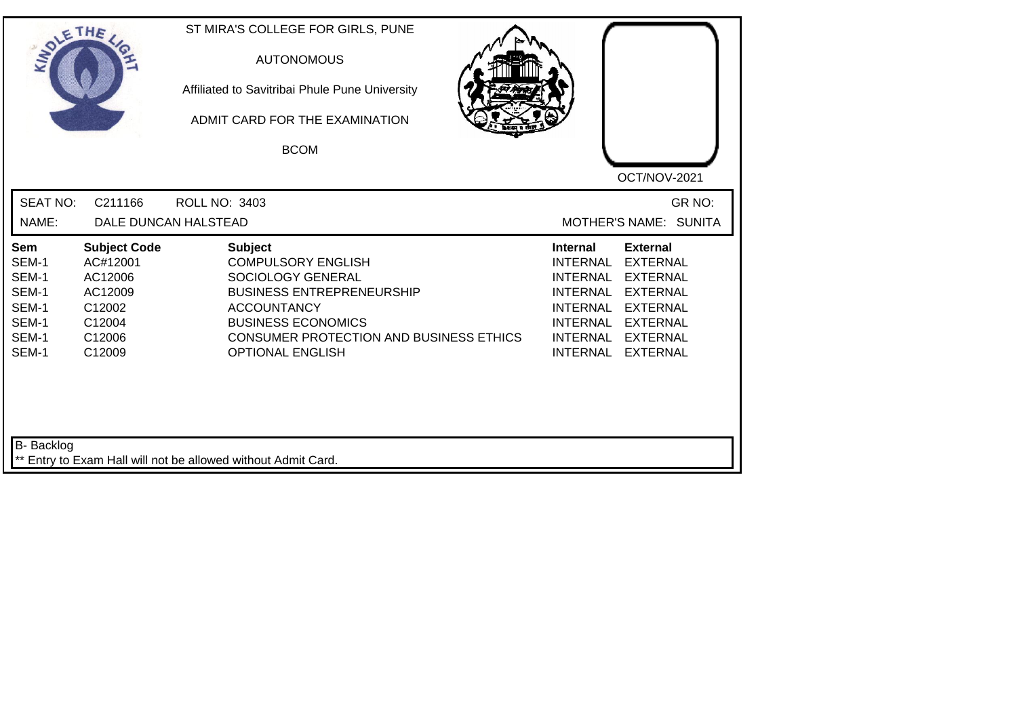| <b>SEAT NO:</b><br>C211166<br>GR NO:<br><b>ROLL NO: 3403</b><br>NAME:<br>DALE DUNCAN HALSTEAD<br>MOTHER'S NAME: SUNITA<br><b>Subject Code</b><br><b>Subject</b><br><b>Internal</b><br><b>External</b><br><b>Sem</b><br>SEM-1<br><b>COMPULSORY ENGLISH</b><br><b>INTERNAL</b><br><b>EXTERNAL</b><br>AC#12001<br>SEM-1<br>AC12006<br>SOCIOLOGY GENERAL<br><b>INTERNAL</b><br><b>EXTERNAL</b><br>SEM-1<br>AC12009<br><b>BUSINESS ENTREPRENEURSHIP</b><br><b>INTERNAL</b><br><b>EXTERNAL</b><br>SEM-1<br>C12002<br><b>ACCOUNTANCY</b><br><b>INTERNAL</b><br><b>EXTERNAL</b><br>SEM-1<br><b>BUSINESS ECONOMICS</b><br>C12004<br><b>INTERNAL</b><br><b>EXTERNAL</b><br>SEM-1<br>C12006<br><b>CONSUMER PROTECTION AND BUSINESS ETHICS</b><br><b>INTERNAL</b><br><b>EXTERNAL</b><br>SEM-1<br><b>OPTIONAL ENGLISH</b><br>C12009<br><b>INTERNAL</b><br><b>EXTERNAL</b> | SOLETHE | ST MIRA'S COLLEGE FOR GIRLS, PUNE<br><b>AUTONOMOUS</b><br>Affiliated to Savitribai Phule Pune University<br>ADMIT CARD FOR THE EXAMINATION<br><b>BCOM</b> | OCT/NOV-2021 |
|--------------------------------------------------------------------------------------------------------------------------------------------------------------------------------------------------------------------------------------------------------------------------------------------------------------------------------------------------------------------------------------------------------------------------------------------------------------------------------------------------------------------------------------------------------------------------------------------------------------------------------------------------------------------------------------------------------------------------------------------------------------------------------------------------------------------------------------------------------------|---------|-----------------------------------------------------------------------------------------------------------------------------------------------------------|--------------|
|                                                                                                                                                                                                                                                                                                                                                                                                                                                                                                                                                                                                                                                                                                                                                                                                                                                              |         |                                                                                                                                                           |              |
|                                                                                                                                                                                                                                                                                                                                                                                                                                                                                                                                                                                                                                                                                                                                                                                                                                                              |         |                                                                                                                                                           |              |

┛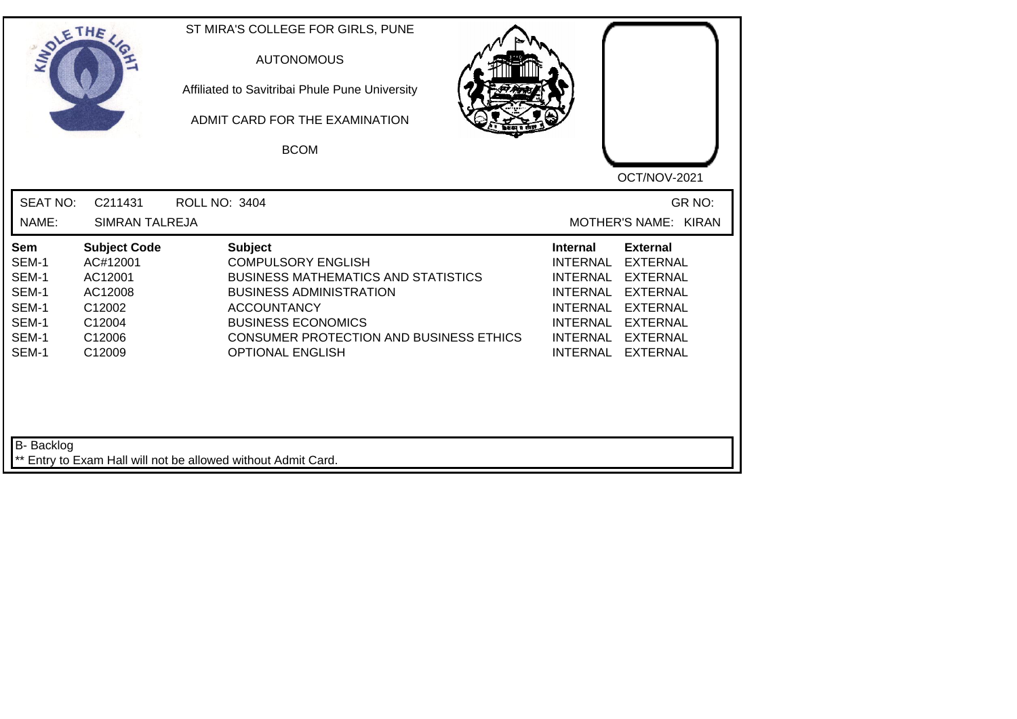| SOLE THE                 |                                  | ST MIRA'S COLLEGE FOR GIRLS, PUNE<br><b>AUTONOMOUS</b><br>Affiliated to Savitribai Phule Pune University<br>ADMIT CARD FOR THE EXAMINATION<br><b>BCOM</b> | OCT/NOV-2021                                                             |
|--------------------------|----------------------------------|-----------------------------------------------------------------------------------------------------------------------------------------------------------|--------------------------------------------------------------------------|
| <b>SEAT NO:</b><br>NAME: | C211431<br><b>SIMRAN TALREJA</b> | <b>ROLL NO: 3404</b>                                                                                                                                      | GR NO:<br>MOTHER'S NAME: KIRAN                                           |
|                          |                                  |                                                                                                                                                           |                                                                          |
| <b>Sem</b><br>SEM-1      | <b>Subject Code</b><br>AC#12001  | <b>Subject</b><br><b>COMPULSORY ENGLISH</b>                                                                                                               | <b>External</b><br><b>Internal</b><br><b>INTERNAL</b><br><b>EXTERNAL</b> |
| SEM-1                    | AC12001                          | <b>BUSINESS MATHEMATICS AND STATISTICS</b>                                                                                                                | <b>INTERNAL</b><br><b>EXTERNAL</b>                                       |
| SEM-1                    | AC12008                          | <b>BUSINESS ADMINISTRATION</b>                                                                                                                            | <b>INTERNAL</b><br><b>EXTERNAL</b>                                       |
| SEM-1                    | C12002                           | <b>ACCOUNTANCY</b>                                                                                                                                        | <b>INTERNAL</b><br><b>EXTERNAL</b>                                       |
| SEM-1                    | C12004                           | <b>BUSINESS ECONOMICS</b>                                                                                                                                 | <b>INTERNAL</b><br><b>EXTERNAL</b>                                       |
| SEM-1<br>SEM-1           | C12006<br>C12009                 | <b>CONSUMER PROTECTION AND BUSINESS ETHICS</b><br><b>OPTIONAL ENGLISH</b>                                                                                 | <b>INTERNAL</b><br><b>EXTERNAL</b><br><b>INTERNAL</b><br><b>EXTERNAL</b> |
| B- Backlog               |                                  | ** Entry to Exam Hall will not be allowed without Admit Card.                                                                                             |                                                                          |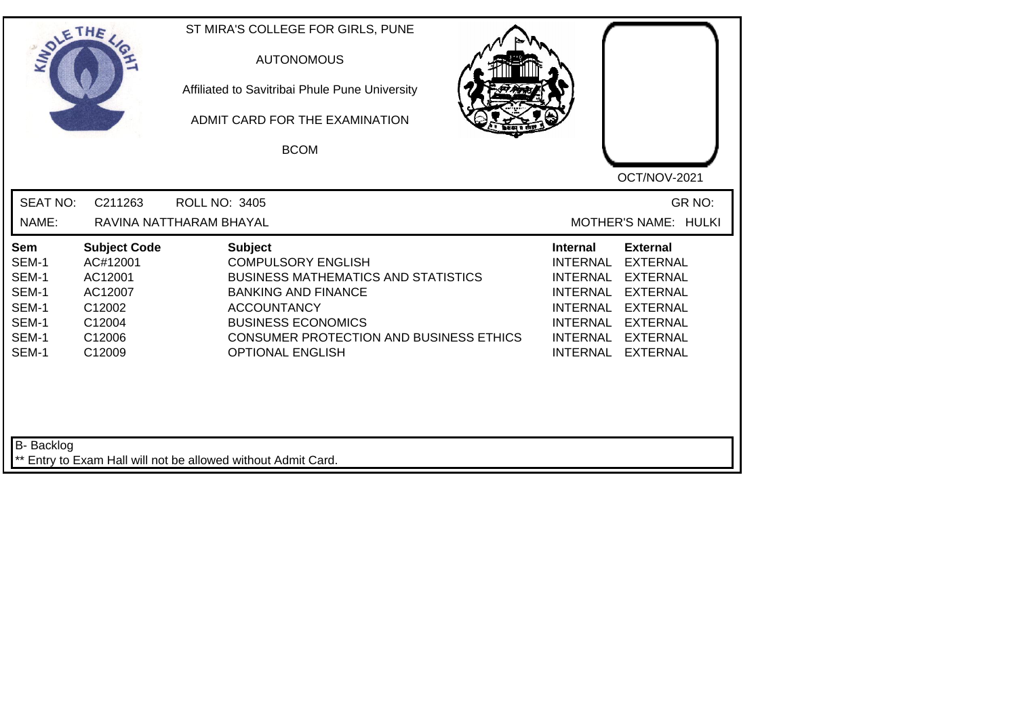| SOLE THE                                                                  |                                                                                               | ST MIRA'S COLLEGE FOR GIRLS, PUNE<br><b>AUTONOMOUS</b><br>Affiliated to Savitribai Phule Pune University<br>ADMIT CARD FOR THE EXAMINATION<br><b>BCOM</b>                                                                                               | OCT/NOV-2021                                                                                                                                                                                                                                                                                                 |
|---------------------------------------------------------------------------|-----------------------------------------------------------------------------------------------|---------------------------------------------------------------------------------------------------------------------------------------------------------------------------------------------------------------------------------------------------------|--------------------------------------------------------------------------------------------------------------------------------------------------------------------------------------------------------------------------------------------------------------------------------------------------------------|
| <b>SEAT NO:</b><br>NAME:                                                  | C211263                                                                                       | <b>ROLL NO: 3405</b><br>RAVINA NATTHARAM BHAYAL                                                                                                                                                                                                         | GR NO:<br>MOTHER'S NAME: HULKI                                                                                                                                                                                                                                                                               |
| <b>Sem</b><br>SEM-1<br>SEM-1<br>SEM-1<br>SEM-1<br>SEM-1<br>SEM-1<br>SEM-1 | <b>Subject Code</b><br>AC#12001<br>AC12001<br>AC12007<br>C12002<br>C12004<br>C12006<br>C12009 | <b>Subject</b><br><b>COMPULSORY ENGLISH</b><br><b>BUSINESS MATHEMATICS AND STATISTICS</b><br><b>BANKING AND FINANCE</b><br><b>ACCOUNTANCY</b><br><b>BUSINESS ECONOMICS</b><br><b>CONSUMER PROTECTION AND BUSINESS ETHICS</b><br><b>OPTIONAL ENGLISH</b> | <b>Internal</b><br><b>External</b><br><b>INTERNAL</b><br><b>EXTERNAL</b><br><b>INTERNAL</b><br><b>EXTERNAL</b><br><b>INTERNAL</b><br><b>EXTERNAL</b><br><b>INTERNAL</b><br><b>EXTERNAL</b><br><b>INTERNAL</b><br><b>EXTERNAL</b><br><b>INTERNAL</b><br><b>EXTERNAL</b><br><b>INTERNAL</b><br><b>EXTERNAL</b> |
| B- Backlog                                                                |                                                                                               | ** Entry to Exam Hall will not be allowed without Admit Card.                                                                                                                                                                                           |                                                                                                                                                                                                                                                                                                              |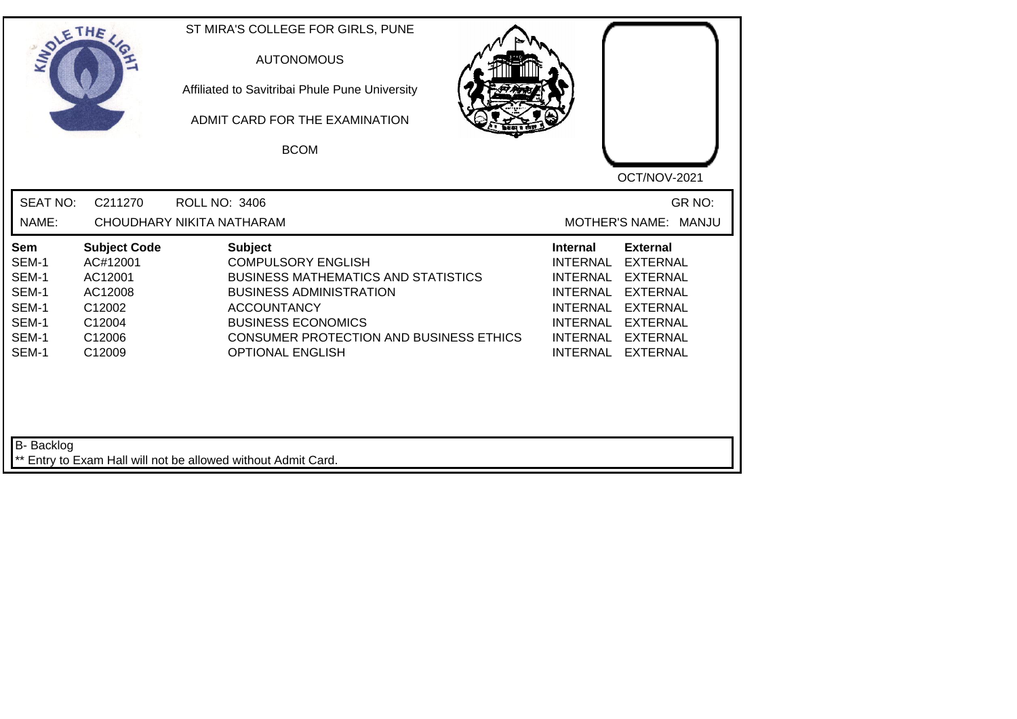| SOLE THE                                                           |                                                                                               | ST MIRA'S COLLEGE FOR GIRLS, PUNE<br><b>AUTONOMOUS</b><br>Affiliated to Savitribai Phule Pune University<br>ADMIT CARD FOR THE EXAMINATION<br><b>BCOM</b>                                                                                            | OCT/NOV-2021                                                                                                                                                                                                                                                                                                 |
|--------------------------------------------------------------------|-----------------------------------------------------------------------------------------------|------------------------------------------------------------------------------------------------------------------------------------------------------------------------------------------------------------------------------------------------------|--------------------------------------------------------------------------------------------------------------------------------------------------------------------------------------------------------------------------------------------------------------------------------------------------------------|
| <b>SEAT NO:</b><br>NAME:                                           | C211270                                                                                       | <b>ROLL NO: 3406</b><br>CHOUDHARY NIKITA NATHARAM                                                                                                                                                                                                    | GR NO:<br>MOTHER'S NAME: MANJU                                                                                                                                                                                                                                                                               |
| Sem<br>SEM-1<br>SEM-1<br>SEM-1<br>SEM-1<br>SEM-1<br>SEM-1<br>SEM-1 | <b>Subject Code</b><br>AC#12001<br>AC12001<br>AC12008<br>C12002<br>C12004<br>C12006<br>C12009 | <b>Subject</b><br><b>COMPULSORY ENGLISH</b><br><b>BUSINESS MATHEMATICS AND STATISTICS</b><br><b>BUSINESS ADMINISTRATION</b><br><b>ACCOUNTANCY</b><br><b>BUSINESS ECONOMICS</b><br>CONSUMER PROTECTION AND BUSINESS ETHICS<br><b>OPTIONAL ENGLISH</b> | <b>Internal</b><br><b>External</b><br><b>INTERNAL</b><br><b>EXTERNAL</b><br><b>INTERNAL</b><br><b>EXTERNAL</b><br><b>INTERNAL</b><br><b>EXTERNAL</b><br><b>INTERNAL</b><br><b>EXTERNAL</b><br><b>INTERNAL</b><br><b>EXTERNAL</b><br><b>INTERNAL</b><br><b>EXTERNAL</b><br><b>INTERNAL</b><br><b>EXTERNAL</b> |
| B- Backlog                                                         |                                                                                               | ** Entry to Exam Hall will not be allowed without Admit Card.                                                                                                                                                                                        |                                                                                                                                                                                                                                                                                                              |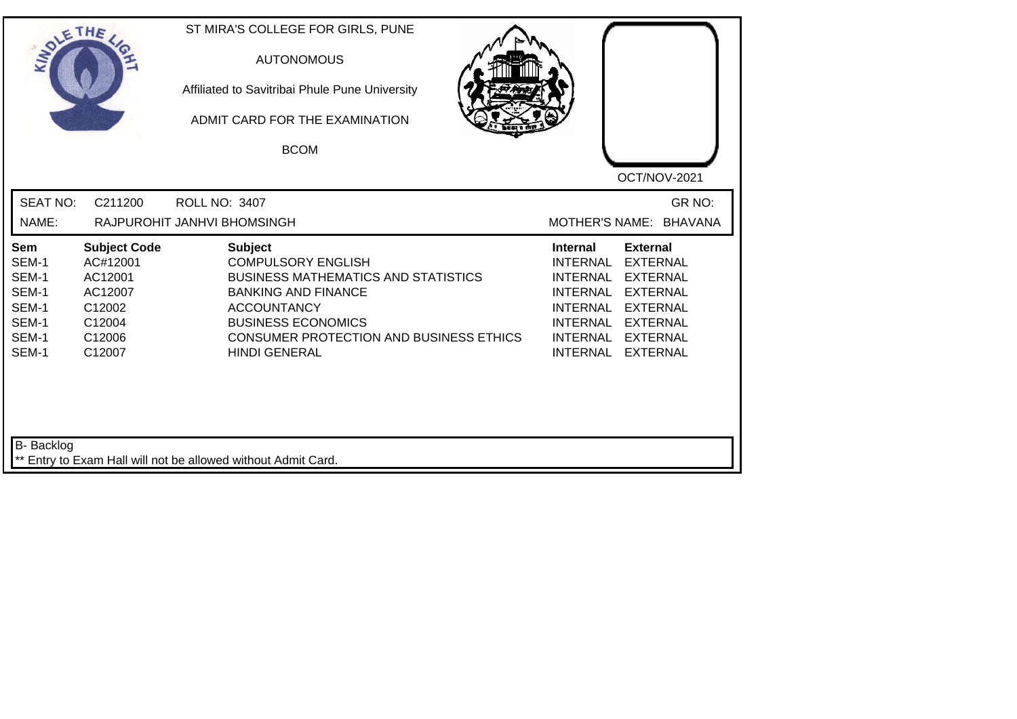| SOLETHE ,                                                                 |                                                                                               | ST MIRA'S COLLEGE FOR GIRLS, PUNE<br><b>AUTONOMOUS</b><br>Affiliated to Savitribai Phule Pune University<br>ADMIT CARD FOR THE EXAMINATION<br><b>BCOM</b>                                                                                            | OCT/NOV-2021                                                                                                                                                                                                                                                                         |
|---------------------------------------------------------------------------|-----------------------------------------------------------------------------------------------|------------------------------------------------------------------------------------------------------------------------------------------------------------------------------------------------------------------------------------------------------|--------------------------------------------------------------------------------------------------------------------------------------------------------------------------------------------------------------------------------------------------------------------------------------|
| <b>SEAT NO:</b><br>NAME:                                                  | C211200                                                                                       | <b>ROLL NO: 3407</b><br>RAJPUROHIT JANHVI BHOMSINGH                                                                                                                                                                                                  | GR NO:<br>MOTHER'S NAME: BHAVANA                                                                                                                                                                                                                                                     |
| <b>Sem</b><br>SEM-1<br>SEM-1<br>SEM-1<br>SEM-1<br>SEM-1<br>SEM-1<br>SEM-1 | <b>Subject Code</b><br>AC#12001<br>AC12001<br>AC12007<br>C12002<br>C12004<br>C12006<br>C12007 | <b>Subject</b><br><b>COMPULSORY ENGLISH</b><br><b>BUSINESS MATHEMATICS AND STATISTICS</b><br><b>BANKING AND FINANCE</b><br><b>ACCOUNTANCY</b><br><b>BUSINESS ECONOMICS</b><br><b>CONSUMER PROTECTION AND BUSINESS ETHICS</b><br><b>HINDI GENERAL</b> | <b>Internal</b><br><b>External</b><br><b>INTERNAL</b><br><b>EXTERNAL</b><br><b>INTERNAL</b><br><b>EXTERNAL</b><br><b>EXTERNAL</b><br><b>INTERNAL</b><br>INTERNAL EXTERNAL<br><b>INTERNAL</b><br><b>EXTERNAL</b><br>INTERNAL<br><b>EXTERNAL</b><br><b>INTERNAL</b><br><b>EXTERNAL</b> |
| B- Backlog                                                                |                                                                                               | ** Entry to Exam Hall will not be allowed without Admit Card.                                                                                                                                                                                        |                                                                                                                                                                                                                                                                                      |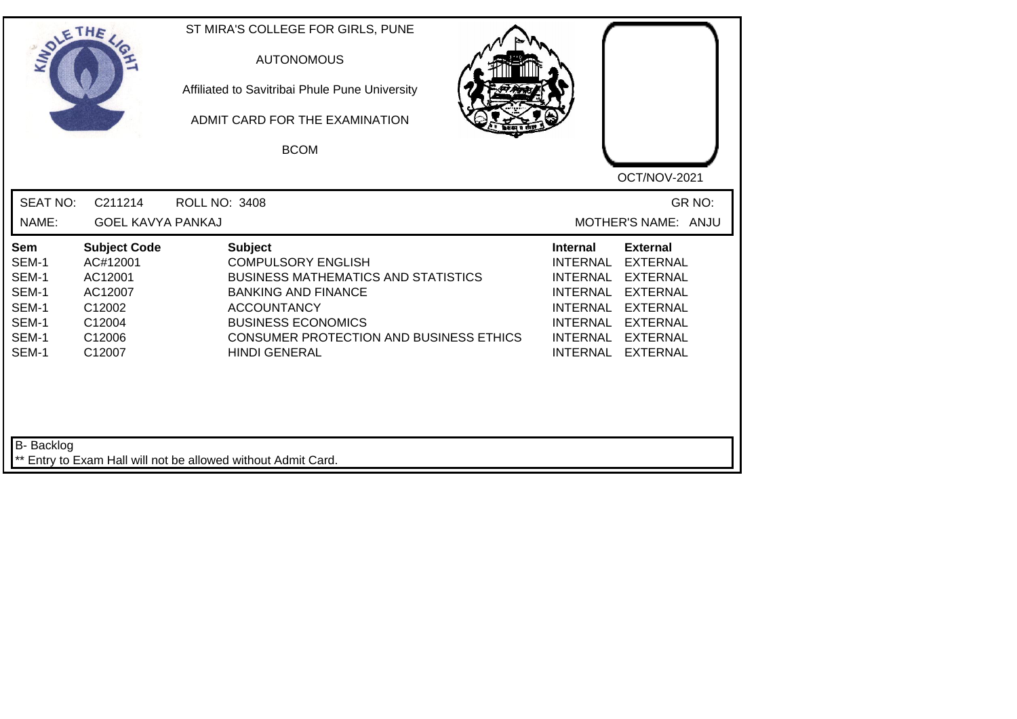| SOLE THE                                                           |                                                                                               | ST MIRA'S COLLEGE FOR GIRLS, PUNE<br><b>AUTONOMOUS</b><br>Affiliated to Savitribai Phule Pune University<br>ADMIT CARD FOR THE EXAMINATION<br><b>BCOM</b>                                                                                     | OCT/NOV-2021                                                                                                                                                                                                                                                                                |
|--------------------------------------------------------------------|-----------------------------------------------------------------------------------------------|-----------------------------------------------------------------------------------------------------------------------------------------------------------------------------------------------------------------------------------------------|---------------------------------------------------------------------------------------------------------------------------------------------------------------------------------------------------------------------------------------------------------------------------------------------|
| <b>SEAT NO:</b>                                                    | C211214                                                                                       | <b>ROLL NO: 3408</b>                                                                                                                                                                                                                          | GR NO:                                                                                                                                                                                                                                                                                      |
| NAME:                                                              | <b>GOEL KAVYA PANKAJ</b>                                                                      |                                                                                                                                                                                                                                               | MOTHER'S NAME: ANJU                                                                                                                                                                                                                                                                         |
| Sem<br>SEM-1<br>SEM-1<br>SEM-1<br>SEM-1<br>SEM-1<br>SEM-1<br>SEM-1 | <b>Subject Code</b><br>AC#12001<br>AC12001<br>AC12007<br>C12002<br>C12004<br>C12006<br>C12007 | <b>Subject</b><br><b>COMPULSORY ENGLISH</b><br><b>BUSINESS MATHEMATICS AND STATISTICS</b><br><b>BANKING AND FINANCE</b><br><b>ACCOUNTANCY</b><br><b>BUSINESS ECONOMICS</b><br>CONSUMER PROTECTION AND BUSINESS ETHICS<br><b>HINDI GENERAL</b> | <b>External</b><br><b>Internal</b><br><b>INTERNAL</b><br><b>EXTERNAL</b><br><b>EXTERNAL</b><br><b>INTERNAL</b><br><b>EXTERNAL</b><br><b>INTERNAL</b><br><b>INTERNAL</b><br><b>EXTERNAL</b><br>INTERNAL EXTERNAL<br><b>INTERNAL</b><br><b>EXTERNAL</b><br><b>INTERNAL</b><br><b>EXTERNAL</b> |
| <b>B-</b> Backlog                                                  |                                                                                               |                                                                                                                                                                                                                                               |                                                                                                                                                                                                                                                                                             |
|                                                                    |                                                                                               | ** Entry to Exam Hall will not be allowed without Admit Card.                                                                                                                                                                                 |                                                                                                                                                                                                                                                                                             |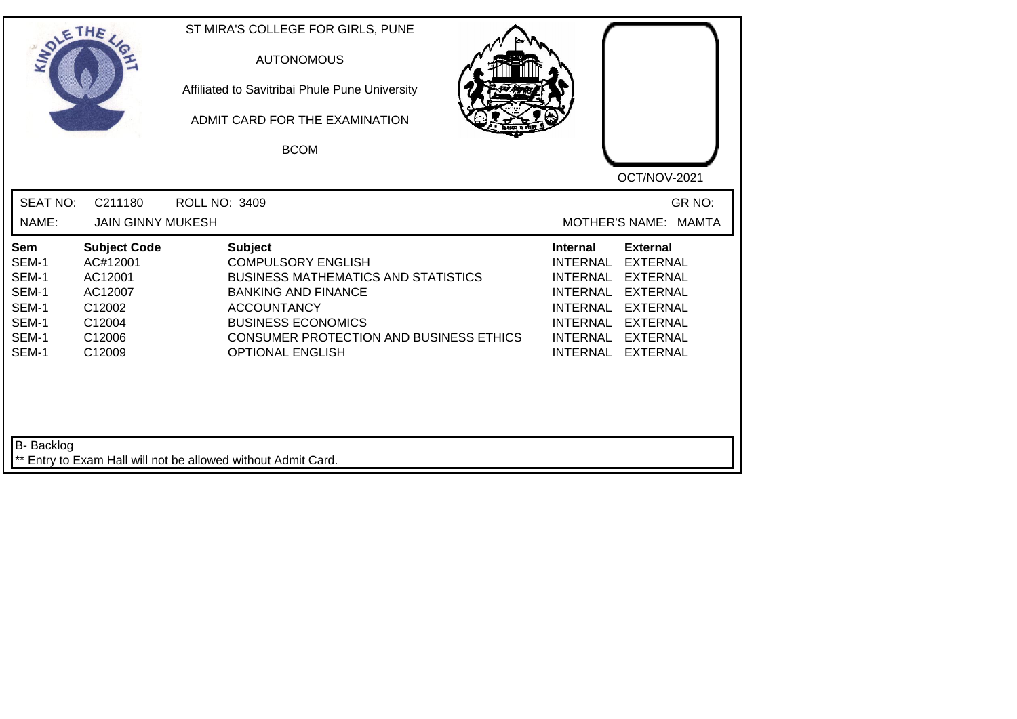| <b>SEAT NO:</b><br>GR NO:<br>C211180<br><b>ROLL NO: 3409</b><br>NAME:<br><b>JAIN GINNY MUKESH</b><br><b>MOTHER'S NAME:</b><br><b>MAMTA</b><br><b>Subject Code</b><br><b>Subject</b><br><b>External</b><br>Sem<br><b>Internal</b><br>SEM-1<br>AC#12001<br><b>COMPULSORY ENGLISH</b><br><b>EXTERNAL</b><br>INTERNAL<br>SEM-1<br><b>BUSINESS MATHEMATICS AND STATISTICS</b><br>AC12001<br><b>INTERNAL</b><br><b>EXTERNAL</b><br>SEM-1<br>AC12007<br><b>BANKING AND FINANCE</b><br><b>INTERNAL</b><br><b>EXTERNAL</b><br>SEM-1<br>C12002<br><b>ACCOUNTANCY</b><br><b>INTERNAL</b><br><b>EXTERNAL</b><br>SEM-1<br>C12004<br><b>BUSINESS ECONOMICS</b><br><b>INTERNAL</b><br><b>EXTERNAL</b><br>SEM-1<br>CONSUMER PROTECTION AND BUSINESS ETHICS<br><b>INTERNAL</b><br><b>EXTERNAL</b><br>C12006<br>SEM-1<br>C12009<br><b>OPTIONAL ENGLISH</b><br><b>INTERNAL</b><br><b>EXTERNAL</b> | SOLETHE . | ST MIRA'S COLLEGE FOR GIRLS, PUNE<br><b>AUTONOMOUS</b><br>Affiliated to Savitribai Phule Pune University<br>ADMIT CARD FOR THE EXAMINATION<br><b>BCOM</b> | OCT/NOV-2021 |
|--------------------------------------------------------------------------------------------------------------------------------------------------------------------------------------------------------------------------------------------------------------------------------------------------------------------------------------------------------------------------------------------------------------------------------------------------------------------------------------------------------------------------------------------------------------------------------------------------------------------------------------------------------------------------------------------------------------------------------------------------------------------------------------------------------------------------------------------------------------------------------|-----------|-----------------------------------------------------------------------------------------------------------------------------------------------------------|--------------|
|                                                                                                                                                                                                                                                                                                                                                                                                                                                                                                                                                                                                                                                                                                                                                                                                                                                                                |           |                                                                                                                                                           |              |
|                                                                                                                                                                                                                                                                                                                                                                                                                                                                                                                                                                                                                                                                                                                                                                                                                                                                                |           |                                                                                                                                                           |              |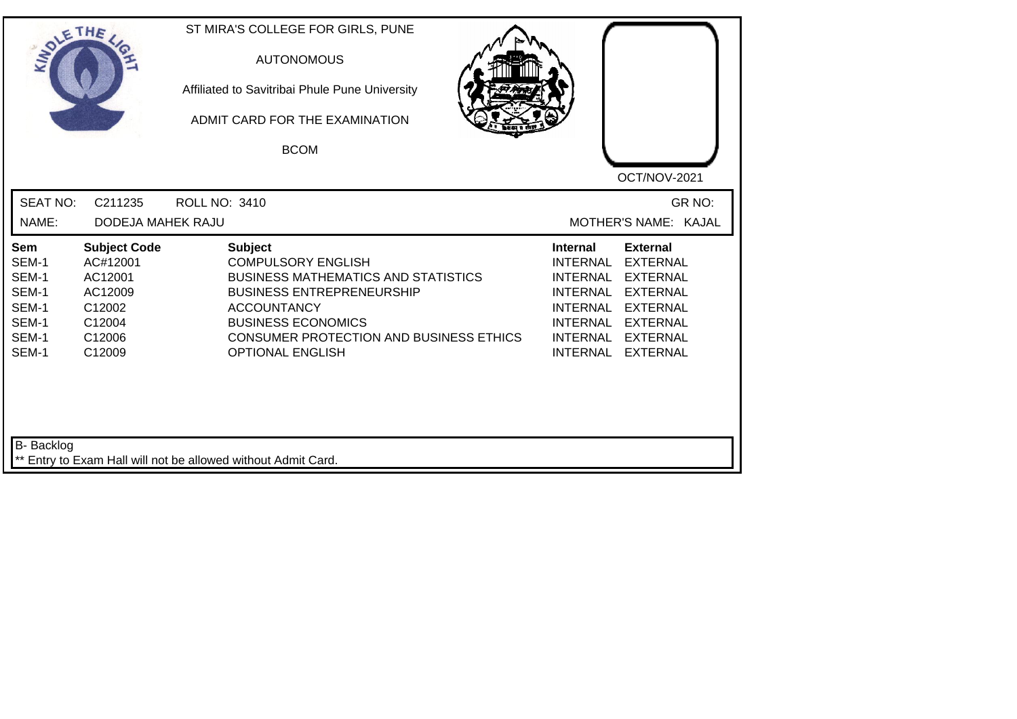| SOLETHE                                                            |                                                                                               | ST MIRA'S COLLEGE FOR GIRLS, PUNE<br><b>AUTONOMOUS</b><br>Affiliated to Savitribai Phule Pune University<br>ADMIT CARD FOR THE EXAMINATION<br><b>BCOM</b>                                                                                              | OCT/NOV-2021                                                                                                                                                                                                                                              |
|--------------------------------------------------------------------|-----------------------------------------------------------------------------------------------|--------------------------------------------------------------------------------------------------------------------------------------------------------------------------------------------------------------------------------------------------------|-----------------------------------------------------------------------------------------------------------------------------------------------------------------------------------------------------------------------------------------------------------|
| <b>SEAT NO:</b>                                                    | C211235                                                                                       | <b>ROLL NO: 3410</b>                                                                                                                                                                                                                                   | GR NO:                                                                                                                                                                                                                                                    |
| NAME:                                                              | <b>DODEJA MAHEK RAJU</b>                                                                      |                                                                                                                                                                                                                                                        | MOTHER'S NAME: KAJAL                                                                                                                                                                                                                                      |
| Sem<br>SEM-1<br>SEM-1<br>SEM-1<br>SEM-1<br>SEM-1<br>SEM-1<br>SEM-1 | <b>Subject Code</b><br>AC#12001<br>AC12001<br>AC12009<br>C12002<br>C12004<br>C12006<br>C12009 | <b>Subject</b><br><b>COMPULSORY ENGLISH</b><br><b>BUSINESS MATHEMATICS AND STATISTICS</b><br><b>BUSINESS ENTREPRENEURSHIP</b><br><b>ACCOUNTANCY</b><br><b>BUSINESS ECONOMICS</b><br>CONSUMER PROTECTION AND BUSINESS ETHICS<br><b>OPTIONAL ENGLISH</b> | <b>External</b><br><b>Internal</b><br><b>INTERNAL</b><br><b>EXTERNAL</b><br><b>INTERNAL</b><br><b>EXTERNAL</b><br>INTERNAL EXTERNAL<br><b>INTERNAL</b><br><b>EXTERNAL</b><br>INTERNAL EXTERNAL<br><b>INTERNAL</b><br><b>EXTERNAL</b><br>INTERNAL EXTERNAL |
| B- Backlog                                                         |                                                                                               | ** Entry to Exam Hall will not be allowed without Admit Card.                                                                                                                                                                                          |                                                                                                                                                                                                                                                           |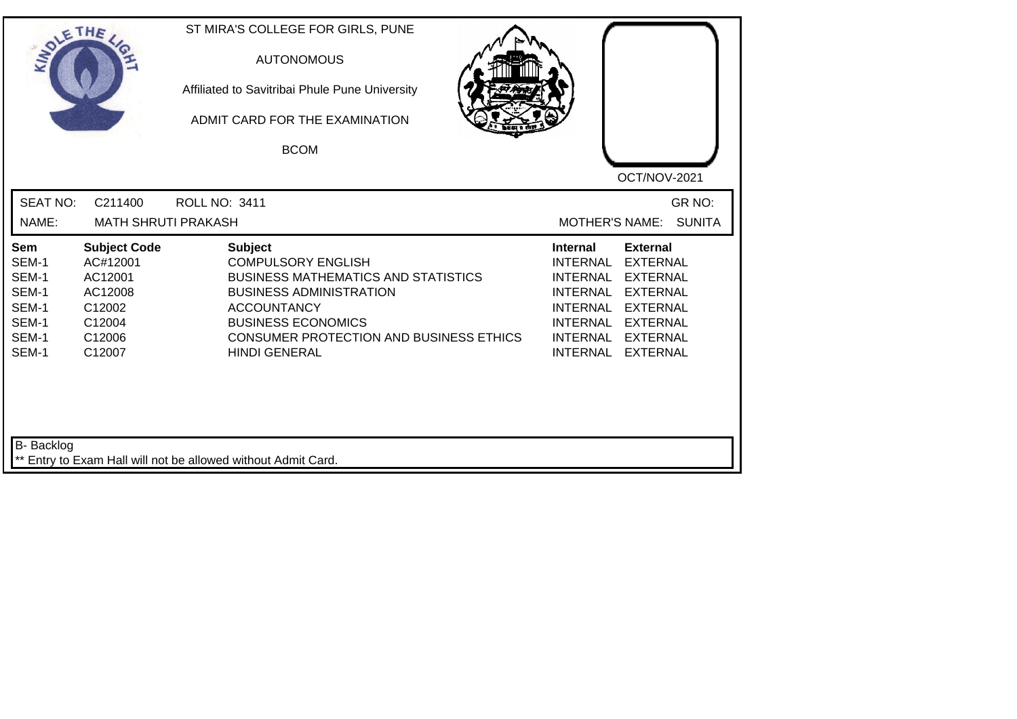| <b>SOLETHE</b>                                                            |                                                                                               | ST MIRA'S COLLEGE FOR GIRLS, PUNE<br><b>AUTONOMOUS</b><br>Affiliated to Savitribai Phule Pune University<br>ADMIT CARD FOR THE EXAMINATION<br><b>BCOM</b>                                                                                                | OCT/NOV-2021                                                                                                                                                                                                                                                                                          |
|---------------------------------------------------------------------------|-----------------------------------------------------------------------------------------------|----------------------------------------------------------------------------------------------------------------------------------------------------------------------------------------------------------------------------------------------------------|-------------------------------------------------------------------------------------------------------------------------------------------------------------------------------------------------------------------------------------------------------------------------------------------------------|
| <b>SEAT NO:</b><br>NAME:                                                  | C211400<br><b>MATH SHRUTI PRAKASH</b>                                                         | ROLL NO: 3411                                                                                                                                                                                                                                            | GR NO:<br><b>SUNITA</b><br><b>MOTHER'S NAME:</b>                                                                                                                                                                                                                                                      |
| <b>Sem</b><br>SEM-1<br>SEM-1<br>SEM-1<br>SEM-1<br>SEM-1<br>SEM-1<br>SEM-1 | <b>Subject Code</b><br>AC#12001<br>AC12001<br>AC12008<br>C12002<br>C12004<br>C12006<br>C12007 | <b>Subject</b><br><b>COMPULSORY ENGLISH</b><br><b>BUSINESS MATHEMATICS AND STATISTICS</b><br><b>BUSINESS ADMINISTRATION</b><br><b>ACCOUNTANCY</b><br><b>BUSINESS ECONOMICS</b><br><b>CONSUMER PROTECTION AND BUSINESS ETHICS</b><br><b>HINDI GENERAL</b> | <b>External</b><br>Internal<br><b>INTERNAL</b><br><b>EXTERNAL</b><br><b>INTERNAL</b><br><b>EXTERNAL</b><br><b>INTERNAL</b><br><b>EXTERNAL</b><br><b>INTERNAL</b><br><b>EXTERNAL</b><br><b>INTERNAL</b><br><b>EXTERNAL</b><br><b>INTERNAL</b><br><b>EXTERNAL</b><br><b>INTERNAL</b><br><b>EXTERNAL</b> |
| B- Backlog                                                                |                                                                                               | ** Entry to Exam Hall will not be allowed without Admit Card.                                                                                                                                                                                            |                                                                                                                                                                                                                                                                                                       |

┛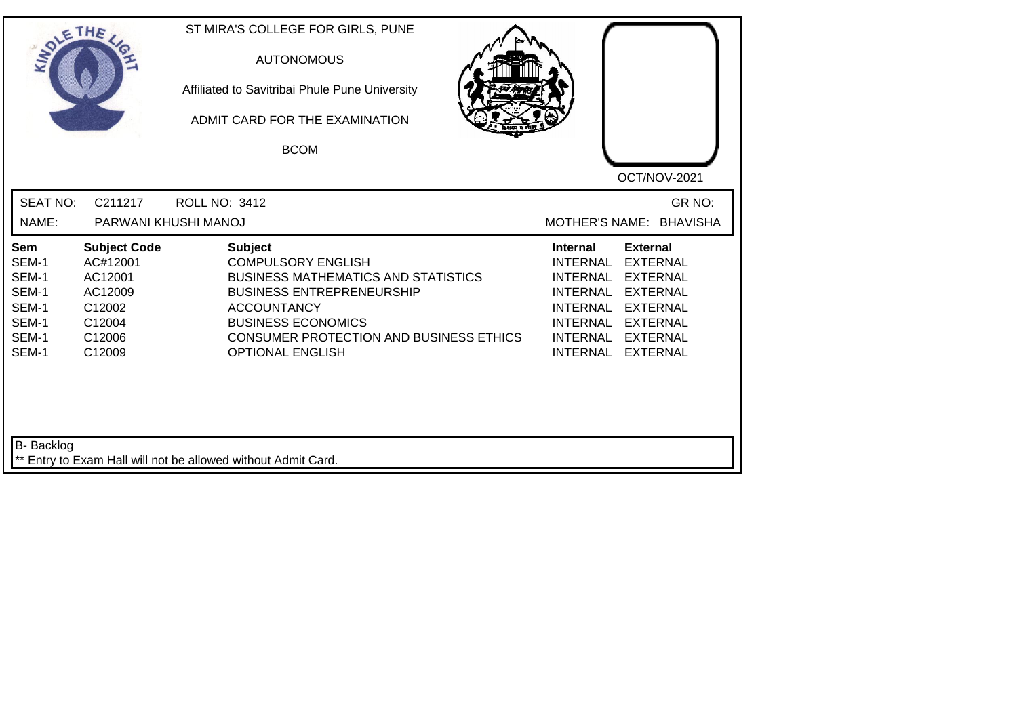| SOLE THE                                                           |                                                                                               | ST MIRA'S COLLEGE FOR GIRLS, PUNE<br><b>AUTONOMOUS</b><br>Affiliated to Savitribai Phule Pune University<br>ADMIT CARD FOR THE EXAMINATION<br><b>BCOM</b>                                                                                              | OCT/NOV-2021                                                                                                                                                                                                                                                                                                 |
|--------------------------------------------------------------------|-----------------------------------------------------------------------------------------------|--------------------------------------------------------------------------------------------------------------------------------------------------------------------------------------------------------------------------------------------------------|--------------------------------------------------------------------------------------------------------------------------------------------------------------------------------------------------------------------------------------------------------------------------------------------------------------|
| <b>SEAT NO:</b><br>NAME:                                           | C211217<br>PARWANI KHUSHI MANOJ                                                               | <b>ROLL NO: 3412</b>                                                                                                                                                                                                                                   | GR NO:<br>MOTHER'S NAME: BHAVISHA                                                                                                                                                                                                                                                                            |
| Sem<br>SEM-1<br>SEM-1<br>SEM-1<br>SEM-1<br>SEM-1<br>SEM-1<br>SEM-1 | <b>Subject Code</b><br>AC#12001<br>AC12001<br>AC12009<br>C12002<br>C12004<br>C12006<br>C12009 | <b>Subject</b><br><b>COMPULSORY ENGLISH</b><br><b>BUSINESS MATHEMATICS AND STATISTICS</b><br><b>BUSINESS ENTREPRENEURSHIP</b><br><b>ACCOUNTANCY</b><br><b>BUSINESS ECONOMICS</b><br>CONSUMER PROTECTION AND BUSINESS ETHICS<br><b>OPTIONAL ENGLISH</b> | <b>External</b><br><b>Internal</b><br><b>INTERNAL</b><br><b>EXTERNAL</b><br><b>EXTERNAL</b><br><b>INTERNAL</b><br><b>INTERNAL</b><br><b>EXTERNAL</b><br><b>INTERNAL</b><br><b>EXTERNAL</b><br><b>INTERNAL</b><br><b>EXTERNAL</b><br><b>INTERNAL</b><br><b>EXTERNAL</b><br><b>INTERNAL</b><br><b>EXTERNAL</b> |
| B- Backlog                                                         |                                                                                               | ** Entry to Exam Hall will not be allowed without Admit Card.                                                                                                                                                                                          |                                                                                                                                                                                                                                                                                                              |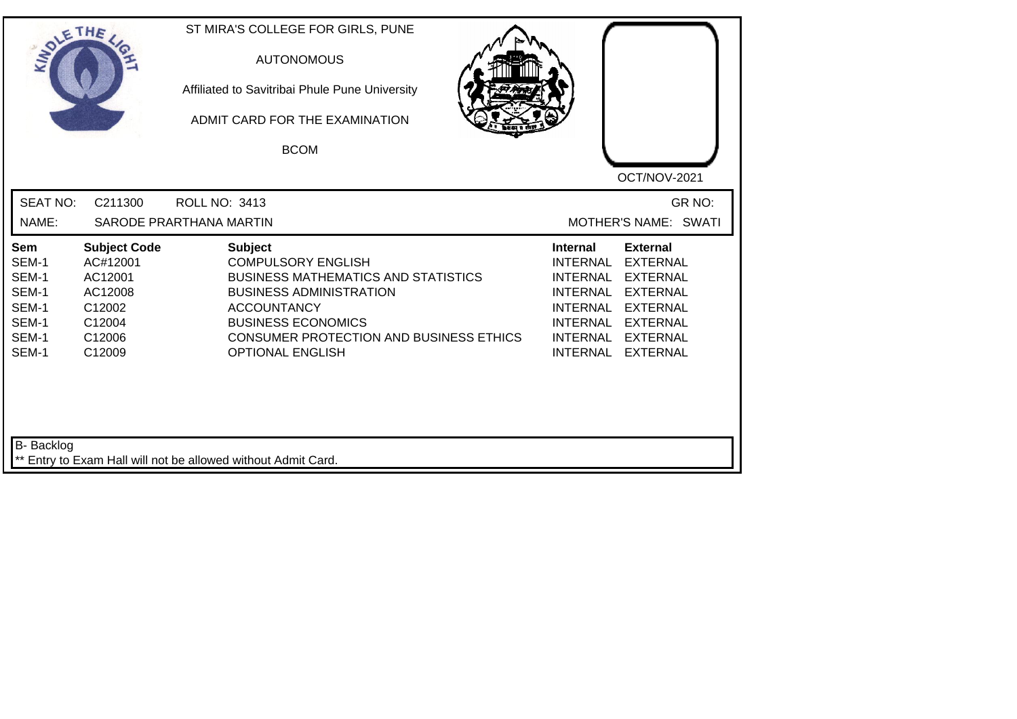| SOLE THE                                                           |                                                                                               | ST MIRA'S COLLEGE FOR GIRLS, PUNE<br><b>AUTONOMOUS</b><br>Affiliated to Savitribai Phule Pune University<br>ADMIT CARD FOR THE EXAMINATION<br><b>BCOM</b>                                                                                            | OCT/NOV-2021                                                                                                                                                                                                                                                                                                 |
|--------------------------------------------------------------------|-----------------------------------------------------------------------------------------------|------------------------------------------------------------------------------------------------------------------------------------------------------------------------------------------------------------------------------------------------------|--------------------------------------------------------------------------------------------------------------------------------------------------------------------------------------------------------------------------------------------------------------------------------------------------------------|
| <b>SEAT NO:</b><br>NAME:                                           | C211300                                                                                       | <b>ROLL NO: 3413</b><br>SARODE PRARTHANA MARTIN                                                                                                                                                                                                      | GR NO:<br>MOTHER'S NAME: SWATI                                                                                                                                                                                                                                                                               |
| Sem<br>SEM-1<br>SEM-1<br>SEM-1<br>SEM-1<br>SEM-1<br>SEM-1<br>SEM-1 | <b>Subject Code</b><br>AC#12001<br>AC12001<br>AC12008<br>C12002<br>C12004<br>C12006<br>C12009 | <b>Subject</b><br><b>COMPULSORY ENGLISH</b><br><b>BUSINESS MATHEMATICS AND STATISTICS</b><br><b>BUSINESS ADMINISTRATION</b><br><b>ACCOUNTANCY</b><br><b>BUSINESS ECONOMICS</b><br>CONSUMER PROTECTION AND BUSINESS ETHICS<br><b>OPTIONAL ENGLISH</b> | <b>External</b><br><b>Internal</b><br><b>INTERNAL</b><br><b>EXTERNAL</b><br><b>INTERNAL</b><br><b>EXTERNAL</b><br><b>INTERNAL</b><br><b>EXTERNAL</b><br><b>INTERNAL</b><br><b>EXTERNAL</b><br><b>INTERNAL</b><br><b>EXTERNAL</b><br><b>INTERNAL</b><br><b>EXTERNAL</b><br><b>INTERNAL</b><br><b>EXTERNAL</b> |
| B- Backlog                                                         |                                                                                               | ** Entry to Exam Hall will not be allowed without Admit Card.                                                                                                                                                                                        |                                                                                                                                                                                                                                                                                                              |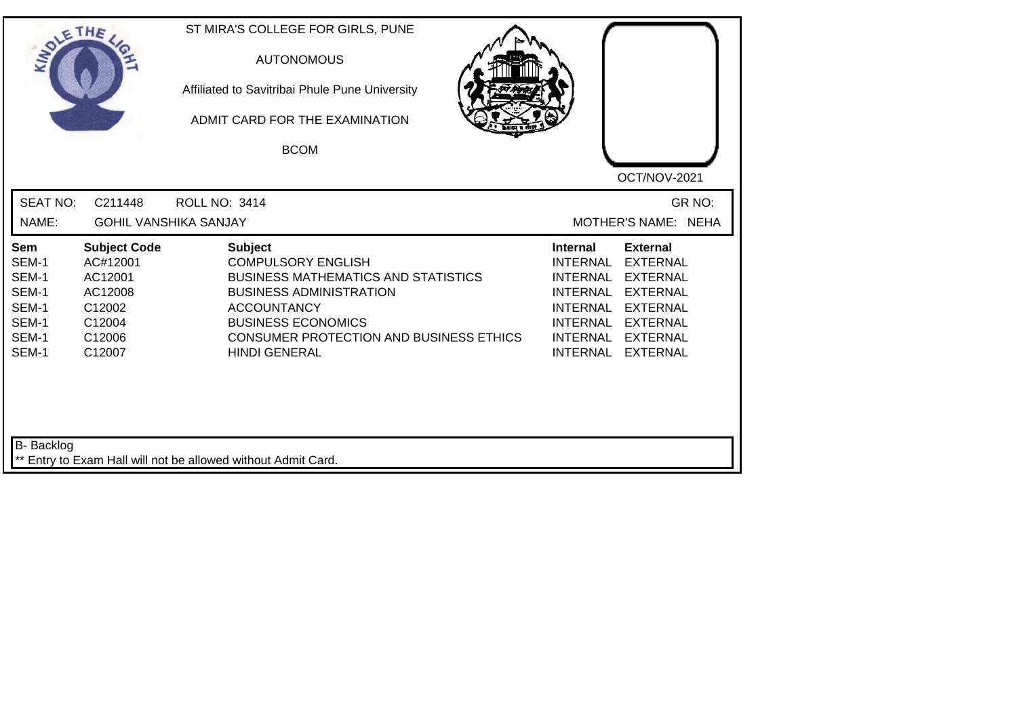| SOLETHE .                                                          |                                                                                               | ST MIRA'S COLLEGE FOR GIRLS, PUNE<br><b>AUTONOMOUS</b><br>Affiliated to Savitribai Phule Pune University<br>ADMIT CARD FOR THE EXAMINATION<br><b>BCOM</b>                                                                                                | OCT/NOV-2021                                                                                                                                                                                                                             |
|--------------------------------------------------------------------|-----------------------------------------------------------------------------------------------|----------------------------------------------------------------------------------------------------------------------------------------------------------------------------------------------------------------------------------------------------------|------------------------------------------------------------------------------------------------------------------------------------------------------------------------------------------------------------------------------------------|
| <b>SEAT NO:</b><br>NAME:                                           | C211448<br><b>GOHIL VANSHIKA SANJAY</b>                                                       | <b>ROLL NO: 3414</b>                                                                                                                                                                                                                                     | GR NO:<br>MOTHER'S NAME: NEHA                                                                                                                                                                                                            |
| Sem<br>SEM-1<br>SEM-1<br>SEM-1<br>SEM-1<br>SEM-1<br>SEM-1<br>SEM-1 | <b>Subject Code</b><br>AC#12001<br>AC12001<br>AC12008<br>C12002<br>C12004<br>C12006<br>C12007 | <b>Subject</b><br><b>COMPULSORY ENGLISH</b><br><b>BUSINESS MATHEMATICS AND STATISTICS</b><br><b>BUSINESS ADMINISTRATION</b><br><b>ACCOUNTANCY</b><br><b>BUSINESS ECONOMICS</b><br><b>CONSUMER PROTECTION AND BUSINESS ETHICS</b><br><b>HINDI GENERAL</b> | <b>External</b><br><b>Internal</b><br><b>INTERNAL</b><br><b>EXTERNAL</b><br>INTERNAL EXTERNAL<br>INTERNAL EXTERNAL<br>INTERNAL EXTERNAL<br><b>INTERNAL</b><br><b>EXTERNAL</b><br>INTERNAL EXTERNAL<br><b>INTERNAL</b><br><b>EXTERNAL</b> |
| B- Backlog                                                         |                                                                                               | ** Entry to Exam Hall will not be allowed without Admit Card.                                                                                                                                                                                            |                                                                                                                                                                                                                                          |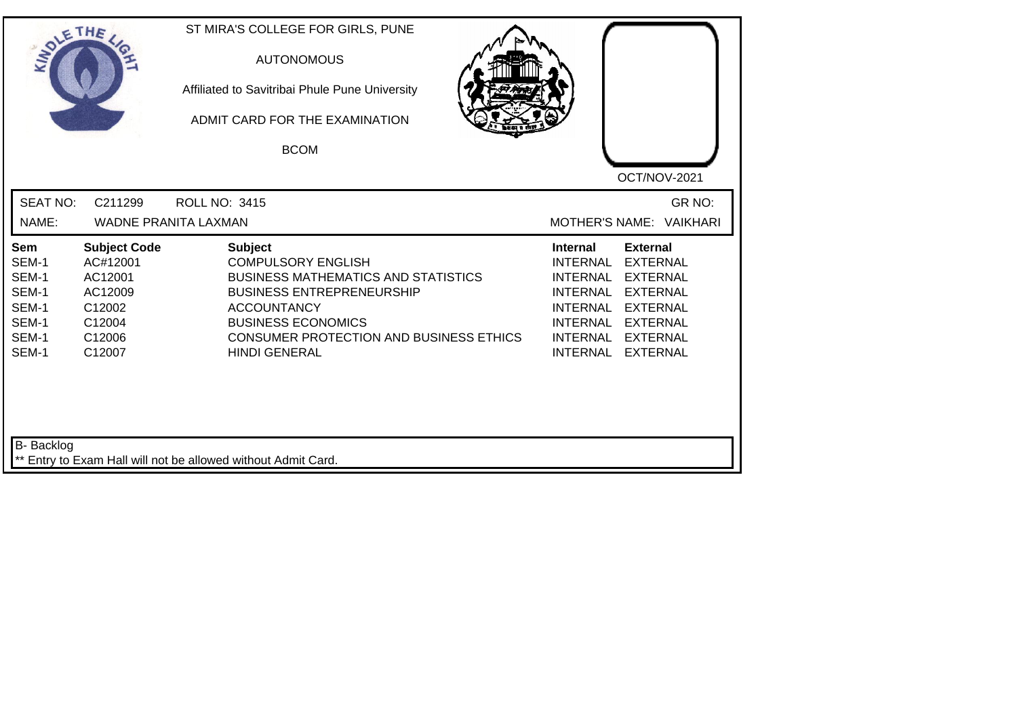|                                                                           | ETHE                                                                                          | ST MIRA'S COLLEGE FOR GIRLS, PUNE<br><b>AUTONOMOUS</b><br>Affiliated to Savitribai Phule Pune University<br>ADMIT CARD FOR THE EXAMINATION<br><b>BCOM</b>                                                                                                  | OCT/NOV-2021                                                                                                                                                                                                                                |
|---------------------------------------------------------------------------|-----------------------------------------------------------------------------------------------|------------------------------------------------------------------------------------------------------------------------------------------------------------------------------------------------------------------------------------------------------------|---------------------------------------------------------------------------------------------------------------------------------------------------------------------------------------------------------------------------------------------|
| <b>SEAT NO:</b><br>NAME:                                                  | C211299                                                                                       | <b>ROLL NO: 3415</b><br><b>WADNE PRANITA LAXMAN</b>                                                                                                                                                                                                        | GR NO:<br>MOTHER'S NAME: VAIKHARI                                                                                                                                                                                                           |
| <b>Sem</b><br>SEM-1<br>SEM-1<br>SEM-1<br>SEM-1<br>SEM-1<br>SEM-1<br>SEM-1 | <b>Subject Code</b><br>AC#12001<br>AC12001<br>AC12009<br>C12002<br>C12004<br>C12006<br>C12007 | <b>Subject</b><br><b>COMPULSORY ENGLISH</b><br><b>BUSINESS MATHEMATICS AND STATISTICS</b><br><b>BUSINESS ENTREPRENEURSHIP</b><br><b>ACCOUNTANCY</b><br><b>BUSINESS ECONOMICS</b><br><b>CONSUMER PROTECTION AND BUSINESS ETHICS</b><br><b>HINDI GENERAL</b> | <b>External</b><br><b>Internal</b><br><b>INTERNAL</b><br><b>EXTERNAL</b><br>INTERNAL EXTERNAL<br>INTERNAL EXTERNAL<br>INTERNAL EXTERNAL<br><b>INTERNAL</b><br><b>EXTERNAL</b><br>INTERNAL<br><b>EXTERNAL</b><br>INTERNAL<br><b>EXTERNAL</b> |
| B- Backlog                                                                |                                                                                               | ** Entry to Exam Hall will not be allowed without Admit Card.                                                                                                                                                                                              |                                                                                                                                                                                                                                             |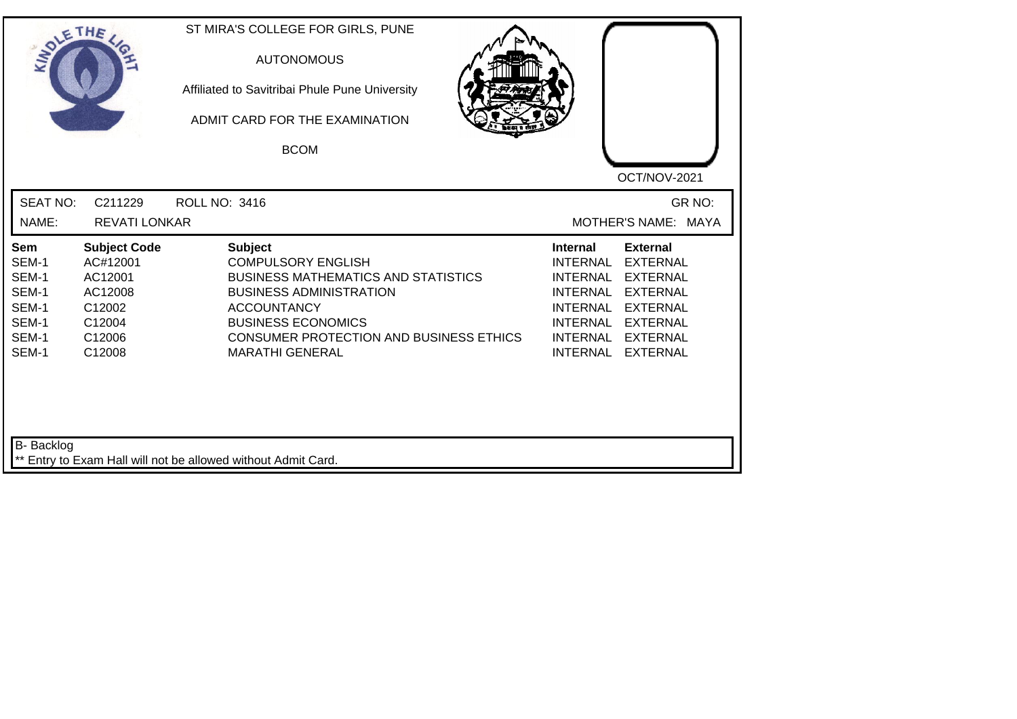| SOLE THE                                                           |                                                                                               | ST MIRA'S COLLEGE FOR GIRLS, PUNE<br><b>AUTONOMOUS</b><br>Affiliated to Savitribai Phule Pune University<br>ADMIT CARD FOR THE EXAMINATION<br><b>BCOM</b>                                                                                                  |                                                                                                                            | OCT/NOV-2021                                                                                                                                           |
|--------------------------------------------------------------------|-----------------------------------------------------------------------------------------------|------------------------------------------------------------------------------------------------------------------------------------------------------------------------------------------------------------------------------------------------------------|----------------------------------------------------------------------------------------------------------------------------|--------------------------------------------------------------------------------------------------------------------------------------------------------|
| <b>SEAT NO:</b><br>NAME:                                           | C211229<br><b>REVATI LONKAR</b>                                                               | <b>ROLL NO: 3416</b>                                                                                                                                                                                                                                       |                                                                                                                            | GR NO:<br>MOTHER'S NAME: MAYA                                                                                                                          |
| Sem<br>SEM-1<br>SEM-1<br>SEM-1<br>SEM-1<br>SEM-1<br>SEM-1<br>SEM-1 | <b>Subject Code</b><br>AC#12001<br>AC12001<br>AC12008<br>C12002<br>C12004<br>C12006<br>C12008 | <b>Subject</b><br><b>COMPULSORY ENGLISH</b><br><b>BUSINESS MATHEMATICS AND STATISTICS</b><br><b>BUSINESS ADMINISTRATION</b><br><b>ACCOUNTANCY</b><br><b>BUSINESS ECONOMICS</b><br><b>CONSUMER PROTECTION AND BUSINESS ETHICS</b><br><b>MARATHI GENERAL</b> | <b>Internal</b><br><b>INTERNAL</b><br><b>INTERNAL</b><br><b>INTERNAL</b><br><b>INTERNAL</b><br>INTERNAL<br><b>INTERNAL</b> | <b>External</b><br><b>EXTERNAL</b><br><b>EXTERNAL</b><br><b>EXTERNAL</b><br><b>EXTERNAL</b><br>INTERNAL EXTERNAL<br><b>EXTERNAL</b><br><b>EXTERNAL</b> |
| <b>B-</b> Backlog                                                  |                                                                                               | ** Entry to Exam Hall will not be allowed without Admit Card.                                                                                                                                                                                              |                                                                                                                            |                                                                                                                                                        |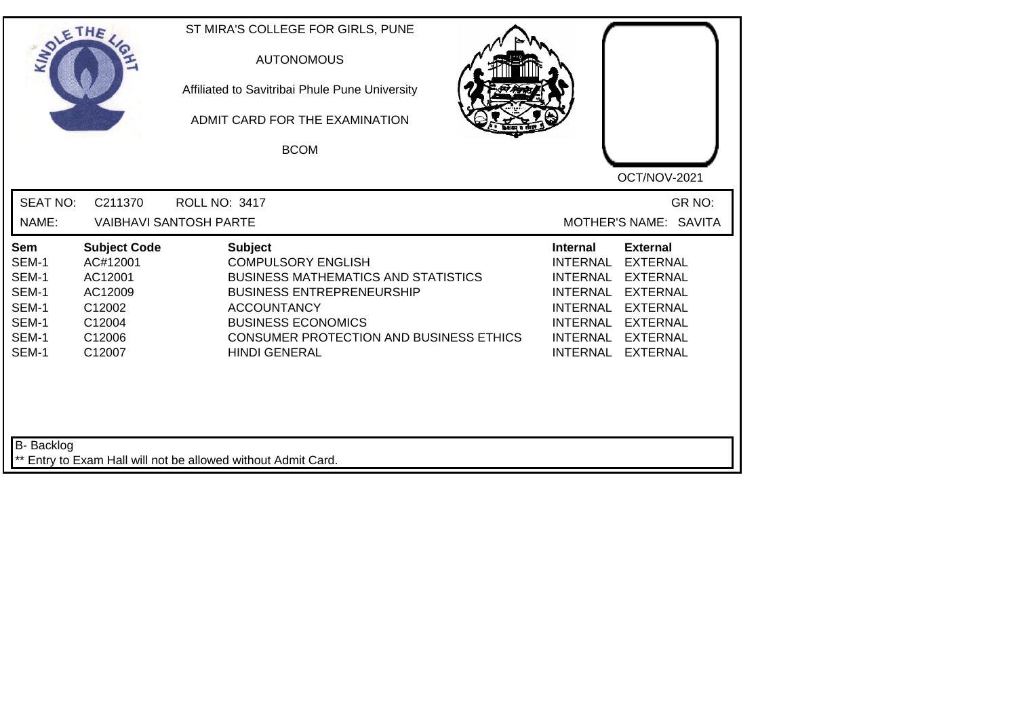| SOLETHE,                                                           |                                                                                               | ST MIRA'S COLLEGE FOR GIRLS, PUNE<br><b>AUTONOMOUS</b><br>Affiliated to Savitribai Phule Pune University<br>ADMIT CARD FOR THE EXAMINATION<br><b>BCOM</b>                                                                                                  |                                                                                                                                                                                                                                                    |
|--------------------------------------------------------------------|-----------------------------------------------------------------------------------------------|------------------------------------------------------------------------------------------------------------------------------------------------------------------------------------------------------------------------------------------------------------|----------------------------------------------------------------------------------------------------------------------------------------------------------------------------------------------------------------------------------------------------|
|                                                                    |                                                                                               |                                                                                                                                                                                                                                                            | OCT/NOV-2021                                                                                                                                                                                                                                       |
| <b>SEAT NO:</b><br>NAME:                                           | C211370                                                                                       | <b>ROLL NO: 3417</b><br><b>VAIBHAVI SANTOSH PARTE</b>                                                                                                                                                                                                      | GR NO:<br>MOTHER'S NAME: SAVITA                                                                                                                                                                                                                    |
| Sem<br>SEM-1<br>SEM-1<br>SEM-1<br>SEM-1<br>SEM-1<br>SEM-1<br>SEM-1 | <b>Subject Code</b><br>AC#12001<br>AC12001<br>AC12009<br>C12002<br>C12004<br>C12006<br>C12007 | <b>Subject</b><br><b>COMPULSORY ENGLISH</b><br><b>BUSINESS MATHEMATICS AND STATISTICS</b><br><b>BUSINESS ENTREPRENEURSHIP</b><br><b>ACCOUNTANCY</b><br><b>BUSINESS ECONOMICS</b><br><b>CONSUMER PROTECTION AND BUSINESS ETHICS</b><br><b>HINDI GENERAL</b> | <b>External</b><br><b>Internal</b><br><b>INTERNAL</b><br><b>EXTERNAL</b><br>INTERNAL EXTERNAL<br>INTERNAL EXTERNAL<br>INTERNAL EXTERNAL<br><b>INTERNAL</b><br><b>EXTERNAL</b><br>INTERNAL<br><b>EXTERNAL</b><br><b>INTERNAL</b><br><b>EXTERNAL</b> |
| B- Backlog                                                         |                                                                                               | ** Entry to Exam Hall will not be allowed without Admit Card.                                                                                                                                                                                              |                                                                                                                                                                                                                                                    |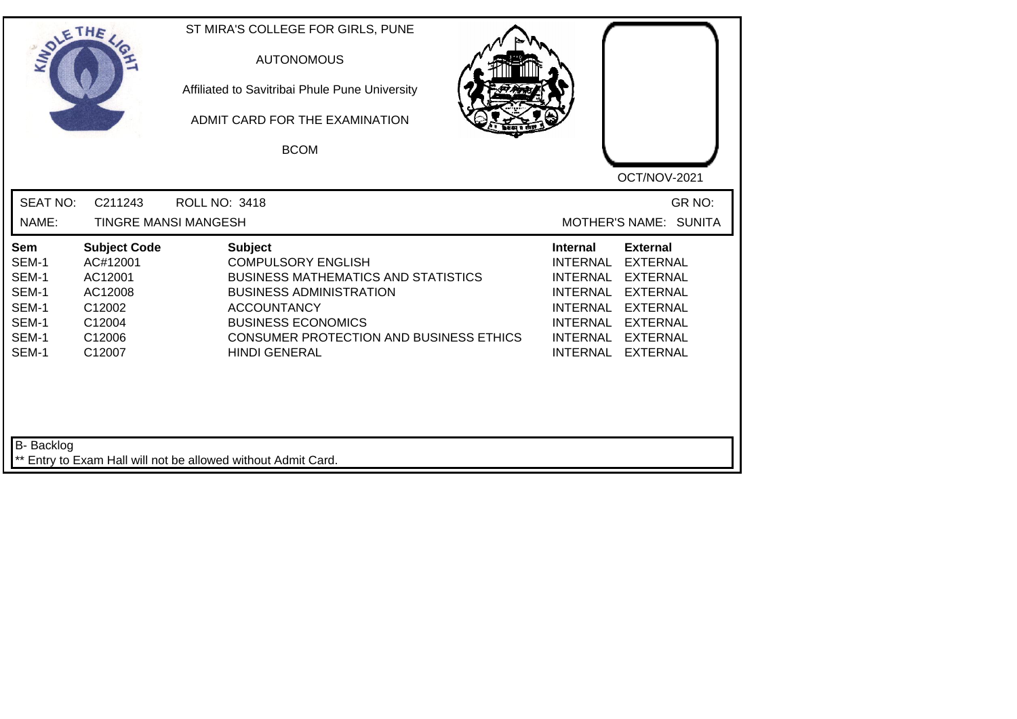| SOLE THE                                                                  |                                                                                               | ST MIRA'S COLLEGE FOR GIRLS, PUNE<br><b>AUTONOMOUS</b><br>Affiliated to Savitribai Phule Pune University<br>ADMIT CARD FOR THE EXAMINATION<br><b>BCOM</b>                                                                                         | OCT/NOV-2021                                                                                                                                                                                                                                                                                                 |
|---------------------------------------------------------------------------|-----------------------------------------------------------------------------------------------|---------------------------------------------------------------------------------------------------------------------------------------------------------------------------------------------------------------------------------------------------|--------------------------------------------------------------------------------------------------------------------------------------------------------------------------------------------------------------------------------------------------------------------------------------------------------------|
| <b>SEAT NO:</b><br>NAME:                                                  | C211243                                                                                       | <b>ROLL NO: 3418</b><br><b>TINGRE MANSI MANGESH</b>                                                                                                                                                                                               | GR NO:<br>MOTHER'S NAME: SUNITA                                                                                                                                                                                                                                                                              |
| <b>Sem</b><br>SEM-1<br>SEM-1<br>SEM-1<br>SEM-1<br>SEM-1<br>SEM-1<br>SEM-1 | <b>Subject Code</b><br>AC#12001<br>AC12001<br>AC12008<br>C12002<br>C12004<br>C12006<br>C12007 | <b>Subject</b><br><b>COMPULSORY ENGLISH</b><br><b>BUSINESS MATHEMATICS AND STATISTICS</b><br><b>BUSINESS ADMINISTRATION</b><br><b>ACCOUNTANCY</b><br><b>BUSINESS ECONOMICS</b><br>CONSUMER PROTECTION AND BUSINESS ETHICS<br><b>HINDI GENERAL</b> | <b>External</b><br><b>Internal</b><br><b>INTERNAL</b><br><b>EXTERNAL</b><br><b>INTERNAL</b><br><b>EXTERNAL</b><br><b>INTERNAL</b><br><b>EXTERNAL</b><br><b>INTERNAL</b><br><b>EXTERNAL</b><br><b>INTERNAL</b><br><b>EXTERNAL</b><br><b>INTERNAL</b><br><b>EXTERNAL</b><br><b>INTERNAL</b><br><b>EXTERNAL</b> |
| B- Backlog                                                                |                                                                                               | ** Entry to Exam Hall will not be allowed without Admit Card.                                                                                                                                                                                     |                                                                                                                                                                                                                                                                                                              |

┛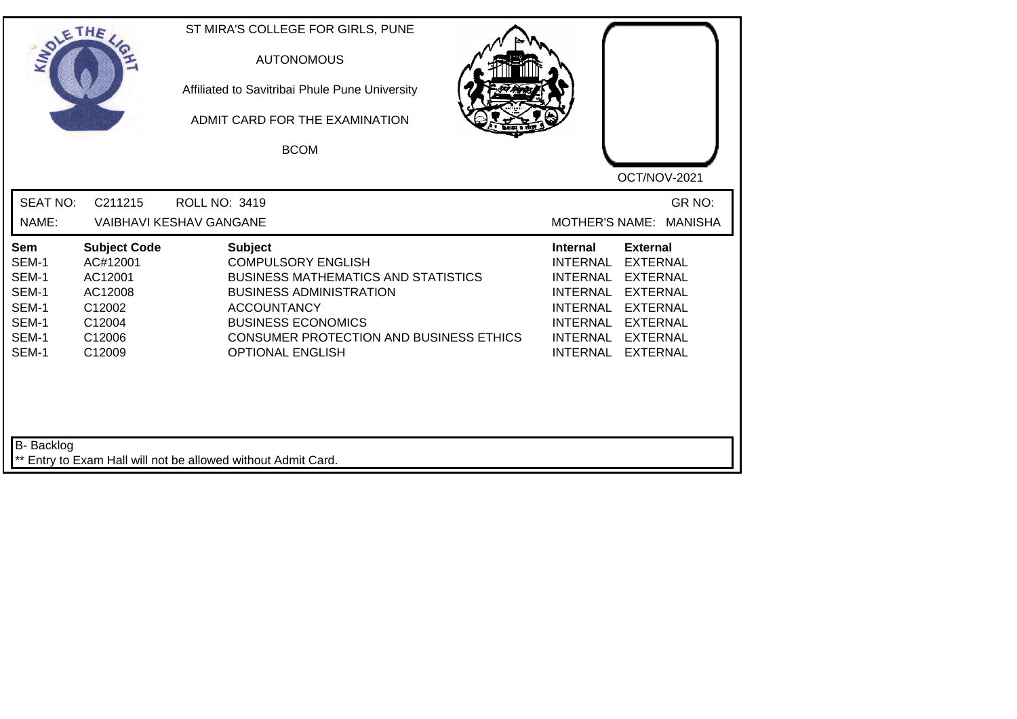| INO'                                                               | ETHE                                                                                          | ST MIRA'S COLLEGE FOR GIRLS, PUNE<br><b>AUTONOMOUS</b><br>Affiliated to Savitribai Phule Pune University<br>ADMIT CARD FOR THE EXAMINATION<br><b>BCOM</b>                                                                                            | OCT/NOV-2021                                                                                                                                                                                                                             |
|--------------------------------------------------------------------|-----------------------------------------------------------------------------------------------|------------------------------------------------------------------------------------------------------------------------------------------------------------------------------------------------------------------------------------------------------|------------------------------------------------------------------------------------------------------------------------------------------------------------------------------------------------------------------------------------------|
| <b>SEAT NO:</b>                                                    | C211215                                                                                       | <b>ROLL NO: 3419</b>                                                                                                                                                                                                                                 | GR NO:                                                                                                                                                                                                                                   |
| NAME:                                                              |                                                                                               | <b>VAIBHAVI KESHAV GANGANE</b>                                                                                                                                                                                                                       | MOTHER'S NAME: MANISHA                                                                                                                                                                                                                   |
| Sem<br>SEM-1<br>SEM-1<br>SEM-1<br>SEM-1<br>SEM-1<br>SEM-1<br>SEM-1 | <b>Subject Code</b><br>AC#12001<br>AC12001<br>AC12008<br>C12002<br>C12004<br>C12006<br>C12009 | <b>Subject</b><br><b>COMPULSORY ENGLISH</b><br><b>BUSINESS MATHEMATICS AND STATISTICS</b><br><b>BUSINESS ADMINISTRATION</b><br><b>ACCOUNTANCY</b><br><b>BUSINESS ECONOMICS</b><br>CONSUMER PROTECTION AND BUSINESS ETHICS<br><b>OPTIONAL ENGLISH</b> | <b>External</b><br><b>Internal</b><br><b>EXTERNAL</b><br><b>INTERNAL</b><br>INTERNAL EXTERNAL<br>INTERNAL EXTERNAL<br>INTERNAL EXTERNAL<br><b>INTERNAL</b><br><b>EXTERNAL</b><br>INTERNAL EXTERNAL<br><b>INTERNAL</b><br><b>EXTERNAL</b> |
| B- Backlog                                                         |                                                                                               | ** Entry to Exam Hall will not be allowed without Admit Card.                                                                                                                                                                                        |                                                                                                                                                                                                                                          |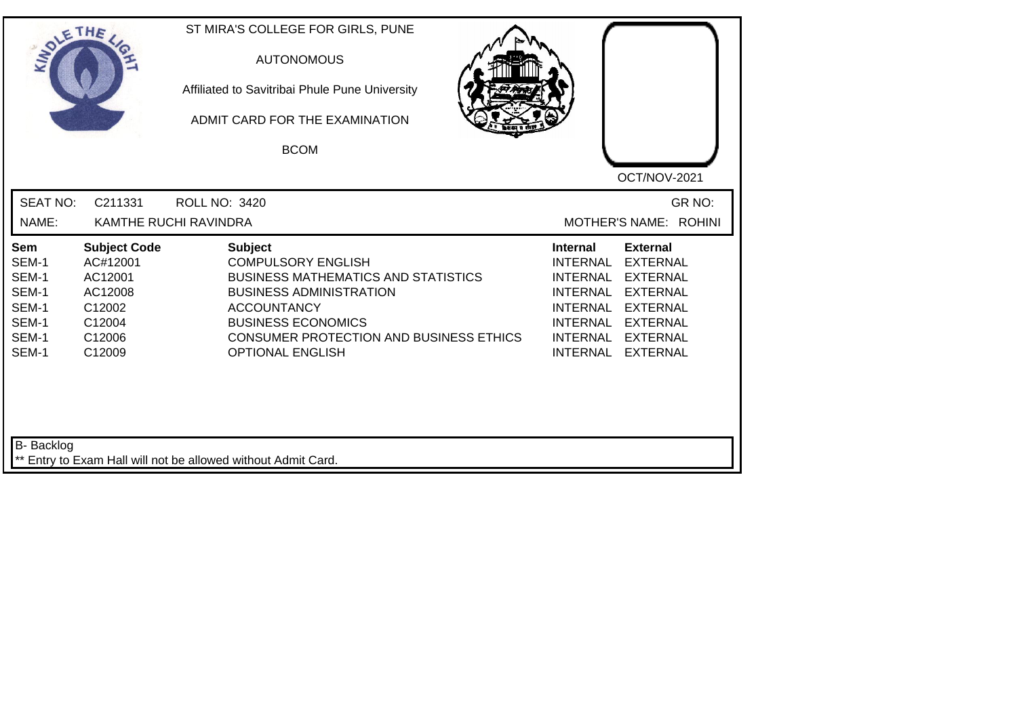| SOLE THE                                                                  |                                                                                               | ST MIRA'S COLLEGE FOR GIRLS, PUNE<br><b>AUTONOMOUS</b><br>Affiliated to Savitribai Phule Pune University<br>ADMIT CARD FOR THE EXAMINATION<br><b>BCOM</b>                                                                                            | OCT/NOV-2021                                                                                                                                                                                                                                                                         |
|---------------------------------------------------------------------------|-----------------------------------------------------------------------------------------------|------------------------------------------------------------------------------------------------------------------------------------------------------------------------------------------------------------------------------------------------------|--------------------------------------------------------------------------------------------------------------------------------------------------------------------------------------------------------------------------------------------------------------------------------------|
| <b>SEAT NO:</b><br>NAME:                                                  | C211331                                                                                       | <b>ROLL NO: 3420</b><br>KAMTHE RUCHI RAVINDRA                                                                                                                                                                                                        | GR NO:<br>MOTHER'S NAME: ROHINI                                                                                                                                                                                                                                                      |
| <b>Sem</b><br>SEM-1<br>SEM-1<br>SEM-1<br>SEM-1<br>SEM-1<br>SEM-1<br>SEM-1 | <b>Subject Code</b><br>AC#12001<br>AC12001<br>AC12008<br>C12002<br>C12004<br>C12006<br>C12009 | <b>Subject</b><br><b>COMPULSORY ENGLISH</b><br><b>BUSINESS MATHEMATICS AND STATISTICS</b><br><b>BUSINESS ADMINISTRATION</b><br><b>ACCOUNTANCY</b><br><b>BUSINESS ECONOMICS</b><br>CONSUMER PROTECTION AND BUSINESS ETHICS<br><b>OPTIONAL ENGLISH</b> | <b>Internal</b><br><b>External</b><br><b>INTERNAL</b><br>EXTERNAL<br><b>INTERNAL</b><br><b>EXTERNAL</b><br><b>INTERNAL</b><br><b>EXTERNAL</b><br><b>INTERNAL</b><br><b>EXTERNAL</b><br>INTERNAL EXTERNAL<br><b>INTERNAL</b><br><b>EXTERNAL</b><br><b>INTERNAL</b><br><b>EXTERNAL</b> |
| B- Backlog                                                                |                                                                                               | ** Entry to Exam Hall will not be allowed without Admit Card.                                                                                                                                                                                        |                                                                                                                                                                                                                                                                                      |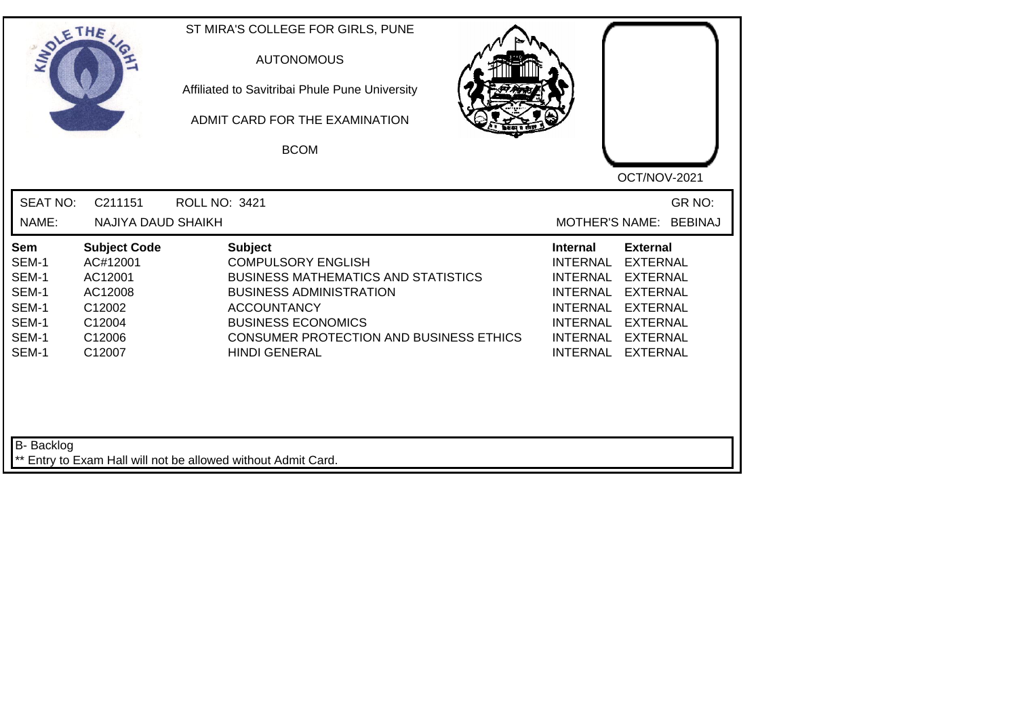| SOLE THE                                                                  |                                                                                               | ST MIRA'S COLLEGE FOR GIRLS, PUNE<br><b>AUTONOMOUS</b><br>Affiliated to Savitribai Phule Pune University<br>ADMIT CARD FOR THE EXAMINATION<br><b>BCOM</b>                                                                                         | OCT/NOV-2021                                                                                                                                                                                                                                                                                          |
|---------------------------------------------------------------------------|-----------------------------------------------------------------------------------------------|---------------------------------------------------------------------------------------------------------------------------------------------------------------------------------------------------------------------------------------------------|-------------------------------------------------------------------------------------------------------------------------------------------------------------------------------------------------------------------------------------------------------------------------------------------------------|
| <b>SEAT NO:</b><br>NAME:                                                  | C211151<br>NAJIYA DAUD SHAIKH                                                                 | ROLL NO: 3421                                                                                                                                                                                                                                     | GR NO:<br>MOTHER'S NAME: BEBINAJ                                                                                                                                                                                                                                                                      |
| <b>Sem</b><br>SEM-1<br>SEM-1<br>SEM-1<br>SEM-1<br>SEM-1<br>SEM-1<br>SEM-1 | <b>Subject Code</b><br>AC#12001<br>AC12001<br>AC12008<br>C12002<br>C12004<br>C12006<br>C12007 | <b>Subject</b><br><b>COMPULSORY ENGLISH</b><br><b>BUSINESS MATHEMATICS AND STATISTICS</b><br><b>BUSINESS ADMINISTRATION</b><br><b>ACCOUNTANCY</b><br><b>BUSINESS ECONOMICS</b><br>CONSUMER PROTECTION AND BUSINESS ETHICS<br><b>HINDI GENERAL</b> | <b>External</b><br>Internal<br><b>INTERNAL</b><br><b>EXTERNAL</b><br><b>INTERNAL</b><br><b>EXTERNAL</b><br><b>INTERNAL</b><br><b>EXTERNAL</b><br><b>INTERNAL</b><br><b>EXTERNAL</b><br><b>INTERNAL</b><br><b>EXTERNAL</b><br><b>INTERNAL</b><br><b>EXTERNAL</b><br><b>INTERNAL</b><br><b>EXTERNAL</b> |
| <b>B-</b> Backlog                                                         |                                                                                               | ** Entry to Exam Hall will not be allowed without Admit Card.                                                                                                                                                                                     |                                                                                                                                                                                                                                                                                                       |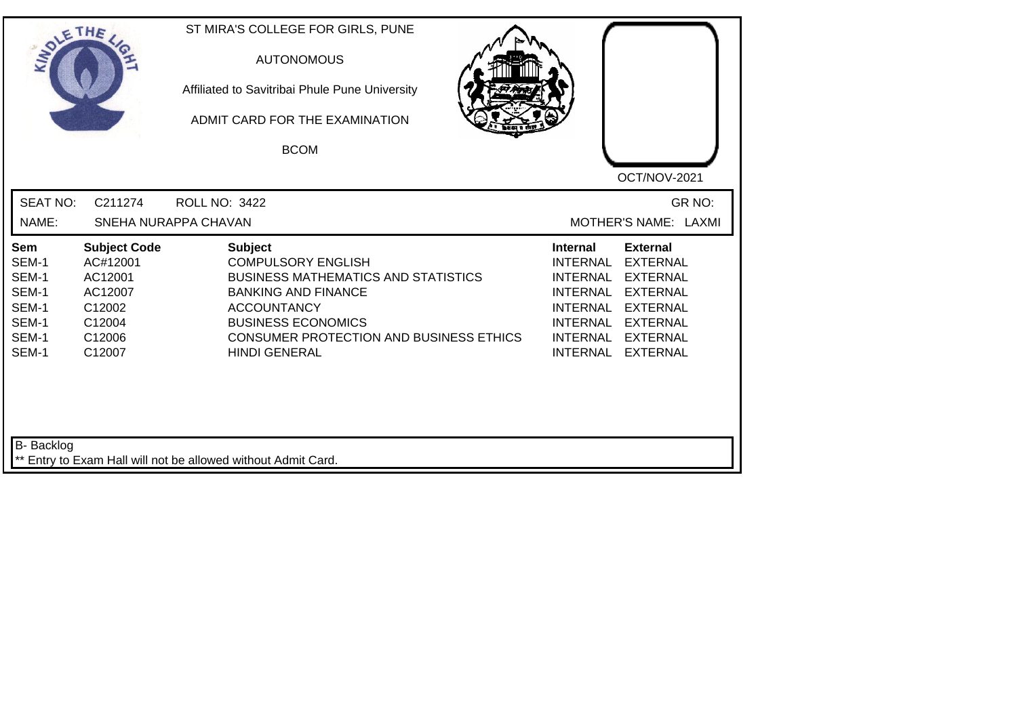| SOLETHE,                                                           |                                                                                               | ST MIRA'S COLLEGE FOR GIRLS, PUNE<br><b>AUTONOMOUS</b><br>Affiliated to Savitribai Phule Pune University<br>ADMIT CARD FOR THE EXAMINATION<br><b>BCOM</b>                                                                                            |                                                                                                                                                                                                                                                    |
|--------------------------------------------------------------------|-----------------------------------------------------------------------------------------------|------------------------------------------------------------------------------------------------------------------------------------------------------------------------------------------------------------------------------------------------------|----------------------------------------------------------------------------------------------------------------------------------------------------------------------------------------------------------------------------------------------------|
|                                                                    |                                                                                               |                                                                                                                                                                                                                                                      | OCT/NOV-2021                                                                                                                                                                                                                                       |
| <b>SEAT NO:</b>                                                    | C211274                                                                                       | <b>ROLL NO: 3422</b>                                                                                                                                                                                                                                 | GR NO:                                                                                                                                                                                                                                             |
| NAME:                                                              |                                                                                               | SNEHA NURAPPA CHAVAN                                                                                                                                                                                                                                 | MOTHER'S NAME: LAXMI                                                                                                                                                                                                                               |
| Sem<br>SEM-1<br>SEM-1<br>SEM-1<br>SEM-1<br>SEM-1<br>SEM-1<br>SEM-1 | <b>Subject Code</b><br>AC#12001<br>AC12001<br>AC12007<br>C12002<br>C12004<br>C12006<br>C12007 | <b>Subject</b><br><b>COMPULSORY ENGLISH</b><br><b>BUSINESS MATHEMATICS AND STATISTICS</b><br><b>BANKING AND FINANCE</b><br><b>ACCOUNTANCY</b><br><b>BUSINESS ECONOMICS</b><br><b>CONSUMER PROTECTION AND BUSINESS ETHICS</b><br><b>HINDI GENERAL</b> | <b>External</b><br><b>Internal</b><br><b>INTERNAL</b><br><b>EXTERNAL</b><br>INTERNAL EXTERNAL<br>INTERNAL EXTERNAL<br>INTERNAL EXTERNAL<br><b>INTERNAL</b><br><b>EXTERNAL</b><br>INTERNAL<br><b>EXTERNAL</b><br><b>INTERNAL</b><br><b>EXTERNAL</b> |
| B- Backlog                                                         |                                                                                               | ** Entry to Exam Hall will not be allowed without Admit Card.                                                                                                                                                                                        |                                                                                                                                                                                                                                                    |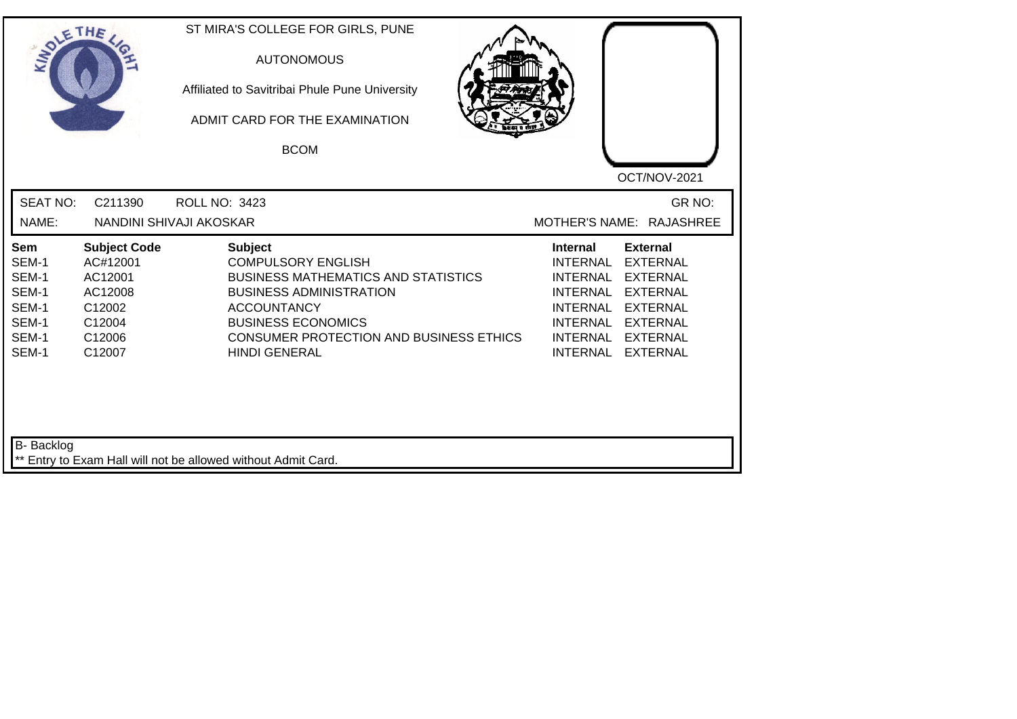| INO'                                                               | ETHE                                                                                          | ST MIRA'S COLLEGE FOR GIRLS, PUNE<br><b>AUTONOMOUS</b><br>Affiliated to Savitribai Phule Pune University<br>ADMIT CARD FOR THE EXAMINATION<br><b>BCOM</b>                                                                                                | OCT/NOV-2021                                                                                                                                                                                                            |
|--------------------------------------------------------------------|-----------------------------------------------------------------------------------------------|----------------------------------------------------------------------------------------------------------------------------------------------------------------------------------------------------------------------------------------------------------|-------------------------------------------------------------------------------------------------------------------------------------------------------------------------------------------------------------------------|
| <b>SEAT NO:</b><br>NAME:                                           | C211390                                                                                       | <b>ROLL NO: 3423</b><br>NANDINI SHIVAJI AKOSKAR                                                                                                                                                                                                          | GR NO:<br>MOTHER'S NAME: RAJASHREE                                                                                                                                                                                      |
| Sem<br>SEM-1<br>SEM-1<br>SEM-1<br>SEM-1<br>SEM-1<br>SEM-1<br>SEM-1 | <b>Subject Code</b><br>AC#12001<br>AC12001<br>AC12008<br>C12002<br>C12004<br>C12006<br>C12007 | <b>Subject</b><br><b>COMPULSORY ENGLISH</b><br><b>BUSINESS MATHEMATICS AND STATISTICS</b><br><b>BUSINESS ADMINISTRATION</b><br><b>ACCOUNTANCY</b><br><b>BUSINESS ECONOMICS</b><br><b>CONSUMER PROTECTION AND BUSINESS ETHICS</b><br><b>HINDI GENERAL</b> | <b>External</b><br><b>Internal</b><br><b>EXTERNAL</b><br><b>INTERNAL</b><br>INTERNAL EXTERNAL<br>INTERNAL EXTERNAL<br>INTERNAL EXTERNAL<br><b>INTERNAL</b><br><b>EXTERNAL</b><br>INTERNAL EXTERNAL<br>INTERNAL EXTERNAL |
| B- Backlog                                                         |                                                                                               | ** Entry to Exam Hall will not be allowed without Admit Card.                                                                                                                                                                                            |                                                                                                                                                                                                                         |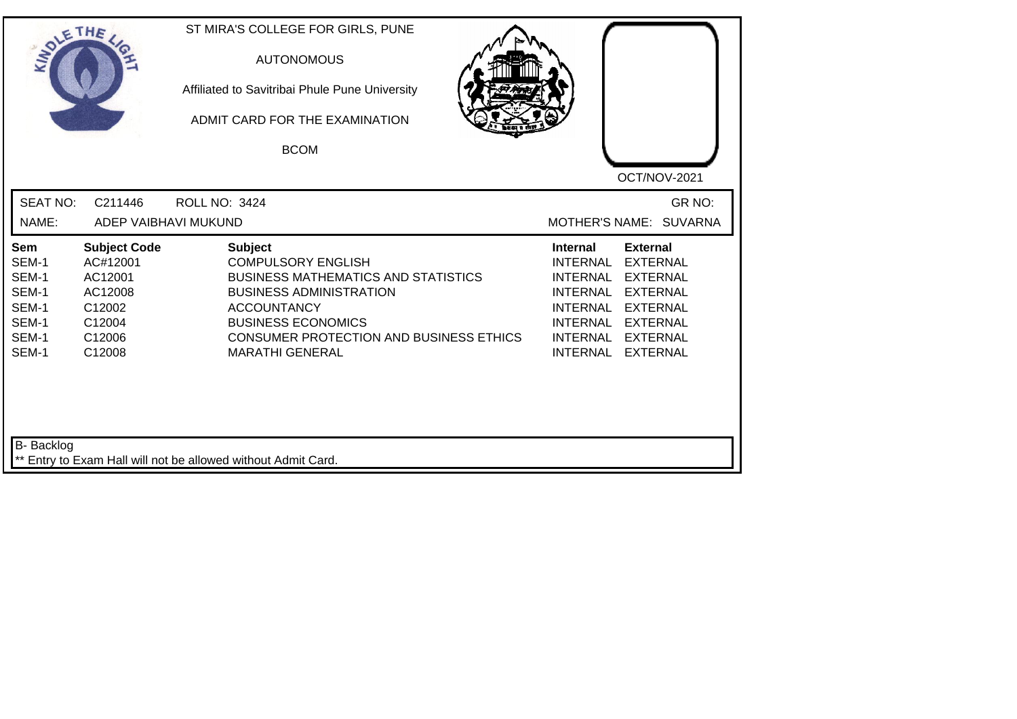| INO'                                                               | ETHE                                                                                          | ST MIRA'S COLLEGE FOR GIRLS, PUNE<br><b>AUTONOMOUS</b><br>Affiliated to Savitribai Phule Pune University<br>ADMIT CARD FOR THE EXAMINATION<br><b>BCOM</b>                                                                                                  | OCT/NOV-2021                                                                                                                                                                                                            |
|--------------------------------------------------------------------|-----------------------------------------------------------------------------------------------|------------------------------------------------------------------------------------------------------------------------------------------------------------------------------------------------------------------------------------------------------------|-------------------------------------------------------------------------------------------------------------------------------------------------------------------------------------------------------------------------|
| <b>SEAT NO:</b><br>NAME:                                           | C211446<br>ADEP VAIBHAVI MUKUND                                                               | <b>ROLL NO: 3424</b>                                                                                                                                                                                                                                       | GR NO:<br>MOTHER'S NAME: SUVARNA                                                                                                                                                                                        |
|                                                                    |                                                                                               |                                                                                                                                                                                                                                                            |                                                                                                                                                                                                                         |
| Sem<br>SEM-1<br>SEM-1<br>SEM-1<br>SEM-1<br>SEM-1<br>SEM-1<br>SEM-1 | <b>Subject Code</b><br>AC#12001<br>AC12001<br>AC12008<br>C12002<br>C12004<br>C12006<br>C12008 | <b>Subject</b><br><b>COMPULSORY ENGLISH</b><br><b>BUSINESS MATHEMATICS AND STATISTICS</b><br><b>BUSINESS ADMINISTRATION</b><br><b>ACCOUNTANCY</b><br><b>BUSINESS ECONOMICS</b><br><b>CONSUMER PROTECTION AND BUSINESS ETHICS</b><br><b>MARATHI GENERAL</b> | <b>External</b><br><b>Internal</b><br><b>EXTERNAL</b><br><b>INTERNAL</b><br>INTERNAL EXTERNAL<br>INTERNAL EXTERNAL<br>INTERNAL EXTERNAL<br><b>INTERNAL</b><br><b>EXTERNAL</b><br>INTERNAL EXTERNAL<br>INTERNAL EXTERNAL |
| B- Backlog                                                         |                                                                                               | ** Entry to Exam Hall will not be allowed without Admit Card.                                                                                                                                                                                              |                                                                                                                                                                                                                         |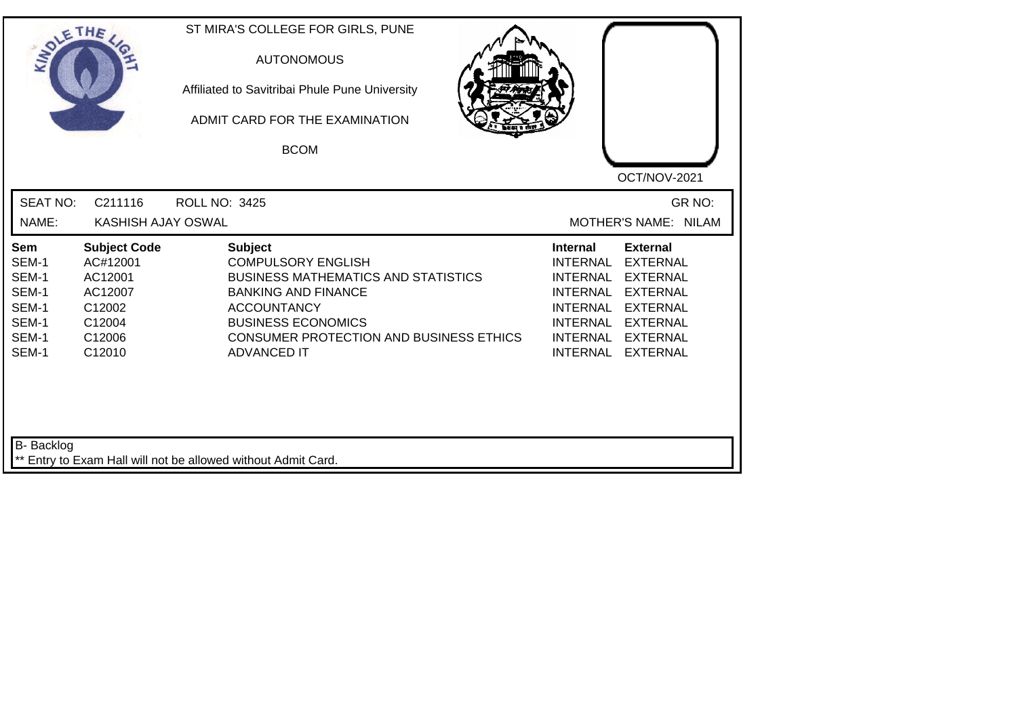| SOLE THE                                                           |                                                                                               | ST MIRA'S COLLEGE FOR GIRLS, PUNE<br><b>AUTONOMOUS</b><br>Affiliated to Savitribai Phule Pune University<br>ADMIT CARD FOR THE EXAMINATION<br><b>BCOM</b>                                                                                   | OCT/NOV-2021                                                                                                                                                                                                                                                                                                 |
|--------------------------------------------------------------------|-----------------------------------------------------------------------------------------------|---------------------------------------------------------------------------------------------------------------------------------------------------------------------------------------------------------------------------------------------|--------------------------------------------------------------------------------------------------------------------------------------------------------------------------------------------------------------------------------------------------------------------------------------------------------------|
| <b>SEAT NO:</b><br>NAME:                                           | C211116<br>KASHISH AJAY OSWAL                                                                 | <b>ROLL NO: 3425</b>                                                                                                                                                                                                                        | GR NO:<br>MOTHER'S NAME: NILAM                                                                                                                                                                                                                                                                               |
| Sem<br>SEM-1<br>SEM-1<br>SEM-1<br>SEM-1<br>SEM-1<br>SEM-1<br>SEM-1 | <b>Subject Code</b><br>AC#12001<br>AC12001<br>AC12007<br>C12002<br>C12004<br>C12006<br>C12010 | <b>Subject</b><br><b>COMPULSORY ENGLISH</b><br><b>BUSINESS MATHEMATICS AND STATISTICS</b><br><b>BANKING AND FINANCE</b><br><b>ACCOUNTANCY</b><br><b>BUSINESS ECONOMICS</b><br>CONSUMER PROTECTION AND BUSINESS ETHICS<br><b>ADVANCED IT</b> | <b>External</b><br><b>Internal</b><br><b>INTERNAL</b><br><b>EXTERNAL</b><br><b>INTERNAL</b><br><b>EXTERNAL</b><br><b>EXTERNAL</b><br><b>INTERNAL</b><br><b>INTERNAL</b><br><b>EXTERNAL</b><br><b>INTERNAL</b><br><b>EXTERNAL</b><br><b>INTERNAL</b><br><b>EXTERNAL</b><br><b>INTERNAL</b><br><b>EXTERNAL</b> |
| <b>B-</b> Backlog                                                  |                                                                                               | ** Entry to Exam Hall will not be allowed without Admit Card.                                                                                                                                                                               |                                                                                                                                                                                                                                                                                                              |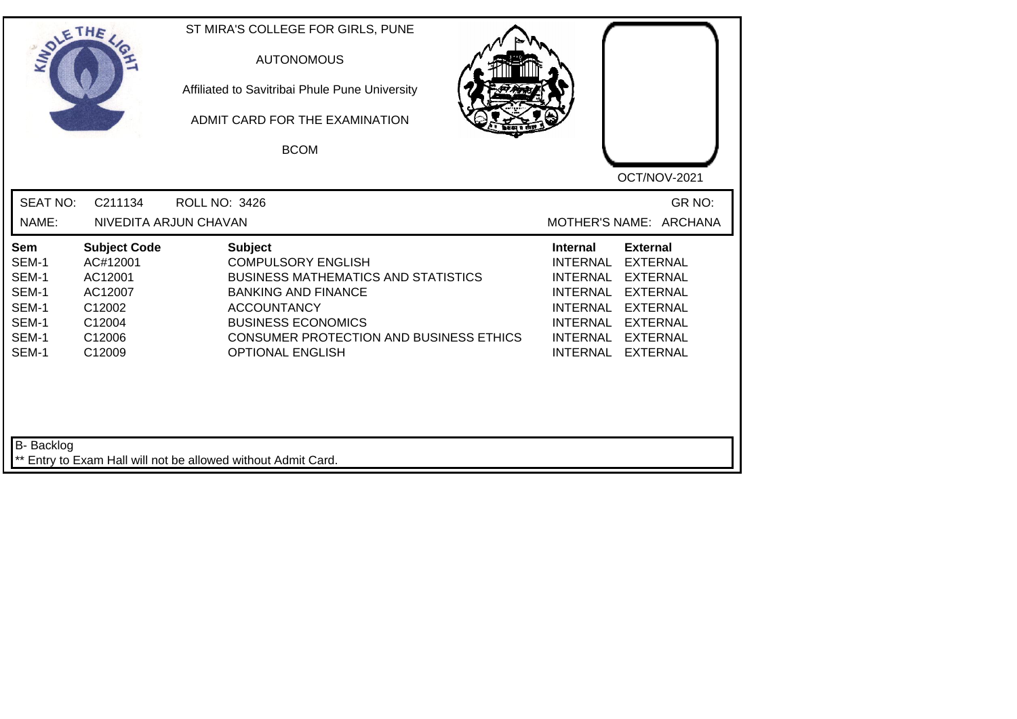| SOLETHE                                                                   |                                                                                               | ST MIRA'S COLLEGE FOR GIRLS, PUNE<br><b>AUTONOMOUS</b><br>Affiliated to Savitribai Phule Pune University<br>ADMIT CARD FOR THE EXAMINATION<br><b>BCOM</b>                                                                                               | OCT/NOV-2021                                                                                                                                                                                                                                                                                          |
|---------------------------------------------------------------------------|-----------------------------------------------------------------------------------------------|---------------------------------------------------------------------------------------------------------------------------------------------------------------------------------------------------------------------------------------------------------|-------------------------------------------------------------------------------------------------------------------------------------------------------------------------------------------------------------------------------------------------------------------------------------------------------|
| <b>SEAT NO:</b><br>NAME:                                                  | C211134                                                                                       | <b>ROLL NO: 3426</b><br>NIVEDITA ARJUN CHAVAN                                                                                                                                                                                                           | GR NO:<br>MOTHER'S NAME: ARCHANA                                                                                                                                                                                                                                                                      |
| <b>Sem</b><br>SEM-1<br>SEM-1<br>SEM-1<br>SEM-1<br>SEM-1<br>SEM-1<br>SEM-1 | <b>Subject Code</b><br>AC#12001<br>AC12001<br>AC12007<br>C12002<br>C12004<br>C12006<br>C12009 | <b>Subject</b><br><b>COMPULSORY ENGLISH</b><br><b>BUSINESS MATHEMATICS AND STATISTICS</b><br><b>BANKING AND FINANCE</b><br><b>ACCOUNTANCY</b><br><b>BUSINESS ECONOMICS</b><br><b>CONSUMER PROTECTION AND BUSINESS ETHICS</b><br><b>OPTIONAL ENGLISH</b> | <b>External</b><br>Internal<br><b>INTERNAL</b><br><b>EXTERNAL</b><br><b>EXTERNAL</b><br><b>INTERNAL</b><br><b>INTERNAL</b><br><b>EXTERNAL</b><br><b>INTERNAL</b><br><b>EXTERNAL</b><br><b>INTERNAL</b><br><b>EXTERNAL</b><br><b>INTERNAL</b><br><b>EXTERNAL</b><br><b>INTERNAL</b><br><b>EXTERNAL</b> |
| B- Backlog                                                                |                                                                                               | ** Entry to Exam Hall will not be allowed without Admit Card.                                                                                                                                                                                           |                                                                                                                                                                                                                                                                                                       |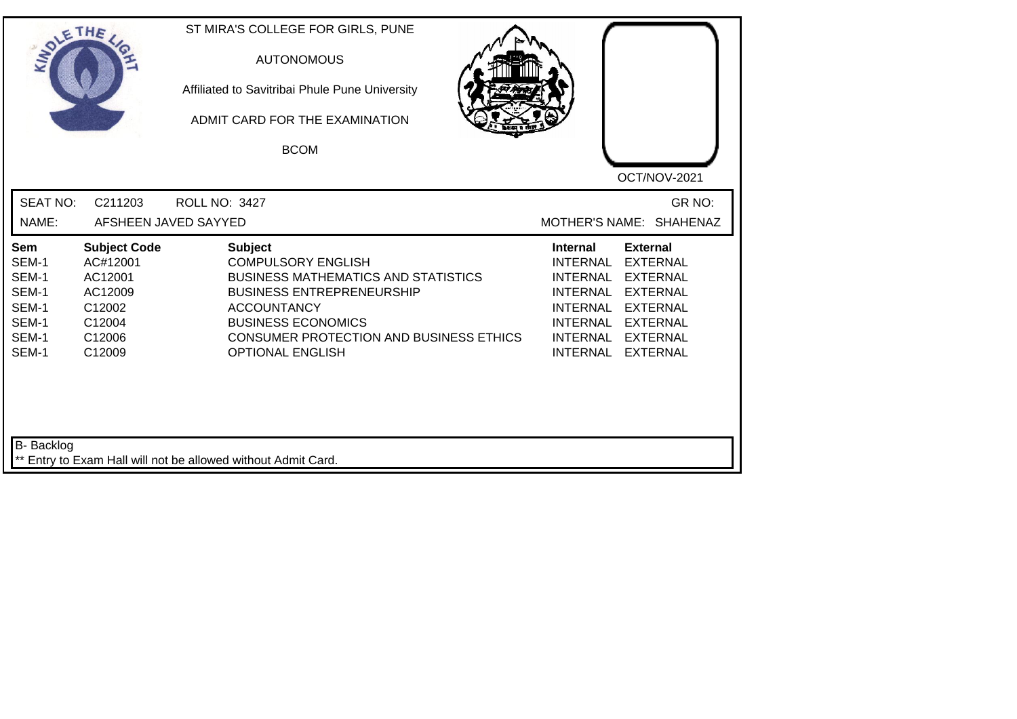| INO'                                                               | ETHE                                                                                          | ST MIRA'S COLLEGE FOR GIRLS, PUNE<br><b>AUTONOMOUS</b><br>Affiliated to Savitribai Phule Pune University<br>ADMIT CARD FOR THE EXAMINATION<br><b>BCOM</b>                                                                                              | OCT/NOV-2021                                                                                                                                                                                                                                                               |
|--------------------------------------------------------------------|-----------------------------------------------------------------------------------------------|--------------------------------------------------------------------------------------------------------------------------------------------------------------------------------------------------------------------------------------------------------|----------------------------------------------------------------------------------------------------------------------------------------------------------------------------------------------------------------------------------------------------------------------------|
| <b>SEAT NO:</b><br>NAME:                                           | C211203<br>AFSHEEN JAVED SAYYED                                                               | <b>ROLL NO: 3427</b>                                                                                                                                                                                                                                   | GR NO:<br>MOTHER'S NAME: SHAHENAZ                                                                                                                                                                                                                                          |
| Sem<br>SEM-1<br>SEM-1<br>SEM-1<br>SEM-1<br>SEM-1<br>SEM-1<br>SEM-1 | <b>Subject Code</b><br>AC#12001<br>AC12001<br>AC12009<br>C12002<br>C12004<br>C12006<br>C12009 | <b>Subject</b><br><b>COMPULSORY ENGLISH</b><br><b>BUSINESS MATHEMATICS AND STATISTICS</b><br><b>BUSINESS ENTREPRENEURSHIP</b><br><b>ACCOUNTANCY</b><br><b>BUSINESS ECONOMICS</b><br>CONSUMER PROTECTION AND BUSINESS ETHICS<br><b>OPTIONAL ENGLISH</b> | <b>Internal</b><br><b>External</b><br><b>EXTERNAL</b><br><b>INTERNAL</b><br><b>INTERNAL</b><br><b>EXTERNAL</b><br><b>INTERNAL</b><br><b>EXTERNAL</b><br>INTERNAL EXTERNAL<br><b>INTERNAL</b><br><b>EXTERNAL</b><br>INTERNAL EXTERNAL<br><b>INTERNAL</b><br><b>EXTERNAL</b> |
| B- Backlog                                                         |                                                                                               | ** Entry to Exam Hall will not be allowed without Admit Card.                                                                                                                                                                                          |                                                                                                                                                                                                                                                                            |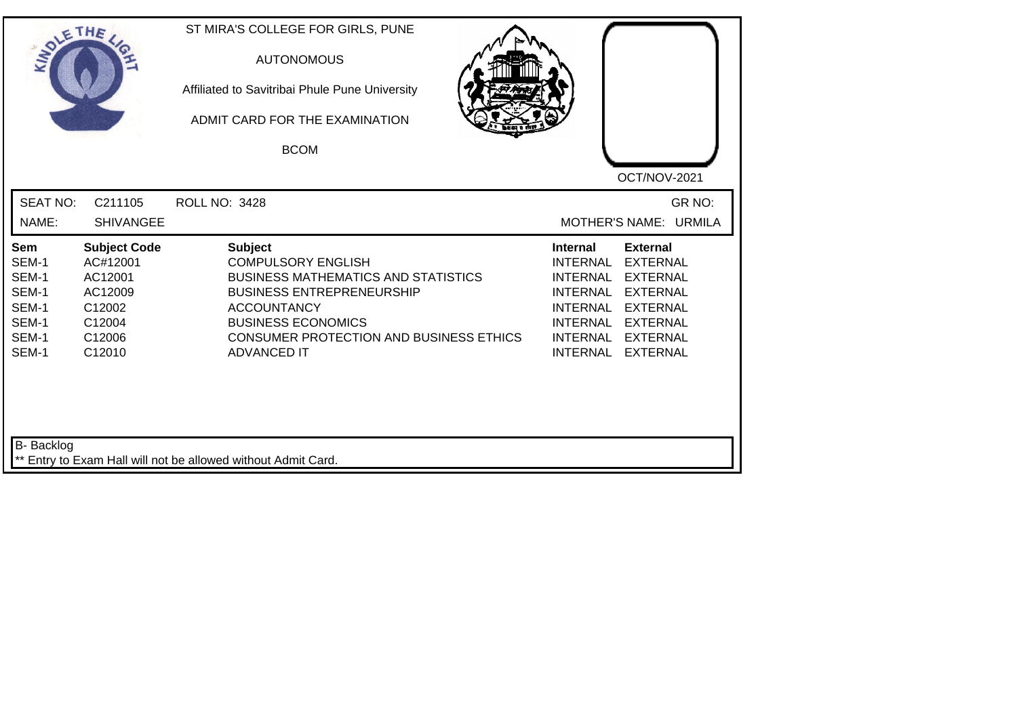| SOLE THE                                                           |                                                                                               | ST MIRA'S COLLEGE FOR GIRLS, PUNE<br><b>AUTONOMOUS</b><br>Affiliated to Savitribai Phule Pune University<br>ADMIT CARD FOR THE EXAMINATION<br><b>BCOM</b>                                                                                         | OCT/NOV-2021                                                                                                                                                                                                                                                               |
|--------------------------------------------------------------------|-----------------------------------------------------------------------------------------------|---------------------------------------------------------------------------------------------------------------------------------------------------------------------------------------------------------------------------------------------------|----------------------------------------------------------------------------------------------------------------------------------------------------------------------------------------------------------------------------------------------------------------------------|
| <b>SEAT NO:</b><br>NAME:                                           | C211105<br><b>SHIVANGEE</b>                                                                   | <b>ROLL NO: 3428</b>                                                                                                                                                                                                                              | GR NO:<br>MOTHER'S NAME: URMILA                                                                                                                                                                                                                                            |
| Sem<br>SEM-1<br>SEM-1<br>SEM-1<br>SEM-1<br>SEM-1<br>SEM-1<br>SEM-1 | <b>Subject Code</b><br>AC#12001<br>AC12001<br>AC12009<br>C12002<br>C12004<br>C12006<br>C12010 | <b>Subject</b><br><b>COMPULSORY ENGLISH</b><br><b>BUSINESS MATHEMATICS AND STATISTICS</b><br><b>BUSINESS ENTREPRENEURSHIP</b><br><b>ACCOUNTANCY</b><br><b>BUSINESS ECONOMICS</b><br>CONSUMER PROTECTION AND BUSINESS ETHICS<br><b>ADVANCED IT</b> | <b>External</b><br><b>Internal</b><br><b>INTERNAL</b><br><b>EXTERNAL</b><br><b>EXTERNAL</b><br><b>INTERNAL</b><br><b>EXTERNAL</b><br><b>INTERNAL</b><br><b>INTERNAL</b><br><b>EXTERNAL</b><br>INTERNAL EXTERNAL<br><b>INTERNAL</b><br><b>EXTERNAL</b><br>INTERNAL EXTERNAL |
| <b>B-</b> Backlog                                                  |                                                                                               | ** Entry to Exam Hall will not be allowed without Admit Card.                                                                                                                                                                                     |                                                                                                                                                                                                                                                                            |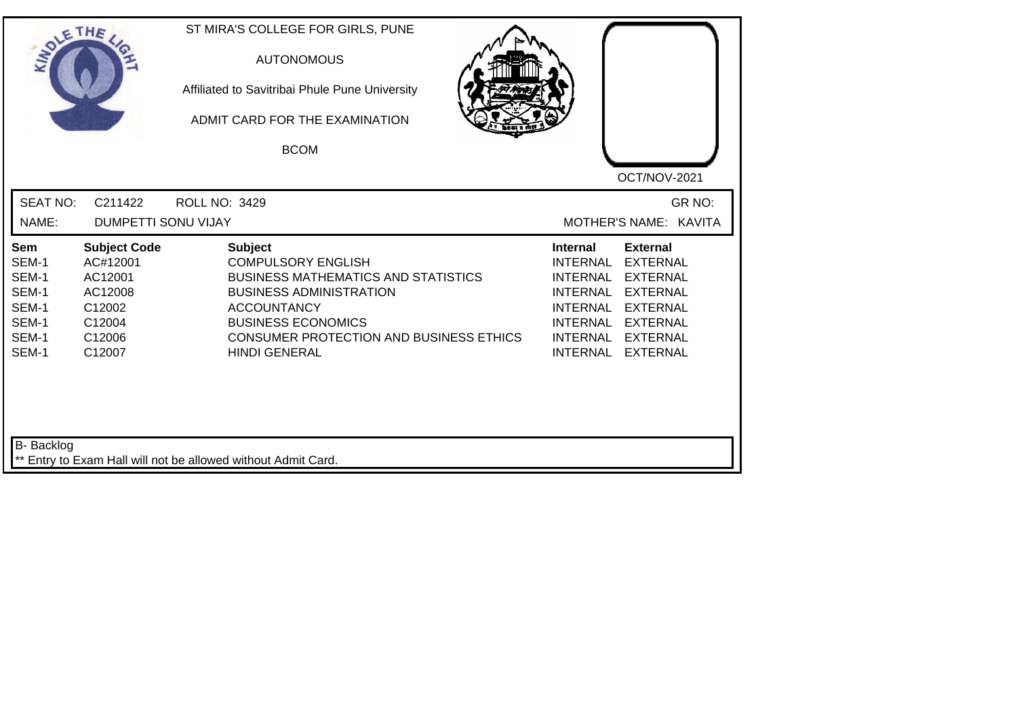| SOLE THE                                                           |                                                                                               | ST MIRA'S COLLEGE FOR GIRLS, PUNE<br><b>AUTONOMOUS</b><br>Affiliated to Savitribai Phule Pune University<br>ADMIT CARD FOR THE EXAMINATION<br><b>BCOM</b>                                                                                         | OCT/NOV-2021                                                                                                                                                                                                                                                                                                 |
|--------------------------------------------------------------------|-----------------------------------------------------------------------------------------------|---------------------------------------------------------------------------------------------------------------------------------------------------------------------------------------------------------------------------------------------------|--------------------------------------------------------------------------------------------------------------------------------------------------------------------------------------------------------------------------------------------------------------------------------------------------------------|
| <b>SEAT NO:</b><br>NAME:                                           | C211422<br><b>DUMPETTI SONU VIJAY</b>                                                         | <b>ROLL NO: 3429</b>                                                                                                                                                                                                                              | GR NO:<br>MOTHER'S NAME: KAVITA                                                                                                                                                                                                                                                                              |
| Sem<br>SEM-1<br>SEM-1<br>SEM-1<br>SEM-1<br>SEM-1<br>SEM-1<br>SEM-1 | <b>Subject Code</b><br>AC#12001<br>AC12001<br>AC12008<br>C12002<br>C12004<br>C12006<br>C12007 | <b>Subject</b><br><b>COMPULSORY ENGLISH</b><br><b>BUSINESS MATHEMATICS AND STATISTICS</b><br><b>BUSINESS ADMINISTRATION</b><br><b>ACCOUNTANCY</b><br><b>BUSINESS ECONOMICS</b><br>CONSUMER PROTECTION AND BUSINESS ETHICS<br><b>HINDI GENERAL</b> | <b>External</b><br><b>Internal</b><br><b>INTERNAL</b><br><b>EXTERNAL</b><br><b>INTERNAL</b><br><b>EXTERNAL</b><br><b>EXTERNAL</b><br><b>INTERNAL</b><br><b>INTERNAL</b><br><b>EXTERNAL</b><br><b>INTERNAL</b><br><b>EXTERNAL</b><br><b>INTERNAL</b><br><b>EXTERNAL</b><br><b>INTERNAL</b><br><b>EXTERNAL</b> |
| <b>B-</b> Backlog                                                  |                                                                                               | ** Entry to Exam Hall will not be allowed without Admit Card.                                                                                                                                                                                     |                                                                                                                                                                                                                                                                                                              |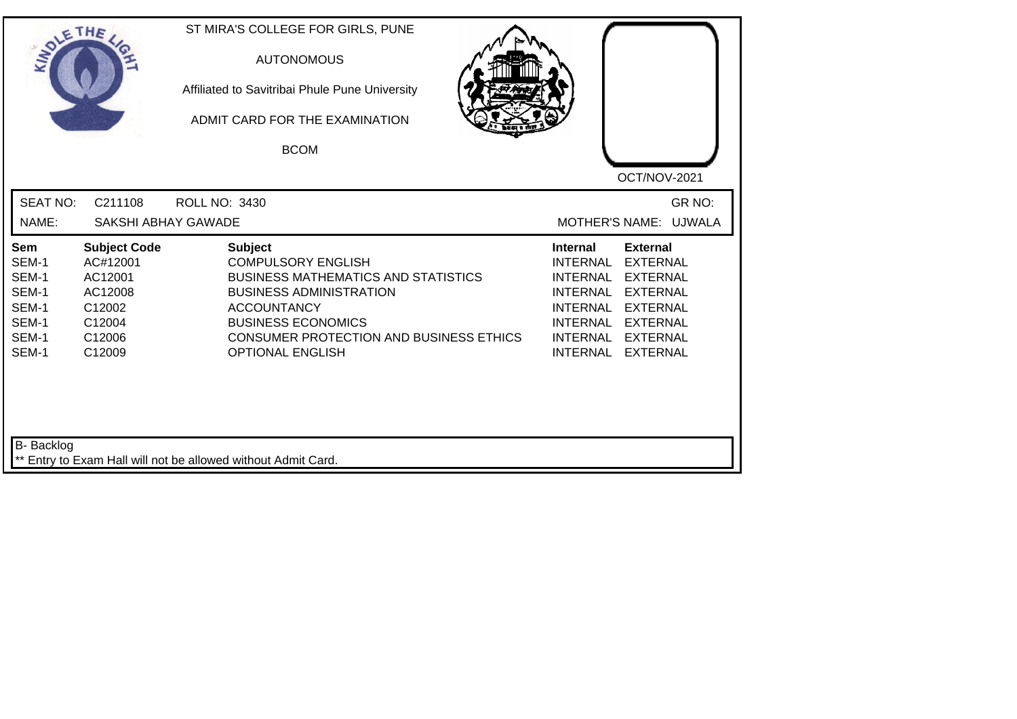| INO'                                                               | ETHE                                                                                          | ST MIRA'S COLLEGE FOR GIRLS, PUNE<br><b>AUTONOMOUS</b><br>Affiliated to Savitribai Phule Pune University<br>ADMIT CARD FOR THE EXAMINATION<br><b>BCOM</b>                                                                                            | OCT/NOV-2021                                                                                                                                                                                                                                                                                |
|--------------------------------------------------------------------|-----------------------------------------------------------------------------------------------|------------------------------------------------------------------------------------------------------------------------------------------------------------------------------------------------------------------------------------------------------|---------------------------------------------------------------------------------------------------------------------------------------------------------------------------------------------------------------------------------------------------------------------------------------------|
| <b>SEAT NO:</b><br>NAME:                                           | C211108<br>SAKSHI ABHAY GAWADE                                                                | <b>ROLL NO: 3430</b>                                                                                                                                                                                                                                 | GR NO:<br>MOTHER'S NAME: UJWALA                                                                                                                                                                                                                                                             |
| Sem<br>SEM-1<br>SEM-1<br>SEM-1<br>SEM-1<br>SEM-1<br>SEM-1<br>SEM-1 | <b>Subject Code</b><br>AC#12001<br>AC12001<br>AC12008<br>C12002<br>C12004<br>C12006<br>C12009 | <b>Subject</b><br><b>COMPULSORY ENGLISH</b><br><b>BUSINESS MATHEMATICS AND STATISTICS</b><br><b>BUSINESS ADMINISTRATION</b><br><b>ACCOUNTANCY</b><br><b>BUSINESS ECONOMICS</b><br>CONSUMER PROTECTION AND BUSINESS ETHICS<br><b>OPTIONAL ENGLISH</b> | <b>External</b><br><b>Internal</b><br><b>EXTERNAL</b><br><b>INTERNAL</b><br><b>INTERNAL</b><br><b>EXTERNAL</b><br><b>INTERNAL</b><br><b>EXTERNAL</b><br>INTERNAL EXTERNAL<br><b>INTERNAL</b><br><b>EXTERNAL</b><br><b>INTERNAL</b><br><b>EXTERNAL</b><br><b>INTERNAL</b><br><b>EXTERNAL</b> |
| B- Backlog                                                         |                                                                                               | ** Entry to Exam Hall will not be allowed without Admit Card.                                                                                                                                                                                        |                                                                                                                                                                                                                                                                                             |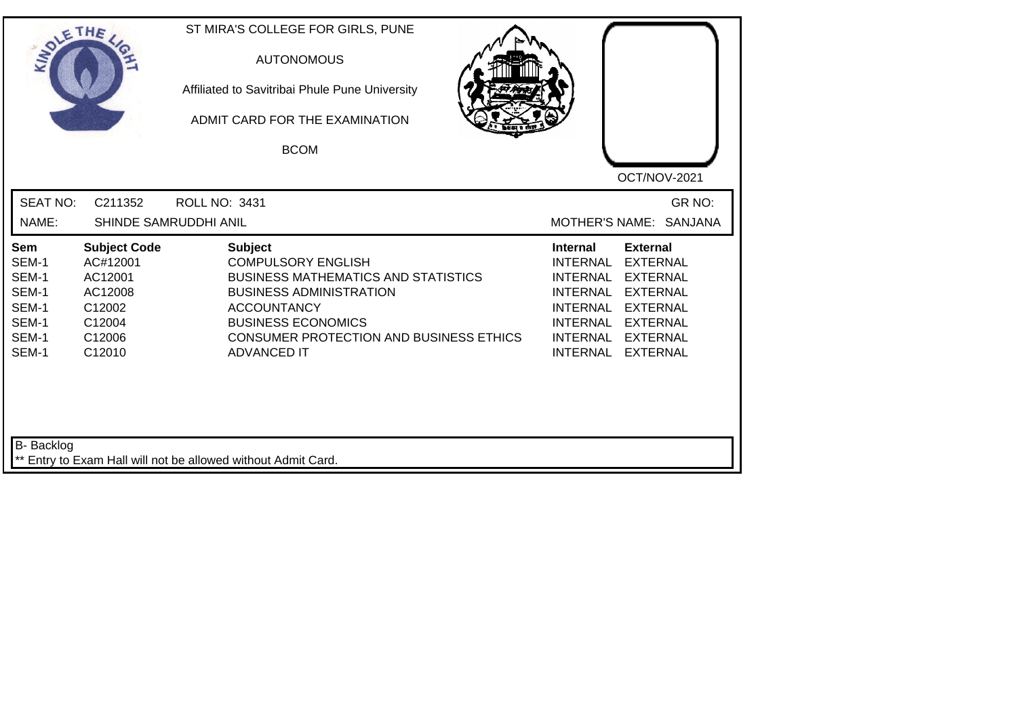| SOLETHE                                                                   |                                                                                               | ST MIRA'S COLLEGE FOR GIRLS, PUNE<br><b>AUTONOMOUS</b><br>Affiliated to Savitribai Phule Pune University<br>ADMIT CARD FOR THE EXAMINATION<br><b>BCOM</b>                                                                                              | OCT/NOV-2021                                                                                                                                                                                                                                                                                                 |
|---------------------------------------------------------------------------|-----------------------------------------------------------------------------------------------|--------------------------------------------------------------------------------------------------------------------------------------------------------------------------------------------------------------------------------------------------------|--------------------------------------------------------------------------------------------------------------------------------------------------------------------------------------------------------------------------------------------------------------------------------------------------------------|
| <b>SEAT NO:</b><br>NAME:                                                  | C211352                                                                                       | ROLL NO: 3431<br>SHINDE SAMRUDDHI ANIL                                                                                                                                                                                                                 | GR NO:<br><b>MOTHER'S NAME:</b><br><b>SANJANA</b>                                                                                                                                                                                                                                                            |
| <b>Sem</b><br>SEM-1<br>SEM-1<br>SEM-1<br>SEM-1<br>SEM-1<br>SEM-1<br>SEM-1 | <b>Subject Code</b><br>AC#12001<br>AC12001<br>AC12008<br>C12002<br>C12004<br>C12006<br>C12010 | <b>Subject</b><br><b>COMPULSORY ENGLISH</b><br><b>BUSINESS MATHEMATICS AND STATISTICS</b><br><b>BUSINESS ADMINISTRATION</b><br><b>ACCOUNTANCY</b><br><b>BUSINESS ECONOMICS</b><br><b>CONSUMER PROTECTION AND BUSINESS ETHICS</b><br><b>ADVANCED IT</b> | <b>External</b><br><b>Internal</b><br><b>INTERNAL</b><br><b>EXTERNAL</b><br><b>INTERNAL</b><br><b>EXTERNAL</b><br><b>INTERNAL</b><br><b>EXTERNAL</b><br><b>INTERNAL</b><br><b>EXTERNAL</b><br><b>INTERNAL</b><br><b>EXTERNAL</b><br><b>INTERNAL</b><br><b>EXTERNAL</b><br><b>INTERNAL</b><br><b>EXTERNAL</b> |
| B- Backlog                                                                |                                                                                               | ** Entry to Exam Hall will not be allowed without Admit Card.                                                                                                                                                                                          |                                                                                                                                                                                                                                                                                                              |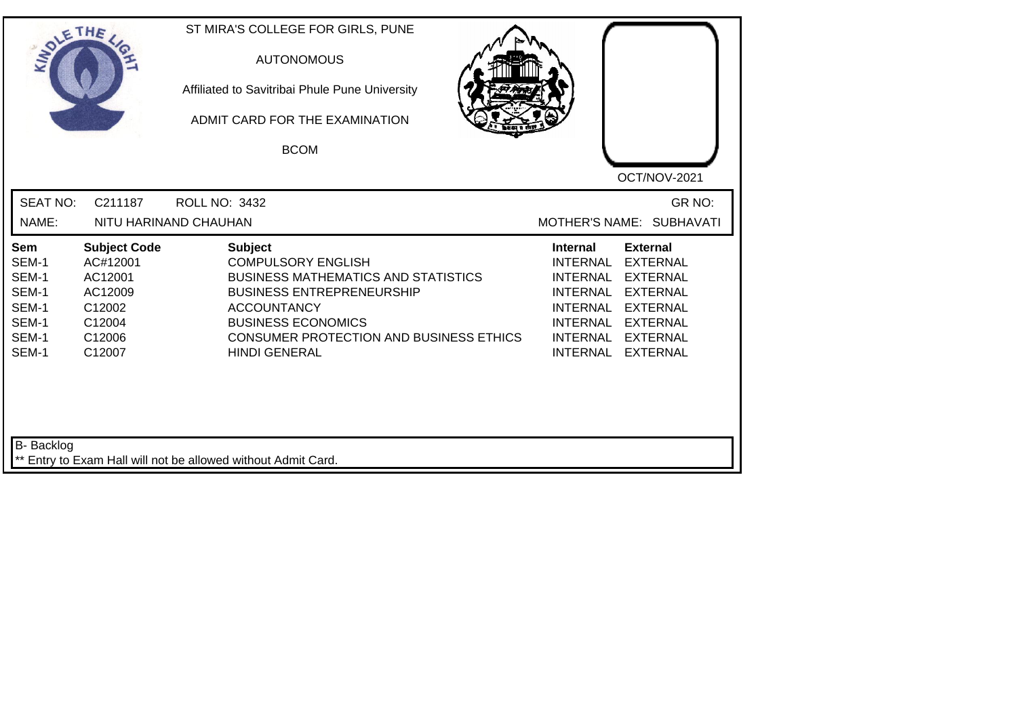| INO'                                                               | ETHE                                                                                          | ST MIRA'S COLLEGE FOR GIRLS, PUNE<br><b>AUTONOMOUS</b><br>Affiliated to Savitribai Phule Pune University<br>ADMIT CARD FOR THE EXAMINATION<br><b>BCOM</b>                                                                                                  | OCT/NOV-2021                                                                                                                                                                                                            |
|--------------------------------------------------------------------|-----------------------------------------------------------------------------------------------|------------------------------------------------------------------------------------------------------------------------------------------------------------------------------------------------------------------------------------------------------------|-------------------------------------------------------------------------------------------------------------------------------------------------------------------------------------------------------------------------|
| <b>SEAT NO:</b><br>NAME:                                           | C211187                                                                                       | <b>ROLL NO: 3432</b><br>NITU HARINAND CHAUHAN                                                                                                                                                                                                              | GR NO:<br>MOTHER'S NAME: SUBHAVATI                                                                                                                                                                                      |
| Sem<br>SEM-1<br>SEM-1<br>SEM-1<br>SEM-1<br>SEM-1<br>SEM-1<br>SEM-1 | <b>Subject Code</b><br>AC#12001<br>AC12001<br>AC12009<br>C12002<br>C12004<br>C12006<br>C12007 | <b>Subject</b><br><b>COMPULSORY ENGLISH</b><br><b>BUSINESS MATHEMATICS AND STATISTICS</b><br><b>BUSINESS ENTREPRENEURSHIP</b><br><b>ACCOUNTANCY</b><br><b>BUSINESS ECONOMICS</b><br><b>CONSUMER PROTECTION AND BUSINESS ETHICS</b><br><b>HINDI GENERAL</b> | <b>External</b><br><b>Internal</b><br><b>EXTERNAL</b><br><b>INTERNAL</b><br>INTERNAL EXTERNAL<br>INTERNAL EXTERNAL<br>INTERNAL EXTERNAL<br><b>INTERNAL</b><br><b>EXTERNAL</b><br>INTERNAL EXTERNAL<br>INTERNAL EXTERNAL |
| B- Backlog                                                         |                                                                                               | ** Entry to Exam Hall will not be allowed without Admit Card.                                                                                                                                                                                              |                                                                                                                                                                                                                         |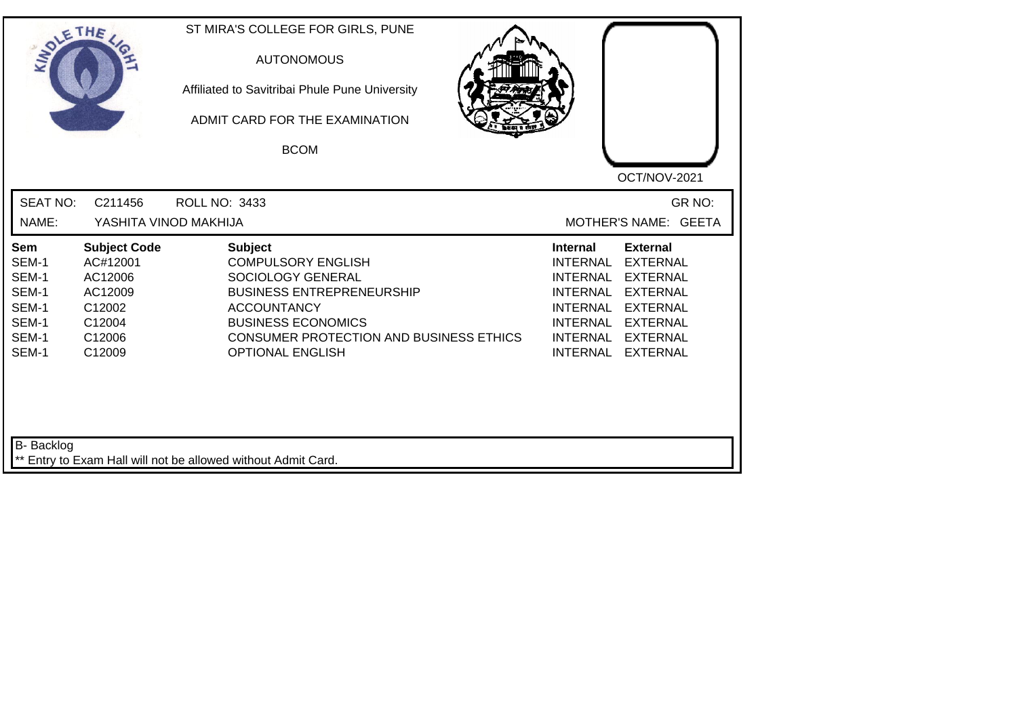| SOLE THE                                                                  |                                                                                               | ST MIRA'S COLLEGE FOR GIRLS, PUNE<br><b>AUTONOMOUS</b><br>Affiliated to Savitribai Phule Pune University<br>ADMIT CARD FOR THE EXAMINATION<br><b>BCOM</b>                                                                     | OCT/NOV-2021                                                                                                                                                                                                                                                                                          |
|---------------------------------------------------------------------------|-----------------------------------------------------------------------------------------------|-------------------------------------------------------------------------------------------------------------------------------------------------------------------------------------------------------------------------------|-------------------------------------------------------------------------------------------------------------------------------------------------------------------------------------------------------------------------------------------------------------------------------------------------------|
| <b>SEAT NO:</b><br>NAME:                                                  | C211456<br>YASHITA VINOD MAKHIJA                                                              | ROLL NO: 3433                                                                                                                                                                                                                 | GR NO:<br>MOTHER'S NAME: GEETA                                                                                                                                                                                                                                                                        |
| <b>Sem</b><br>SEM-1<br>SEM-1<br>SEM-1<br>SEM-1<br>SEM-1<br>SEM-1<br>SEM-1 | <b>Subject Code</b><br>AC#12001<br>AC12006<br>AC12009<br>C12002<br>C12004<br>C12006<br>C12009 | <b>Subject</b><br><b>COMPULSORY ENGLISH</b><br>SOCIOLOGY GENERAL<br><b>BUSINESS ENTREPRENEURSHIP</b><br><b>ACCOUNTANCY</b><br><b>BUSINESS ECONOMICS</b><br>CONSUMER PROTECTION AND BUSINESS ETHICS<br><b>OPTIONAL ENGLISH</b> | <b>External</b><br><b>Internal</b><br><b>INTERNAL</b><br><b>EXTERNAL</b><br><b>EXTERNAL</b><br>INTERNAL<br><b>INTERNAL</b><br><b>EXTERNAL</b><br><b>INTERNAL</b><br><b>EXTERNAL</b><br><b>INTERNAL</b><br><b>EXTERNAL</b><br><b>INTERNAL</b><br><b>EXTERNAL</b><br><b>INTERNAL</b><br><b>EXTERNAL</b> |
| B- Backlog                                                                |                                                                                               | ** Entry to Exam Hall will not be allowed without Admit Card.                                                                                                                                                                 |                                                                                                                                                                                                                                                                                                       |

┛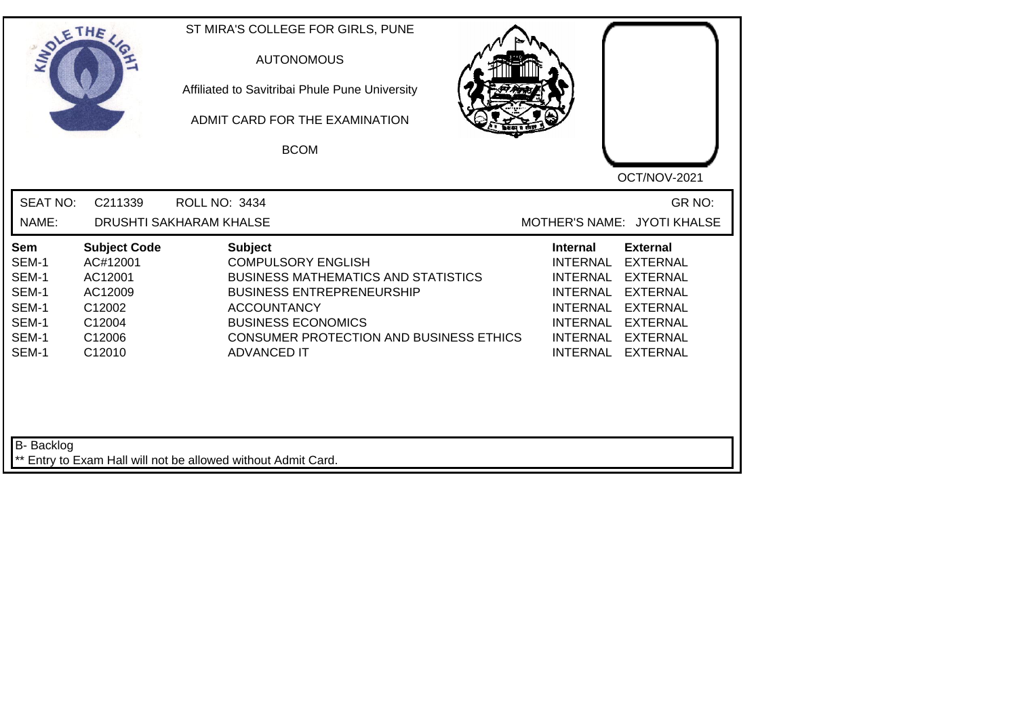| <b>SEAT NO:</b><br>GR NO:<br>C211339<br><b>ROLL NO: 3434</b><br>MOTHER'S NAME: JYOTI KHALSE<br>NAME:<br>DRUSHTI SAKHARAM KHALSE<br><b>Subject</b><br><b>Subject Code</b><br><b>Internal</b><br><b>External</b><br>Sem<br>SEM-1<br>AC#12001<br><b>COMPULSORY ENGLISH</b><br><b>INTERNAL</b><br><b>EXTERNAL</b><br>SEM-1<br>AC12001<br><b>BUSINESS MATHEMATICS AND STATISTICS</b><br><b>INTERNAL</b><br><b>EXTERNAL</b><br>SEM-1<br><b>BUSINESS ENTREPRENEURSHIP</b><br><b>INTERNAL</b><br><b>EXTERNAL</b><br>AC12009<br>SEM-1<br>C12002<br><b>ACCOUNTANCY</b><br><b>INTERNAL</b><br><b>EXTERNAL</b><br>SEM-1<br><b>BUSINESS ECONOMICS</b><br>C12004<br>INTERNAL<br><b>EXTERNAL</b><br>SEM-1<br>C12006<br><b>CONSUMER PROTECTION AND BUSINESS ETHICS</b><br><b>INTERNAL</b><br><b>EXTERNAL</b><br>SEM-1<br><b>INTERNAL</b><br>C12010<br><b>ADVANCED IT</b><br><b>EXTERNAL</b> | SOLETHE . | ST MIRA'S COLLEGE FOR GIRLS, PUNE<br><b>AUTONOMOUS</b><br>Affiliated to Savitribai Phule Pune University<br>ADMIT CARD FOR THE EXAMINATION<br><b>BCOM</b> | OCT/NOV-2021 |
|-----------------------------------------------------------------------------------------------------------------------------------------------------------------------------------------------------------------------------------------------------------------------------------------------------------------------------------------------------------------------------------------------------------------------------------------------------------------------------------------------------------------------------------------------------------------------------------------------------------------------------------------------------------------------------------------------------------------------------------------------------------------------------------------------------------------------------------------------------------------------------|-----------|-----------------------------------------------------------------------------------------------------------------------------------------------------------|--------------|
|                                                                                                                                                                                                                                                                                                                                                                                                                                                                                                                                                                                                                                                                                                                                                                                                                                                                             |           |                                                                                                                                                           |              |
|                                                                                                                                                                                                                                                                                                                                                                                                                                                                                                                                                                                                                                                                                                                                                                                                                                                                             |           |                                                                                                                                                           |              |

┙╽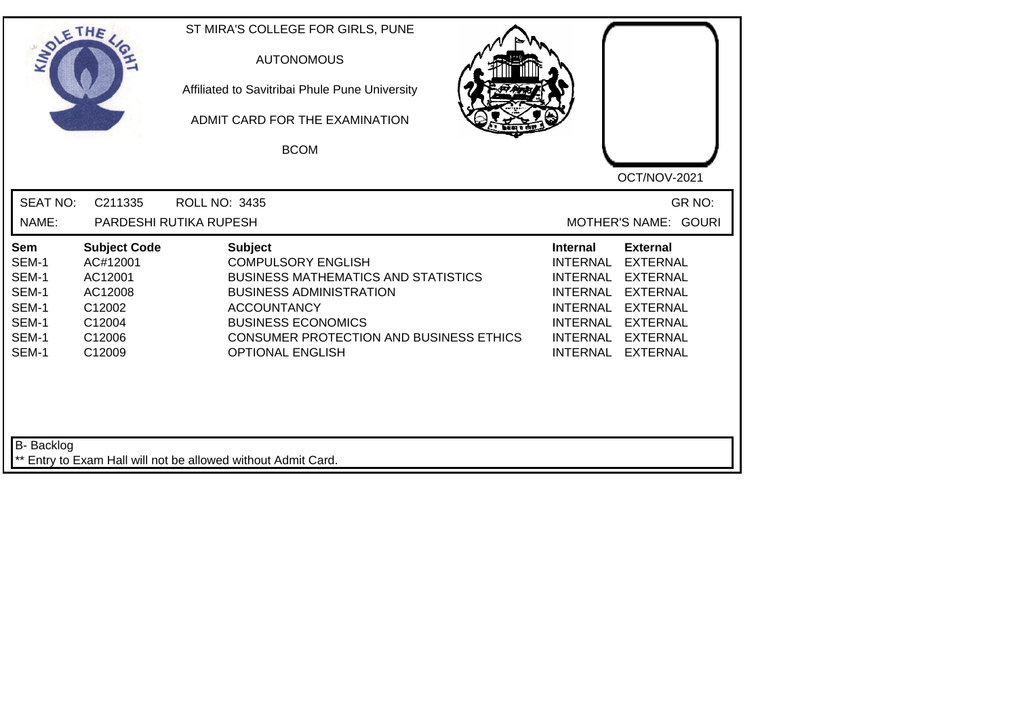| SOLE THE                                                                  |                                                                                               | ST MIRA'S COLLEGE FOR GIRLS, PUNE<br><b>AUTONOMOUS</b><br>Affiliated to Savitribai Phule Pune University<br>ADMIT CARD FOR THE EXAMINATION<br><b>BCOM</b>                                                                                                   | OCT/NOV-2021                                                                                                                                                                                                                                                                                                 |
|---------------------------------------------------------------------------|-----------------------------------------------------------------------------------------------|-------------------------------------------------------------------------------------------------------------------------------------------------------------------------------------------------------------------------------------------------------------|--------------------------------------------------------------------------------------------------------------------------------------------------------------------------------------------------------------------------------------------------------------------------------------------------------------|
| <b>SEAT NO:</b>                                                           | C211335                                                                                       | <b>ROLL NO: 3435</b>                                                                                                                                                                                                                                        | GR NO:                                                                                                                                                                                                                                                                                                       |
| NAME:                                                                     |                                                                                               | PARDESHI RUTIKA RUPESH                                                                                                                                                                                                                                      | MOTHER'S NAME: GOURI                                                                                                                                                                                                                                                                                         |
| <b>Sem</b><br>SEM-1<br>SEM-1<br>SEM-1<br>SEM-1<br>SEM-1<br>SEM-1<br>SEM-1 | <b>Subject Code</b><br>AC#12001<br>AC12001<br>AC12008<br>C12002<br>C12004<br>C12006<br>C12009 | <b>Subject</b><br><b>COMPULSORY ENGLISH</b><br><b>BUSINESS MATHEMATICS AND STATISTICS</b><br><b>BUSINESS ADMINISTRATION</b><br><b>ACCOUNTANCY</b><br><b>BUSINESS ECONOMICS</b><br><b>CONSUMER PROTECTION AND BUSINESS ETHICS</b><br><b>OPTIONAL ENGLISH</b> | <b>External</b><br><b>Internal</b><br><b>INTERNAL</b><br><b>EXTERNAL</b><br><b>INTERNAL</b><br><b>EXTERNAL</b><br><b>INTERNAL</b><br><b>EXTERNAL</b><br><b>INTERNAL</b><br><b>EXTERNAL</b><br><b>INTERNAL</b><br><b>EXTERNAL</b><br><b>INTERNAL</b><br><b>EXTERNAL</b><br><b>INTERNAL</b><br><b>EXTERNAL</b> |
| B- Backlog                                                                |                                                                                               | ** Entry to Exam Hall will not be allowed without Admit Card.                                                                                                                                                                                               |                                                                                                                                                                                                                                                                                                              |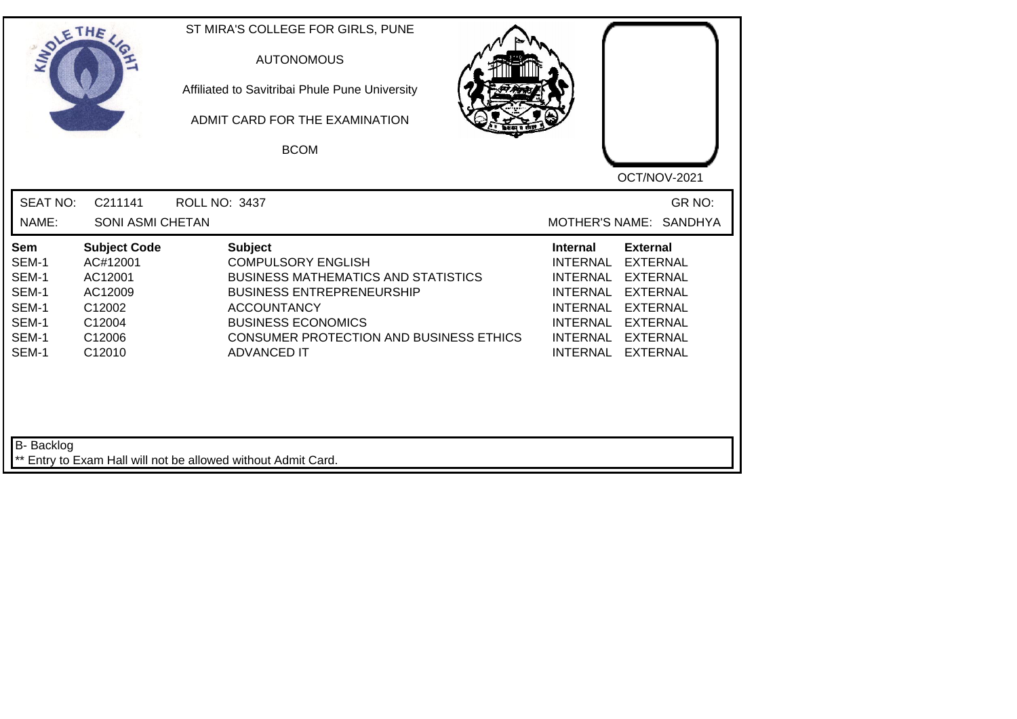| SOLE THE                                                                  |                                                                                               | ST MIRA'S COLLEGE FOR GIRLS, PUNE<br><b>AUTONOMOUS</b><br>Affiliated to Savitribai Phule Pune University<br>ADMIT CARD FOR THE EXAMINATION<br><b>BCOM</b>                                                                                                | OCT/NOV-2021                                                                                                                                                                                                                                                                                |
|---------------------------------------------------------------------------|-----------------------------------------------------------------------------------------------|----------------------------------------------------------------------------------------------------------------------------------------------------------------------------------------------------------------------------------------------------------|---------------------------------------------------------------------------------------------------------------------------------------------------------------------------------------------------------------------------------------------------------------------------------------------|
| <b>SEAT NO:</b><br>NAME:                                                  | C211141<br><b>SONI ASMI CHETAN</b>                                                            | ROLL NO: 3437                                                                                                                                                                                                                                            | GR NO:<br>MOTHER'S NAME: SANDHYA                                                                                                                                                                                                                                                            |
| <b>Sem</b><br>SEM-1<br>SEM-1<br>SEM-1<br>SEM-1<br>SEM-1<br>SEM-1<br>SEM-1 | <b>Subject Code</b><br>AC#12001<br>AC12001<br>AC12009<br>C12002<br>C12004<br>C12006<br>C12010 | <b>Subject</b><br><b>COMPULSORY ENGLISH</b><br><b>BUSINESS MATHEMATICS AND STATISTICS</b><br><b>BUSINESS ENTREPRENEURSHIP</b><br><b>ACCOUNTANCY</b><br><b>BUSINESS ECONOMICS</b><br><b>CONSUMER PROTECTION AND BUSINESS ETHICS</b><br><b>ADVANCED IT</b> | <b>Internal</b><br><b>External</b><br><b>INTERNAL</b><br><b>EXTERNAL</b><br><b>INTERNAL</b><br><b>EXTERNAL</b><br><b>INTERNAL</b><br><b>EXTERNAL</b><br><b>INTERNAL</b><br><b>EXTERNAL</b><br>INTERNAL EXTERNAL<br><b>INTERNAL</b><br><b>EXTERNAL</b><br><b>INTERNAL</b><br><b>EXTERNAL</b> |
| <b>B-</b> Backlog                                                         |                                                                                               | ** Entry to Exam Hall will not be allowed without Admit Card.                                                                                                                                                                                            |                                                                                                                                                                                                                                                                                             |

┛╹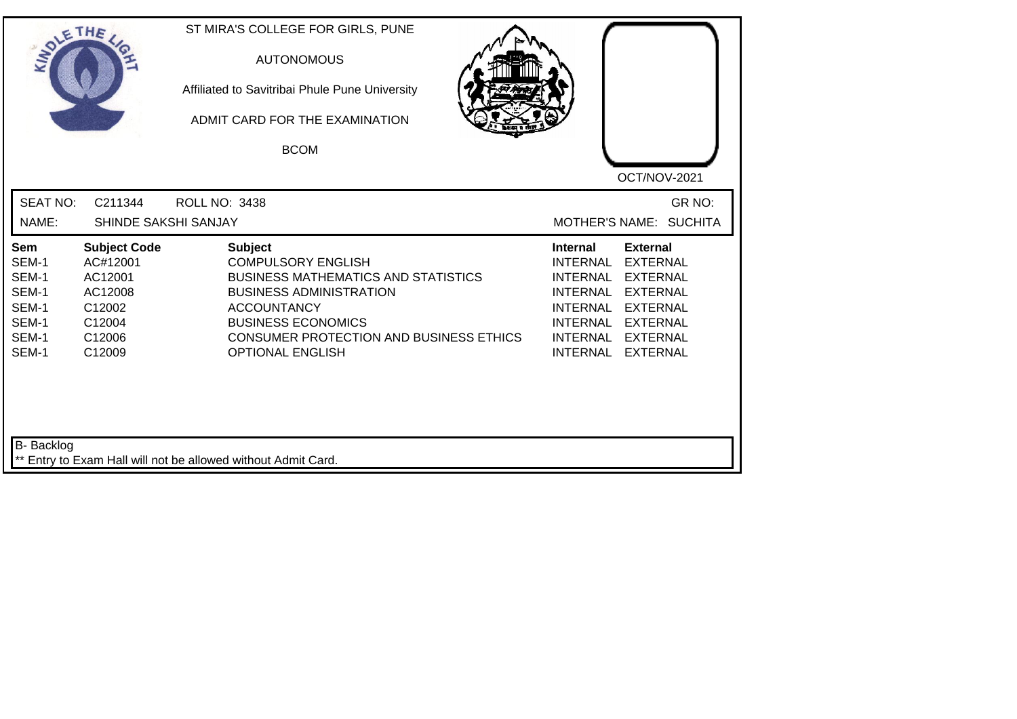| SOLETHE .                                                          |                                                                                               | ST MIRA'S COLLEGE FOR GIRLS, PUNE<br><b>AUTONOMOUS</b><br>Affiliated to Savitribai Phule Pune University<br>ADMIT CARD FOR THE EXAMINATION<br><b>BCOM</b>                                                                                            | OCT/NOV-2021                                                                                                                                                                                                                                                                                          |
|--------------------------------------------------------------------|-----------------------------------------------------------------------------------------------|------------------------------------------------------------------------------------------------------------------------------------------------------------------------------------------------------------------------------------------------------|-------------------------------------------------------------------------------------------------------------------------------------------------------------------------------------------------------------------------------------------------------------------------------------------------------|
| <b>SEAT NO:</b><br>NAME:                                           | C211344<br>SHINDE SAKSHI SANJAY                                                               | ROLL NO: 3438                                                                                                                                                                                                                                        | GR NO:<br>MOTHER'S NAME: SUCHITA                                                                                                                                                                                                                                                                      |
| Sem<br>SEM-1<br>SEM-1<br>SEM-1<br>SEM-1<br>SEM-1<br>SEM-1<br>SEM-1 | <b>Subject Code</b><br>AC#12001<br>AC12001<br>AC12008<br>C12002<br>C12004<br>C12006<br>C12009 | <b>Subject</b><br><b>COMPULSORY ENGLISH</b><br><b>BUSINESS MATHEMATICS AND STATISTICS</b><br><b>BUSINESS ADMINISTRATION</b><br><b>ACCOUNTANCY</b><br><b>BUSINESS ECONOMICS</b><br>CONSUMER PROTECTION AND BUSINESS ETHICS<br><b>OPTIONAL ENGLISH</b> | <b>Internal</b><br><b>External</b><br><b>EXTERNAL</b><br>INTERNAL<br><b>INTERNAL</b><br><b>EXTERNAL</b><br><b>INTERNAL</b><br><b>EXTERNAL</b><br><b>INTERNAL</b><br><b>EXTERNAL</b><br><b>INTERNAL</b><br><b>EXTERNAL</b><br><b>INTERNAL</b><br><b>EXTERNAL</b><br><b>INTERNAL</b><br><b>EXTERNAL</b> |
| <b>B-</b> Backlog                                                  |                                                                                               | ** Entry to Exam Hall will not be allowed without Admit Card.                                                                                                                                                                                        |                                                                                                                                                                                                                                                                                                       |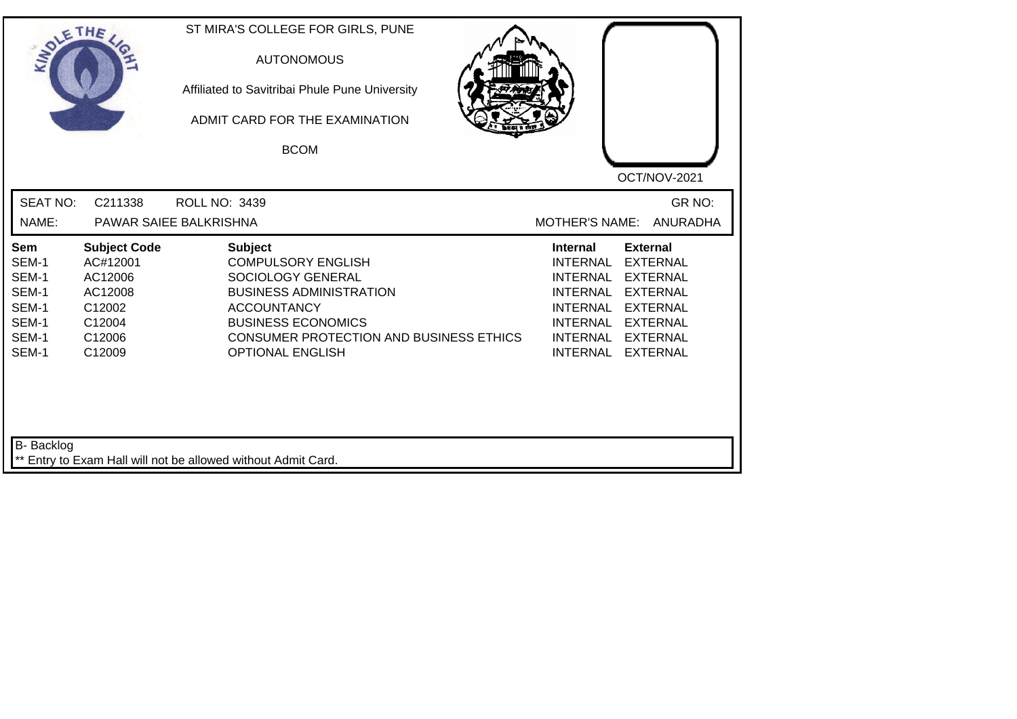| <b>SEAT NO:</b><br>GR NO:<br>C211338<br>ROLL NO: 3439<br>NAME:<br><b>ANURADHA</b><br>PAWAR SAIEE BALKRISHNA<br><b>MOTHER'S NAME:</b><br>Sem<br><b>Subject Code</b><br><b>Subject</b><br><b>Internal</b><br><b>External</b><br><b>COMPULSORY ENGLISH</b><br>SEM-1<br>AC#12001<br><b>INTERNAL</b><br><b>EXTERNAL</b><br>SEM-1<br>AC12006<br>SOCIOLOGY GENERAL<br><b>INTERNAL</b><br><b>EXTERNAL</b><br>SEM-1<br><b>BUSINESS ADMINISTRATION</b><br>AC12008<br><b>INTERNAL</b><br><b>EXTERNAL</b><br>SEM-1<br><b>INTERNAL</b><br><b>EXTERNAL</b><br>C12002<br><b>ACCOUNTANCY</b><br>SEM-1<br><b>BUSINESS ECONOMICS</b><br><b>INTERNAL</b><br><b>EXTERNAL</b><br>C12004<br>SEM-1<br>C12006<br><b>CONSUMER PROTECTION AND BUSINESS ETHICS</b><br><b>INTERNAL</b><br><b>EXTERNAL</b><br>SEM-1<br>C12009<br><b>OPTIONAL ENGLISH</b><br><b>INTERNAL</b><br><b>EXTERNAL</b> | SOLE THE | ST MIRA'S COLLEGE FOR GIRLS, PUNE<br><b>AUTONOMOUS</b><br>Affiliated to Savitribai Phule Pune University<br>ADMIT CARD FOR THE EXAMINATION<br><b>BCOM</b> | OCT/NOV-2021 |
|-------------------------------------------------------------------------------------------------------------------------------------------------------------------------------------------------------------------------------------------------------------------------------------------------------------------------------------------------------------------------------------------------------------------------------------------------------------------------------------------------------------------------------------------------------------------------------------------------------------------------------------------------------------------------------------------------------------------------------------------------------------------------------------------------------------------------------------------------------------------|----------|-----------------------------------------------------------------------------------------------------------------------------------------------------------|--------------|
|                                                                                                                                                                                                                                                                                                                                                                                                                                                                                                                                                                                                                                                                                                                                                                                                                                                                   |          |                                                                                                                                                           |              |
|                                                                                                                                                                                                                                                                                                                                                                                                                                                                                                                                                                                                                                                                                                                                                                                                                                                                   |          |                                                                                                                                                           |              |

┙╽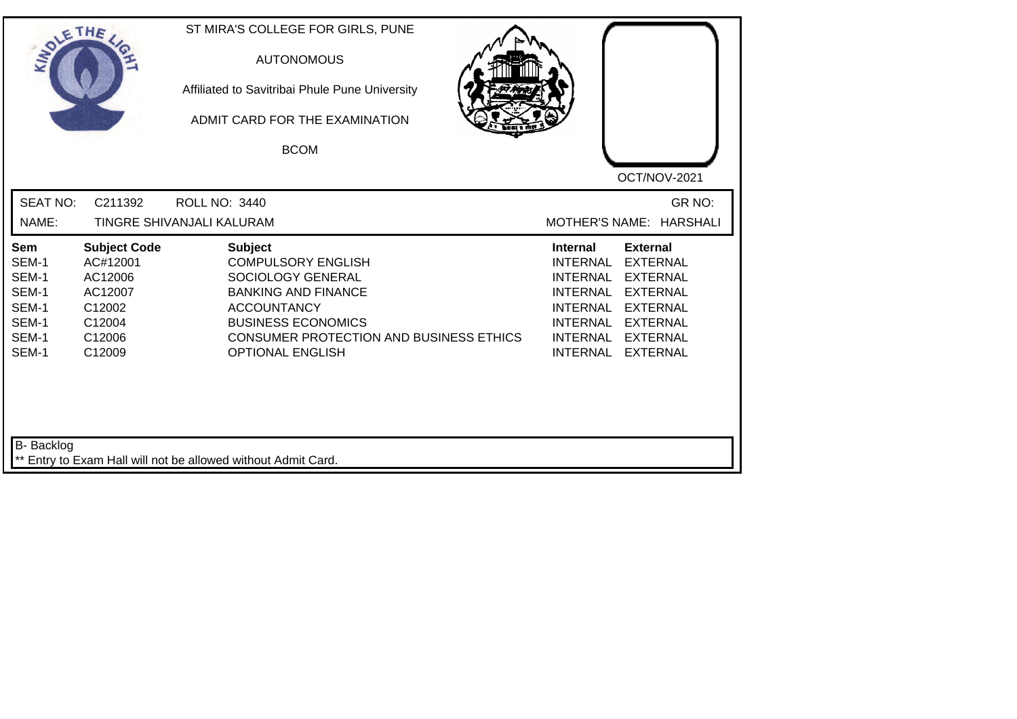| SOLE THE                                                                  |                                                                                               | ST MIRA'S COLLEGE FOR GIRLS, PUNE<br><b>AUTONOMOUS</b><br>Affiliated to Savitribai Phule Pune University<br>ADMIT CARD FOR THE EXAMINATION<br><b>BCOM</b>                                                               | OCT/NOV-2021                                                                                                                                                                                                                                                                                   |
|---------------------------------------------------------------------------|-----------------------------------------------------------------------------------------------|-------------------------------------------------------------------------------------------------------------------------------------------------------------------------------------------------------------------------|------------------------------------------------------------------------------------------------------------------------------------------------------------------------------------------------------------------------------------------------------------------------------------------------|
| <b>SEAT NO:</b><br>NAME:                                                  | C211392                                                                                       | <b>ROLL NO: 3440</b><br>TINGRE SHIVANJALI KALURAM                                                                                                                                                                       | GR NO:<br>MOTHER'S NAME: HARSHALI                                                                                                                                                                                                                                                              |
| <b>Sem</b><br>SEM-1<br>SEM-1<br>SEM-1<br>SEM-1<br>SEM-1<br>SEM-1<br>SEM-1 | <b>Subject Code</b><br>AC#12001<br>AC12006<br>AC12007<br>C12002<br>C12004<br>C12006<br>C12009 | <b>Subject</b><br><b>COMPULSORY ENGLISH</b><br>SOCIOLOGY GENERAL<br><b>BANKING AND FINANCE</b><br><b>ACCOUNTANCY</b><br><b>BUSINESS ECONOMICS</b><br>CONSUMER PROTECTION AND BUSINESS ETHICS<br><b>OPTIONAL ENGLISH</b> | Internal<br><b>External</b><br><b>INTERNAL</b><br><b>EXTERNAL</b><br><b>EXTERNAL</b><br>INTERNAL<br><b>INTERNAL</b><br><b>EXTERNAL</b><br><b>INTERNAL</b><br><b>EXTERNAL</b><br><b>INTERNAL</b><br><b>EXTERNAL</b><br><b>INTERNAL</b><br><b>EXTERNAL</b><br><b>INTERNAL</b><br><b>EXTERNAL</b> |
| B- Backlog                                                                |                                                                                               | ** Entry to Exam Hall will not be allowed without Admit Card.                                                                                                                                                           |                                                                                                                                                                                                                                                                                                |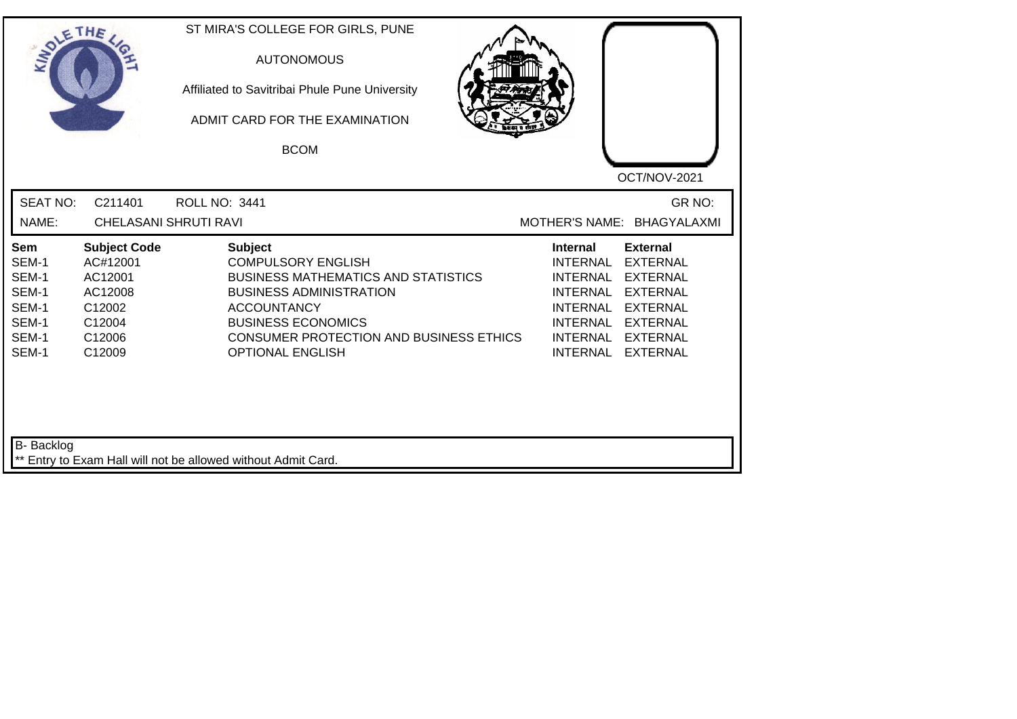| <b>SEAT NO:</b><br>C211401<br>GR NO:<br>ROLL NO: 3441<br>NAME:<br>MOTHER'S NAME: BHAGYALAXMI<br><b>CHELASANI SHRUTI RAVI</b><br><b>Subject</b><br><b>External</b><br><b>Sem</b><br><b>Subject Code</b><br><b>Internal</b><br><b>COMPULSORY ENGLISH</b><br>SEM-1<br>AC#12001<br><b>INTERNAL</b><br><b>EXTERNAL</b><br>SEM-1<br>AC12001<br><b>BUSINESS MATHEMATICS AND STATISTICS</b><br><b>INTERNAL</b><br><b>EXTERNAL</b><br>SEM-1<br><b>INTERNAL</b><br>AC12008<br><b>BUSINESS ADMINISTRATION</b><br><b>EXTERNAL</b><br>SEM-1<br><b>INTERNAL</b><br><b>EXTERNAL</b><br>C12002<br><b>ACCOUNTANCY</b><br>SEM-1<br><b>BUSINESS ECONOMICS</b><br><b>INTERNAL</b><br>C12004<br><b>EXTERNAL</b><br>SEM-1<br><b>CONSUMER PROTECTION AND BUSINESS ETHICS</b><br><b>INTERNAL</b><br>C12006<br><b>EXTERNAL</b><br>SEM-1<br>C12009<br><b>OPTIONAL ENGLISH</b><br><b>INTERNAL</b><br><b>EXTERNAL</b> | SOLE THE | ST MIRA'S COLLEGE FOR GIRLS, PUNE<br><b>AUTONOMOUS</b><br>Affiliated to Savitribai Phule Pune University<br>ADMIT CARD FOR THE EXAMINATION<br><b>BCOM</b> | OCT/NOV-2021 |
|-------------------------------------------------------------------------------------------------------------------------------------------------------------------------------------------------------------------------------------------------------------------------------------------------------------------------------------------------------------------------------------------------------------------------------------------------------------------------------------------------------------------------------------------------------------------------------------------------------------------------------------------------------------------------------------------------------------------------------------------------------------------------------------------------------------------------------------------------------------------------------------------|----------|-----------------------------------------------------------------------------------------------------------------------------------------------------------|--------------|
|                                                                                                                                                                                                                                                                                                                                                                                                                                                                                                                                                                                                                                                                                                                                                                                                                                                                                           |          |                                                                                                                                                           |              |
|                                                                                                                                                                                                                                                                                                                                                                                                                                                                                                                                                                                                                                                                                                                                                                                                                                                                                           |          |                                                                                                                                                           |              |

┙╽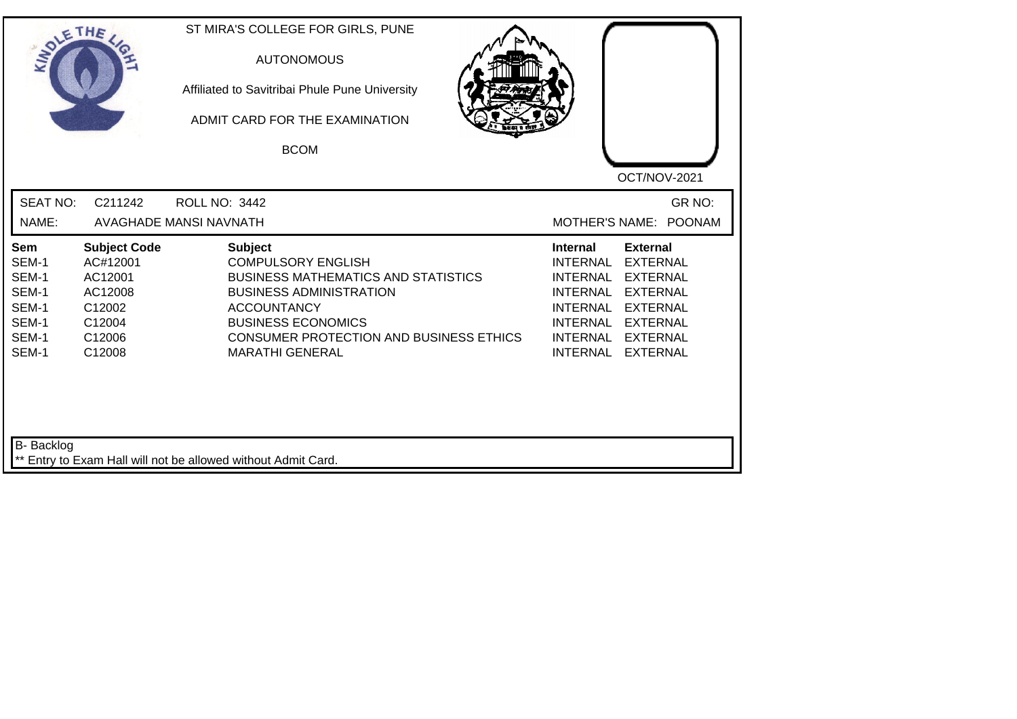| SOLETHE ,                                                          |                                                                                               | ST MIRA'S COLLEGE FOR GIRLS, PUNE<br><b>AUTONOMOUS</b><br>Affiliated to Savitribai Phule Pune University<br>ADMIT CARD FOR THE EXAMINATION<br><b>BCOM</b>                                                                                                  | OCT/NOV-2021                                                                                                                                                                                                            |
|--------------------------------------------------------------------|-----------------------------------------------------------------------------------------------|------------------------------------------------------------------------------------------------------------------------------------------------------------------------------------------------------------------------------------------------------------|-------------------------------------------------------------------------------------------------------------------------------------------------------------------------------------------------------------------------|
| <b>SEAT NO:</b><br>NAME:                                           | C211242                                                                                       | <b>ROLL NO: 3442</b><br><b>AVAGHADE MANSI NAVNATH</b>                                                                                                                                                                                                      | GR NO:<br>MOTHER'S NAME: POONAM                                                                                                                                                                                         |
| Sem<br>SEM-1<br>SEM-1<br>SEM-1<br>SEM-1<br>SEM-1<br>SEM-1<br>SEM-1 | <b>Subject Code</b><br>AC#12001<br>AC12001<br>AC12008<br>C12002<br>C12004<br>C12006<br>C12008 | <b>Subject</b><br><b>COMPULSORY ENGLISH</b><br><b>BUSINESS MATHEMATICS AND STATISTICS</b><br><b>BUSINESS ADMINISTRATION</b><br><b>ACCOUNTANCY</b><br><b>BUSINESS ECONOMICS</b><br><b>CONSUMER PROTECTION AND BUSINESS ETHICS</b><br><b>MARATHI GENERAL</b> | <b>External</b><br><b>Internal</b><br><b>INTERNAL</b><br><b>EXTERNAL</b><br>INTERNAL EXTERNAL<br>INTERNAL EXTERNAL<br>INTERNAL EXTERNAL<br><b>INTERNAL</b><br><b>EXTERNAL</b><br>INTERNAL EXTERNAL<br>INTERNAL EXTERNAL |
| B- Backlog                                                         |                                                                                               | ** Entry to Exam Hall will not be allowed without Admit Card.                                                                                                                                                                                              |                                                                                                                                                                                                                         |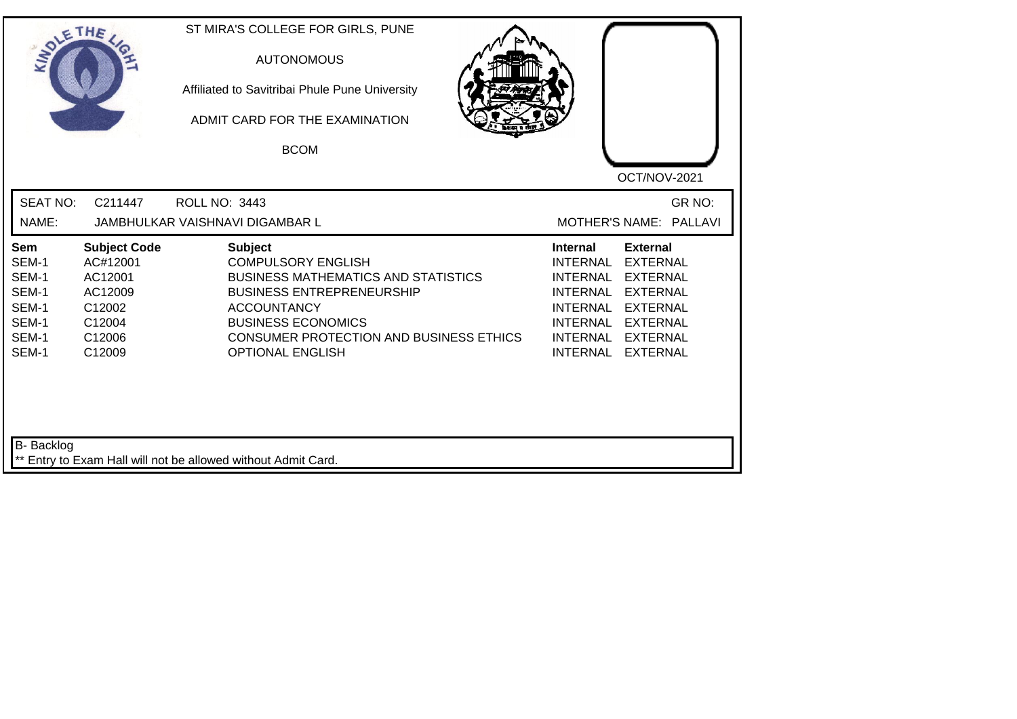| SOLETHE .                                                                 |                                                                                               | ST MIRA'S COLLEGE FOR GIRLS, PUNE<br><b>AUTONOMOUS</b><br>Affiliated to Savitribai Phule Pune University<br>ADMIT CARD FOR THE EXAMINATION<br><b>BCOM</b>                                                                                                     | OCT/NOV-2021                                                                                                                                                                                                                                                                                                 |
|---------------------------------------------------------------------------|-----------------------------------------------------------------------------------------------|---------------------------------------------------------------------------------------------------------------------------------------------------------------------------------------------------------------------------------------------------------------|--------------------------------------------------------------------------------------------------------------------------------------------------------------------------------------------------------------------------------------------------------------------------------------------------------------|
| <b>SEAT NO:</b><br>NAME:                                                  | C211447                                                                                       | <b>ROLL NO: 3443</b><br>JAMBHULKAR VAISHNAVI DIGAMBAR L                                                                                                                                                                                                       | GR NO:<br>MOTHER'S NAME: PALLAVI                                                                                                                                                                                                                                                                             |
| <b>Sem</b><br>SEM-1<br>SEM-1<br>SEM-1<br>SEM-1<br>SEM-1<br>SEM-1<br>SEM-1 | <b>Subject Code</b><br>AC#12001<br>AC12001<br>AC12009<br>C12002<br>C12004<br>C12006<br>C12009 | <b>Subject</b><br><b>COMPULSORY ENGLISH</b><br><b>BUSINESS MATHEMATICS AND STATISTICS</b><br><b>BUSINESS ENTREPRENEURSHIP</b><br><b>ACCOUNTANCY</b><br><b>BUSINESS ECONOMICS</b><br><b>CONSUMER PROTECTION AND BUSINESS ETHICS</b><br><b>OPTIONAL ENGLISH</b> | <b>External</b><br><b>Internal</b><br><b>INTERNAL</b><br><b>EXTERNAL</b><br><b>INTERNAL</b><br><b>EXTERNAL</b><br><b>INTERNAL</b><br><b>EXTERNAL</b><br><b>INTERNAL</b><br><b>EXTERNAL</b><br><b>INTERNAL</b><br><b>EXTERNAL</b><br><b>INTERNAL</b><br><b>EXTERNAL</b><br><b>INTERNAL</b><br><b>EXTERNAL</b> |
| B- Backlog                                                                |                                                                                               | ** Entry to Exam Hall will not be allowed without Admit Card.                                                                                                                                                                                                 |                                                                                                                                                                                                                                                                                                              |

┙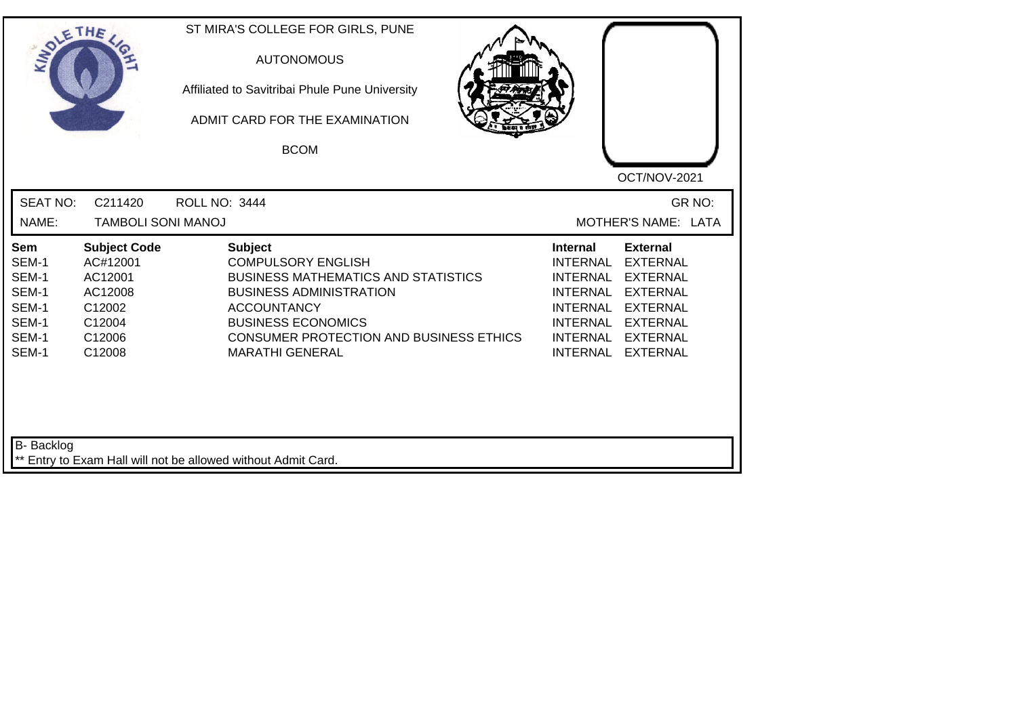| SOLE THE                                                           |                                                                                               | ST MIRA'S COLLEGE FOR GIRLS, PUNE<br><b>AUTONOMOUS</b><br>Affiliated to Savitribai Phule Pune University<br>ADMIT CARD FOR THE EXAMINATION<br><b>BCOM</b>                                                                                                  | OCT/NOV-2021                                                                                                                                                                                                                                                                                |
|--------------------------------------------------------------------|-----------------------------------------------------------------------------------------------|------------------------------------------------------------------------------------------------------------------------------------------------------------------------------------------------------------------------------------------------------------|---------------------------------------------------------------------------------------------------------------------------------------------------------------------------------------------------------------------------------------------------------------------------------------------|
| <b>SEAT NO:</b><br>NAME:                                           | C211420<br><b>TAMBOLI SONI MANOJ</b>                                                          | <b>ROLL NO: 3444</b>                                                                                                                                                                                                                                       | GR NO:<br>MOTHER'S NAME: LATA                                                                                                                                                                                                                                                               |
| Sem<br>SEM-1<br>SEM-1<br>SEM-1<br>SEM-1<br>SEM-1<br>SEM-1<br>SEM-1 | <b>Subject Code</b><br>AC#12001<br>AC12001<br>AC12008<br>C12002<br>C12004<br>C12006<br>C12008 | <b>Subject</b><br><b>COMPULSORY ENGLISH</b><br><b>BUSINESS MATHEMATICS AND STATISTICS</b><br><b>BUSINESS ADMINISTRATION</b><br><b>ACCOUNTANCY</b><br><b>BUSINESS ECONOMICS</b><br><b>CONSUMER PROTECTION AND BUSINESS ETHICS</b><br><b>MARATHI GENERAL</b> | <b>External</b><br><b>Internal</b><br><b>INTERNAL</b><br><b>EXTERNAL</b><br><b>EXTERNAL</b><br><b>INTERNAL</b><br><b>EXTERNAL</b><br><b>INTERNAL</b><br><b>INTERNAL</b><br><b>EXTERNAL</b><br>INTERNAL EXTERNAL<br><b>INTERNAL</b><br><b>EXTERNAL</b><br><b>INTERNAL</b><br><b>EXTERNAL</b> |
| <b>B-</b> Backlog                                                  |                                                                                               | ** Entry to Exam Hall will not be allowed without Admit Card.                                                                                                                                                                                              |                                                                                                                                                                                                                                                                                             |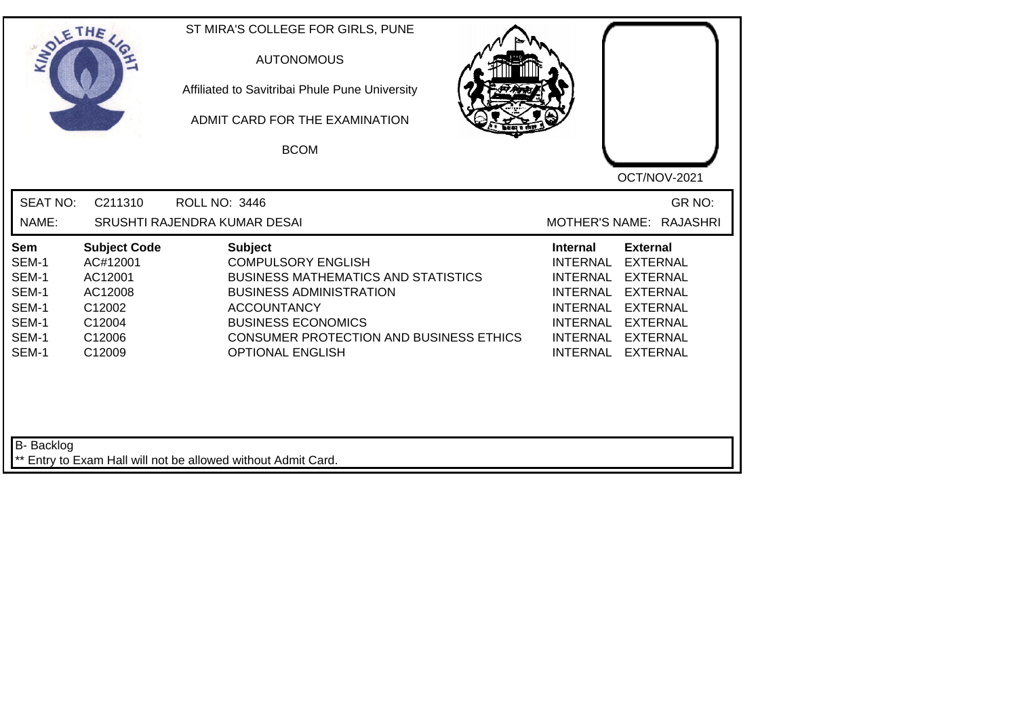| INO'                                                               | ETHE                                                                                          | ST MIRA'S COLLEGE FOR GIRLS, PUNE<br><b>AUTONOMOUS</b><br>Affiliated to Savitribai Phule Pune University<br>ADMIT CARD FOR THE EXAMINATION<br><b>BCOM</b>                                                                                            | OCT/NOV-2021                                                                                                                                                                                                                                                               |
|--------------------------------------------------------------------|-----------------------------------------------------------------------------------------------|------------------------------------------------------------------------------------------------------------------------------------------------------------------------------------------------------------------------------------------------------|----------------------------------------------------------------------------------------------------------------------------------------------------------------------------------------------------------------------------------------------------------------------------|
| <b>SEAT NO:</b>                                                    | C211310                                                                                       | <b>ROLL NO: 3446</b>                                                                                                                                                                                                                                 | GR NO:<br>MOTHER'S NAME: RAJASHRI                                                                                                                                                                                                                                          |
| NAME:                                                              |                                                                                               | SRUSHTI RAJENDRA KUMAR DESAI                                                                                                                                                                                                                         |                                                                                                                                                                                                                                                                            |
| Sem<br>SEM-1<br>SEM-1<br>SEM-1<br>SEM-1<br>SEM-1<br>SEM-1<br>SEM-1 | <b>Subject Code</b><br>AC#12001<br>AC12001<br>AC12008<br>C12002<br>C12004<br>C12006<br>C12009 | <b>Subject</b><br><b>COMPULSORY ENGLISH</b><br><b>BUSINESS MATHEMATICS AND STATISTICS</b><br><b>BUSINESS ADMINISTRATION</b><br><b>ACCOUNTANCY</b><br><b>BUSINESS ECONOMICS</b><br>CONSUMER PROTECTION AND BUSINESS ETHICS<br><b>OPTIONAL ENGLISH</b> | <b>Internal</b><br><b>External</b><br><b>EXTERNAL</b><br><b>INTERNAL</b><br><b>INTERNAL</b><br><b>EXTERNAL</b><br><b>INTERNAL</b><br><b>EXTERNAL</b><br>INTERNAL EXTERNAL<br><b>INTERNAL</b><br><b>EXTERNAL</b><br>INTERNAL EXTERNAL<br><b>INTERNAL</b><br><b>EXTERNAL</b> |
| B- Backlog                                                         |                                                                                               | ** Entry to Exam Hall will not be allowed without Admit Card.                                                                                                                                                                                        |                                                                                                                                                                                                                                                                            |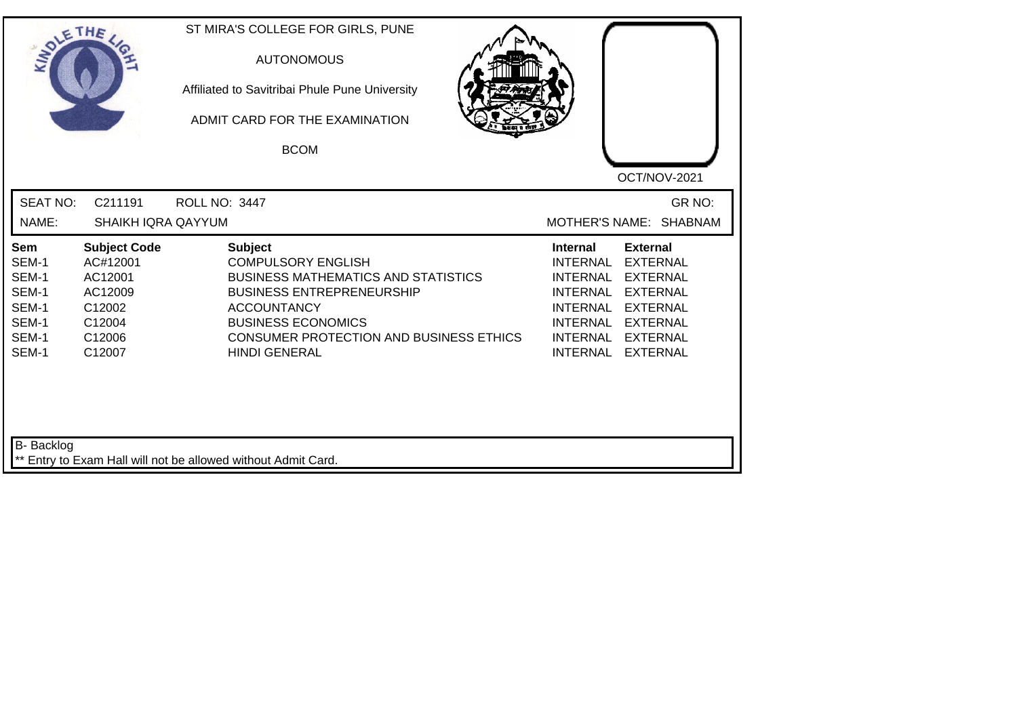| SOLETHE                                                                   |                                                                                               | ST MIRA'S COLLEGE FOR GIRLS, PUNE<br><b>AUTONOMOUS</b><br>Affiliated to Savitribai Phule Pune University<br>ADMIT CARD FOR THE EXAMINATION<br><b>BCOM</b>                                                                                                  | OCT/NOV-2021                                                                                                                                                                                                                                                                                                 |
|---------------------------------------------------------------------------|-----------------------------------------------------------------------------------------------|------------------------------------------------------------------------------------------------------------------------------------------------------------------------------------------------------------------------------------------------------------|--------------------------------------------------------------------------------------------------------------------------------------------------------------------------------------------------------------------------------------------------------------------------------------------------------------|
| <b>SEAT NO:</b><br>NAME:                                                  | C211191<br><b>SHAIKH IQRA QAYYUM</b>                                                          | <b>ROLL NO: 3447</b>                                                                                                                                                                                                                                       | GR NO:<br>MOTHER'S NAME: SHABNAM                                                                                                                                                                                                                                                                             |
| <b>Sem</b><br>SEM-1<br>SEM-1<br>SEM-1<br>SEM-1<br>SEM-1<br>SEM-1<br>SEM-1 | <b>Subject Code</b><br>AC#12001<br>AC12001<br>AC12009<br>C12002<br>C12004<br>C12006<br>C12007 | <b>Subject</b><br><b>COMPULSORY ENGLISH</b><br><b>BUSINESS MATHEMATICS AND STATISTICS</b><br><b>BUSINESS ENTREPRENEURSHIP</b><br><b>ACCOUNTANCY</b><br><b>BUSINESS ECONOMICS</b><br><b>CONSUMER PROTECTION AND BUSINESS ETHICS</b><br><b>HINDI GENERAL</b> | <b>External</b><br><b>Internal</b><br><b>EXTERNAL</b><br><b>INTERNAL</b><br><b>INTERNAL</b><br><b>EXTERNAL</b><br><b>INTERNAL</b><br><b>EXTERNAL</b><br><b>INTERNAL</b><br><b>EXTERNAL</b><br><b>INTERNAL</b><br><b>EXTERNAL</b><br><b>INTERNAL</b><br><b>EXTERNAL</b><br><b>INTERNAL</b><br><b>EXTERNAL</b> |
| <b>B-</b> Backlog                                                         |                                                                                               | ** Entry to Exam Hall will not be allowed without Admit Card.                                                                                                                                                                                              |                                                                                                                                                                                                                                                                                                              |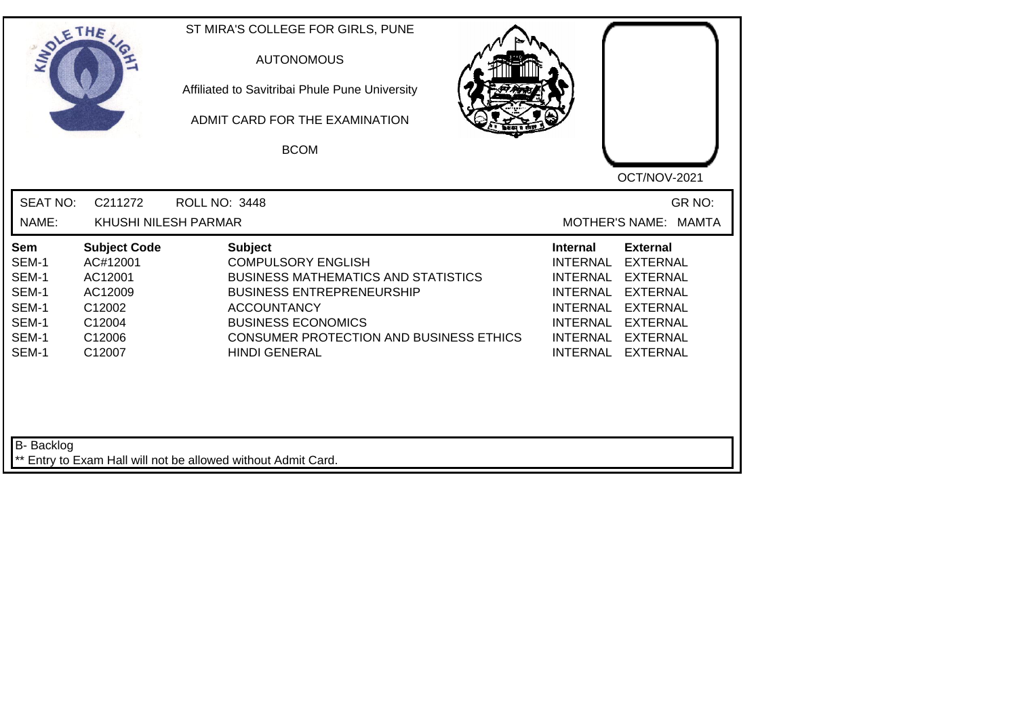| SOLE THE                                                           |                                                                                               | ST MIRA'S COLLEGE FOR GIRLS, PUNE<br><b>AUTONOMOUS</b><br>Affiliated to Savitribai Phule Pune University<br>ADMIT CARD FOR THE EXAMINATION<br><b>BCOM</b>                                                                                           | OCT/NOV-2021                                                                                                                                                                                                                                                                                                 |
|--------------------------------------------------------------------|-----------------------------------------------------------------------------------------------|-----------------------------------------------------------------------------------------------------------------------------------------------------------------------------------------------------------------------------------------------------|--------------------------------------------------------------------------------------------------------------------------------------------------------------------------------------------------------------------------------------------------------------------------------------------------------------|
| <b>SEAT NO:</b>                                                    | C211272                                                                                       | <b>ROLL NO: 3448</b>                                                                                                                                                                                                                                | GR NO:                                                                                                                                                                                                                                                                                                       |
| NAME:                                                              | KHUSHI NILESH PARMAR                                                                          |                                                                                                                                                                                                                                                     | MOTHER'S NAME: MAMTA                                                                                                                                                                                                                                                                                         |
| Sem<br>SEM-1<br>SEM-1<br>SEM-1<br>SEM-1<br>SEM-1<br>SEM-1<br>SEM-1 | <b>Subject Code</b><br>AC#12001<br>AC12001<br>AC12009<br>C12002<br>C12004<br>C12006<br>C12007 | <b>Subject</b><br><b>COMPULSORY ENGLISH</b><br><b>BUSINESS MATHEMATICS AND STATISTICS</b><br><b>BUSINESS ENTREPRENEURSHIP</b><br><b>ACCOUNTANCY</b><br><b>BUSINESS ECONOMICS</b><br>CONSUMER PROTECTION AND BUSINESS ETHICS<br><b>HINDI GENERAL</b> | <b>External</b><br><b>Internal</b><br><b>INTERNAL</b><br><b>EXTERNAL</b><br><b>INTERNAL</b><br><b>EXTERNAL</b><br><b>EXTERNAL</b><br><b>INTERNAL</b><br><b>INTERNAL</b><br><b>EXTERNAL</b><br><b>INTERNAL</b><br><b>EXTERNAL</b><br><b>INTERNAL</b><br><b>EXTERNAL</b><br><b>INTERNAL</b><br><b>EXTERNAL</b> |
| <b>B-</b> Backlog                                                  |                                                                                               | ** Entry to Exam Hall will not be allowed without Admit Card.                                                                                                                                                                                       |                                                                                                                                                                                                                                                                                                              |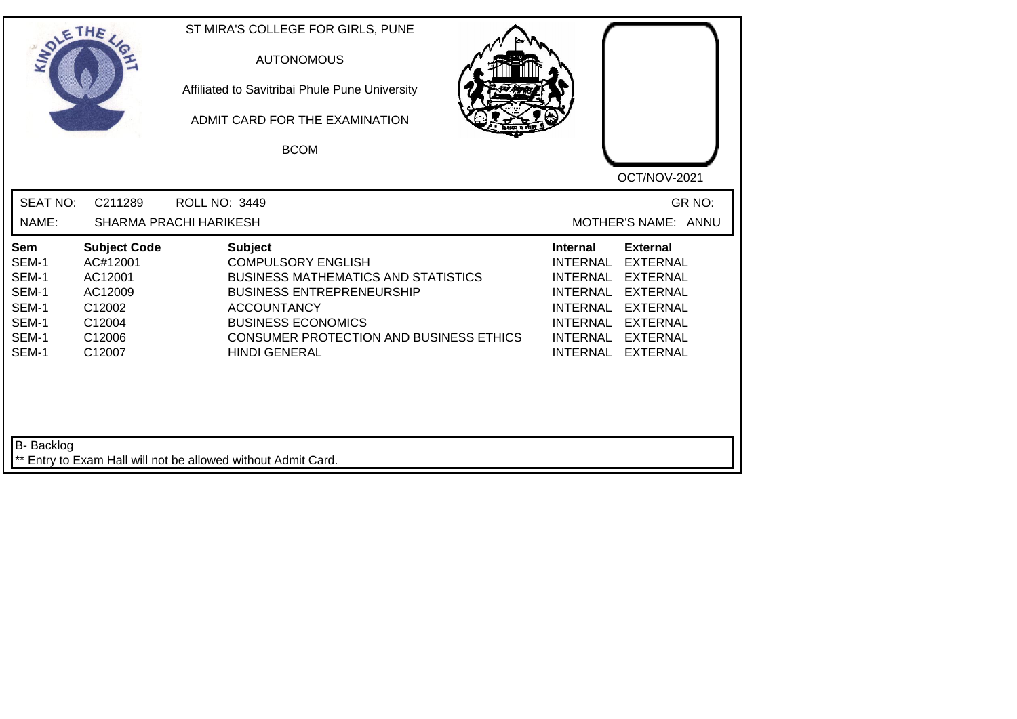| INO'                                                               | ETHE                                                                                          | ST MIRA'S COLLEGE FOR GIRLS, PUNE<br><b>AUTONOMOUS</b><br>Affiliated to Savitribai Phule Pune University<br>ADMIT CARD FOR THE EXAMINATION<br><b>BCOM</b>                                                                                                  | OCT/NOV-2021                                                                                                                                                                                                            |
|--------------------------------------------------------------------|-----------------------------------------------------------------------------------------------|------------------------------------------------------------------------------------------------------------------------------------------------------------------------------------------------------------------------------------------------------------|-------------------------------------------------------------------------------------------------------------------------------------------------------------------------------------------------------------------------|
| <b>SEAT NO:</b><br>NAME:                                           | C211289                                                                                       | <b>ROLL NO: 3449</b><br><b>SHARMA PRACHI HARIKESH</b>                                                                                                                                                                                                      | GR NO:<br>MOTHER'S NAME: ANNU                                                                                                                                                                                           |
| Sem<br>SEM-1<br>SEM-1<br>SEM-1<br>SEM-1<br>SEM-1<br>SEM-1<br>SEM-1 | <b>Subject Code</b><br>AC#12001<br>AC12001<br>AC12009<br>C12002<br>C12004<br>C12006<br>C12007 | <b>Subject</b><br><b>COMPULSORY ENGLISH</b><br><b>BUSINESS MATHEMATICS AND STATISTICS</b><br><b>BUSINESS ENTREPRENEURSHIP</b><br><b>ACCOUNTANCY</b><br><b>BUSINESS ECONOMICS</b><br><b>CONSUMER PROTECTION AND BUSINESS ETHICS</b><br><b>HINDI GENERAL</b> | <b>External</b><br><b>Internal</b><br><b>EXTERNAL</b><br><b>INTERNAL</b><br>INTERNAL EXTERNAL<br>INTERNAL EXTERNAL<br>INTERNAL EXTERNAL<br><b>INTERNAL</b><br><b>EXTERNAL</b><br>INTERNAL EXTERNAL<br>INTERNAL EXTERNAL |
| B- Backlog                                                         |                                                                                               | ** Entry to Exam Hall will not be allowed without Admit Card.                                                                                                                                                                                              |                                                                                                                                                                                                                         |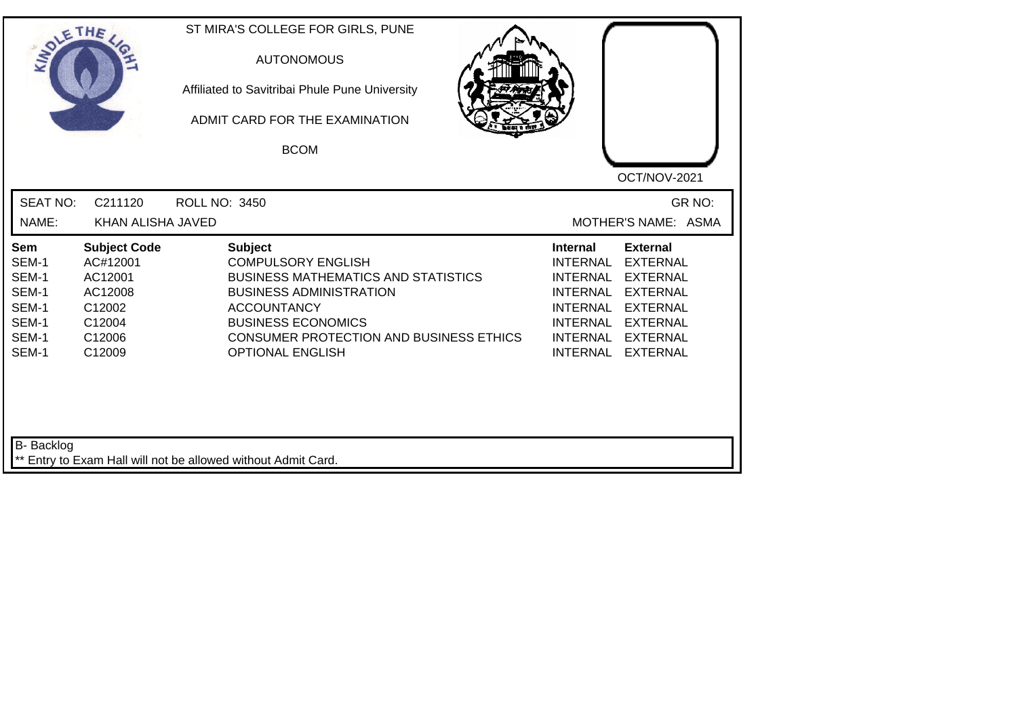| SOLETHE                                                            |                                                                                               | ST MIRA'S COLLEGE FOR GIRLS, PUNE<br><b>AUTONOMOUS</b><br>Affiliated to Savitribai Phule Pune University<br>ADMIT CARD FOR THE EXAMINATION<br><b>BCOM</b>                                                                                                   | OCT/NOV-2021                                                                                                                                                                                                                                                                         |
|--------------------------------------------------------------------|-----------------------------------------------------------------------------------------------|-------------------------------------------------------------------------------------------------------------------------------------------------------------------------------------------------------------------------------------------------------------|--------------------------------------------------------------------------------------------------------------------------------------------------------------------------------------------------------------------------------------------------------------------------------------|
| <b>SEAT NO:</b><br>NAME:                                           | C211120<br>KHAN ALISHA JAVED                                                                  | <b>ROLL NO: 3450</b>                                                                                                                                                                                                                                        | GR NO:<br>MOTHER'S NAME: ASMA                                                                                                                                                                                                                                                        |
| Sem<br>SEM-1<br>SEM-1<br>SEM-1<br>SEM-1<br>SEM-1<br>SEM-1<br>SEM-1 | <b>Subject Code</b><br>AC#12001<br>AC12001<br>AC12008<br>C12002<br>C12004<br>C12006<br>C12009 | <b>Subject</b><br><b>COMPULSORY ENGLISH</b><br><b>BUSINESS MATHEMATICS AND STATISTICS</b><br><b>BUSINESS ADMINISTRATION</b><br><b>ACCOUNTANCY</b><br><b>BUSINESS ECONOMICS</b><br><b>CONSUMER PROTECTION AND BUSINESS ETHICS</b><br><b>OPTIONAL ENGLISH</b> | <b>External</b><br>Internal<br><b>INTERNAL</b><br><b>EXTERNAL</b><br><b>INTERNAL</b><br><b>EXTERNAL</b><br><b>INTERNAL</b><br><b>EXTERNAL</b><br><b>INTERNAL</b><br><b>EXTERNAL</b><br>INTERNAL EXTERNAL<br><b>INTERNAL</b><br><b>EXTERNAL</b><br><b>INTERNAL</b><br><b>EXTERNAL</b> |
| B- Backlog                                                         |                                                                                               | ** Entry to Exam Hall will not be allowed without Admit Card.                                                                                                                                                                                               |                                                                                                                                                                                                                                                                                      |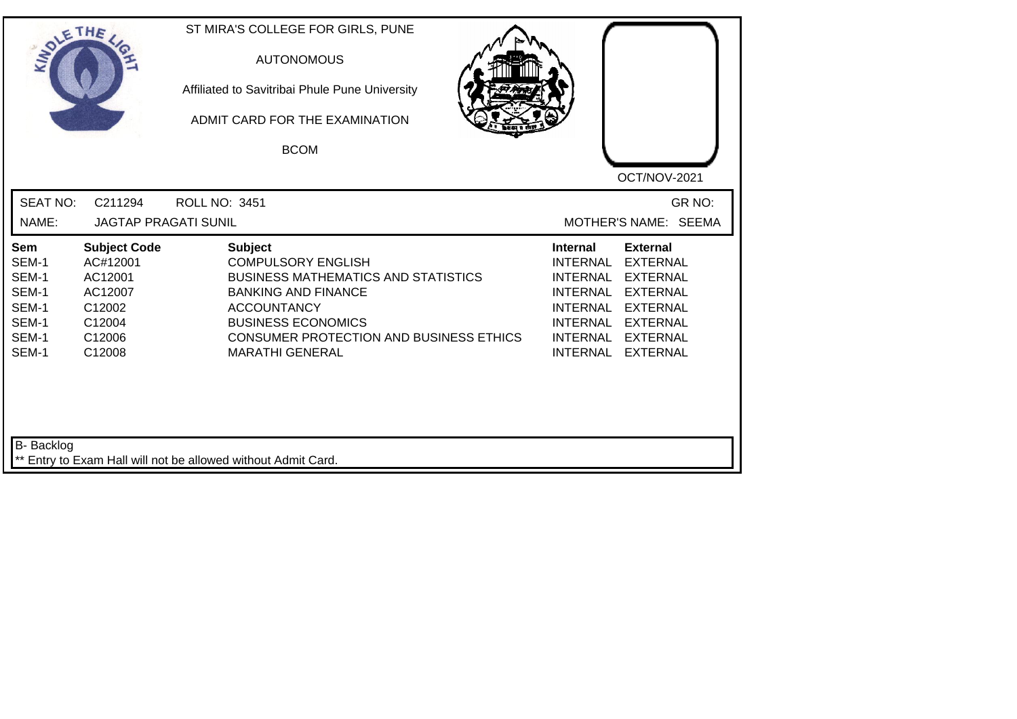| IN <sub>O1</sub>                                                                 | ETHE                                                                                          | ST MIRA'S COLLEGE FOR GIRLS, PUNE<br><b>AUTONOMOUS</b><br>Affiliated to Savitribai Phule Pune University<br>ADMIT CARD FOR THE EXAMINATION<br><b>BCOM</b>                                                                                              | OCT/NOV-2021                                                                                                                                                                                                                             |
|----------------------------------------------------------------------------------|-----------------------------------------------------------------------------------------------|--------------------------------------------------------------------------------------------------------------------------------------------------------------------------------------------------------------------------------------------------------|------------------------------------------------------------------------------------------------------------------------------------------------------------------------------------------------------------------------------------------|
| <b>SEAT NO:</b><br>NAME:                                                         | C211294<br><b>JAGTAP PRAGATI SUNIL</b>                                                        | <b>ROLL NO: 3451</b>                                                                                                                                                                                                                                   | GR NO:<br>MOTHER'S NAME: SEEMA                                                                                                                                                                                                           |
| Sem<br>SEM-1<br>SEM-1<br>SEM-1<br>SEM-1<br>SEM-1<br>SEM-1<br>SEM-1<br>B- Backlog | <b>Subject Code</b><br>AC#12001<br>AC12001<br>AC12007<br>C12002<br>C12004<br>C12006<br>C12008 | <b>Subject</b><br><b>COMPULSORY ENGLISH</b><br><b>BUSINESS MATHEMATICS AND STATISTICS</b><br><b>BANKING AND FINANCE</b><br><b>ACCOUNTANCY</b><br><b>BUSINESS ECONOMICS</b><br><b>CONSUMER PROTECTION AND BUSINESS ETHICS</b><br><b>MARATHI GENERAL</b> | <b>External</b><br><b>Internal</b><br><b>EXTERNAL</b><br><b>INTERNAL</b><br>INTERNAL EXTERNAL<br>INTERNAL EXTERNAL<br>INTERNAL EXTERNAL<br><b>INTERNAL</b><br><b>EXTERNAL</b><br>INTERNAL EXTERNAL<br><b>INTERNAL</b><br><b>EXTERNAL</b> |
|                                                                                  |                                                                                               | ** Entry to Exam Hall will not be allowed without Admit Card.                                                                                                                                                                                          |                                                                                                                                                                                                                                          |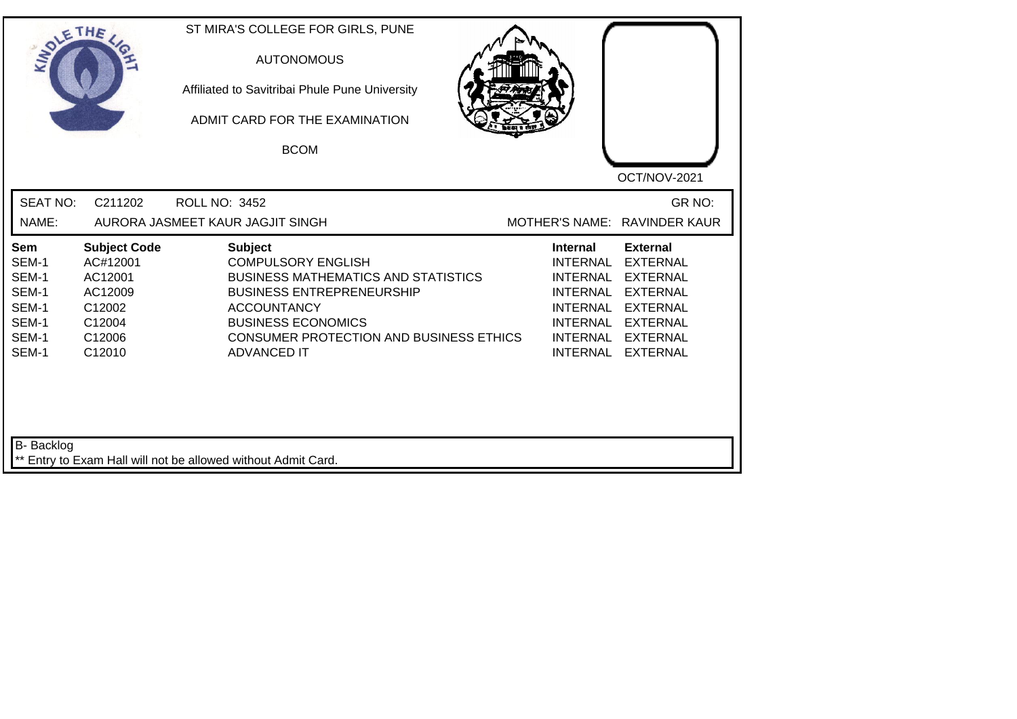| <b>SEAT NO:</b><br>C211202<br>GR NO:<br><b>ROLL NO: 3452</b><br>NAME:<br>AURORA JASMEET KAUR JAGJIT SINGH<br>MOTHER'S NAME: RAVINDER KAUR<br><b>Subject Code</b><br><b>Subject</b><br><b>Internal</b><br><b>External</b><br><b>Sem</b><br>SEM-1<br>AC#12001<br><b>COMPULSORY ENGLISH</b><br><b>INTERNAL</b><br><b>EXTERNAL</b><br>SEM-1<br>AC12001<br><b>BUSINESS MATHEMATICS AND STATISTICS</b><br><b>INTERNAL</b><br><b>EXTERNAL</b><br>SEM-1<br>AC12009<br><b>BUSINESS ENTREPRENEURSHIP</b><br><b>EXTERNAL</b><br><b>INTERNAL</b><br>SEM-1<br>C12002<br><b>ACCOUNTANCY</b><br><b>INTERNAL</b><br><b>EXTERNAL</b><br><b>BUSINESS ECONOMICS</b><br>SEM-1<br>C12004<br><b>INTERNAL</b><br><b>EXTERNAL</b><br>SEM-1<br>C12006<br><b>CONSUMER PROTECTION AND BUSINESS ETHICS</b><br><b>EXTERNAL</b><br><b>INTERNAL</b><br><b>ADVANCED IT</b><br>SEM-1<br>C12010<br><b>INTERNAL</b><br><b>EXTERNAL</b> | SOLETHE , | ST MIRA'S COLLEGE FOR GIRLS, PUNE<br><b>AUTONOMOUS</b><br>Affiliated to Savitribai Phule Pune University<br>ADMIT CARD FOR THE EXAMINATION<br><b>BCOM</b> | OCT/NOV-2021 |
|-----------------------------------------------------------------------------------------------------------------------------------------------------------------------------------------------------------------------------------------------------------------------------------------------------------------------------------------------------------------------------------------------------------------------------------------------------------------------------------------------------------------------------------------------------------------------------------------------------------------------------------------------------------------------------------------------------------------------------------------------------------------------------------------------------------------------------------------------------------------------------------------------------|-----------|-----------------------------------------------------------------------------------------------------------------------------------------------------------|--------------|
|                                                                                                                                                                                                                                                                                                                                                                                                                                                                                                                                                                                                                                                                                                                                                                                                                                                                                                     |           |                                                                                                                                                           |              |
|                                                                                                                                                                                                                                                                                                                                                                                                                                                                                                                                                                                                                                                                                                                                                                                                                                                                                                     |           |                                                                                                                                                           |              |

┙╽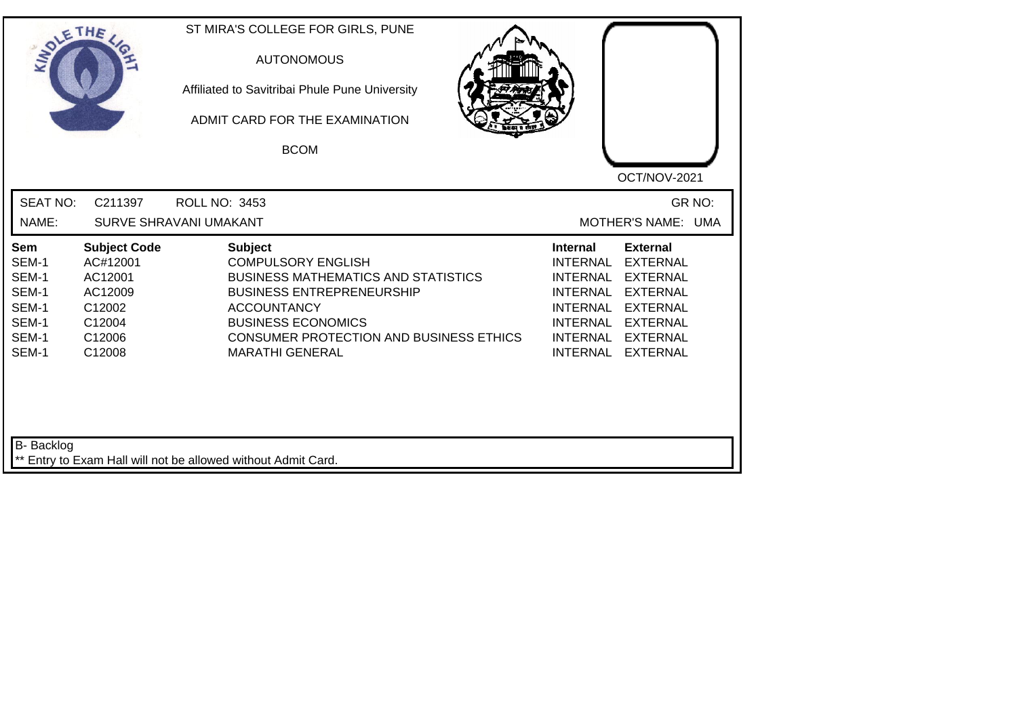| SOLE THE                                                                  |                                                                                               | ST MIRA'S COLLEGE FOR GIRLS, PUNE<br><b>AUTONOMOUS</b><br>Affiliated to Savitribai Phule Pune University<br>ADMIT CARD FOR THE EXAMINATION<br><b>BCOM</b>                                                                                             | OCT/NOV-2021                                                                                                                                                                                                                                                                                                 |
|---------------------------------------------------------------------------|-----------------------------------------------------------------------------------------------|-------------------------------------------------------------------------------------------------------------------------------------------------------------------------------------------------------------------------------------------------------|--------------------------------------------------------------------------------------------------------------------------------------------------------------------------------------------------------------------------------------------------------------------------------------------------------------|
| <b>SEAT NO:</b><br>NAME:                                                  | C211397                                                                                       | ROLL NO: 3453<br>SURVE SHRAVANI UMAKANT                                                                                                                                                                                                               | GR NO:<br>MOTHER'S NAME: UMA                                                                                                                                                                                                                                                                                 |
| <b>Sem</b><br>SEM-1<br>SEM-1<br>SEM-1<br>SEM-1<br>SEM-1<br>SEM-1<br>SEM-1 | <b>Subject Code</b><br>AC#12001<br>AC12001<br>AC12009<br>C12002<br>C12004<br>C12006<br>C12008 | <b>Subject</b><br><b>COMPULSORY ENGLISH</b><br><b>BUSINESS MATHEMATICS AND STATISTICS</b><br><b>BUSINESS ENTREPRENEURSHIP</b><br><b>ACCOUNTANCY</b><br><b>BUSINESS ECONOMICS</b><br>CONSUMER PROTECTION AND BUSINESS ETHICS<br><b>MARATHI GENERAL</b> | <b>External</b><br><b>Internal</b><br><b>INTERNAL</b><br><b>EXTERNAL</b><br><b>INTERNAL</b><br><b>EXTERNAL</b><br><b>INTERNAL</b><br><b>EXTERNAL</b><br><b>INTERNAL</b><br><b>EXTERNAL</b><br><b>INTERNAL</b><br><b>EXTERNAL</b><br><b>INTERNAL</b><br><b>EXTERNAL</b><br><b>INTERNAL</b><br><b>EXTERNAL</b> |
| B- Backlog                                                                |                                                                                               | ** Entry to Exam Hall will not be allowed without Admit Card.                                                                                                                                                                                         |                                                                                                                                                                                                                                                                                                              |

┙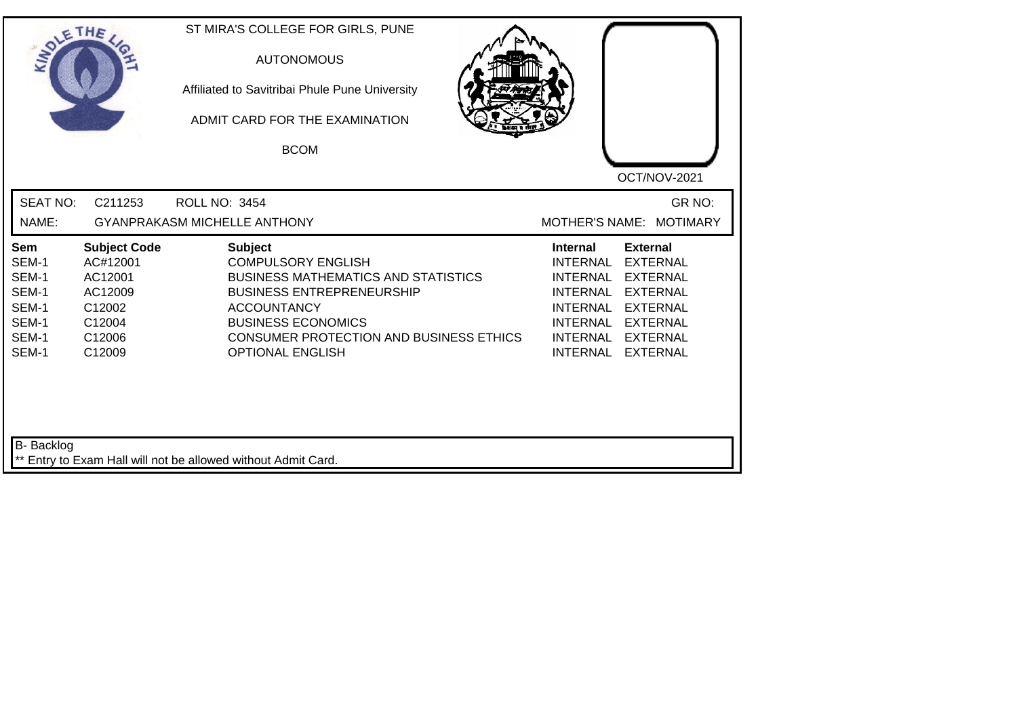| SOLETHE,                                                                  |                                                                                               | ST MIRA'S COLLEGE FOR GIRLS, PUNE<br><b>AUTONOMOUS</b><br>Affiliated to Savitribai Phule Pune University<br>ADMIT CARD FOR THE EXAMINATION<br><b>BCOM</b>                                                                                                     | OCT/NOV-2021                                                                                                                                                                                                                                                                                          |
|---------------------------------------------------------------------------|-----------------------------------------------------------------------------------------------|---------------------------------------------------------------------------------------------------------------------------------------------------------------------------------------------------------------------------------------------------------------|-------------------------------------------------------------------------------------------------------------------------------------------------------------------------------------------------------------------------------------------------------------------------------------------------------|
| <b>SEAT NO:</b><br>NAME:                                                  | C211253                                                                                       | <b>ROLL NO: 3454</b><br><b>GYANPRAKASM MICHELLE ANTHONY</b>                                                                                                                                                                                                   | GR NO:<br>MOTHER'S NAME: MOTIMARY                                                                                                                                                                                                                                                                     |
| <b>Sem</b><br>SEM-1<br>SEM-1<br>SEM-1<br>SEM-1<br>SEM-1<br>SEM-1<br>SEM-1 | <b>Subject Code</b><br>AC#12001<br>AC12001<br>AC12009<br>C12002<br>C12004<br>C12006<br>C12009 | <b>Subject</b><br><b>COMPULSORY ENGLISH</b><br><b>BUSINESS MATHEMATICS AND STATISTICS</b><br><b>BUSINESS ENTREPRENEURSHIP</b><br><b>ACCOUNTANCY</b><br><b>BUSINESS ECONOMICS</b><br><b>CONSUMER PROTECTION AND BUSINESS ETHICS</b><br><b>OPTIONAL ENGLISH</b> | <b>Internal</b><br><b>External</b><br><b>INTERNAL</b><br><b>EXTERNAL</b><br><b>INTERNAL</b><br><b>EXTERNAL</b><br><b>EXTERNAL</b><br><b>INTERNAL</b><br><b>INTERNAL</b><br>EXTERNAL<br><b>INTERNAL</b><br><b>EXTERNAL</b><br><b>INTERNAL</b><br><b>EXTERNAL</b><br><b>INTERNAL</b><br><b>EXTERNAL</b> |
| B- Backlog                                                                |                                                                                               | ** Entry to Exam Hall will not be allowed without Admit Card.                                                                                                                                                                                                 |                                                                                                                                                                                                                                                                                                       |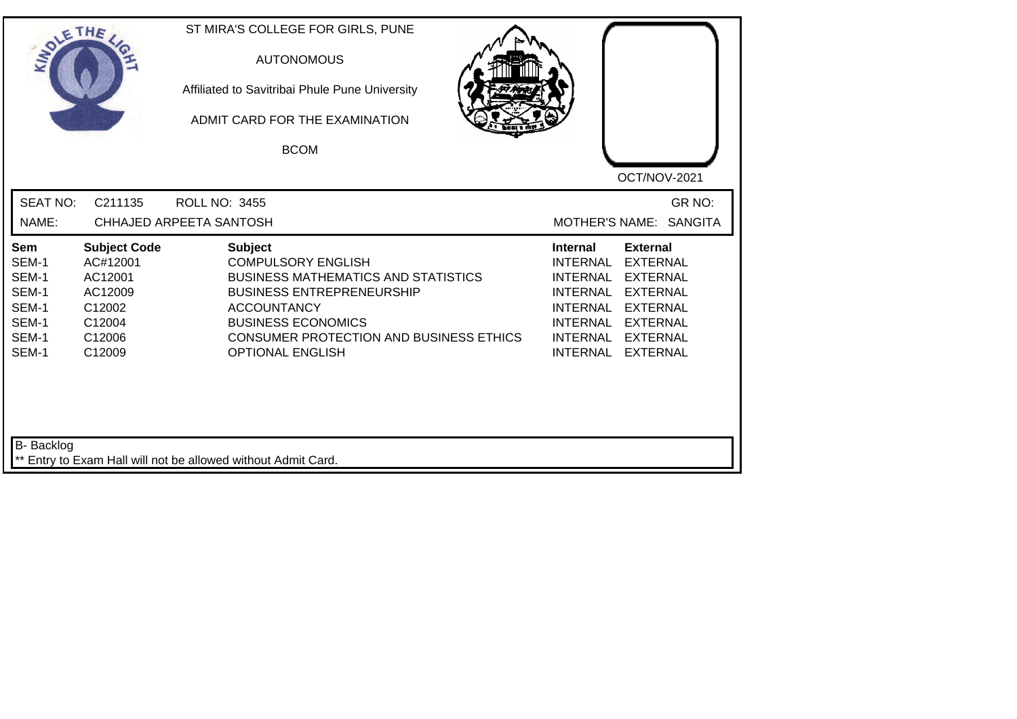| SOLETHE                                                                   |                                                                                               | ST MIRA'S COLLEGE FOR GIRLS, PUNE<br><b>AUTONOMOUS</b><br>Affiliated to Savitribai Phule Pune University<br>ADMIT CARD FOR THE EXAMINATION<br><b>BCOM</b>                                                                                                     | OCT/NOV-2021                                                                                                                                                                                                                                                                  |
|---------------------------------------------------------------------------|-----------------------------------------------------------------------------------------------|---------------------------------------------------------------------------------------------------------------------------------------------------------------------------------------------------------------------------------------------------------------|-------------------------------------------------------------------------------------------------------------------------------------------------------------------------------------------------------------------------------------------------------------------------------|
| <b>SEAT NO:</b><br>NAME:                                                  | C211135                                                                                       | <b>ROLL NO: 3455</b><br>CHHAJED ARPEETA SANTOSH                                                                                                                                                                                                               | GR NO:<br><b>MOTHER'S NAME:</b><br><b>SANGITA</b>                                                                                                                                                                                                                             |
| <b>Sem</b><br>SEM-1<br>SEM-1<br>SEM-1<br>SEM-1<br>SEM-1<br>SEM-1<br>SEM-1 | <b>Subject Code</b><br>AC#12001<br>AC12001<br>AC12009<br>C12002<br>C12004<br>C12006<br>C12009 | <b>Subject</b><br><b>COMPULSORY ENGLISH</b><br><b>BUSINESS MATHEMATICS AND STATISTICS</b><br><b>BUSINESS ENTREPRENEURSHIP</b><br><b>ACCOUNTANCY</b><br><b>BUSINESS ECONOMICS</b><br><b>CONSUMER PROTECTION AND BUSINESS ETHICS</b><br><b>OPTIONAL ENGLISH</b> | <b>Internal</b><br><b>External</b><br><b>INTERNAL</b><br><b>EXTERNAL</b><br><b>INTERNAL</b><br><b>EXTERNAL</b><br><b>INTERNAL</b><br><b>EXTERNAL</b><br><b>INTERNAL</b><br><b>EXTERNAL</b><br>INTERNAL EXTERNAL<br>INTERNAL<br><b>EXTERNAL</b><br>INTERNAL<br><b>EXTERNAL</b> |
| B- Backlog                                                                |                                                                                               | ** Entry to Exam Hall will not be allowed without Admit Card.                                                                                                                                                                                                 |                                                                                                                                                                                                                                                                               |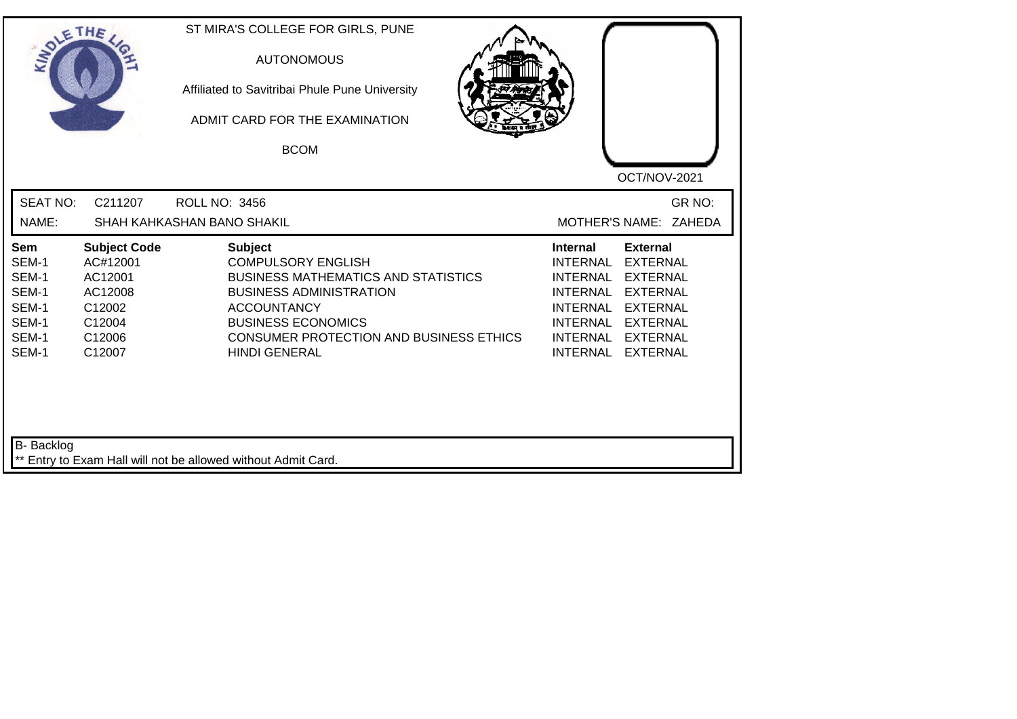| SOLETHE ,                                                                 |                                                                                               | ST MIRA'S COLLEGE FOR GIRLS, PUNE<br><b>AUTONOMOUS</b><br>Affiliated to Savitribai Phule Pune University<br>ADMIT CARD FOR THE EXAMINATION<br><b>BCOM</b>                                                                                                | OCT/NOV-2021                                                                                                                                                                                                                                                                         |
|---------------------------------------------------------------------------|-----------------------------------------------------------------------------------------------|----------------------------------------------------------------------------------------------------------------------------------------------------------------------------------------------------------------------------------------------------------|--------------------------------------------------------------------------------------------------------------------------------------------------------------------------------------------------------------------------------------------------------------------------------------|
| <b>SEAT NO:</b><br>NAME:                                                  | C211207                                                                                       | <b>ROLL NO: 3456</b><br>SHAH KAHKASHAN BANO SHAKIL                                                                                                                                                                                                       | GR NO:<br>MOTHER'S NAME: ZAHEDA                                                                                                                                                                                                                                                      |
| <b>Sem</b><br>SEM-1<br>SEM-1<br>SEM-1<br>SEM-1<br>SEM-1<br>SEM-1<br>SEM-1 | <b>Subject Code</b><br>AC#12001<br>AC12001<br>AC12008<br>C12002<br>C12004<br>C12006<br>C12007 | <b>Subject</b><br><b>COMPULSORY ENGLISH</b><br><b>BUSINESS MATHEMATICS AND STATISTICS</b><br><b>BUSINESS ADMINISTRATION</b><br><b>ACCOUNTANCY</b><br><b>BUSINESS ECONOMICS</b><br><b>CONSUMER PROTECTION AND BUSINESS ETHICS</b><br><b>HINDI GENERAL</b> | <b>External</b><br><b>Internal</b><br><b>INTERNAL</b><br><b>EXTERNAL</b><br><b>INTERNAL</b><br><b>EXTERNAL</b><br><b>EXTERNAL</b><br><b>INTERNAL</b><br>INTERNAL EXTERNAL<br><b>INTERNAL</b><br><b>EXTERNAL</b><br>INTERNAL<br><b>EXTERNAL</b><br><b>INTERNAL</b><br><b>EXTERNAL</b> |
| B- Backlog                                                                |                                                                                               | ** Entry to Exam Hall will not be allowed without Admit Card.                                                                                                                                                                                            |                                                                                                                                                                                                                                                                                      |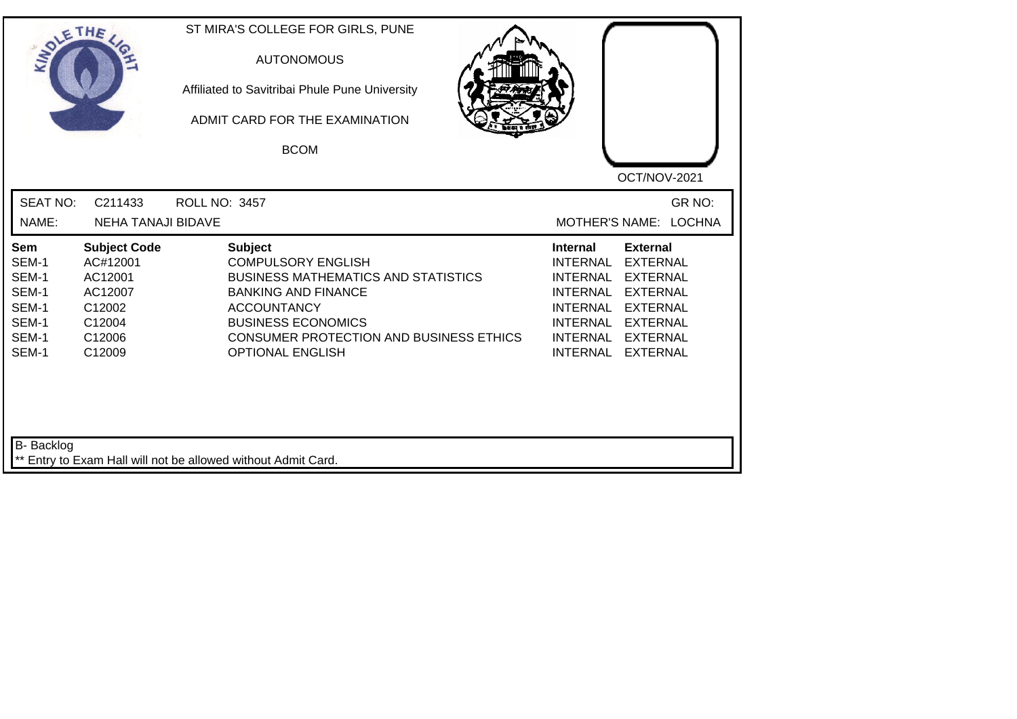| SOLE THE                                                           |                                                                                               | ST MIRA'S COLLEGE FOR GIRLS, PUNE<br><b>AUTONOMOUS</b><br>Affiliated to Savitribai Phule Pune University<br>ADMIT CARD FOR THE EXAMINATION<br><b>BCOM</b>                                                                                               | OCT/NOV-2021                                                                                                                                                                                                                                                                                                 |
|--------------------------------------------------------------------|-----------------------------------------------------------------------------------------------|---------------------------------------------------------------------------------------------------------------------------------------------------------------------------------------------------------------------------------------------------------|--------------------------------------------------------------------------------------------------------------------------------------------------------------------------------------------------------------------------------------------------------------------------------------------------------------|
| <b>SEAT NO:</b><br>NAME:                                           | C211433<br><b>NEHA TANAJI BIDAVE</b>                                                          | <b>ROLL NO: 3457</b>                                                                                                                                                                                                                                    | GR NO:<br>MOTHER'S NAME: LOCHNA                                                                                                                                                                                                                                                                              |
| Sem<br>SEM-1<br>SEM-1<br>SEM-1<br>SEM-1<br>SEM-1<br>SEM-1<br>SEM-1 | <b>Subject Code</b><br>AC#12001<br>AC12001<br>AC12007<br>C12002<br>C12004<br>C12006<br>C12009 | <b>Subject</b><br><b>COMPULSORY ENGLISH</b><br><b>BUSINESS MATHEMATICS AND STATISTICS</b><br><b>BANKING AND FINANCE</b><br><b>ACCOUNTANCY</b><br><b>BUSINESS ECONOMICS</b><br><b>CONSUMER PROTECTION AND BUSINESS ETHICS</b><br><b>OPTIONAL ENGLISH</b> | <b>External</b><br><b>Internal</b><br><b>INTERNAL</b><br><b>EXTERNAL</b><br><b>INTERNAL</b><br><b>EXTERNAL</b><br><b>EXTERNAL</b><br><b>INTERNAL</b><br><b>INTERNAL</b><br><b>EXTERNAL</b><br><b>INTERNAL</b><br><b>EXTERNAL</b><br><b>INTERNAL</b><br><b>EXTERNAL</b><br><b>INTERNAL</b><br><b>EXTERNAL</b> |
| <b>B-</b> Backlog                                                  |                                                                                               | ** Entry to Exam Hall will not be allowed without Admit Card.                                                                                                                                                                                           |                                                                                                                                                                                                                                                                                                              |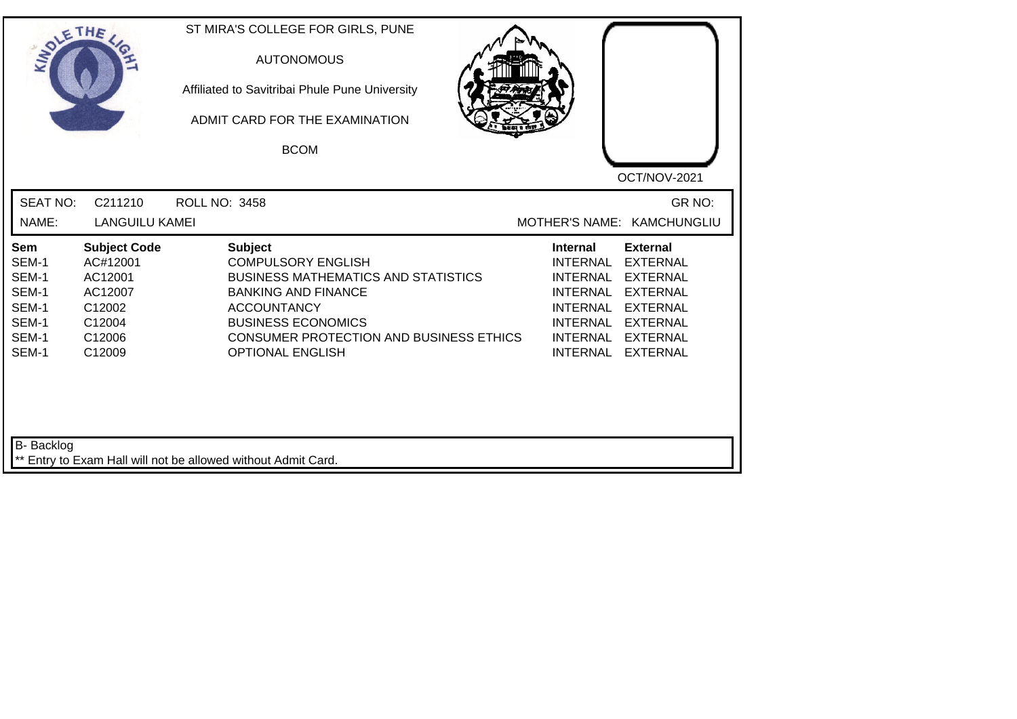| SOLETHE                                                            |                                                                                               | ST MIRA'S COLLEGE FOR GIRLS, PUNE<br><b>AUTONOMOUS</b><br>Affiliated to Savitribai Phule Pune University<br>ADMIT CARD FOR THE EXAMINATION<br><b>BCOM</b>                                                                                               |                                                                                                                                                                                                                                                                                                |
|--------------------------------------------------------------------|-----------------------------------------------------------------------------------------------|---------------------------------------------------------------------------------------------------------------------------------------------------------------------------------------------------------------------------------------------------------|------------------------------------------------------------------------------------------------------------------------------------------------------------------------------------------------------------------------------------------------------------------------------------------------|
| <b>SEAT NO:</b><br>NAME:                                           | C211210<br><b>LANGUILU KAMEI</b>                                                              | <b>ROLL NO: 3458</b>                                                                                                                                                                                                                                    | OCT/NOV-2021<br>GR NO:<br>MOTHER'S NAME: KAMCHUNGLIU                                                                                                                                                                                                                                           |
| Sem<br>SEM-1<br>SEM-1<br>SEM-1<br>SEM-1<br>SEM-1<br>SEM-1<br>SEM-1 | <b>Subject Code</b><br>AC#12001<br>AC12001<br>AC12007<br>C12002<br>C12004<br>C12006<br>C12009 | <b>Subject</b><br><b>COMPULSORY ENGLISH</b><br><b>BUSINESS MATHEMATICS AND STATISTICS</b><br><b>BANKING AND FINANCE</b><br><b>ACCOUNTANCY</b><br><b>BUSINESS ECONOMICS</b><br><b>CONSUMER PROTECTION AND BUSINESS ETHICS</b><br><b>OPTIONAL ENGLISH</b> | Internal<br><b>External</b><br><b>INTERNAL</b><br><b>EXTERNAL</b><br><b>EXTERNAL</b><br>INTERNAL<br><b>INTERNAL</b><br><b>EXTERNAL</b><br><b>INTERNAL</b><br><b>EXTERNAL</b><br><b>INTERNAL</b><br><b>EXTERNAL</b><br><b>INTERNAL</b><br><b>EXTERNAL</b><br><b>INTERNAL</b><br><b>EXTERNAL</b> |
| <b>B-</b> Backlog                                                  |                                                                                               | ** Entry to Exam Hall will not be allowed without Admit Card.                                                                                                                                                                                           |                                                                                                                                                                                                                                                                                                |

┛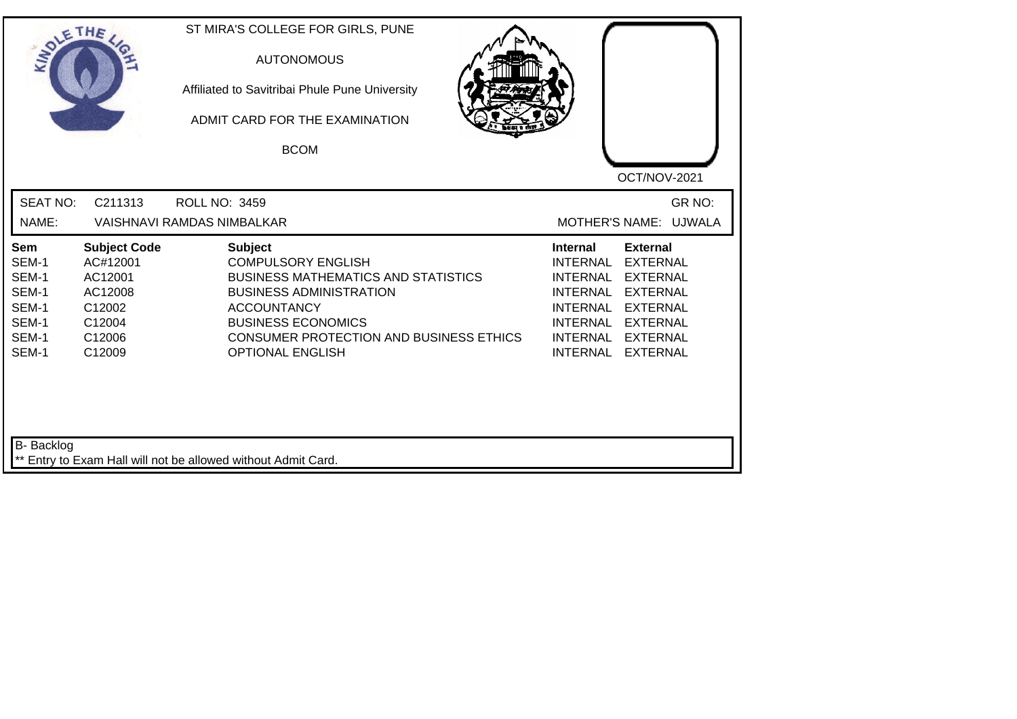| SOLETHE ,                                                          |                                                                                               | ST MIRA'S COLLEGE FOR GIRLS, PUNE<br><b>AUTONOMOUS</b><br>Affiliated to Savitribai Phule Pune University<br>ADMIT CARD FOR THE EXAMINATION<br><b>BCOM</b>                                                                                                   |                                                                                                                                                                                                                                                           |
|--------------------------------------------------------------------|-----------------------------------------------------------------------------------------------|-------------------------------------------------------------------------------------------------------------------------------------------------------------------------------------------------------------------------------------------------------------|-----------------------------------------------------------------------------------------------------------------------------------------------------------------------------------------------------------------------------------------------------------|
| <b>SEAT NO:</b><br>NAME:                                           | C211313                                                                                       | <b>ROLL NO: 3459</b><br><b>VAISHNAVI RAMDAS NIMBALKAR</b>                                                                                                                                                                                                   | OCT/NOV-2021<br>GR NO:<br>MOTHER'S NAME: UJWALA                                                                                                                                                                                                           |
| Sem<br>SEM-1<br>SEM-1<br>SEM-1<br>SEM-1<br>SEM-1<br>SEM-1<br>SEM-1 | <b>Subject Code</b><br>AC#12001<br>AC12001<br>AC12008<br>C12002<br>C12004<br>C12006<br>C12009 | <b>Subject</b><br><b>COMPULSORY ENGLISH</b><br><b>BUSINESS MATHEMATICS AND STATISTICS</b><br><b>BUSINESS ADMINISTRATION</b><br><b>ACCOUNTANCY</b><br><b>BUSINESS ECONOMICS</b><br><b>CONSUMER PROTECTION AND BUSINESS ETHICS</b><br><b>OPTIONAL ENGLISH</b> | <b>External</b><br><b>Internal</b><br><b>EXTERNAL</b><br><b>INTERNAL</b><br>INTERNAL EXTERNAL<br><b>INTERNAL</b><br><b>EXTERNAL</b><br>INTERNAL EXTERNAL<br><b>INTERNAL</b><br><b>EXTERNAL</b><br>INTERNAL EXTERNAL<br><b>INTERNAL</b><br><b>EXTERNAL</b> |
| B- Backlog                                                         |                                                                                               | ** Entry to Exam Hall will not be allowed without Admit Card.                                                                                                                                                                                               |                                                                                                                                                                                                                                                           |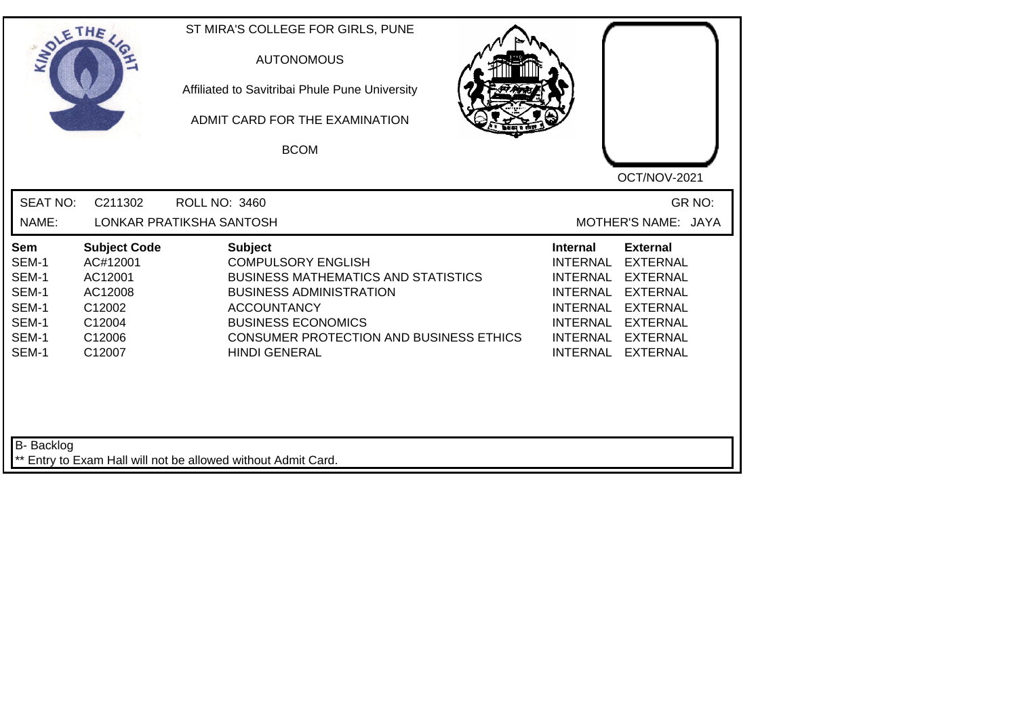|                                                                                  | ETHE                                                                                          | ST MIRA'S COLLEGE FOR GIRLS, PUNE<br><b>AUTONOMOUS</b><br>Affiliated to Savitribai Phule Pune University<br>ADMIT CARD FOR THE EXAMINATION<br><b>BCOM</b>                                                                                         | OCT/NOV-2021                                                                                                                                                                                                                                              |
|----------------------------------------------------------------------------------|-----------------------------------------------------------------------------------------------|---------------------------------------------------------------------------------------------------------------------------------------------------------------------------------------------------------------------------------------------------|-----------------------------------------------------------------------------------------------------------------------------------------------------------------------------------------------------------------------------------------------------------|
| <b>SEAT NO:</b><br>NAME:                                                         | C211302                                                                                       | <b>ROLL NO: 3460</b><br>LONKAR PRATIKSHA SANTOSH                                                                                                                                                                                                  | GR NO:<br>MOTHER'S NAME: JAYA                                                                                                                                                                                                                             |
| Sem<br>SEM-1<br>SEM-1<br>SEM-1<br>SEM-1<br>SEM-1<br>SEM-1<br>SEM-1<br>B- Backlog | <b>Subject Code</b><br>AC#12001<br>AC12001<br>AC12008<br>C12002<br>C12004<br>C12006<br>C12007 | <b>Subject</b><br><b>COMPULSORY ENGLISH</b><br><b>BUSINESS MATHEMATICS AND STATISTICS</b><br><b>BUSINESS ADMINISTRATION</b><br><b>ACCOUNTANCY</b><br><b>BUSINESS ECONOMICS</b><br>CONSUMER PROTECTION AND BUSINESS ETHICS<br><b>HINDI GENERAL</b> | <b>External</b><br><b>Internal</b><br><b>EXTERNAL</b><br><b>INTERNAL</b><br><b>INTERNAL</b><br><b>EXTERNAL</b><br>INTERNAL EXTERNAL<br>INTERNAL EXTERNAL<br><b>INTERNAL</b><br><b>EXTERNAL</b><br>INTERNAL EXTERNAL<br><b>INTERNAL</b><br><b>EXTERNAL</b> |
|                                                                                  |                                                                                               | ** Entry to Exam Hall will not be allowed without Admit Card.                                                                                                                                                                                     |                                                                                                                                                                                                                                                           |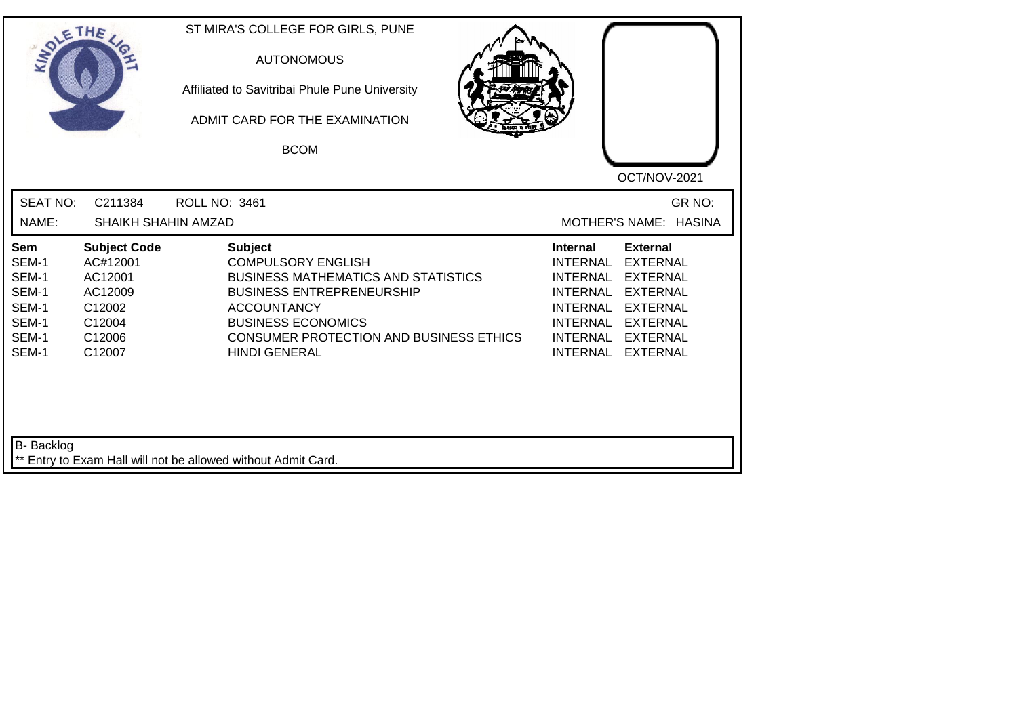| SOLE THE                                                           |                                                                                               | ST MIRA'S COLLEGE FOR GIRLS, PUNE<br><b>AUTONOMOUS</b><br>Affiliated to Savitribai Phule Pune University<br>ADMIT CARD FOR THE EXAMINATION<br><b>BCOM</b>                                                                                                  | OCT/NOV-2021                                                                                                                                                                                                                                                                                |
|--------------------------------------------------------------------|-----------------------------------------------------------------------------------------------|------------------------------------------------------------------------------------------------------------------------------------------------------------------------------------------------------------------------------------------------------------|---------------------------------------------------------------------------------------------------------------------------------------------------------------------------------------------------------------------------------------------------------------------------------------------|
| <b>SEAT NO:</b>                                                    | C211384                                                                                       | ROLL NO: 3461                                                                                                                                                                                                                                              | GR NO:                                                                                                                                                                                                                                                                                      |
| NAME:                                                              | SHAIKH SHAHIN AMZAD                                                                           |                                                                                                                                                                                                                                                            | MOTHER'S NAME: HASINA                                                                                                                                                                                                                                                                       |
| Sem<br>SEM-1<br>SEM-1<br>SEM-1<br>SEM-1<br>SEM-1<br>SEM-1<br>SEM-1 | <b>Subject Code</b><br>AC#12001<br>AC12001<br>AC12009<br>C12002<br>C12004<br>C12006<br>C12007 | <b>Subject</b><br><b>COMPULSORY ENGLISH</b><br><b>BUSINESS MATHEMATICS AND STATISTICS</b><br><b>BUSINESS ENTREPRENEURSHIP</b><br><b>ACCOUNTANCY</b><br><b>BUSINESS ECONOMICS</b><br><b>CONSUMER PROTECTION AND BUSINESS ETHICS</b><br><b>HINDI GENERAL</b> | <b>External</b><br><b>Internal</b><br><b>INTERNAL</b><br><b>EXTERNAL</b><br><b>INTERNAL</b><br><b>EXTERNAL</b><br><b>INTERNAL</b><br><b>EXTERNAL</b><br><b>INTERNAL</b><br><b>EXTERNAL</b><br>INTERNAL EXTERNAL<br><b>INTERNAL</b><br><b>EXTERNAL</b><br><b>INTERNAL</b><br><b>EXTERNAL</b> |
| <b>B-</b> Backlog                                                  |                                                                                               | ** Entry to Exam Hall will not be allowed without Admit Card.                                                                                                                                                                                              |                                                                                                                                                                                                                                                                                             |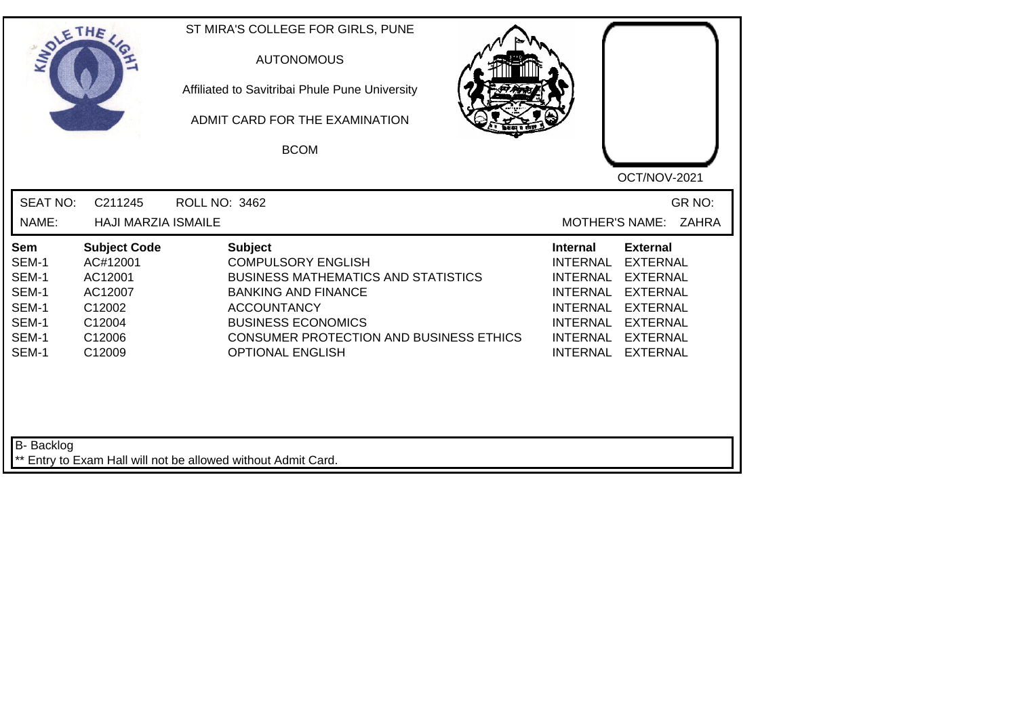| SOLETHE                                                            |                                                                                               | ST MIRA'S COLLEGE FOR GIRLS, PUNE<br><b>AUTONOMOUS</b><br>Affiliated to Savitribai Phule Pune University<br>ADMIT CARD FOR THE EXAMINATION<br><b>BCOM</b>                                                                                        | OCT/NOV-2021                                                                                                                                                                                                                                                                                          |
|--------------------------------------------------------------------|-----------------------------------------------------------------------------------------------|--------------------------------------------------------------------------------------------------------------------------------------------------------------------------------------------------------------------------------------------------|-------------------------------------------------------------------------------------------------------------------------------------------------------------------------------------------------------------------------------------------------------------------------------------------------------|
| <b>SEAT NO:</b><br>NAME:                                           | C211245<br><b>HAJI MARZIA ISMAILE</b>                                                         | ROLL NO: 3462                                                                                                                                                                                                                                    | GR NO:<br><b>MOTHER'S NAME:</b><br>ZAHRA                                                                                                                                                                                                                                                              |
| Sem<br>SEM-1<br>SEM-1<br>SEM-1<br>SEM-1<br>SEM-1<br>SEM-1<br>SEM-1 | <b>Subject Code</b><br>AC#12001<br>AC12001<br>AC12007<br>C12002<br>C12004<br>C12006<br>C12009 | <b>Subject</b><br><b>COMPULSORY ENGLISH</b><br><b>BUSINESS MATHEMATICS AND STATISTICS</b><br><b>BANKING AND FINANCE</b><br><b>ACCOUNTANCY</b><br><b>BUSINESS ECONOMICS</b><br>CONSUMER PROTECTION AND BUSINESS ETHICS<br><b>OPTIONAL ENGLISH</b> | <b>External</b><br><b>Internal</b><br><b>INTERNAL</b><br><b>EXTERNAL</b><br><b>INTERNAL</b><br><b>EXTERNAL</b><br><b>INTERNAL</b><br><b>EXTERNAL</b><br><b>INTERNAL</b><br><b>EXTERNAL</b><br><b>INTERNAL</b><br><b>EXTERNAL</b><br>INTERNAL<br><b>EXTERNAL</b><br><b>INTERNAL</b><br><b>EXTERNAL</b> |
| B- Backlog                                                         |                                                                                               | ** Entry to Exam Hall will not be allowed without Admit Card.                                                                                                                                                                                    |                                                                                                                                                                                                                                                                                                       |

┛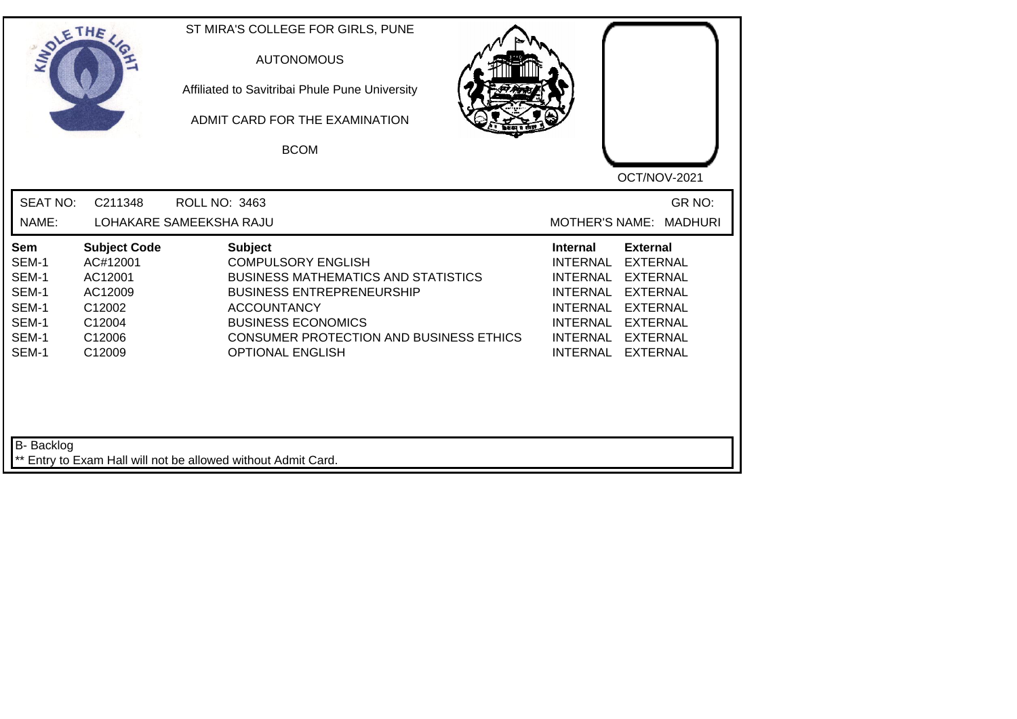| SOLE THE                                                                  |                                                                                               | ST MIRA'S COLLEGE FOR GIRLS, PUNE<br><b>AUTONOMOUS</b><br>Affiliated to Savitribai Phule Pune University<br>ADMIT CARD FOR THE EXAMINATION<br><b>BCOM</b>                                                                                                     | OCT/NOV-2021                                                                                                                                                                                                                                                                                                 |
|---------------------------------------------------------------------------|-----------------------------------------------------------------------------------------------|---------------------------------------------------------------------------------------------------------------------------------------------------------------------------------------------------------------------------------------------------------------|--------------------------------------------------------------------------------------------------------------------------------------------------------------------------------------------------------------------------------------------------------------------------------------------------------------|
| <b>SEAT NO:</b><br>NAME:                                                  | C211348                                                                                       | ROLL NO: 3463<br>LOHAKARE SAMEEKSHA RAJU                                                                                                                                                                                                                      | GR NO:<br>MOTHER'S NAME: MADHURI                                                                                                                                                                                                                                                                             |
| <b>Sem</b><br>SEM-1<br>SEM-1<br>SEM-1<br>SEM-1<br>SEM-1<br>SEM-1<br>SEM-1 | <b>Subject Code</b><br>AC#12001<br>AC12001<br>AC12009<br>C12002<br>C12004<br>C12006<br>C12009 | <b>Subject</b><br><b>COMPULSORY ENGLISH</b><br><b>BUSINESS MATHEMATICS AND STATISTICS</b><br><b>BUSINESS ENTREPRENEURSHIP</b><br><b>ACCOUNTANCY</b><br><b>BUSINESS ECONOMICS</b><br><b>CONSUMER PROTECTION AND BUSINESS ETHICS</b><br><b>OPTIONAL ENGLISH</b> | <b>Internal</b><br><b>External</b><br><b>INTERNAL</b><br><b>EXTERNAL</b><br><b>INTERNAL</b><br><b>EXTERNAL</b><br><b>INTERNAL</b><br><b>EXTERNAL</b><br><b>INTERNAL</b><br><b>EXTERNAL</b><br><b>INTERNAL</b><br><b>EXTERNAL</b><br><b>INTERNAL</b><br><b>EXTERNAL</b><br><b>INTERNAL</b><br><b>EXTERNAL</b> |
| B- Backlog                                                                |                                                                                               | ** Entry to Exam Hall will not be allowed without Admit Card.                                                                                                                                                                                                 |                                                                                                                                                                                                                                                                                                              |

┙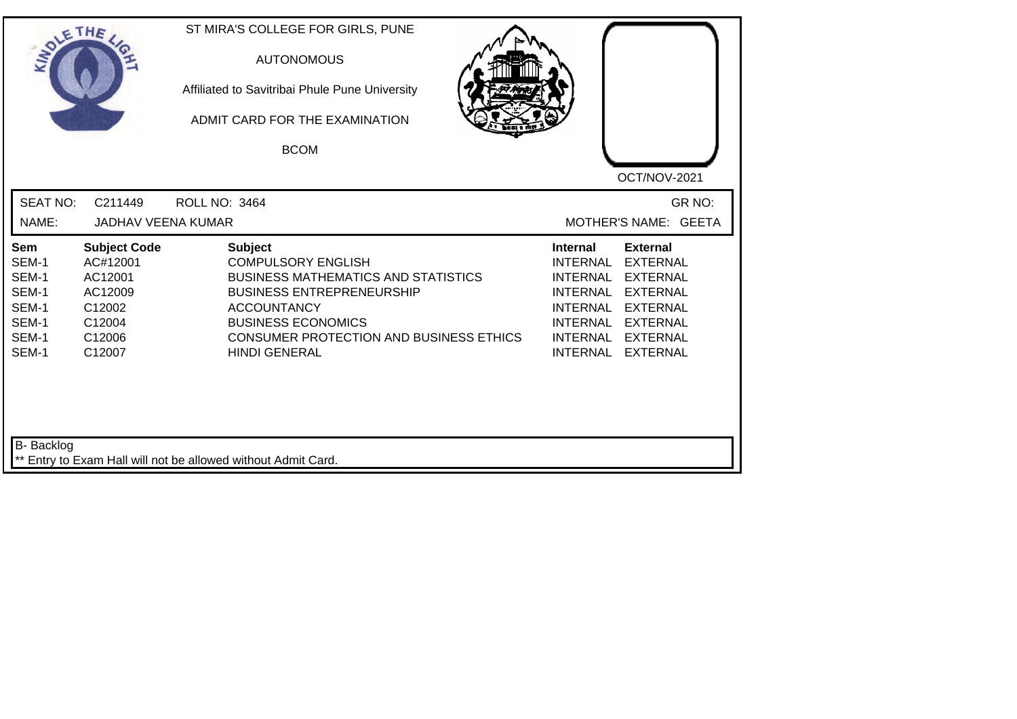| SOLETHE                                                                   |                                                                                               | ST MIRA'S COLLEGE FOR GIRLS, PUNE<br><b>AUTONOMOUS</b><br>Affiliated to Savitribai Phule Pune University<br>ADMIT CARD FOR THE EXAMINATION<br><b>BCOM</b>                                                                                                  | OCT/NOV-2021                                                                                                                                                                                                                                                                                          |
|---------------------------------------------------------------------------|-----------------------------------------------------------------------------------------------|------------------------------------------------------------------------------------------------------------------------------------------------------------------------------------------------------------------------------------------------------------|-------------------------------------------------------------------------------------------------------------------------------------------------------------------------------------------------------------------------------------------------------------------------------------------------------|
| <b>SEAT NO:</b><br>NAME:                                                  | C211449<br><b>JADHAV VEENA KUMAR</b>                                                          | <b>ROLL NO: 3464</b>                                                                                                                                                                                                                                       | GR NO:<br>MOTHER'S NAME: GEETA                                                                                                                                                                                                                                                                        |
| <b>Sem</b><br>SEM-1<br>SEM-1<br>SEM-1<br>SEM-1<br>SEM-1<br>SEM-1<br>SEM-1 | <b>Subject Code</b><br>AC#12001<br>AC12001<br>AC12009<br>C12002<br>C12004<br>C12006<br>C12007 | <b>Subject</b><br><b>COMPULSORY ENGLISH</b><br><b>BUSINESS MATHEMATICS AND STATISTICS</b><br><b>BUSINESS ENTREPRENEURSHIP</b><br><b>ACCOUNTANCY</b><br><b>BUSINESS ECONOMICS</b><br><b>CONSUMER PROTECTION AND BUSINESS ETHICS</b><br><b>HINDI GENERAL</b> | <b>External</b><br>Internal<br><b>INTERNAL</b><br><b>EXTERNAL</b><br><b>EXTERNAL</b><br><b>INTERNAL</b><br><b>EXTERNAL</b><br><b>INTERNAL</b><br><b>INTERNAL</b><br><b>EXTERNAL</b><br><b>INTERNAL</b><br><b>EXTERNAL</b><br><b>INTERNAL</b><br><b>EXTERNAL</b><br><b>INTERNAL</b><br><b>EXTERNAL</b> |
| <b>B-</b> Backlog                                                         |                                                                                               | ** Entry to Exam Hall will not be allowed without Admit Card.                                                                                                                                                                                              |                                                                                                                                                                                                                                                                                                       |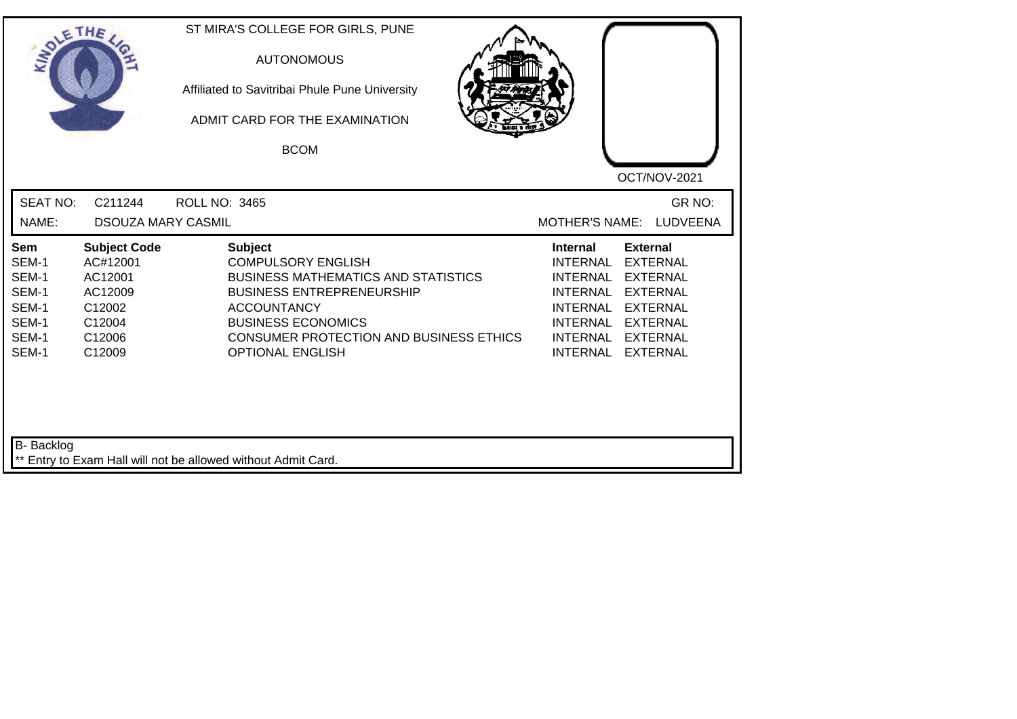| INO'                                                               | ETHE                                                                                          | ST MIRA'S COLLEGE FOR GIRLS, PUNE<br><b>AUTONOMOUS</b><br>Affiliated to Savitribai Phule Pune University<br>ADMIT CARD FOR THE EXAMINATION<br><b>BCOM</b>                                                                                              | OCT/NOV-2021                                                                                                                                                                                                            |
|--------------------------------------------------------------------|-----------------------------------------------------------------------------------------------|--------------------------------------------------------------------------------------------------------------------------------------------------------------------------------------------------------------------------------------------------------|-------------------------------------------------------------------------------------------------------------------------------------------------------------------------------------------------------------------------|
| <b>SEAT NO:</b>                                                    | C211244                                                                                       | <b>ROLL NO: 3465</b>                                                                                                                                                                                                                                   | GR NO:                                                                                                                                                                                                                  |
| NAME:                                                              | <b>DSOUZA MARY CASMIL</b>                                                                     |                                                                                                                                                                                                                                                        | LUDVEENA<br><b>MOTHER'S NAME:</b>                                                                                                                                                                                       |
| Sem<br>SEM-1<br>SEM-1<br>SEM-1<br>SEM-1<br>SEM-1<br>SEM-1<br>SEM-1 | <b>Subject Code</b><br>AC#12001<br>AC12001<br>AC12009<br>C12002<br>C12004<br>C12006<br>C12009 | <b>Subject</b><br><b>COMPULSORY ENGLISH</b><br><b>BUSINESS MATHEMATICS AND STATISTICS</b><br><b>BUSINESS ENTREPRENEURSHIP</b><br><b>ACCOUNTANCY</b><br><b>BUSINESS ECONOMICS</b><br>CONSUMER PROTECTION AND BUSINESS ETHICS<br><b>OPTIONAL ENGLISH</b> | <b>External</b><br><b>Internal</b><br><b>EXTERNAL</b><br><b>INTERNAL</b><br>INTERNAL EXTERNAL<br>INTERNAL EXTERNAL<br>INTERNAL EXTERNAL<br><b>INTERNAL</b><br><b>EXTERNAL</b><br>INTERNAL EXTERNAL<br>INTERNAL EXTERNAL |
| B- Backlog                                                         |                                                                                               | ** Entry to Exam Hall will not be allowed without Admit Card.                                                                                                                                                                                          |                                                                                                                                                                                                                         |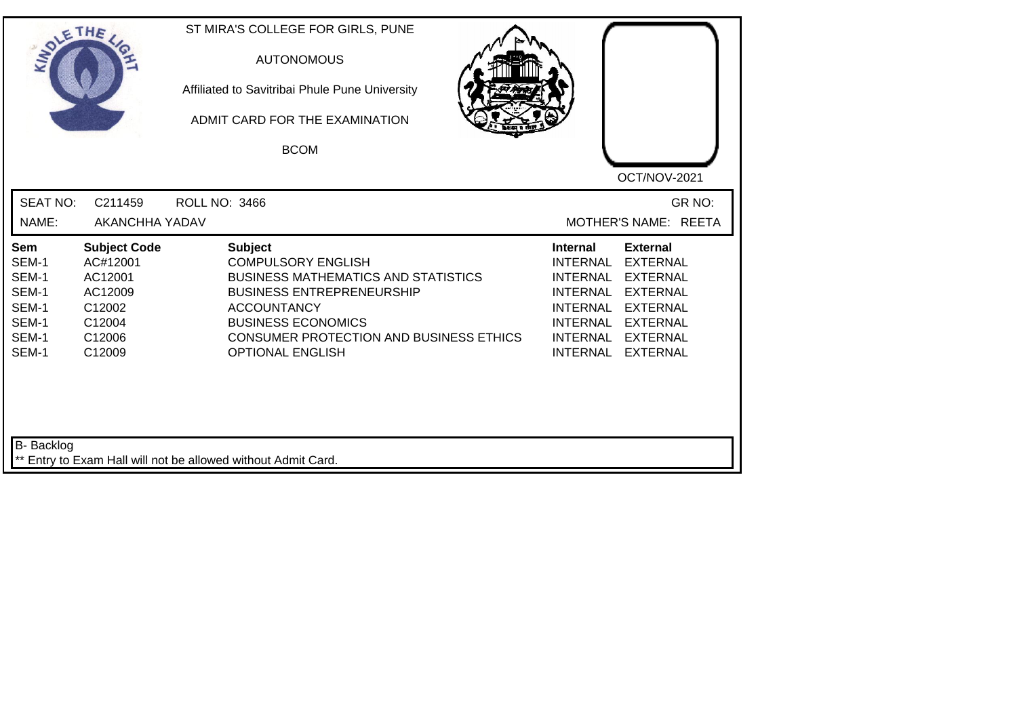| SOLE THE                                                           |                                                                                               | ST MIRA'S COLLEGE FOR GIRLS, PUNE<br><b>AUTONOMOUS</b><br>Affiliated to Savitribai Phule Pune University<br>ADMIT CARD FOR THE EXAMINATION<br><b>BCOM</b>                                                                                                     | OCT/NOV-2021                                                                                                                                                                                                                                                                                |
|--------------------------------------------------------------------|-----------------------------------------------------------------------------------------------|---------------------------------------------------------------------------------------------------------------------------------------------------------------------------------------------------------------------------------------------------------------|---------------------------------------------------------------------------------------------------------------------------------------------------------------------------------------------------------------------------------------------------------------------------------------------|
| <b>SEAT NO:</b><br>NAME:                                           | C211459<br>AKANCHHA YADAV                                                                     | <b>ROLL NO: 3466</b>                                                                                                                                                                                                                                          | GR NO:<br>MOTHER'S NAME: REETA                                                                                                                                                                                                                                                              |
| Sem<br>SEM-1<br>SEM-1<br>SEM-1<br>SEM-1<br>SEM-1<br>SEM-1<br>SEM-1 | <b>Subject Code</b><br>AC#12001<br>AC12001<br>AC12009<br>C12002<br>C12004<br>C12006<br>C12009 | <b>Subject</b><br><b>COMPULSORY ENGLISH</b><br><b>BUSINESS MATHEMATICS AND STATISTICS</b><br><b>BUSINESS ENTREPRENEURSHIP</b><br><b>ACCOUNTANCY</b><br><b>BUSINESS ECONOMICS</b><br><b>CONSUMER PROTECTION AND BUSINESS ETHICS</b><br><b>OPTIONAL ENGLISH</b> | <b>External</b><br><b>Internal</b><br><b>INTERNAL</b><br><b>EXTERNAL</b><br><b>EXTERNAL</b><br><b>INTERNAL</b><br><b>EXTERNAL</b><br><b>INTERNAL</b><br><b>INTERNAL</b><br><b>EXTERNAL</b><br>INTERNAL EXTERNAL<br><b>INTERNAL</b><br><b>EXTERNAL</b><br><b>INTERNAL</b><br><b>EXTERNAL</b> |
| <b>B-</b> Backlog                                                  |                                                                                               | ** Entry to Exam Hall will not be allowed without Admit Card.                                                                                                                                                                                                 |                                                                                                                                                                                                                                                                                             |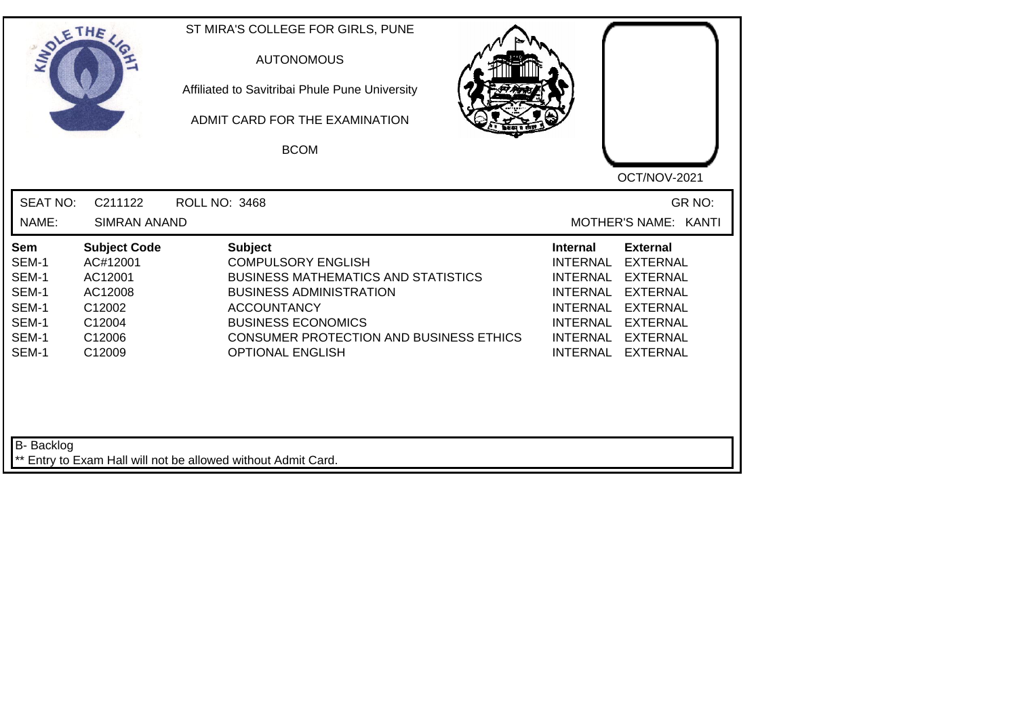| SOLE THE                                                           |                                                                                               | ST MIRA'S COLLEGE FOR GIRLS, PUNE<br><b>AUTONOMOUS</b><br>Affiliated to Savitribai Phule Pune University<br>ADMIT CARD FOR THE EXAMINATION<br><b>BCOM</b>                                                                                                   | OCT/NOV-2021                                                                                                                                                                                                                                                                                                 |
|--------------------------------------------------------------------|-----------------------------------------------------------------------------------------------|-------------------------------------------------------------------------------------------------------------------------------------------------------------------------------------------------------------------------------------------------------------|--------------------------------------------------------------------------------------------------------------------------------------------------------------------------------------------------------------------------------------------------------------------------------------------------------------|
| <b>SEAT NO:</b><br>NAME:                                           | C211122<br><b>SIMRAN ANAND</b>                                                                | <b>ROLL NO: 3468</b>                                                                                                                                                                                                                                        | GR NO:<br>MOTHER'S NAME: KANTI                                                                                                                                                                                                                                                                               |
| Sem<br>SEM-1<br>SEM-1<br>SEM-1<br>SEM-1<br>SEM-1<br>SEM-1<br>SEM-1 | <b>Subject Code</b><br>AC#12001<br>AC12001<br>AC12008<br>C12002<br>C12004<br>C12006<br>C12009 | <b>Subject</b><br><b>COMPULSORY ENGLISH</b><br><b>BUSINESS MATHEMATICS AND STATISTICS</b><br><b>BUSINESS ADMINISTRATION</b><br><b>ACCOUNTANCY</b><br><b>BUSINESS ECONOMICS</b><br><b>CONSUMER PROTECTION AND BUSINESS ETHICS</b><br><b>OPTIONAL ENGLISH</b> | <b>External</b><br><b>Internal</b><br><b>INTERNAL</b><br><b>EXTERNAL</b><br><b>INTERNAL</b><br><b>EXTERNAL</b><br><b>EXTERNAL</b><br><b>INTERNAL</b><br><b>INTERNAL</b><br><b>EXTERNAL</b><br><b>INTERNAL</b><br><b>EXTERNAL</b><br><b>INTERNAL</b><br><b>EXTERNAL</b><br><b>INTERNAL</b><br><b>EXTERNAL</b> |
| <b>B-</b> Backlog                                                  |                                                                                               | ** Entry to Exam Hall will not be allowed without Admit Card.                                                                                                                                                                                               |                                                                                                                                                                                                                                                                                                              |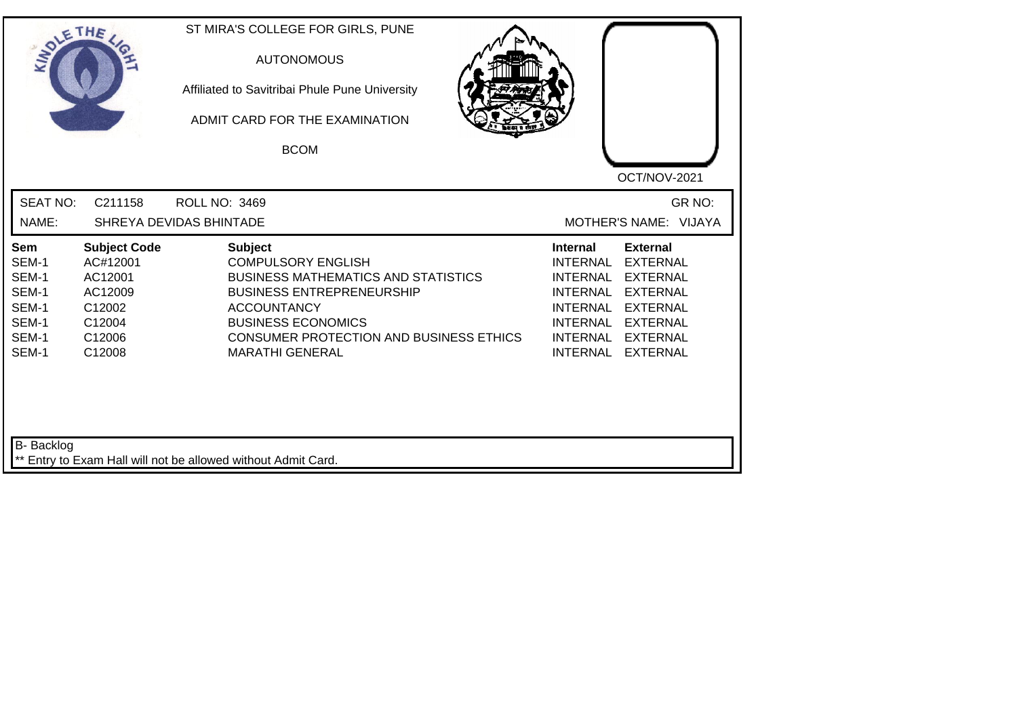| SOLE THE                                                                  |                                                                                               | ST MIRA'S COLLEGE FOR GIRLS, PUNE<br><b>AUTONOMOUS</b><br>Affiliated to Savitribai Phule Pune University<br>ADMIT CARD FOR THE EXAMINATION<br><b>BCOM</b>                                                                                                    | OCT/NOV-2021                                                                                                                                                                                                                                                                                          |
|---------------------------------------------------------------------------|-----------------------------------------------------------------------------------------------|--------------------------------------------------------------------------------------------------------------------------------------------------------------------------------------------------------------------------------------------------------------|-------------------------------------------------------------------------------------------------------------------------------------------------------------------------------------------------------------------------------------------------------------------------------------------------------|
| <b>SEAT NO:</b><br>NAME:                                                  | C211158                                                                                       | ROLL NO: 3469<br>SHREYA DEVIDAS BHINTADE                                                                                                                                                                                                                     | GR NO:<br>MOTHER'S NAME: VIJAYA                                                                                                                                                                                                                                                                       |
| <b>Sem</b><br>SEM-1<br>SEM-1<br>SEM-1<br>SEM-1<br>SEM-1<br>SEM-1<br>SEM-1 | <b>Subject Code</b><br>AC#12001<br>AC12001<br>AC12009<br>C12002<br>C12004<br>C12006<br>C12008 | <b>Subject</b><br><b>COMPULSORY ENGLISH</b><br><b>BUSINESS MATHEMATICS AND STATISTICS</b><br><b>BUSINESS ENTREPRENEURSHIP</b><br><b>ACCOUNTANCY</b><br><b>BUSINESS ECONOMICS</b><br><b>CONSUMER PROTECTION AND BUSINESS ETHICS</b><br><b>MARATHI GENERAL</b> | <b>External</b><br>Internal<br><b>INTERNAL</b><br><b>EXTERNAL</b><br><b>EXTERNAL</b><br><b>INTERNAL</b><br><b>INTERNAL</b><br><b>EXTERNAL</b><br><b>INTERNAL</b><br><b>EXTERNAL</b><br><b>INTERNAL</b><br><b>EXTERNAL</b><br><b>INTERNAL</b><br><b>EXTERNAL</b><br><b>INTERNAL</b><br><b>EXTERNAL</b> |
| B- Backlog                                                                |                                                                                               | ** Entry to Exam Hall will not be allowed without Admit Card.                                                                                                                                                                                                |                                                                                                                                                                                                                                                                                                       |

┙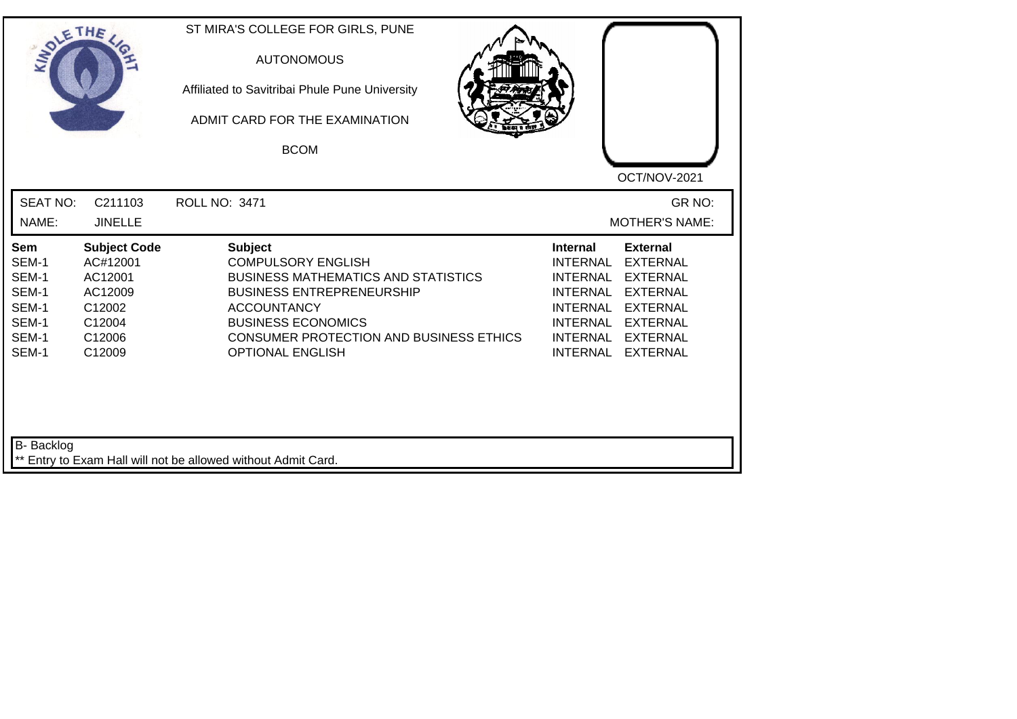| SOLE THE                                                                  |                                                                                               | ST MIRA'S COLLEGE FOR GIRLS, PUNE<br><b>AUTONOMOUS</b><br>Affiliated to Savitribai Phule Pune University<br>ADMIT CARD FOR THE EXAMINATION<br><b>BCOM</b>                                                                                                     | OCT/NOV-2021                                                                                                                                                                                                                                                                                                 |
|---------------------------------------------------------------------------|-----------------------------------------------------------------------------------------------|---------------------------------------------------------------------------------------------------------------------------------------------------------------------------------------------------------------------------------------------------------------|--------------------------------------------------------------------------------------------------------------------------------------------------------------------------------------------------------------------------------------------------------------------------------------------------------------|
| <b>SEAT NO:</b><br>NAME:                                                  | C211103<br><b>JINELLE</b>                                                                     | ROLL NO: 3471                                                                                                                                                                                                                                                 | GR NO:<br><b>MOTHER'S NAME:</b>                                                                                                                                                                                                                                                                              |
| <b>Sem</b><br>SEM-1<br>SEM-1<br>SEM-1<br>SEM-1<br>SEM-1<br>SEM-1<br>SEM-1 | <b>Subject Code</b><br>AC#12001<br>AC12001<br>AC12009<br>C12002<br>C12004<br>C12006<br>C12009 | <b>Subject</b><br><b>COMPULSORY ENGLISH</b><br><b>BUSINESS MATHEMATICS AND STATISTICS</b><br><b>BUSINESS ENTREPRENEURSHIP</b><br><b>ACCOUNTANCY</b><br><b>BUSINESS ECONOMICS</b><br><b>CONSUMER PROTECTION AND BUSINESS ETHICS</b><br><b>OPTIONAL ENGLISH</b> | <b>Internal</b><br><b>External</b><br><b>INTERNAL</b><br><b>EXTERNAL</b><br><b>EXTERNAL</b><br><b>INTERNAL</b><br><b>INTERNAL</b><br><b>EXTERNAL</b><br><b>INTERNAL</b><br><b>EXTERNAL</b><br><b>INTERNAL</b><br><b>EXTERNAL</b><br><b>INTERNAL</b><br><b>EXTERNAL</b><br><b>INTERNAL</b><br><b>EXTERNAL</b> |
| B- Backlog                                                                |                                                                                               | ** Entry to Exam Hall will not be allowed without Admit Card.                                                                                                                                                                                                 |                                                                                                                                                                                                                                                                                                              |

┛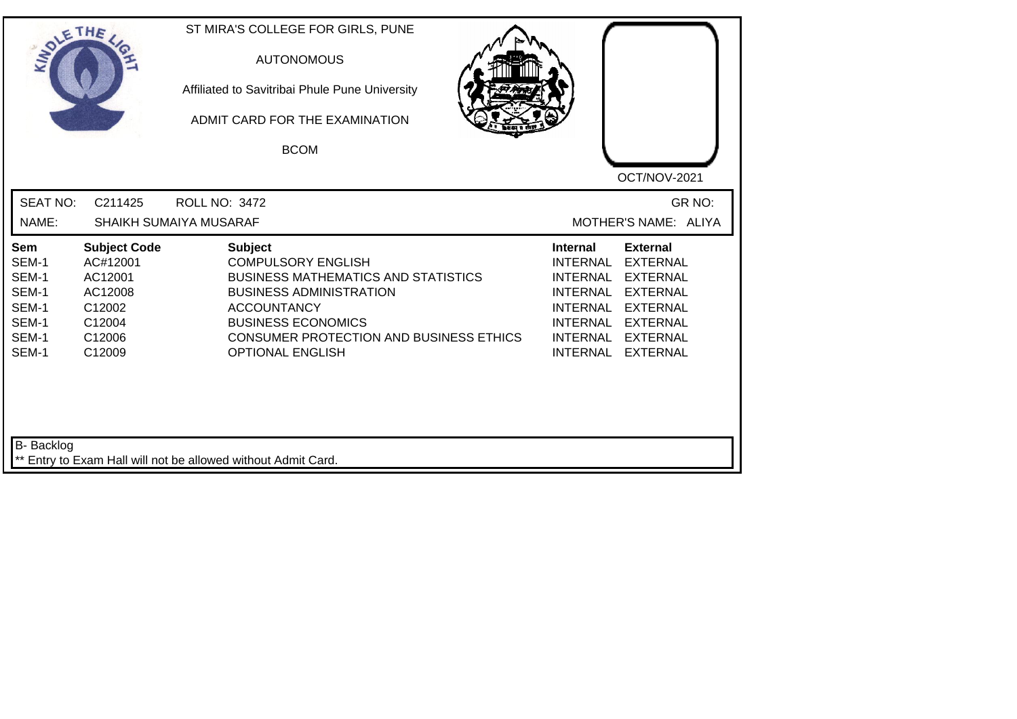| SOLETHE,                                                           |                                                                                               | ST MIRA'S COLLEGE FOR GIRLS, PUNE<br><b>AUTONOMOUS</b><br>Affiliated to Savitribai Phule Pune University<br>ADMIT CARD FOR THE EXAMINATION<br><b>BCOM</b>                                                                                                   |                                                                                                                                                                                                                                                    |
|--------------------------------------------------------------------|-----------------------------------------------------------------------------------------------|-------------------------------------------------------------------------------------------------------------------------------------------------------------------------------------------------------------------------------------------------------------|----------------------------------------------------------------------------------------------------------------------------------------------------------------------------------------------------------------------------------------------------|
| <b>SEAT NO:</b><br>NAME:                                           | C211425                                                                                       | <b>ROLL NO: 3472</b><br>SHAIKH SUMAIYA MUSARAF                                                                                                                                                                                                              | OCT/NOV-2021<br>GR NO:<br>MOTHER'S NAME: ALIYA                                                                                                                                                                                                     |
| Sem<br>SEM-1<br>SEM-1<br>SEM-1<br>SEM-1<br>SEM-1<br>SEM-1<br>SEM-1 | <b>Subject Code</b><br>AC#12001<br>AC12001<br>AC12008<br>C12002<br>C12004<br>C12006<br>C12009 | <b>Subject</b><br><b>COMPULSORY ENGLISH</b><br><b>BUSINESS MATHEMATICS AND STATISTICS</b><br><b>BUSINESS ADMINISTRATION</b><br><b>ACCOUNTANCY</b><br><b>BUSINESS ECONOMICS</b><br><b>CONSUMER PROTECTION AND BUSINESS ETHICS</b><br><b>OPTIONAL ENGLISH</b> | <b>External</b><br><b>Internal</b><br><b>INTERNAL</b><br><b>EXTERNAL</b><br>INTERNAL EXTERNAL<br>INTERNAL EXTERNAL<br>INTERNAL EXTERNAL<br><b>INTERNAL</b><br><b>EXTERNAL</b><br>INTERNAL<br><b>EXTERNAL</b><br><b>INTERNAL</b><br><b>EXTERNAL</b> |
| B- Backlog                                                         |                                                                                               | ** Entry to Exam Hall will not be allowed without Admit Card.                                                                                                                                                                                               |                                                                                                                                                                                                                                                    |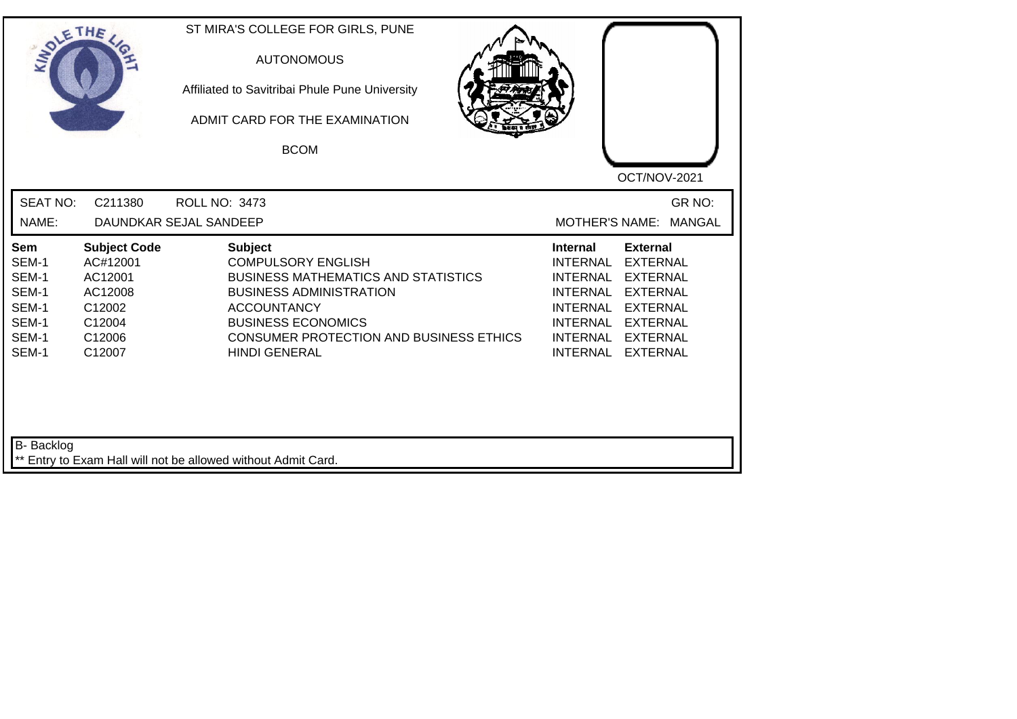| SOLETHE                                                            |                                                                                               | ST MIRA'S COLLEGE FOR GIRLS, PUNE<br><b>AUTONOMOUS</b><br>Affiliated to Savitribai Phule Pune University<br>ADMIT CARD FOR THE EXAMINATION<br><b>BCOM</b>                                                                                                | OCT/NOV-2021                                                                                                                                                                                                                                                                                                 |
|--------------------------------------------------------------------|-----------------------------------------------------------------------------------------------|----------------------------------------------------------------------------------------------------------------------------------------------------------------------------------------------------------------------------------------------------------|--------------------------------------------------------------------------------------------------------------------------------------------------------------------------------------------------------------------------------------------------------------------------------------------------------------|
| <b>SEAT NO:</b><br>NAME:                                           | C211380                                                                                       | <b>ROLL NO: 3473</b><br>DAUNDKAR SEJAL SANDEEP                                                                                                                                                                                                           | GR NO:<br><b>MOTHER'S NAME:</b><br><b>MANGAL</b>                                                                                                                                                                                                                                                             |
| Sem<br>SEM-1<br>SEM-1<br>SEM-1<br>SEM-1<br>SEM-1<br>SEM-1<br>SEM-1 | <b>Subject Code</b><br>AC#12001<br>AC12001<br>AC12008<br>C12002<br>C12004<br>C12006<br>C12007 | <b>Subject</b><br><b>COMPULSORY ENGLISH</b><br><b>BUSINESS MATHEMATICS AND STATISTICS</b><br><b>BUSINESS ADMINISTRATION</b><br><b>ACCOUNTANCY</b><br><b>BUSINESS ECONOMICS</b><br><b>CONSUMER PROTECTION AND BUSINESS ETHICS</b><br><b>HINDI GENERAL</b> | <b>External</b><br><b>Internal</b><br><b>EXTERNAL</b><br><b>INTERNAL</b><br><b>INTERNAL</b><br><b>EXTERNAL</b><br><b>INTERNAL</b><br><b>EXTERNAL</b><br><b>INTERNAL</b><br><b>EXTERNAL</b><br><b>INTERNAL</b><br><b>EXTERNAL</b><br><b>INTERNAL</b><br><b>EXTERNAL</b><br><b>INTERNAL</b><br><b>EXTERNAL</b> |
| B- Backlog                                                         |                                                                                               | ** Entry to Exam Hall will not be allowed without Admit Card.                                                                                                                                                                                            |                                                                                                                                                                                                                                                                                                              |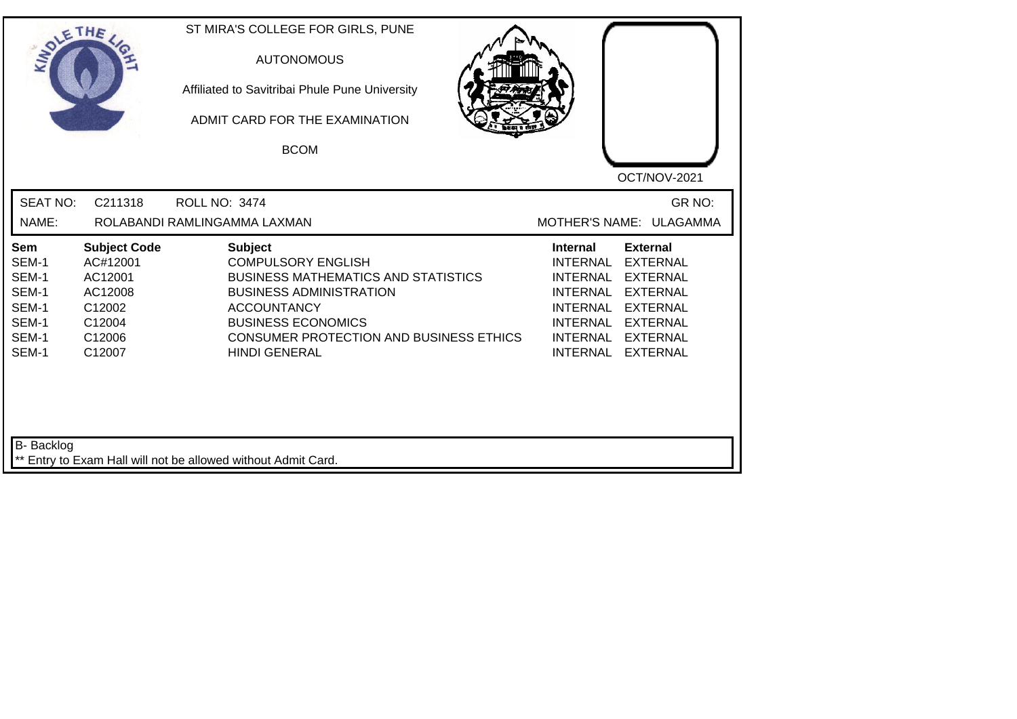| SOLETHE .                                                          |                                                                                               | ST MIRA'S COLLEGE FOR GIRLS, PUNE<br><b>AUTONOMOUS</b><br>Affiliated to Savitribai Phule Pune University<br>ADMIT CARD FOR THE EXAMINATION<br><b>BCOM</b>                                                                                                | OCT/NOV-2021                                                                                                                                                                                                                                                                                                 |
|--------------------------------------------------------------------|-----------------------------------------------------------------------------------------------|----------------------------------------------------------------------------------------------------------------------------------------------------------------------------------------------------------------------------------------------------------|--------------------------------------------------------------------------------------------------------------------------------------------------------------------------------------------------------------------------------------------------------------------------------------------------------------|
| <b>SEAT NO:</b><br>NAME:                                           | C211318                                                                                       | <b>ROLL NO: 3474</b><br>ROLABANDI RAMLINGAMMA LAXMAN                                                                                                                                                                                                     | GR NO:<br>MOTHER'S NAME: ULAGAMMA                                                                                                                                                                                                                                                                            |
| Sem<br>SEM-1<br>SEM-1<br>SEM-1<br>SEM-1<br>SEM-1<br>SEM-1<br>SEM-1 | <b>Subject Code</b><br>AC#12001<br>AC12001<br>AC12008<br>C12002<br>C12004<br>C12006<br>C12007 | <b>Subject</b><br><b>COMPULSORY ENGLISH</b><br><b>BUSINESS MATHEMATICS AND STATISTICS</b><br><b>BUSINESS ADMINISTRATION</b><br><b>ACCOUNTANCY</b><br><b>BUSINESS ECONOMICS</b><br><b>CONSUMER PROTECTION AND BUSINESS ETHICS</b><br><b>HINDI GENERAL</b> | <b>External</b><br><b>Internal</b><br><b>INTERNAL</b><br><b>EXTERNAL</b><br><b>INTERNAL</b><br><b>EXTERNAL</b><br><b>INTERNAL</b><br><b>EXTERNAL</b><br><b>INTERNAL</b><br><b>EXTERNAL</b><br><b>INTERNAL</b><br><b>EXTERNAL</b><br><b>INTERNAL</b><br><b>EXTERNAL</b><br><b>INTERNAL</b><br><b>EXTERNAL</b> |
| <b>B-</b> Backlog                                                  |                                                                                               | Entry to Exam Hall will not be allowed without Admit Card.                                                                                                                                                                                               |                                                                                                                                                                                                                                                                                                              |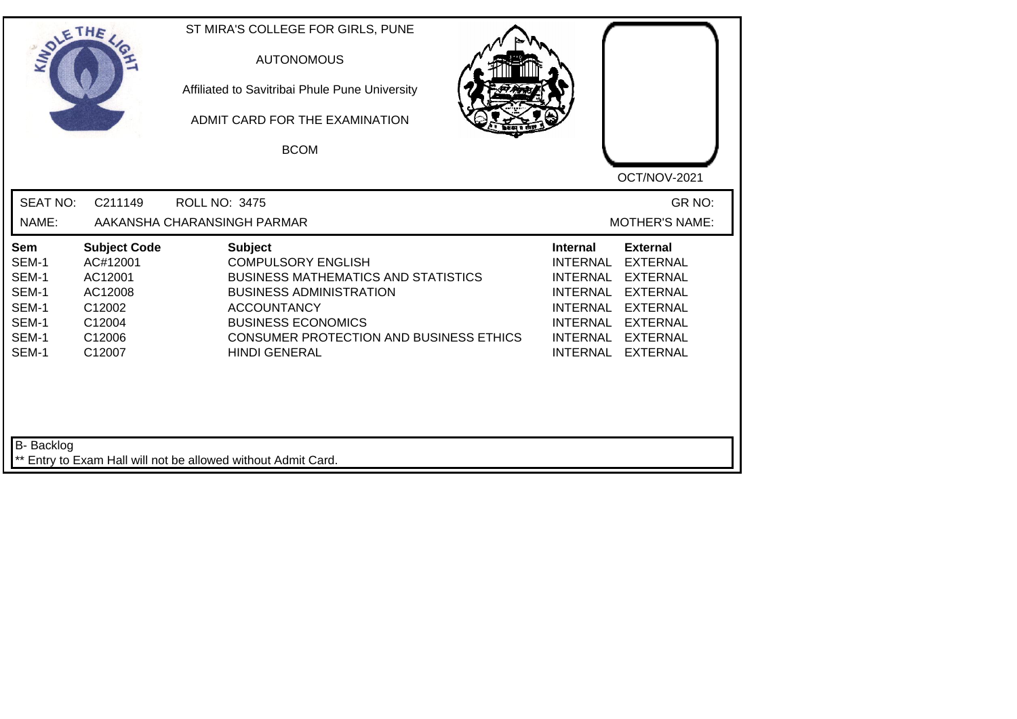| SOLETHE ,                                                          |                                                                                               | ST MIRA'S COLLEGE FOR GIRLS, PUNE<br><b>AUTONOMOUS</b><br>Affiliated to Savitribai Phule Pune University<br>ADMIT CARD FOR THE EXAMINATION<br><b>BCOM</b>                                                                                                | OCT/NOV-2021                                                                                                                                                                                                                                                                                          |
|--------------------------------------------------------------------|-----------------------------------------------------------------------------------------------|----------------------------------------------------------------------------------------------------------------------------------------------------------------------------------------------------------------------------------------------------------|-------------------------------------------------------------------------------------------------------------------------------------------------------------------------------------------------------------------------------------------------------------------------------------------------------|
| <b>SEAT NO:</b><br>NAME:                                           | C211149                                                                                       | <b>ROLL NO: 3475</b><br>AAKANSHA CHARANSINGH PARMAR                                                                                                                                                                                                      | GR NO:<br><b>MOTHER'S NAME:</b>                                                                                                                                                                                                                                                                       |
| Sem<br>SEM-1<br>SEM-1<br>SEM-1<br>SEM-1<br>SEM-1<br>SEM-1<br>SEM-1 | <b>Subject Code</b><br>AC#12001<br>AC12001<br>AC12008<br>C12002<br>C12004<br>C12006<br>C12007 | <b>Subject</b><br><b>COMPULSORY ENGLISH</b><br><b>BUSINESS MATHEMATICS AND STATISTICS</b><br><b>BUSINESS ADMINISTRATION</b><br><b>ACCOUNTANCY</b><br><b>BUSINESS ECONOMICS</b><br><b>CONSUMER PROTECTION AND BUSINESS ETHICS</b><br><b>HINDI GENERAL</b> | <b>Internal</b><br><b>External</b><br><b>INTERNAL</b><br><b>EXTERNAL</b><br><b>INTERNAL</b><br><b>EXTERNAL</b><br><b>EXTERNAL</b><br><b>INTERNAL</b><br><b>INTERNAL</b><br><b>EXTERNAL</b><br><b>INTERNAL</b><br><b>EXTERNAL</b><br>INTERNAL<br><b>EXTERNAL</b><br><b>INTERNAL</b><br><b>EXTERNAL</b> |
| B- Backlog                                                         |                                                                                               | ** Entry to Exam Hall will not be allowed without Admit Card.                                                                                                                                                                                            |                                                                                                                                                                                                                                                                                                       |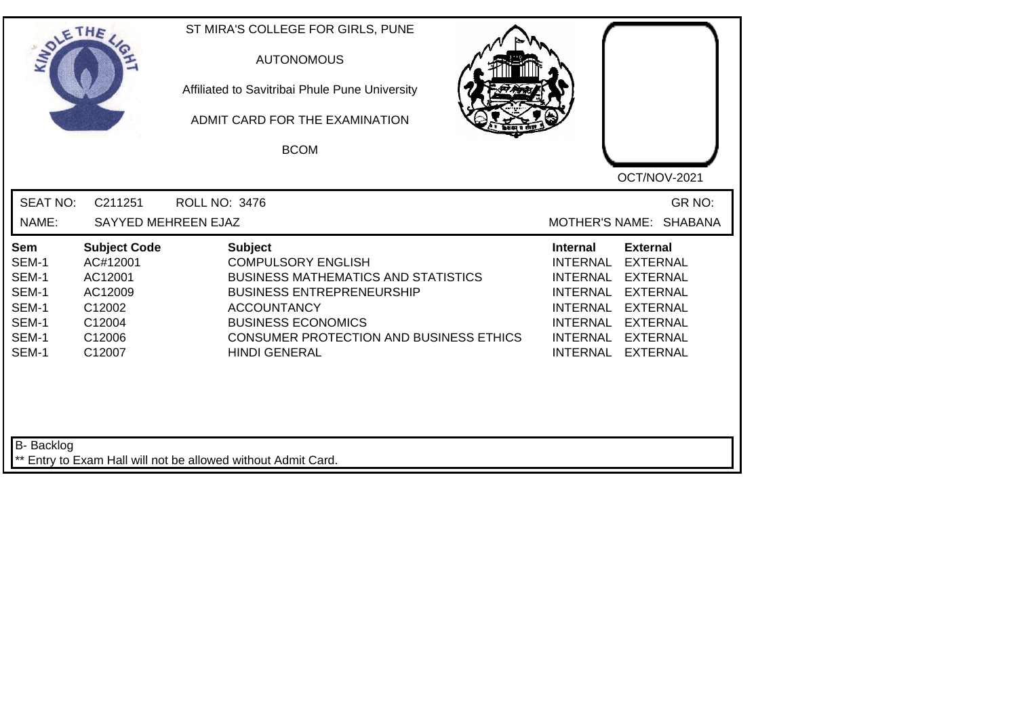| SOLETHE                                                            |                                                                                               | ST MIRA'S COLLEGE FOR GIRLS, PUNE<br><b>AUTONOMOUS</b><br>Affiliated to Savitribai Phule Pune University<br>ADMIT CARD FOR THE EXAMINATION<br><b>BCOM</b>                                                                                                  | OCT/NOV-2021                                                                                                                                                                                                                                                                                          |
|--------------------------------------------------------------------|-----------------------------------------------------------------------------------------------|------------------------------------------------------------------------------------------------------------------------------------------------------------------------------------------------------------------------------------------------------------|-------------------------------------------------------------------------------------------------------------------------------------------------------------------------------------------------------------------------------------------------------------------------------------------------------|
| <b>SEAT NO:</b>                                                    | C211251                                                                                       | <b>ROLL NO: 3476</b>                                                                                                                                                                                                                                       | GR NO:                                                                                                                                                                                                                                                                                                |
| NAME:                                                              | SAYYED MEHREEN EJAZ                                                                           |                                                                                                                                                                                                                                                            | MOTHER'S NAME: SHABANA                                                                                                                                                                                                                                                                                |
| Sem<br>SEM-1<br>SEM-1<br>SEM-1<br>SEM-1<br>SEM-1<br>SEM-1<br>SEM-1 | <b>Subject Code</b><br>AC#12001<br>AC12001<br>AC12009<br>C12002<br>C12004<br>C12006<br>C12007 | <b>Subject</b><br><b>COMPULSORY ENGLISH</b><br><b>BUSINESS MATHEMATICS AND STATISTICS</b><br><b>BUSINESS ENTREPRENEURSHIP</b><br><b>ACCOUNTANCY</b><br><b>BUSINESS ECONOMICS</b><br><b>CONSUMER PROTECTION AND BUSINESS ETHICS</b><br><b>HINDI GENERAL</b> | <b>External</b><br>Internal<br><b>INTERNAL</b><br><b>EXTERNAL</b><br><b>EXTERNAL</b><br><b>INTERNAL</b><br><b>EXTERNAL</b><br><b>INTERNAL</b><br><b>INTERNAL</b><br><b>EXTERNAL</b><br><b>INTERNAL</b><br><b>EXTERNAL</b><br><b>INTERNAL</b><br><b>EXTERNAL</b><br><b>INTERNAL</b><br><b>EXTERNAL</b> |
| <b>B-</b> Backlog                                                  |                                                                                               | ** Entry to Exam Hall will not be allowed without Admit Card.                                                                                                                                                                                              |                                                                                                                                                                                                                                                                                                       |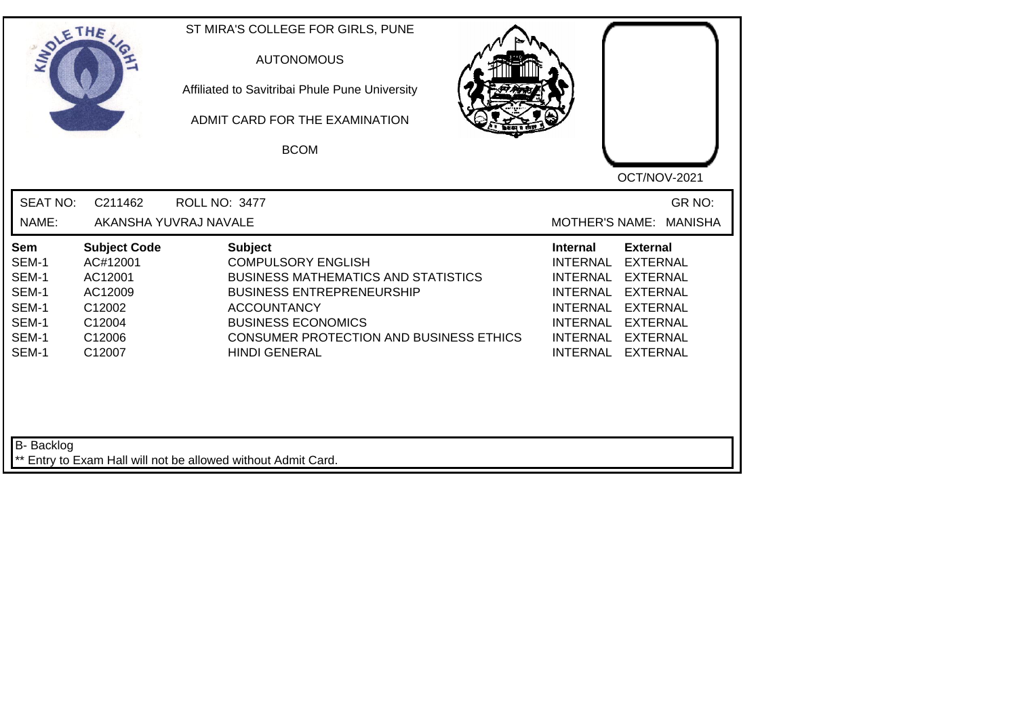| SOLETHE .                                                                 |                                                                                               | ST MIRA'S COLLEGE FOR GIRLS, PUNE<br><b>AUTONOMOUS</b><br>Affiliated to Savitribai Phule Pune University<br>ADMIT CARD FOR THE EXAMINATION<br><b>BCOM</b>                                                                                                  | OCT/NOV-2021                                                                                                                                                                                                                                                                                                 |
|---------------------------------------------------------------------------|-----------------------------------------------------------------------------------------------|------------------------------------------------------------------------------------------------------------------------------------------------------------------------------------------------------------------------------------------------------------|--------------------------------------------------------------------------------------------------------------------------------------------------------------------------------------------------------------------------------------------------------------------------------------------------------------|
| <b>SEAT NO:</b><br>NAME:                                                  | C211462                                                                                       | <b>ROLL NO: 3477</b><br>AKANSHA YUVRAJ NAVALE                                                                                                                                                                                                              | GR NO:<br><b>MOTHER'S NAME:</b><br><b>MANISHA</b>                                                                                                                                                                                                                                                            |
| <b>Sem</b><br>SEM-1<br>SEM-1<br>SEM-1<br>SEM-1<br>SEM-1<br>SEM-1<br>SEM-1 | <b>Subject Code</b><br>AC#12001<br>AC12001<br>AC12009<br>C12002<br>C12004<br>C12006<br>C12007 | <b>Subject</b><br><b>COMPULSORY ENGLISH</b><br><b>BUSINESS MATHEMATICS AND STATISTICS</b><br><b>BUSINESS ENTREPRENEURSHIP</b><br><b>ACCOUNTANCY</b><br><b>BUSINESS ECONOMICS</b><br><b>CONSUMER PROTECTION AND BUSINESS ETHICS</b><br><b>HINDI GENERAL</b> | <b>Internal</b><br><b>External</b><br><b>INTERNAL</b><br><b>EXTERNAL</b><br><b>INTERNAL</b><br><b>EXTERNAL</b><br><b>INTERNAL</b><br><b>EXTERNAL</b><br><b>INTERNAL</b><br><b>EXTERNAL</b><br><b>INTERNAL</b><br><b>EXTERNAL</b><br><b>INTERNAL</b><br><b>EXTERNAL</b><br><b>INTERNAL</b><br><b>EXTERNAL</b> |
| B- Backlog                                                                |                                                                                               | ** Entry to Exam Hall will not be allowed without Admit Card.                                                                                                                                                                                              |                                                                                                                                                                                                                                                                                                              |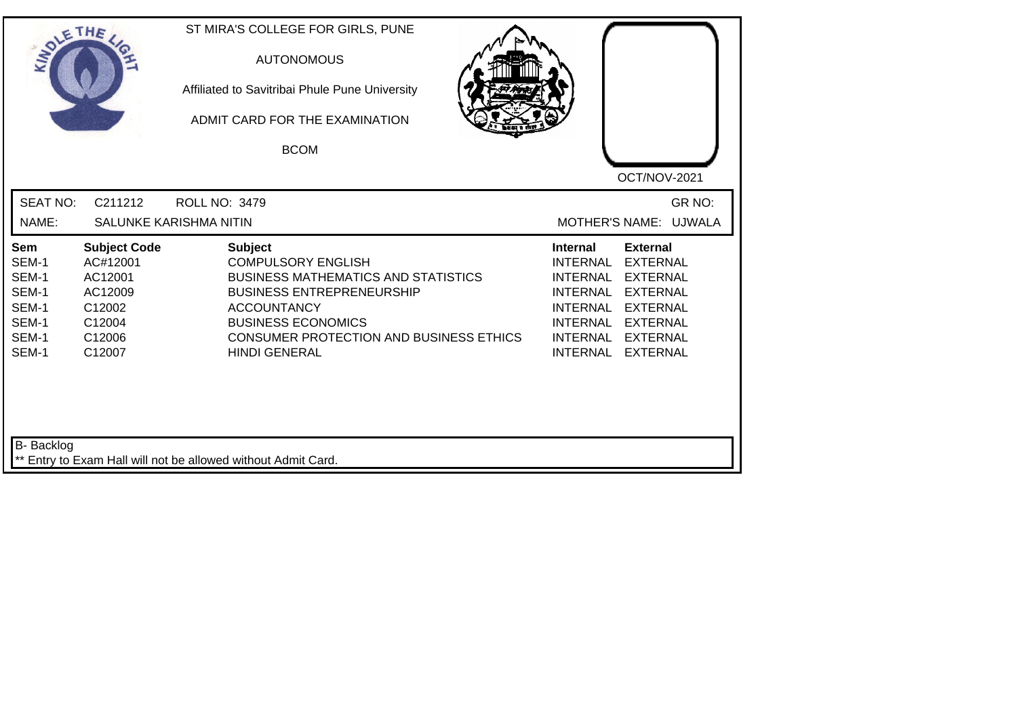| SOLETHE .                                                                 |                                                                                               | ST MIRA'S COLLEGE FOR GIRLS, PUNE<br><b>AUTONOMOUS</b><br>Affiliated to Savitribai Phule Pune University<br>ADMIT CARD FOR THE EXAMINATION<br><b>BCOM</b>                                                                                                  | OCT/NOV-2021                                                                                                                                                                                                                                                                                                 |
|---------------------------------------------------------------------------|-----------------------------------------------------------------------------------------------|------------------------------------------------------------------------------------------------------------------------------------------------------------------------------------------------------------------------------------------------------------|--------------------------------------------------------------------------------------------------------------------------------------------------------------------------------------------------------------------------------------------------------------------------------------------------------------|
| <b>SEAT NO:</b><br>NAME:                                                  | C211212                                                                                       | <b>ROLL NO: 3479</b><br><b>SALUNKE KARISHMA NITIN</b>                                                                                                                                                                                                      | GR NO:<br>MOTHER'S NAME: UJWALA                                                                                                                                                                                                                                                                              |
| <b>Sem</b><br>SEM-1<br>SEM-1<br>SEM-1<br>SEM-1<br>SEM-1<br>SEM-1<br>SEM-1 | <b>Subject Code</b><br>AC#12001<br>AC12001<br>AC12009<br>C12002<br>C12004<br>C12006<br>C12007 | <b>Subject</b><br><b>COMPULSORY ENGLISH</b><br><b>BUSINESS MATHEMATICS AND STATISTICS</b><br><b>BUSINESS ENTREPRENEURSHIP</b><br><b>ACCOUNTANCY</b><br><b>BUSINESS ECONOMICS</b><br><b>CONSUMER PROTECTION AND BUSINESS ETHICS</b><br><b>HINDI GENERAL</b> | <b>External</b><br><b>Internal</b><br><b>EXTERNAL</b><br><b>INTERNAL</b><br><b>INTERNAL</b><br><b>EXTERNAL</b><br><b>INTERNAL</b><br><b>EXTERNAL</b><br><b>INTERNAL</b><br><b>EXTERNAL</b><br><b>INTERNAL</b><br><b>EXTERNAL</b><br><b>INTERNAL</b><br><b>EXTERNAL</b><br><b>INTERNAL</b><br><b>EXTERNAL</b> |
| B- Backlog                                                                |                                                                                               | ** Entry to Exam Hall will not be allowed without Admit Card.                                                                                                                                                                                              |                                                                                                                                                                                                                                                                                                              |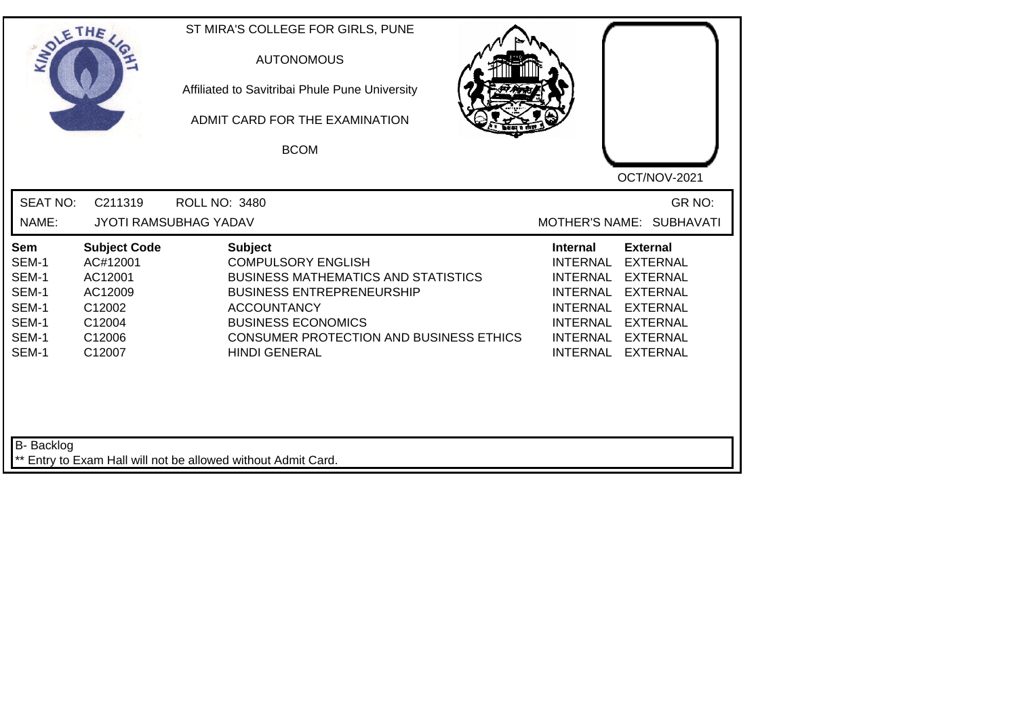|                                                                                  | ETHE                                                                                          | ST MIRA'S COLLEGE FOR GIRLS, PUNE<br><b>AUTONOMOUS</b><br>Affiliated to Savitribai Phule Pune University<br>ADMIT CARD FOR THE EXAMINATION<br><b>BCOM</b>                                                                                                  | OCT/NOV-2021                                                                                                                                                                                                            |
|----------------------------------------------------------------------------------|-----------------------------------------------------------------------------------------------|------------------------------------------------------------------------------------------------------------------------------------------------------------------------------------------------------------------------------------------------------------|-------------------------------------------------------------------------------------------------------------------------------------------------------------------------------------------------------------------------|
| <b>SEAT NO:</b><br>NAME:                                                         | C211319                                                                                       | <b>ROLL NO: 3480</b><br><b>JYOTI RAMSUBHAG YADAV</b>                                                                                                                                                                                                       | GR NO:<br>MOTHER'S NAME: SUBHAVATI                                                                                                                                                                                      |
| Sem<br>SEM-1<br>SEM-1<br>SEM-1<br>SEM-1<br>SEM-1<br>SEM-1<br>SEM-1<br>B- Backlog | <b>Subject Code</b><br>AC#12001<br>AC12001<br>AC12009<br>C12002<br>C12004<br>C12006<br>C12007 | <b>Subject</b><br><b>COMPULSORY ENGLISH</b><br><b>BUSINESS MATHEMATICS AND STATISTICS</b><br><b>BUSINESS ENTREPRENEURSHIP</b><br><b>ACCOUNTANCY</b><br><b>BUSINESS ECONOMICS</b><br><b>CONSUMER PROTECTION AND BUSINESS ETHICS</b><br><b>HINDI GENERAL</b> | <b>External</b><br><b>Internal</b><br><b>INTERNAL</b><br><b>EXTERNAL</b><br>INTERNAL EXTERNAL<br>INTERNAL EXTERNAL<br>INTERNAL EXTERNAL<br><b>INTERNAL</b><br><b>EXTERNAL</b><br>INTERNAL EXTERNAL<br>INTERNAL EXTERNAL |
|                                                                                  |                                                                                               | ** Entry to Exam Hall will not be allowed without Admit Card.                                                                                                                                                                                              |                                                                                                                                                                                                                         |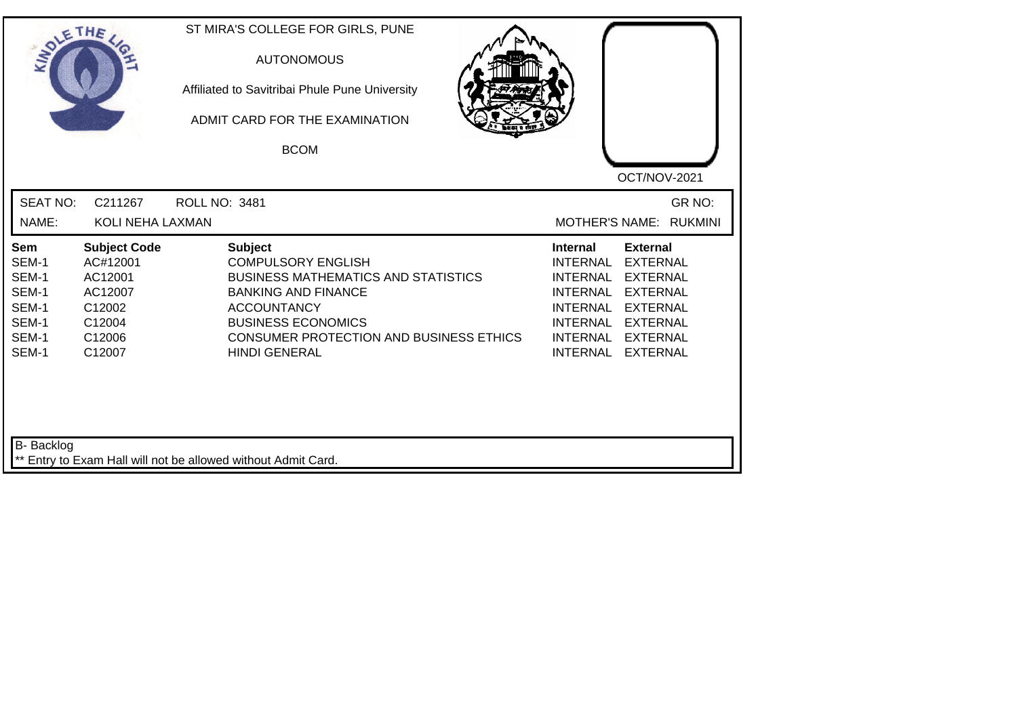| <b>SOLETHE</b>                                                            |                                                                                               | ST MIRA'S COLLEGE FOR GIRLS, PUNE<br><b>AUTONOMOUS</b><br>Affiliated to Savitribai Phule Pune University<br>ADMIT CARD FOR THE EXAMINATION<br><b>BCOM</b>                                                                                            | OCT/NOV-2021                                                                                                                                                                                                                                                                                                 |
|---------------------------------------------------------------------------|-----------------------------------------------------------------------------------------------|------------------------------------------------------------------------------------------------------------------------------------------------------------------------------------------------------------------------------------------------------|--------------------------------------------------------------------------------------------------------------------------------------------------------------------------------------------------------------------------------------------------------------------------------------------------------------|
| <b>SEAT NO:</b><br>NAME:                                                  | C211267<br>KOLI NEHA LAXMAN                                                                   | ROLL NO: 3481                                                                                                                                                                                                                                        | GR NO:<br><b>MOTHER'S NAME:</b><br><b>RUKMINI</b>                                                                                                                                                                                                                                                            |
| <b>Sem</b><br>SEM-1<br>SEM-1<br>SEM-1<br>SEM-1<br>SEM-1<br>SEM-1<br>SEM-1 | <b>Subject Code</b><br>AC#12001<br>AC12001<br>AC12007<br>C12002<br>C12004<br>C12006<br>C12007 | <b>Subject</b><br><b>COMPULSORY ENGLISH</b><br><b>BUSINESS MATHEMATICS AND STATISTICS</b><br><b>BANKING AND FINANCE</b><br><b>ACCOUNTANCY</b><br><b>BUSINESS ECONOMICS</b><br><b>CONSUMER PROTECTION AND BUSINESS ETHICS</b><br><b>HINDI GENERAL</b> | <b>Internal</b><br><b>External</b><br><b>INTERNAL</b><br><b>EXTERNAL</b><br><b>EXTERNAL</b><br><b>INTERNAL</b><br><b>INTERNAL</b><br><b>EXTERNAL</b><br><b>INTERNAL</b><br><b>EXTERNAL</b><br><b>INTERNAL</b><br><b>EXTERNAL</b><br><b>INTERNAL</b><br><b>EXTERNAL</b><br><b>INTERNAL</b><br><b>EXTERNAL</b> |
| <b>B-</b> Backlog                                                         |                                                                                               | ** Entry to Exam Hall will not be allowed without Admit Card.                                                                                                                                                                                        |                                                                                                                                                                                                                                                                                                              |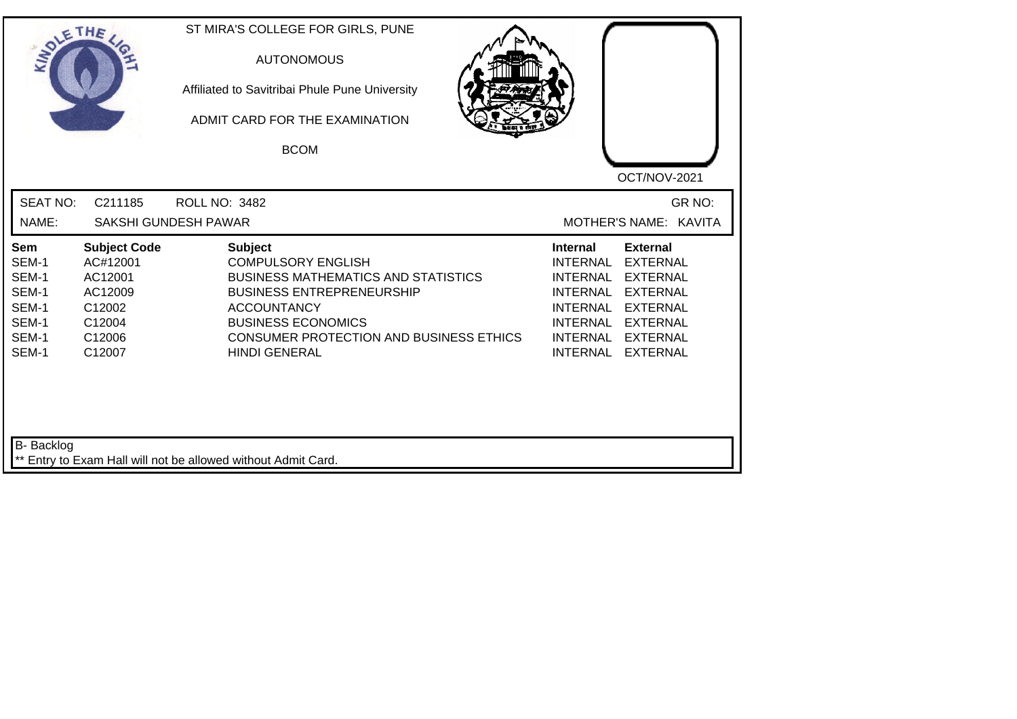| SOLETHE,                                                           |                                                                                               | ST MIRA'S COLLEGE FOR GIRLS, PUNE<br><b>AUTONOMOUS</b><br>Affiliated to Savitribai Phule Pune University<br>ADMIT CARD FOR THE EXAMINATION<br><b>BCOM</b>                                                                                                  |                                                                                                                                                                                                                                                    |
|--------------------------------------------------------------------|-----------------------------------------------------------------------------------------------|------------------------------------------------------------------------------------------------------------------------------------------------------------------------------------------------------------------------------------------------------------|----------------------------------------------------------------------------------------------------------------------------------------------------------------------------------------------------------------------------------------------------|
| <b>SEAT NO:</b><br>NAME:                                           | C211185                                                                                       | <b>ROLL NO: 3482</b><br>SAKSHI GUNDESH PAWAR                                                                                                                                                                                                               | OCT/NOV-2021<br>GR NO:<br>MOTHER'S NAME: KAVITA                                                                                                                                                                                                    |
| Sem<br>SEM-1<br>SEM-1<br>SEM-1<br>SEM-1<br>SEM-1<br>SEM-1<br>SEM-1 | <b>Subject Code</b><br>AC#12001<br>AC12001<br>AC12009<br>C12002<br>C12004<br>C12006<br>C12007 | <b>Subject</b><br><b>COMPULSORY ENGLISH</b><br><b>BUSINESS MATHEMATICS AND STATISTICS</b><br><b>BUSINESS ENTREPRENEURSHIP</b><br><b>ACCOUNTANCY</b><br><b>BUSINESS ECONOMICS</b><br><b>CONSUMER PROTECTION AND BUSINESS ETHICS</b><br><b>HINDI GENERAL</b> | <b>External</b><br><b>Internal</b><br><b>INTERNAL</b><br><b>EXTERNAL</b><br>INTERNAL EXTERNAL<br>INTERNAL EXTERNAL<br>INTERNAL EXTERNAL<br><b>INTERNAL</b><br><b>EXTERNAL</b><br>INTERNAL<br><b>EXTERNAL</b><br><b>INTERNAL</b><br><b>EXTERNAL</b> |
| B- Backlog                                                         |                                                                                               | ** Entry to Exam Hall will not be allowed without Admit Card.                                                                                                                                                                                              |                                                                                                                                                                                                                                                    |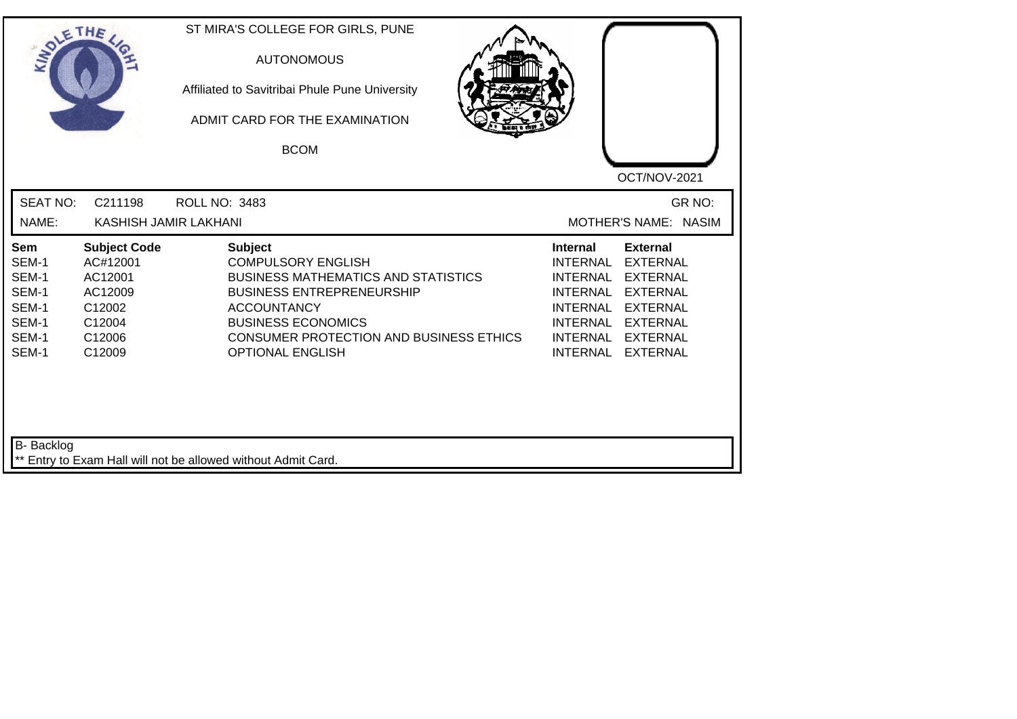| SOLE THE                                                                  |                                                                                               | ST MIRA'S COLLEGE FOR GIRLS, PUNE<br><b>AUTONOMOUS</b><br>Affiliated to Savitribai Phule Pune University<br>ADMIT CARD FOR THE EXAMINATION<br><b>BCOM</b>                                                                                                     | OCT/NOV-2021                                                                                                                                                                                                                                                       |
|---------------------------------------------------------------------------|-----------------------------------------------------------------------------------------------|---------------------------------------------------------------------------------------------------------------------------------------------------------------------------------------------------------------------------------------------------------------|--------------------------------------------------------------------------------------------------------------------------------------------------------------------------------------------------------------------------------------------------------------------|
| <b>SEAT NO:</b>                                                           | C211198                                                                                       | <b>ROLL NO: 3483</b>                                                                                                                                                                                                                                          | GR NO:                                                                                                                                                                                                                                                             |
| NAME:                                                                     | KASHISH JAMIR LAKHANI                                                                         |                                                                                                                                                                                                                                                               | MOTHER'S NAME: NASIM                                                                                                                                                                                                                                               |
| <b>Sem</b><br>SEM-1<br>SEM-1<br>SEM-1<br>SEM-1<br>SEM-1<br>SEM-1<br>SEM-1 | <b>Subject Code</b><br>AC#12001<br>AC12001<br>AC12009<br>C12002<br>C12004<br>C12006<br>C12009 | <b>Subject</b><br><b>COMPULSORY ENGLISH</b><br><b>BUSINESS MATHEMATICS AND STATISTICS</b><br><b>BUSINESS ENTREPRENEURSHIP</b><br><b>ACCOUNTANCY</b><br><b>BUSINESS ECONOMICS</b><br><b>CONSUMER PROTECTION AND BUSINESS ETHICS</b><br><b>OPTIONAL ENGLISH</b> | <b>External</b><br><b>Internal</b><br>INTERNAL<br><b>EXTERNAL</b><br>INTERNAL<br><b>EXTERNAL</b><br>INTERNAL<br>EXTERNAL<br><b>INTERNAL</b><br><b>EXTERNAL</b><br><b>INTERNAL</b><br>EXTERNAL<br>INTERNAL<br><b>EXTERNAL</b><br><b>INTERNAL</b><br><b>EXTERNAL</b> |
| B- Backlog                                                                |                                                                                               | ** Entry to Exam Hall will not be allowed without Admit Card.                                                                                                                                                                                                 |                                                                                                                                                                                                                                                                    |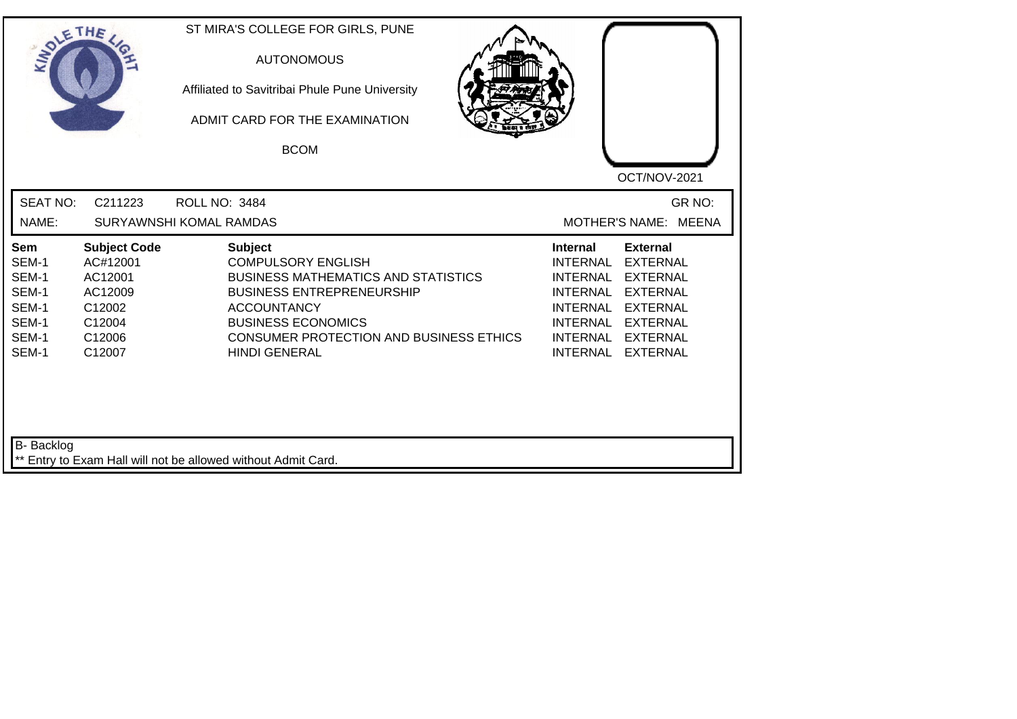| INO'                                                               | ETHE                                                                                          | ST MIRA'S COLLEGE FOR GIRLS, PUNE<br><b>AUTONOMOUS</b><br>Affiliated to Savitribai Phule Pune University<br>ADMIT CARD FOR THE EXAMINATION<br><b>BCOM</b>                                                                                           | OCT/NOV-2021                                                                                                                                                                                                                                                               |
|--------------------------------------------------------------------|-----------------------------------------------------------------------------------------------|-----------------------------------------------------------------------------------------------------------------------------------------------------------------------------------------------------------------------------------------------------|----------------------------------------------------------------------------------------------------------------------------------------------------------------------------------------------------------------------------------------------------------------------------|
| <b>SEAT NO:</b><br>NAME:                                           | C211223                                                                                       | <b>ROLL NO: 3484</b><br>SURYAWNSHI KOMAL RAMDAS                                                                                                                                                                                                     | GR NO:<br>MOTHER'S NAME: MEENA                                                                                                                                                                                                                                             |
| Sem<br>SEM-1<br>SEM-1<br>SEM-1<br>SEM-1<br>SEM-1<br>SEM-1<br>SEM-1 | <b>Subject Code</b><br>AC#12001<br>AC12001<br>AC12009<br>C12002<br>C12004<br>C12006<br>C12007 | <b>Subject</b><br><b>COMPULSORY ENGLISH</b><br><b>BUSINESS MATHEMATICS AND STATISTICS</b><br><b>BUSINESS ENTREPRENEURSHIP</b><br><b>ACCOUNTANCY</b><br><b>BUSINESS ECONOMICS</b><br>CONSUMER PROTECTION AND BUSINESS ETHICS<br><b>HINDI GENERAL</b> | <b>External</b><br><b>Internal</b><br><b>EXTERNAL</b><br><b>INTERNAL</b><br><b>INTERNAL</b><br><b>EXTERNAL</b><br><b>INTERNAL</b><br><b>EXTERNAL</b><br>INTERNAL EXTERNAL<br><b>INTERNAL</b><br><b>EXTERNAL</b><br>INTERNAL EXTERNAL<br><b>INTERNAL</b><br><b>EXTERNAL</b> |
| B- Backlog                                                         |                                                                                               | ** Entry to Exam Hall will not be allowed without Admit Card.                                                                                                                                                                                       |                                                                                                                                                                                                                                                                            |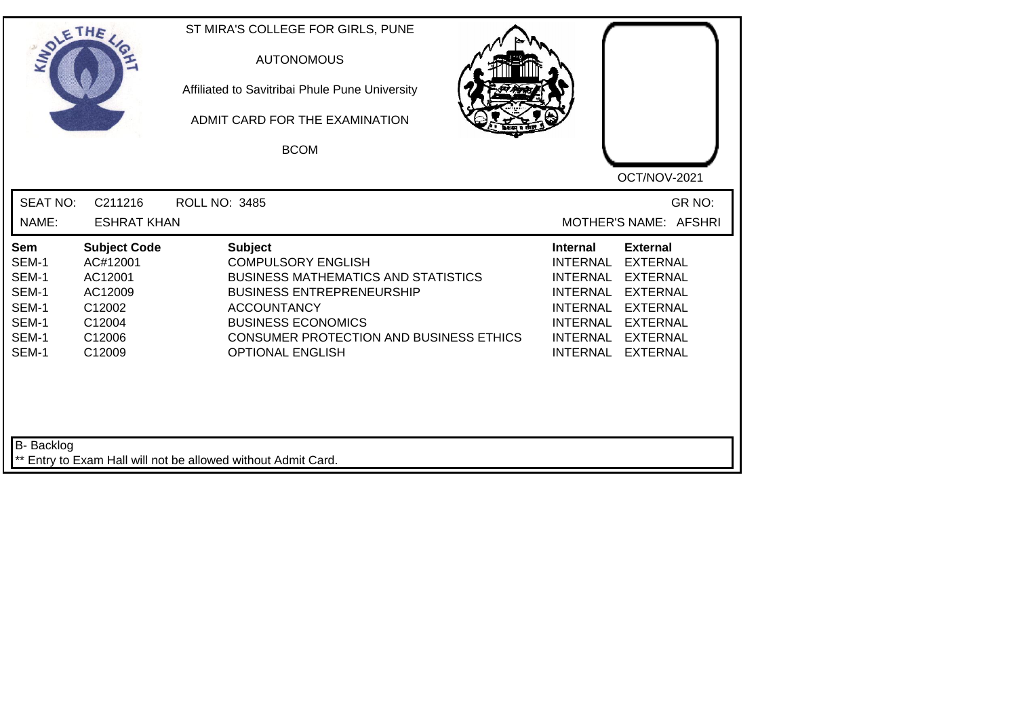| SOLETHE                                                                   |                                                                                               | ST MIRA'S COLLEGE FOR GIRLS, PUNE<br><b>AUTONOMOUS</b><br>Affiliated to Savitribai Phule Pune University<br>ADMIT CARD FOR THE EXAMINATION<br><b>BCOM</b>                                                                                                     | OCT/NOV-2021                                                                                                                                                                                                                                                                                          |
|---------------------------------------------------------------------------|-----------------------------------------------------------------------------------------------|---------------------------------------------------------------------------------------------------------------------------------------------------------------------------------------------------------------------------------------------------------------|-------------------------------------------------------------------------------------------------------------------------------------------------------------------------------------------------------------------------------------------------------------------------------------------------------|
| <b>SEAT NO:</b><br>NAME:                                                  | C211216<br><b>ESHRAT KHAN</b>                                                                 | <b>ROLL NO: 3485</b>                                                                                                                                                                                                                                          | GR NO:<br>MOTHER'S NAME: AFSHRI                                                                                                                                                                                                                                                                       |
| <b>Sem</b><br>SEM-1<br>SEM-1<br>SEM-1<br>SEM-1<br>SEM-1<br>SEM-1<br>SEM-1 | <b>Subject Code</b><br>AC#12001<br>AC12001<br>AC12009<br>C12002<br>C12004<br>C12006<br>C12009 | <b>Subject</b><br><b>COMPULSORY ENGLISH</b><br><b>BUSINESS MATHEMATICS AND STATISTICS</b><br><b>BUSINESS ENTREPRENEURSHIP</b><br><b>ACCOUNTANCY</b><br><b>BUSINESS ECONOMICS</b><br><b>CONSUMER PROTECTION AND BUSINESS ETHICS</b><br><b>OPTIONAL ENGLISH</b> | <b>External</b><br>Internal<br><b>INTERNAL</b><br><b>EXTERNAL</b><br><b>EXTERNAL</b><br><b>INTERNAL</b><br><b>INTERNAL</b><br><b>EXTERNAL</b><br><b>INTERNAL</b><br><b>EXTERNAL</b><br><b>INTERNAL</b><br><b>EXTERNAL</b><br><b>INTERNAL</b><br><b>EXTERNAL</b><br><b>INTERNAL</b><br><b>EXTERNAL</b> |
| <b>B-</b> Backlog                                                         |                                                                                               | ** Entry to Exam Hall will not be allowed without Admit Card.                                                                                                                                                                                                 |                                                                                                                                                                                                                                                                                                       |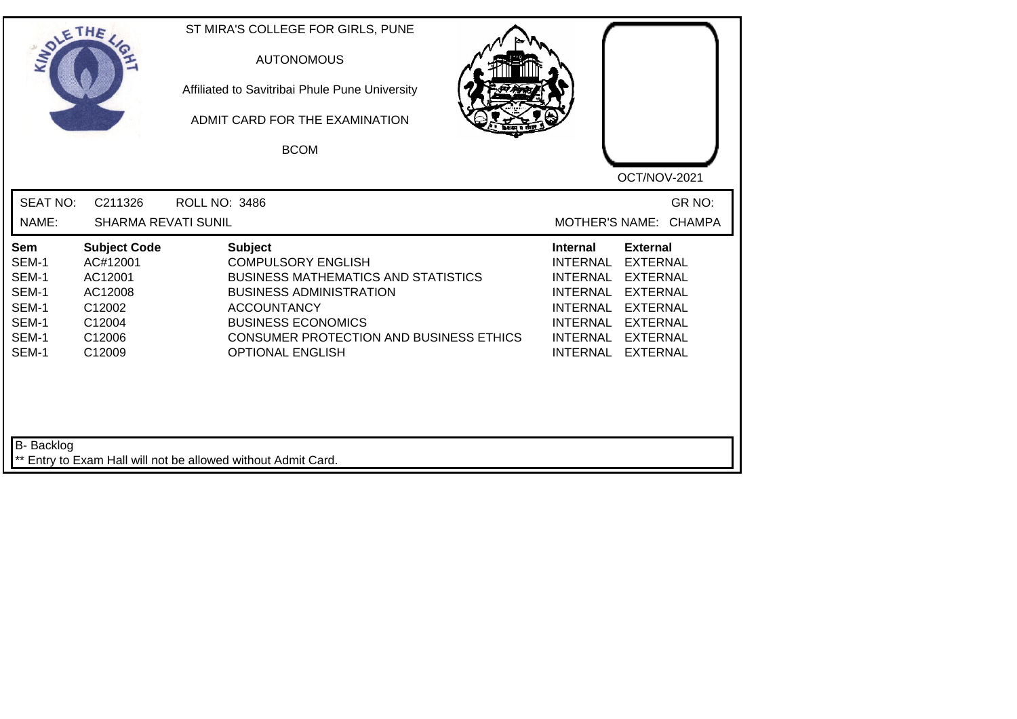| SOLETHE                                                            |                                                                                               | ST MIRA'S COLLEGE FOR GIRLS, PUNE<br><b>AUTONOMOUS</b><br>Affiliated to Savitribai Phule Pune University<br>ADMIT CARD FOR THE EXAMINATION<br><b>BCOM</b>                                                                                                   | OCT/NOV-2021                                                                                                                                                                                                                                                                                          |
|--------------------------------------------------------------------|-----------------------------------------------------------------------------------------------|-------------------------------------------------------------------------------------------------------------------------------------------------------------------------------------------------------------------------------------------------------------|-------------------------------------------------------------------------------------------------------------------------------------------------------------------------------------------------------------------------------------------------------------------------------------------------------|
| <b>SEAT NO:</b><br>NAME:                                           | C211326<br><b>SHARMA REVATI SUNIL</b>                                                         | <b>ROLL NO: 3486</b>                                                                                                                                                                                                                                        | GR NO:<br>MOTHER'S NAME: CHAMPA                                                                                                                                                                                                                                                                       |
| Sem<br>SEM-1<br>SEM-1<br>SEM-1<br>SEM-1<br>SEM-1<br>SEM-1<br>SEM-1 | <b>Subject Code</b><br>AC#12001<br>AC12001<br>AC12008<br>C12002<br>C12004<br>C12006<br>C12009 | <b>Subject</b><br><b>COMPULSORY ENGLISH</b><br><b>BUSINESS MATHEMATICS AND STATISTICS</b><br><b>BUSINESS ADMINISTRATION</b><br><b>ACCOUNTANCY</b><br><b>BUSINESS ECONOMICS</b><br><b>CONSUMER PROTECTION AND BUSINESS ETHICS</b><br><b>OPTIONAL ENGLISH</b> | <b>External</b><br>Internal<br><b>INTERNAL</b><br><b>EXTERNAL</b><br><b>INTERNAL</b><br><b>EXTERNAL</b><br><b>INTERNAL</b><br><b>EXTERNAL</b><br><b>INTERNAL</b><br><b>EXTERNAL</b><br><b>INTERNAL</b><br><b>EXTERNAL</b><br><b>INTERNAL</b><br><b>EXTERNAL</b><br><b>INTERNAL</b><br><b>EXTERNAL</b> |
| B- Backlog                                                         |                                                                                               | ** Entry to Exam Hall will not be allowed without Admit Card.                                                                                                                                                                                               |                                                                                                                                                                                                                                                                                                       |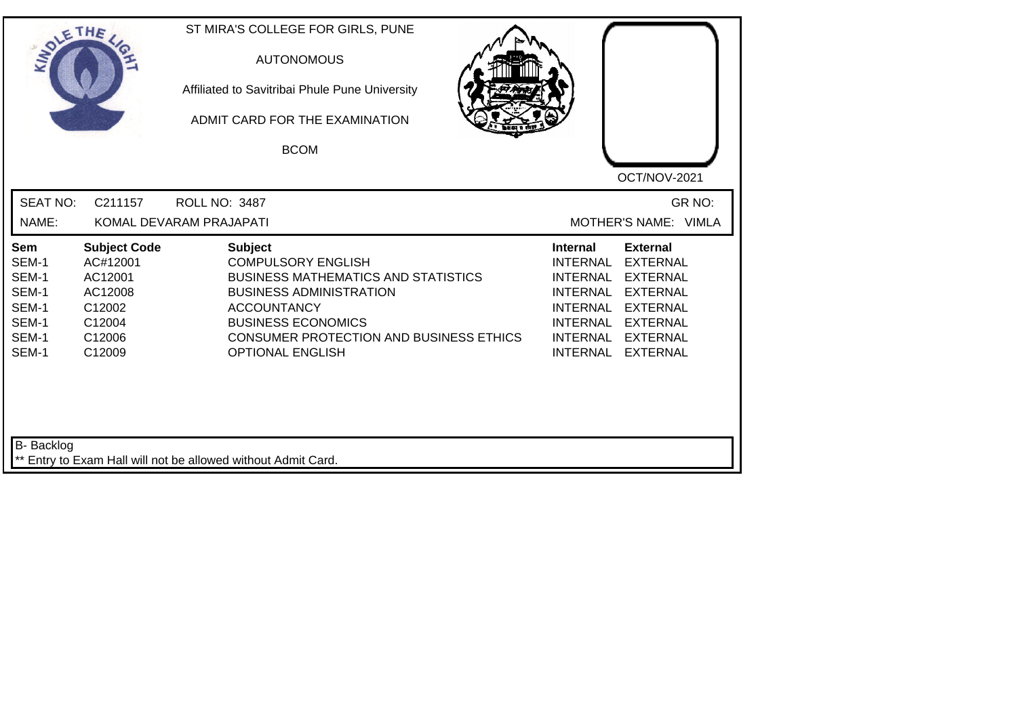| SOLE THE                                                           |                                                                                               | ST MIRA'S COLLEGE FOR GIRLS, PUNE<br><b>AUTONOMOUS</b><br>Affiliated to Savitribai Phule Pune University<br>ADMIT CARD FOR THE EXAMINATION<br><b>BCOM</b>                                                                                            | OCT/NOV-2021                                                                                                                                                                                                                                                                                                 |
|--------------------------------------------------------------------|-----------------------------------------------------------------------------------------------|------------------------------------------------------------------------------------------------------------------------------------------------------------------------------------------------------------------------------------------------------|--------------------------------------------------------------------------------------------------------------------------------------------------------------------------------------------------------------------------------------------------------------------------------------------------------------|
| <b>SEAT NO:</b><br>NAME:                                           | C211157                                                                                       | <b>ROLL NO: 3487</b><br>KOMAL DEVARAM PRAJAPATI                                                                                                                                                                                                      | GR NO:<br>MOTHER'S NAME: VIMLA                                                                                                                                                                                                                                                                               |
| Sem<br>SEM-1<br>SEM-1<br>SEM-1<br>SEM-1<br>SEM-1<br>SEM-1<br>SEM-1 | <b>Subject Code</b><br>AC#12001<br>AC12001<br>AC12008<br>C12002<br>C12004<br>C12006<br>C12009 | <b>Subject</b><br><b>COMPULSORY ENGLISH</b><br><b>BUSINESS MATHEMATICS AND STATISTICS</b><br><b>BUSINESS ADMINISTRATION</b><br><b>ACCOUNTANCY</b><br><b>BUSINESS ECONOMICS</b><br>CONSUMER PROTECTION AND BUSINESS ETHICS<br><b>OPTIONAL ENGLISH</b> | <b>Internal</b><br><b>External</b><br><b>INTERNAL</b><br><b>EXTERNAL</b><br><b>EXTERNAL</b><br><b>INTERNAL</b><br><b>INTERNAL</b><br><b>EXTERNAL</b><br><b>INTERNAL</b><br><b>EXTERNAL</b><br><b>INTERNAL</b><br><b>EXTERNAL</b><br><b>INTERNAL</b><br><b>EXTERNAL</b><br><b>INTERNAL</b><br><b>EXTERNAL</b> |
| B- Backlog                                                         |                                                                                               | ** Entry to Exam Hall will not be allowed without Admit Card.                                                                                                                                                                                        |                                                                                                                                                                                                                                                                                                              |

┙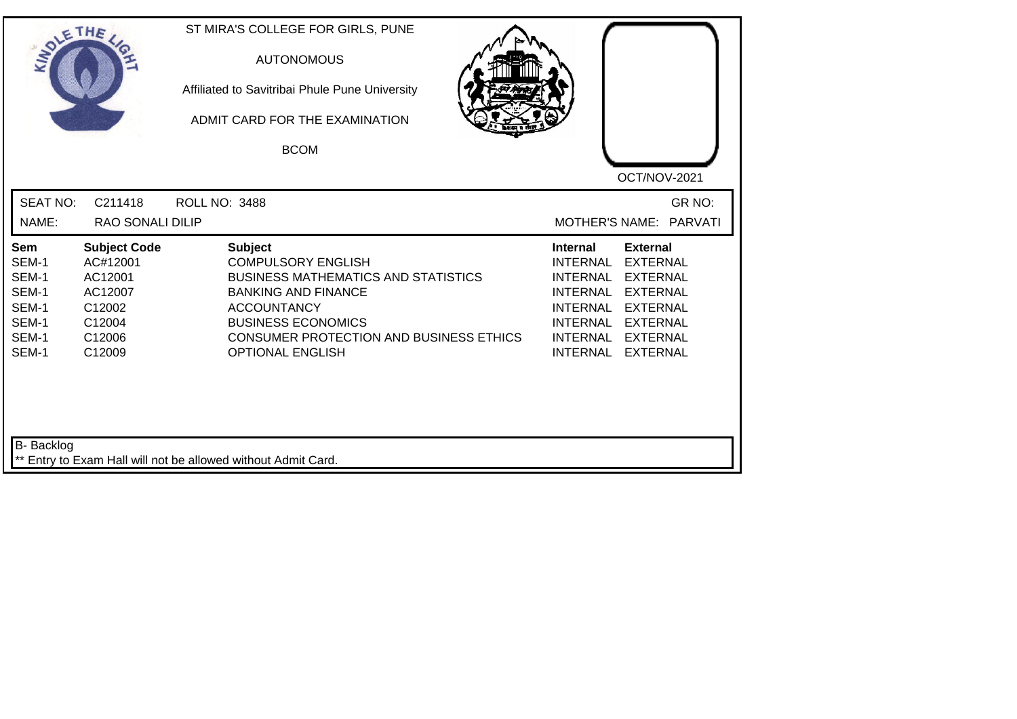| SOLE THE                                                           |                                                                                               | ST MIRA'S COLLEGE FOR GIRLS, PUNE<br><b>AUTONOMOUS</b><br>Affiliated to Savitribai Phule Pune University<br>ADMIT CARD FOR THE EXAMINATION<br><b>BCOM</b>                                                                                               | OCT/NOV-2021                                                                                                                                                                                                                                                                                |
|--------------------------------------------------------------------|-----------------------------------------------------------------------------------------------|---------------------------------------------------------------------------------------------------------------------------------------------------------------------------------------------------------------------------------------------------------|---------------------------------------------------------------------------------------------------------------------------------------------------------------------------------------------------------------------------------------------------------------------------------------------|
| <b>SEAT NO:</b><br>NAME:                                           | C211418<br><b>RAO SONALI DILIP</b>                                                            | <b>ROLL NO: 3488</b>                                                                                                                                                                                                                                    | GR NO:<br>MOTHER'S NAME: PARVATI                                                                                                                                                                                                                                                            |
| Sem<br>SEM-1<br>SEM-1<br>SEM-1<br>SEM-1<br>SEM-1<br>SEM-1<br>SEM-1 | <b>Subject Code</b><br>AC#12001<br>AC12001<br>AC12007<br>C12002<br>C12004<br>C12006<br>C12009 | <b>Subject</b><br><b>COMPULSORY ENGLISH</b><br><b>BUSINESS MATHEMATICS AND STATISTICS</b><br><b>BANKING AND FINANCE</b><br><b>ACCOUNTANCY</b><br><b>BUSINESS ECONOMICS</b><br><b>CONSUMER PROTECTION AND BUSINESS ETHICS</b><br><b>OPTIONAL ENGLISH</b> | <b>External</b><br><b>Internal</b><br><b>INTERNAL</b><br><b>EXTERNAL</b><br><b>EXTERNAL</b><br><b>INTERNAL</b><br><b>EXTERNAL</b><br><b>INTERNAL</b><br><b>INTERNAL</b><br><b>EXTERNAL</b><br>INTERNAL EXTERNAL<br><b>INTERNAL</b><br><b>EXTERNAL</b><br><b>INTERNAL</b><br><b>EXTERNAL</b> |
| <b>B-</b> Backlog                                                  |                                                                                               | ** Entry to Exam Hall will not be allowed without Admit Card.                                                                                                                                                                                           |                                                                                                                                                                                                                                                                                             |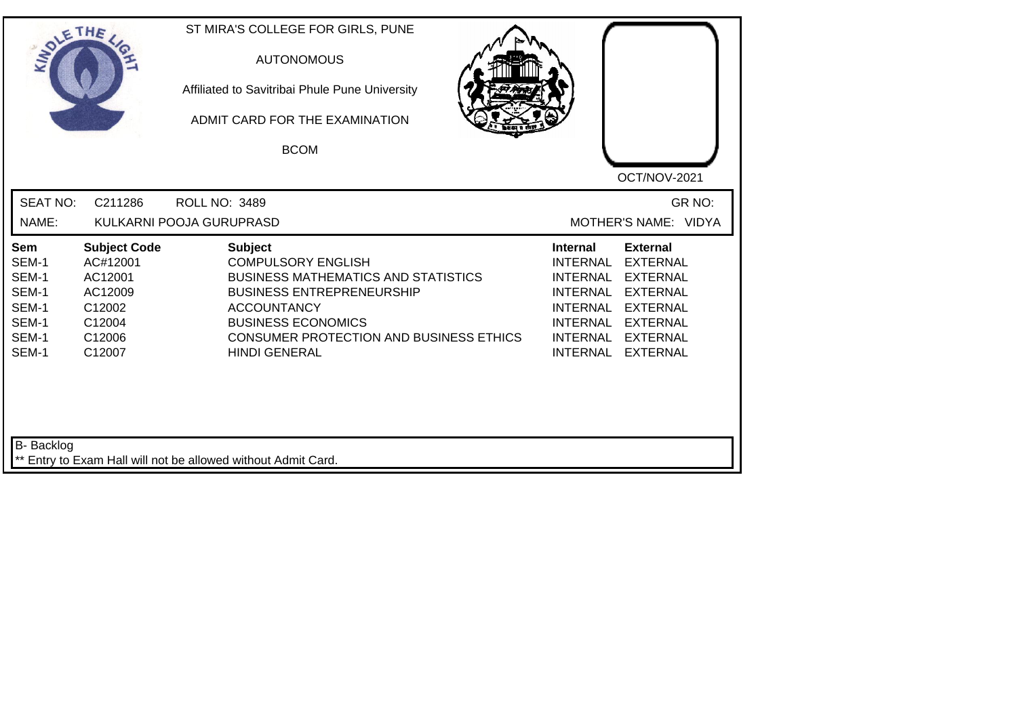|                                                                    | ETHE                                                                                          | ST MIRA'S COLLEGE FOR GIRLS, PUNE<br><b>AUTONOMOUS</b><br>Affiliated to Savitribai Phule Pune University<br>ADMIT CARD FOR THE EXAMINATION<br><b>BCOM</b>                                                                                           | OCT/NOV-2021                                                                                                                                                                                                                                                               |
|--------------------------------------------------------------------|-----------------------------------------------------------------------------------------------|-----------------------------------------------------------------------------------------------------------------------------------------------------------------------------------------------------------------------------------------------------|----------------------------------------------------------------------------------------------------------------------------------------------------------------------------------------------------------------------------------------------------------------------------|
| <b>SEAT NO:</b><br>NAME:                                           | C211286                                                                                       | <b>ROLL NO: 3489</b><br>KULKARNI POOJA GURUPRASD                                                                                                                                                                                                    | GR NO:<br>MOTHER'S NAME: VIDYA                                                                                                                                                                                                                                             |
| Sem<br>SEM-1<br>SEM-1<br>SEM-1<br>SEM-1<br>SEM-1<br>SEM-1<br>SEM-1 | <b>Subject Code</b><br>AC#12001<br>AC12001<br>AC12009<br>C12002<br>C12004<br>C12006<br>C12007 | <b>Subject</b><br><b>COMPULSORY ENGLISH</b><br><b>BUSINESS MATHEMATICS AND STATISTICS</b><br><b>BUSINESS ENTREPRENEURSHIP</b><br><b>ACCOUNTANCY</b><br><b>BUSINESS ECONOMICS</b><br>CONSUMER PROTECTION AND BUSINESS ETHICS<br><b>HINDI GENERAL</b> | <b>External</b><br><b>Internal</b><br><b>EXTERNAL</b><br><b>INTERNAL</b><br><b>INTERNAL</b><br><b>EXTERNAL</b><br><b>INTERNAL</b><br><b>EXTERNAL</b><br>INTERNAL EXTERNAL<br><b>INTERNAL</b><br><b>EXTERNAL</b><br>INTERNAL EXTERNAL<br><b>INTERNAL</b><br><b>EXTERNAL</b> |
| B- Backlog                                                         |                                                                                               | ** Entry to Exam Hall will not be allowed without Admit Card.                                                                                                                                                                                       |                                                                                                                                                                                                                                                                            |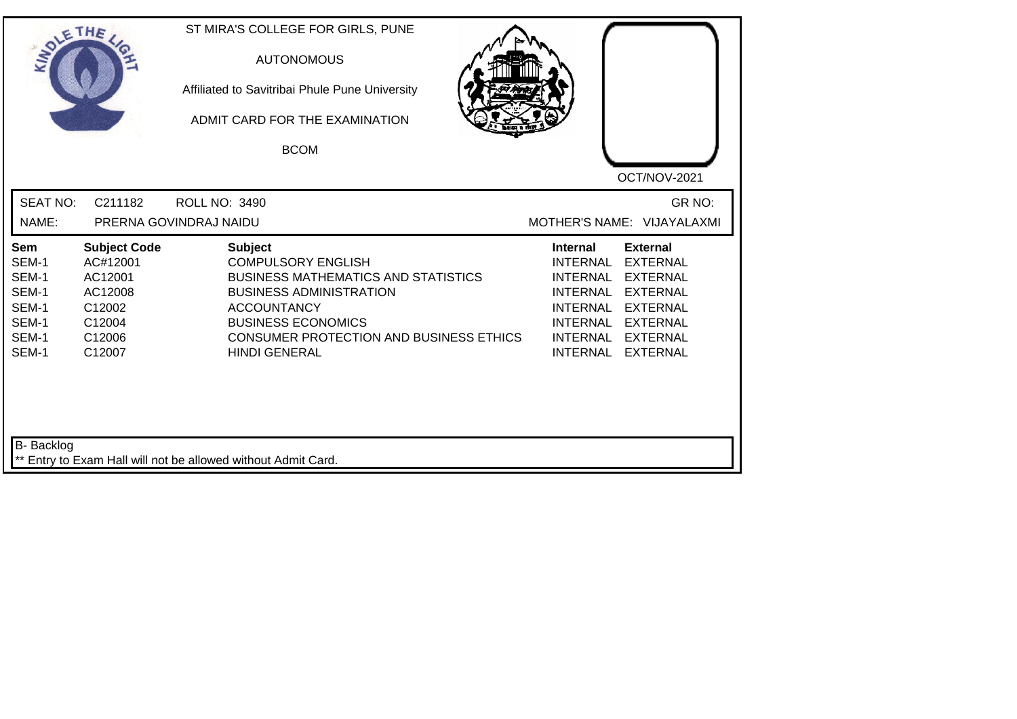| SOLE THE                                                           |                                                                                               | ST MIRA'S COLLEGE FOR GIRLS, PUNE<br><b>AUTONOMOUS</b><br>Affiliated to Savitribai Phule Pune University<br>ADMIT CARD FOR THE EXAMINATION<br><b>BCOM</b>                                                                                                |                                                                                                                            | OCT/NOV-2021                                                                                                                                    |
|--------------------------------------------------------------------|-----------------------------------------------------------------------------------------------|----------------------------------------------------------------------------------------------------------------------------------------------------------------------------------------------------------------------------------------------------------|----------------------------------------------------------------------------------------------------------------------------|-------------------------------------------------------------------------------------------------------------------------------------------------|
| <b>SEAT NO:</b><br>NAME:                                           | C211182                                                                                       | <b>ROLL NO: 3490</b><br>PRERNA GOVINDRAJ NAIDU                                                                                                                                                                                                           |                                                                                                                            | GR <sub>NO</sub> :<br>MOTHER'S NAME: VIJAYALAXMI                                                                                                |
| Sem<br>SEM-1<br>SEM-1<br>SEM-1<br>SEM-1<br>SEM-1<br>SEM-1<br>SEM-1 | <b>Subject Code</b><br>AC#12001<br>AC12001<br>AC12008<br>C12002<br>C12004<br>C12006<br>C12007 | <b>Subject</b><br><b>COMPULSORY ENGLISH</b><br><b>BUSINESS MATHEMATICS AND STATISTICS</b><br><b>BUSINESS ADMINISTRATION</b><br><b>ACCOUNTANCY</b><br><b>BUSINESS ECONOMICS</b><br><b>CONSUMER PROTECTION AND BUSINESS ETHICS</b><br><b>HINDI GENERAL</b> | Internal<br><b>INTERNAL</b><br><b>INTERNAL</b><br><b>INTERNAL</b><br><b>INTERNAL</b><br><b>INTERNAL</b><br><b>INTERNAL</b> | <b>External</b><br><b>EXTERNAL</b><br><b>EXTERNAL</b><br><b>EXTERNAL</b><br><b>EXTERNAL</b><br>INTERNAL EXTERNAL<br>EXTERNAL<br><b>EXTERNAL</b> |
| B- Backlog                                                         |                                                                                               | Entry to Exam Hall will not be allowed without Admit Card.                                                                                                                                                                                               |                                                                                                                            |                                                                                                                                                 |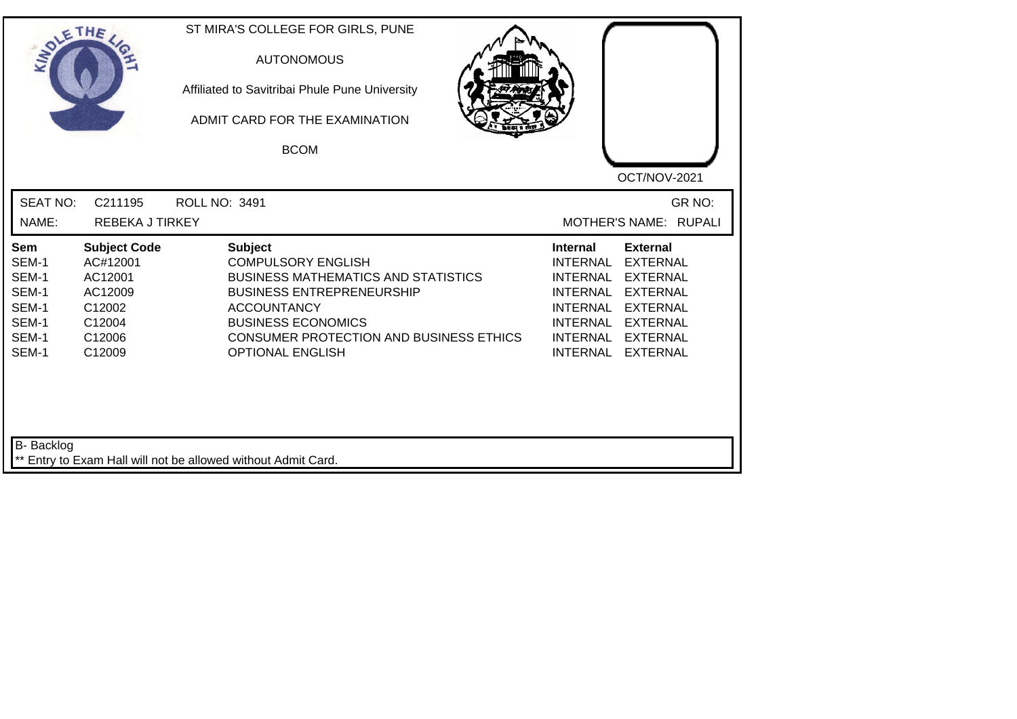| SOLETHE                                                            |                                                                                               | ST MIRA'S COLLEGE FOR GIRLS, PUNE<br><b>AUTONOMOUS</b><br>Affiliated to Savitribai Phule Pune University<br>ADMIT CARD FOR THE EXAMINATION<br><b>BCOM</b>                                                                                                     | OCT/NOV-2021                                                                                                                                                                                                                                                                                          |
|--------------------------------------------------------------------|-----------------------------------------------------------------------------------------------|---------------------------------------------------------------------------------------------------------------------------------------------------------------------------------------------------------------------------------------------------------------|-------------------------------------------------------------------------------------------------------------------------------------------------------------------------------------------------------------------------------------------------------------------------------------------------------|
| <b>SEAT NO:</b><br>NAME:                                           | C211195<br><b>REBEKA J TIRKEY</b>                                                             | <b>ROLL NO: 3491</b>                                                                                                                                                                                                                                          | GR NO:<br>MOTHER'S NAME: RUPALI                                                                                                                                                                                                                                                                       |
| Sem<br>SEM-1<br>SEM-1<br>SEM-1<br>SEM-1<br>SEM-1<br>SEM-1<br>SEM-1 | <b>Subject Code</b><br>AC#12001<br>AC12001<br>AC12009<br>C12002<br>C12004<br>C12006<br>C12009 | <b>Subject</b><br><b>COMPULSORY ENGLISH</b><br><b>BUSINESS MATHEMATICS AND STATISTICS</b><br><b>BUSINESS ENTREPRENEURSHIP</b><br><b>ACCOUNTANCY</b><br><b>BUSINESS ECONOMICS</b><br><b>CONSUMER PROTECTION AND BUSINESS ETHICS</b><br><b>OPTIONAL ENGLISH</b> | <b>External</b><br>Internal<br><b>INTERNAL</b><br><b>EXTERNAL</b><br><b>EXTERNAL</b><br><b>INTERNAL</b><br><b>INTERNAL</b><br><b>EXTERNAL</b><br><b>INTERNAL</b><br><b>EXTERNAL</b><br><b>INTERNAL</b><br><b>EXTERNAL</b><br><b>INTERNAL</b><br><b>EXTERNAL</b><br><b>INTERNAL</b><br><b>EXTERNAL</b> |
| B- Backlog                                                         |                                                                                               | ** Entry to Exam Hall will not be allowed without Admit Card.                                                                                                                                                                                                 |                                                                                                                                                                                                                                                                                                       |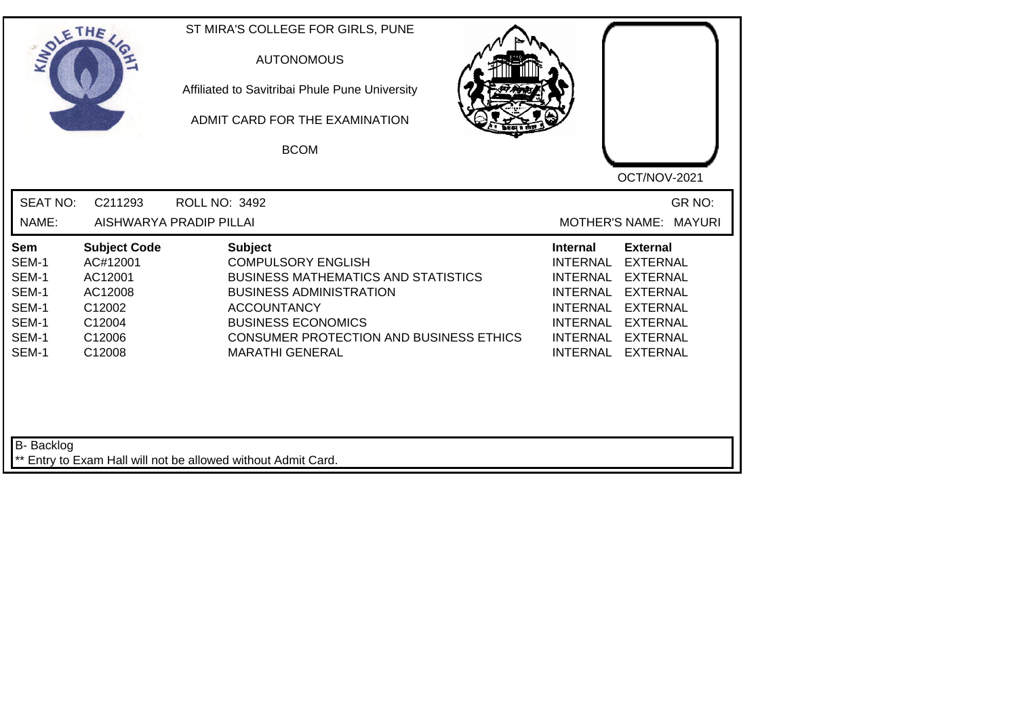| SOLETHE .                                                          |                                                                                               | ST MIRA'S COLLEGE FOR GIRLS, PUNE<br><b>AUTONOMOUS</b><br>Affiliated to Savitribai Phule Pune University<br>ADMIT CARD FOR THE EXAMINATION<br><b>BCOM</b>                                                                                                  | OCT/NOV-2021                                                                                                                                                                                                                                                                                          |
|--------------------------------------------------------------------|-----------------------------------------------------------------------------------------------|------------------------------------------------------------------------------------------------------------------------------------------------------------------------------------------------------------------------------------------------------------|-------------------------------------------------------------------------------------------------------------------------------------------------------------------------------------------------------------------------------------------------------------------------------------------------------|
| <b>SEAT NO:</b><br>NAME:                                           | C211293                                                                                       | <b>ROLL NO: 3492</b><br>AISHWARYA PRADIP PILLAI                                                                                                                                                                                                            | GR NO:<br>MOTHER'S NAME: MAYURI                                                                                                                                                                                                                                                                       |
| Sem<br>SEM-1<br>SEM-1<br>SEM-1<br>SEM-1<br>SEM-1<br>SEM-1<br>SEM-1 | <b>Subject Code</b><br>AC#12001<br>AC12001<br>AC12008<br>C12002<br>C12004<br>C12006<br>C12008 | <b>Subject</b><br><b>COMPULSORY ENGLISH</b><br><b>BUSINESS MATHEMATICS AND STATISTICS</b><br><b>BUSINESS ADMINISTRATION</b><br><b>ACCOUNTANCY</b><br><b>BUSINESS ECONOMICS</b><br><b>CONSUMER PROTECTION AND BUSINESS ETHICS</b><br><b>MARATHI GENERAL</b> | <b>External</b><br>Internal<br><b>INTERNAL</b><br><b>EXTERNAL</b><br><b>INTERNAL</b><br><b>EXTERNAL</b><br><b>INTERNAL</b><br><b>EXTERNAL</b><br><b>INTERNAL</b><br><b>EXTERNAL</b><br><b>INTERNAL</b><br><b>EXTERNAL</b><br><b>INTERNAL</b><br><b>EXTERNAL</b><br><b>INTERNAL</b><br><b>EXTERNAL</b> |
| B- Backlog                                                         |                                                                                               | ** Entry to Exam Hall will not be allowed without Admit Card.                                                                                                                                                                                              |                                                                                                                                                                                                                                                                                                       |

┙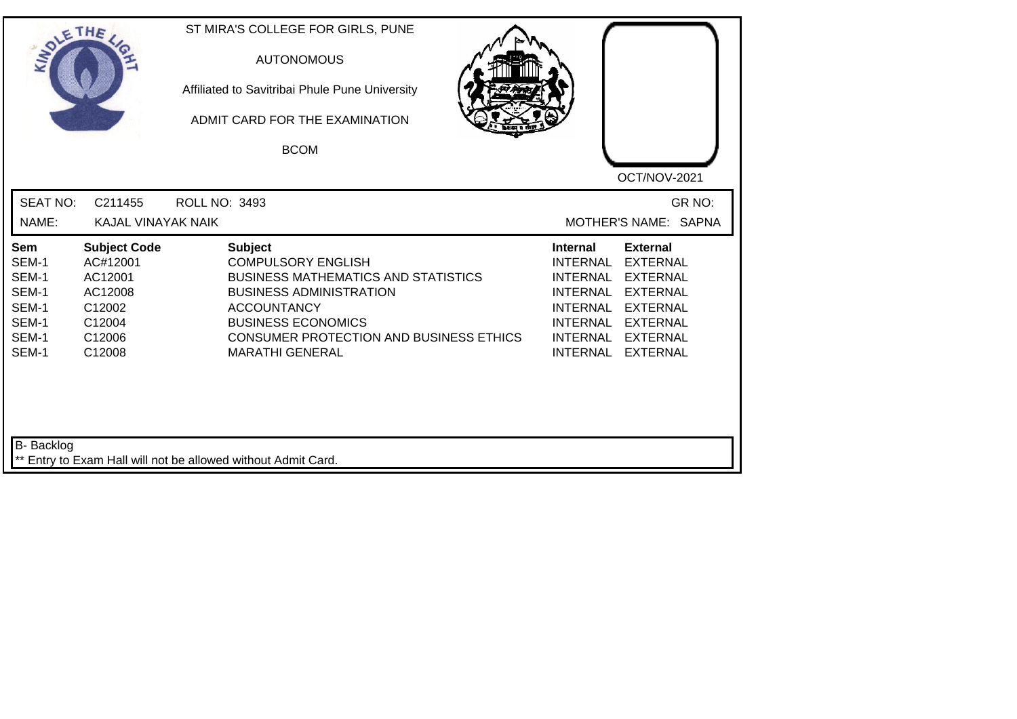| SOLETHE                                                            |                                                                                               | ST MIRA'S COLLEGE FOR GIRLS, PUNE<br><b>AUTONOMOUS</b><br>Affiliated to Savitribai Phule Pune University<br>ADMIT CARD FOR THE EXAMINATION<br><b>BCOM</b>                                                                                                  | OCT/NOV-2021                                                                                                                                                                                                                                   |
|--------------------------------------------------------------------|-----------------------------------------------------------------------------------------------|------------------------------------------------------------------------------------------------------------------------------------------------------------------------------------------------------------------------------------------------------------|------------------------------------------------------------------------------------------------------------------------------------------------------------------------------------------------------------------------------------------------|
| <b>SEAT NO:</b>                                                    | C211455                                                                                       | <b>ROLL NO: 3493</b>                                                                                                                                                                                                                                       | GR NO:                                                                                                                                                                                                                                         |
| NAME:                                                              | KAJAL VINAYAK NAIK                                                                            |                                                                                                                                                                                                                                                            | MOTHER'S NAME: SAPNA                                                                                                                                                                                                                           |
| Sem<br>SEM-1<br>SEM-1<br>SEM-1<br>SEM-1<br>SEM-1<br>SEM-1<br>SEM-1 | <b>Subject Code</b><br>AC#12001<br>AC12001<br>AC12008<br>C12002<br>C12004<br>C12006<br>C12008 | <b>Subject</b><br><b>COMPULSORY ENGLISH</b><br><b>BUSINESS MATHEMATICS AND STATISTICS</b><br><b>BUSINESS ADMINISTRATION</b><br><b>ACCOUNTANCY</b><br><b>BUSINESS ECONOMICS</b><br><b>CONSUMER PROTECTION AND BUSINESS ETHICS</b><br><b>MARATHI GENERAL</b> | <b>External</b><br><b>Internal</b><br>INTERNAL<br><b>EXTERNAL</b><br>INTERNAL<br><b>EXTERNAL</b><br>INTERNAL EXTERNAL<br><b>INTERNAL</b><br><b>EXTERNAL</b><br>INTERNAL EXTERNAL<br>INTERNAL<br><b>EXTERNAL</b><br>INTERNAL<br><b>EXTERNAL</b> |
| <b>B-</b> Backlog                                                  |                                                                                               | ** Entry to Exam Hall will not be allowed without Admit Card.                                                                                                                                                                                              |                                                                                                                                                                                                                                                |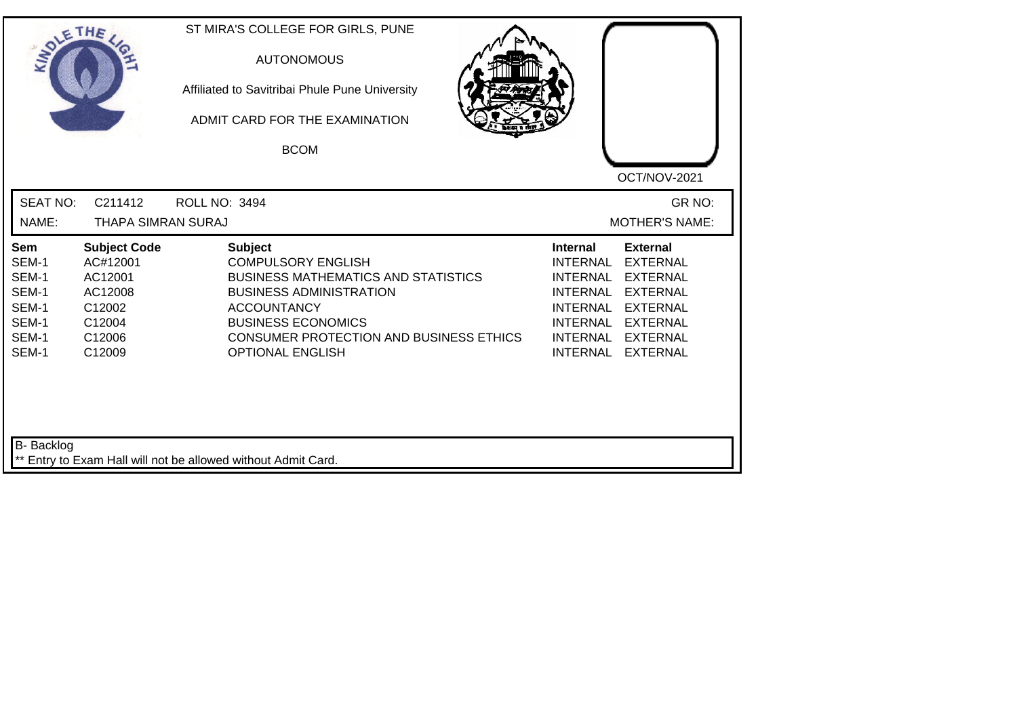| SOLETHE                                                            |                                                                                               | ST MIRA'S COLLEGE FOR GIRLS, PUNE<br><b>AUTONOMOUS</b><br>Affiliated to Savitribai Phule Pune University<br>ADMIT CARD FOR THE EXAMINATION<br><b>BCOM</b>                                                                                                   |                                                                                                                                               | OCT/NOV-2021                                                                                                                                         |
|--------------------------------------------------------------------|-----------------------------------------------------------------------------------------------|-------------------------------------------------------------------------------------------------------------------------------------------------------------------------------------------------------------------------------------------------------------|-----------------------------------------------------------------------------------------------------------------------------------------------|------------------------------------------------------------------------------------------------------------------------------------------------------|
| <b>SEAT NO:</b><br>NAME:                                           | C211412<br>THAPA SIMRAN SURAJ                                                                 | <b>ROLL NO: 3494</b>                                                                                                                                                                                                                                        |                                                                                                                                               | GR NO:<br><b>MOTHER'S NAME:</b>                                                                                                                      |
| Sem<br>SEM-1<br>SEM-1<br>SEM-1<br>SEM-1<br>SEM-1<br>SEM-1<br>SEM-1 | <b>Subject Code</b><br>AC#12001<br>AC12001<br>AC12008<br>C12002<br>C12004<br>C12006<br>C12009 | <b>Subject</b><br><b>COMPULSORY ENGLISH</b><br><b>BUSINESS MATHEMATICS AND STATISTICS</b><br><b>BUSINESS ADMINISTRATION</b><br><b>ACCOUNTANCY</b><br><b>BUSINESS ECONOMICS</b><br><b>CONSUMER PROTECTION AND BUSINESS ETHICS</b><br><b>OPTIONAL ENGLISH</b> | <b>Internal</b><br>INTERNAL<br><b>INTERNAL</b><br><b>INTERNAL</b><br><b>INTERNAL</b><br><b>INTERNAL</b><br><b>INTERNAL</b><br><b>INTERNAL</b> | <b>External</b><br><b>EXTERNAL</b><br><b>EXTERNAL</b><br><b>EXTERNAL</b><br><b>EXTERNAL</b><br><b>EXTERNAL</b><br><b>EXTERNAL</b><br><b>EXTERNAL</b> |
| <b>B-</b> Backlog                                                  |                                                                                               | ** Entry to Exam Hall will not be allowed without Admit Card.                                                                                                                                                                                               |                                                                                                                                               |                                                                                                                                                      |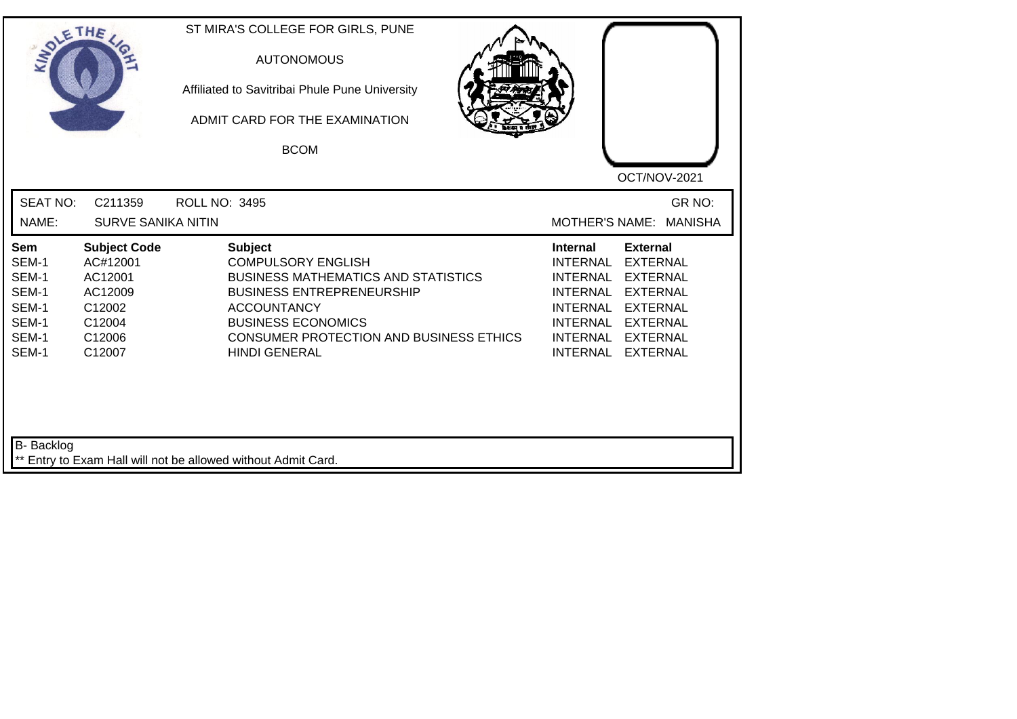| SOLE THE                                                           |                                                                                               | ST MIRA'S COLLEGE FOR GIRLS, PUNE<br><b>AUTONOMOUS</b><br>Affiliated to Savitribai Phule Pune University<br>ADMIT CARD FOR THE EXAMINATION<br><b>BCOM</b>                                                                                                  | OCT/NOV-2021                                                                                                                                                                                                                                                                                |
|--------------------------------------------------------------------|-----------------------------------------------------------------------------------------------|------------------------------------------------------------------------------------------------------------------------------------------------------------------------------------------------------------------------------------------------------------|---------------------------------------------------------------------------------------------------------------------------------------------------------------------------------------------------------------------------------------------------------------------------------------------|
| <b>SEAT NO:</b>                                                    | C211359                                                                                       | <b>ROLL NO: 3495</b>                                                                                                                                                                                                                                       | GR NO:                                                                                                                                                                                                                                                                                      |
| NAME:                                                              | <b>SURVE SANIKA NITIN</b>                                                                     |                                                                                                                                                                                                                                                            | <b>MOTHER'S NAME:</b><br><b>MANISHA</b>                                                                                                                                                                                                                                                     |
| Sem<br>SEM-1<br>SEM-1<br>SEM-1<br>SEM-1<br>SEM-1<br>SEM-1<br>SEM-1 | <b>Subject Code</b><br>AC#12001<br>AC12001<br>AC12009<br>C12002<br>C12004<br>C12006<br>C12007 | <b>Subject</b><br><b>COMPULSORY ENGLISH</b><br><b>BUSINESS MATHEMATICS AND STATISTICS</b><br><b>BUSINESS ENTREPRENEURSHIP</b><br><b>ACCOUNTANCY</b><br><b>BUSINESS ECONOMICS</b><br><b>CONSUMER PROTECTION AND BUSINESS ETHICS</b><br><b>HINDI GENERAL</b> | <b>External</b><br><b>Internal</b><br><b>INTERNAL</b><br><b>EXTERNAL</b><br><b>INTERNAL</b><br><b>EXTERNAL</b><br><b>INTERNAL</b><br><b>EXTERNAL</b><br><b>INTERNAL</b><br><b>EXTERNAL</b><br>INTERNAL EXTERNAL<br><b>INTERNAL</b><br><b>EXTERNAL</b><br><b>INTERNAL</b><br><b>EXTERNAL</b> |
| <b>B-</b> Backlog                                                  |                                                                                               |                                                                                                                                                                                                                                                            |                                                                                                                                                                                                                                                                                             |
|                                                                    |                                                                                               | ** Entry to Exam Hall will not be allowed without Admit Card.                                                                                                                                                                                              |                                                                                                                                                                                                                                                                                             |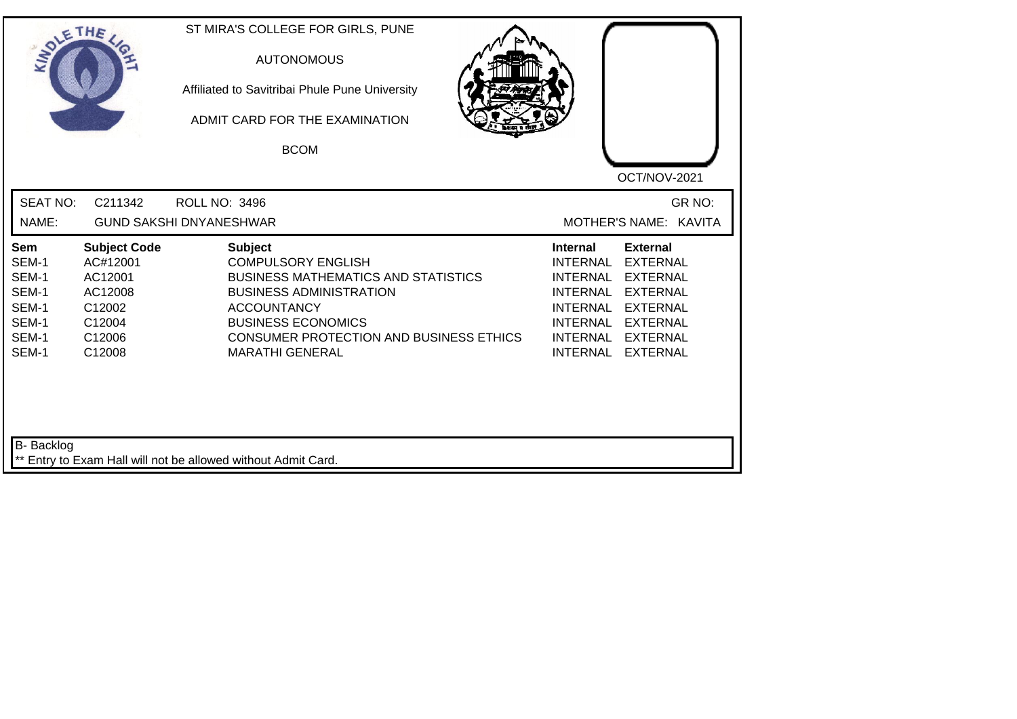| SOLETHE,                                                           |                                                                                               | ST MIRA'S COLLEGE FOR GIRLS, PUNE<br><b>AUTONOMOUS</b><br>Affiliated to Savitribai Phule Pune University<br>ADMIT CARD FOR THE EXAMINATION<br><b>BCOM</b>                                                                                                  |                                                                                                                                                                                                                                                           |
|--------------------------------------------------------------------|-----------------------------------------------------------------------------------------------|------------------------------------------------------------------------------------------------------------------------------------------------------------------------------------------------------------------------------------------------------------|-----------------------------------------------------------------------------------------------------------------------------------------------------------------------------------------------------------------------------------------------------------|
| <b>SEAT NO:</b><br>NAME:                                           | C211342                                                                                       | <b>ROLL NO: 3496</b><br><b>GUND SAKSHI DNYANESHWAR</b>                                                                                                                                                                                                     | OCT/NOV-2021<br>GR NO:<br>MOTHER'S NAME: KAVITA                                                                                                                                                                                                           |
| Sem<br>SEM-1<br>SEM-1<br>SEM-1<br>SEM-1<br>SEM-1<br>SEM-1<br>SEM-1 | <b>Subject Code</b><br>AC#12001<br>AC12001<br>AC12008<br>C12002<br>C12004<br>C12006<br>C12008 | <b>Subject</b><br><b>COMPULSORY ENGLISH</b><br><b>BUSINESS MATHEMATICS AND STATISTICS</b><br><b>BUSINESS ADMINISTRATION</b><br><b>ACCOUNTANCY</b><br><b>BUSINESS ECONOMICS</b><br><b>CONSUMER PROTECTION AND BUSINESS ETHICS</b><br><b>MARATHI GENERAL</b> | <b>Internal</b><br><b>External</b><br><b>EXTERNAL</b><br><b>INTERNAL</b><br>INTERNAL EXTERNAL<br><b>INTERNAL</b><br><b>EXTERNAL</b><br>INTERNAL EXTERNAL<br><b>INTERNAL</b><br><b>EXTERNAL</b><br>INTERNAL EXTERNAL<br><b>INTERNAL</b><br><b>EXTERNAL</b> |
| B- Backlog                                                         |                                                                                               | ** Entry to Exam Hall will not be allowed without Admit Card.                                                                                                                                                                                              |                                                                                                                                                                                                                                                           |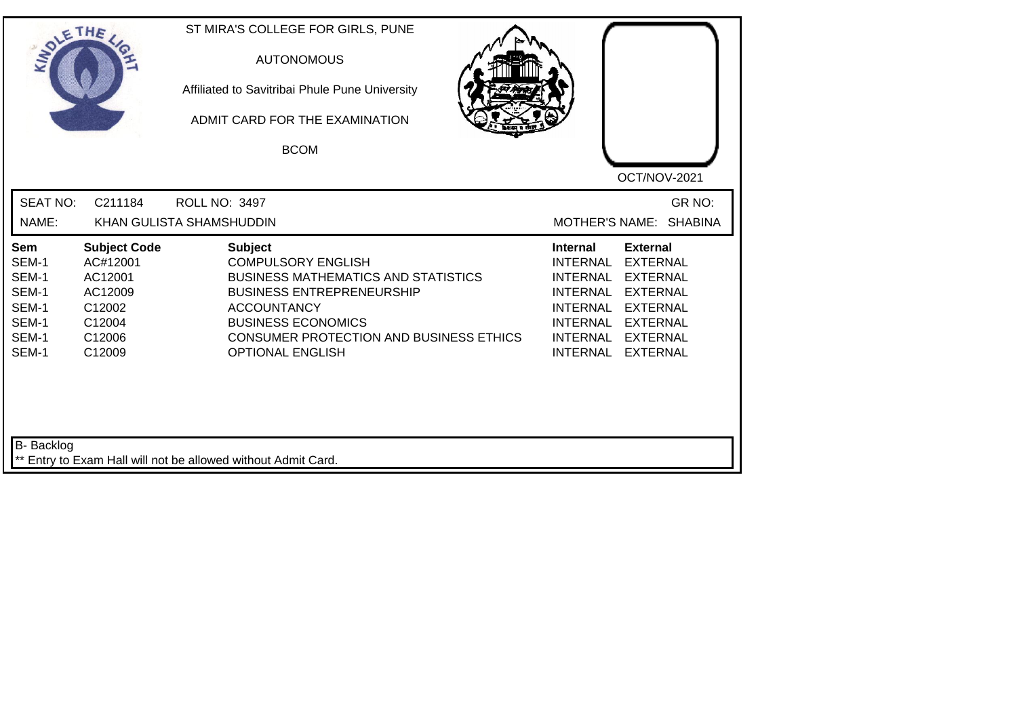| SOLE THE                                                           |                                                                                               | ST MIRA'S COLLEGE FOR GIRLS, PUNE<br><b>AUTONOMOUS</b><br>Affiliated to Savitribai Phule Pune University<br>ADMIT CARD FOR THE EXAMINATION<br><b>BCOM</b>                                                                                              | OCT/NOV-2021                                                                                                                                                                                                                                                                                                 |
|--------------------------------------------------------------------|-----------------------------------------------------------------------------------------------|--------------------------------------------------------------------------------------------------------------------------------------------------------------------------------------------------------------------------------------------------------|--------------------------------------------------------------------------------------------------------------------------------------------------------------------------------------------------------------------------------------------------------------------------------------------------------------|
| <b>SEAT NO:</b><br>NAME:                                           | C211184                                                                                       | ROLL NO: 3497<br>KHAN GULISTA SHAMSHUDDIN                                                                                                                                                                                                              | GR NO:<br>MOTHER'S NAME: SHABINA                                                                                                                                                                                                                                                                             |
| Sem<br>SEM-1<br>SEM-1<br>SEM-1<br>SEM-1<br>SEM-1<br>SEM-1<br>SEM-1 | <b>Subject Code</b><br>AC#12001<br>AC12001<br>AC12009<br>C12002<br>C12004<br>C12006<br>C12009 | <b>Subject</b><br><b>COMPULSORY ENGLISH</b><br><b>BUSINESS MATHEMATICS AND STATISTICS</b><br><b>BUSINESS ENTREPRENEURSHIP</b><br><b>ACCOUNTANCY</b><br><b>BUSINESS ECONOMICS</b><br>CONSUMER PROTECTION AND BUSINESS ETHICS<br><b>OPTIONAL ENGLISH</b> | <b>Internal</b><br><b>External</b><br><b>INTERNAL</b><br><b>EXTERNAL</b><br><b>INTERNAL</b><br><b>EXTERNAL</b><br><b>INTERNAL</b><br><b>EXTERNAL</b><br><b>INTERNAL</b><br><b>EXTERNAL</b><br><b>INTERNAL</b><br><b>EXTERNAL</b><br><b>INTERNAL</b><br><b>EXTERNAL</b><br><b>INTERNAL</b><br><b>EXTERNAL</b> |
| B- Backlog                                                         |                                                                                               | ** Entry to Exam Hall will not be allowed without Admit Card.                                                                                                                                                                                          |                                                                                                                                                                                                                                                                                                              |

┙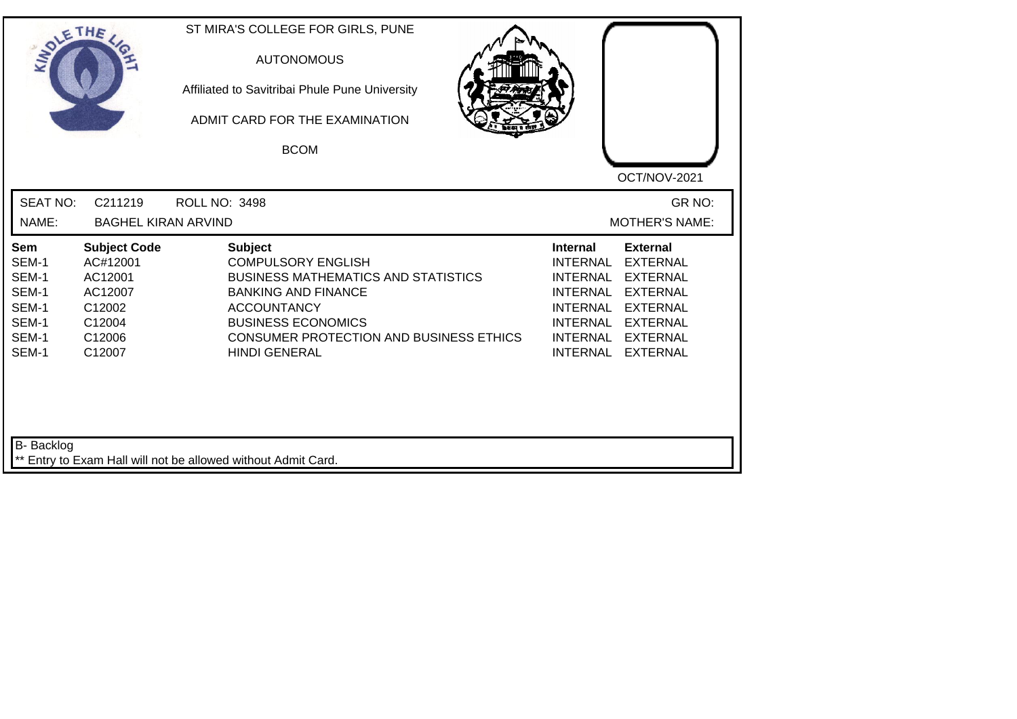| SOLETHE                                                            |                                                                                               | ST MIRA'S COLLEGE FOR GIRLS, PUNE<br><b>AUTONOMOUS</b><br>Affiliated to Savitribai Phule Pune University<br>ADMIT CARD FOR THE EXAMINATION<br><b>BCOM</b>                                                                                            |                                                                                                                                                      |                                                                                                                                                      |
|--------------------------------------------------------------------|-----------------------------------------------------------------------------------------------|------------------------------------------------------------------------------------------------------------------------------------------------------------------------------------------------------------------------------------------------------|------------------------------------------------------------------------------------------------------------------------------------------------------|------------------------------------------------------------------------------------------------------------------------------------------------------|
| <b>SEAT NO:</b><br>NAME:                                           | C211219<br><b>BAGHEL KIRAN ARVIND</b>                                                         | ROLL NO: 3498                                                                                                                                                                                                                                        |                                                                                                                                                      | OCT/NOV-2021<br>GR NO:<br><b>MOTHER'S NAME:</b>                                                                                                      |
| Sem<br>SEM-1<br>SEM-1<br>SEM-1<br>SEM-1<br>SEM-1<br>SEM-1<br>SEM-1 | <b>Subject Code</b><br>AC#12001<br>AC12001<br>AC12007<br>C12002<br>C12004<br>C12006<br>C12007 | <b>Subject</b><br><b>COMPULSORY ENGLISH</b><br><b>BUSINESS MATHEMATICS AND STATISTICS</b><br><b>BANKING AND FINANCE</b><br><b>ACCOUNTANCY</b><br><b>BUSINESS ECONOMICS</b><br><b>CONSUMER PROTECTION AND BUSINESS ETHICS</b><br><b>HINDI GENERAL</b> | <b>Internal</b><br><b>INTERNAL</b><br><b>INTERNAL</b><br><b>INTERNAL</b><br><b>INTERNAL</b><br><b>INTERNAL</b><br><b>INTERNAL</b><br><b>INTERNAL</b> | <b>External</b><br><b>EXTERNAL</b><br><b>EXTERNAL</b><br><b>EXTERNAL</b><br><b>EXTERNAL</b><br><b>EXTERNAL</b><br><b>EXTERNAL</b><br><b>EXTERNAL</b> |
| <b>B-</b> Backlog                                                  |                                                                                               | ** Entry to Exam Hall will not be allowed without Admit Card.                                                                                                                                                                                        |                                                                                                                                                      |                                                                                                                                                      |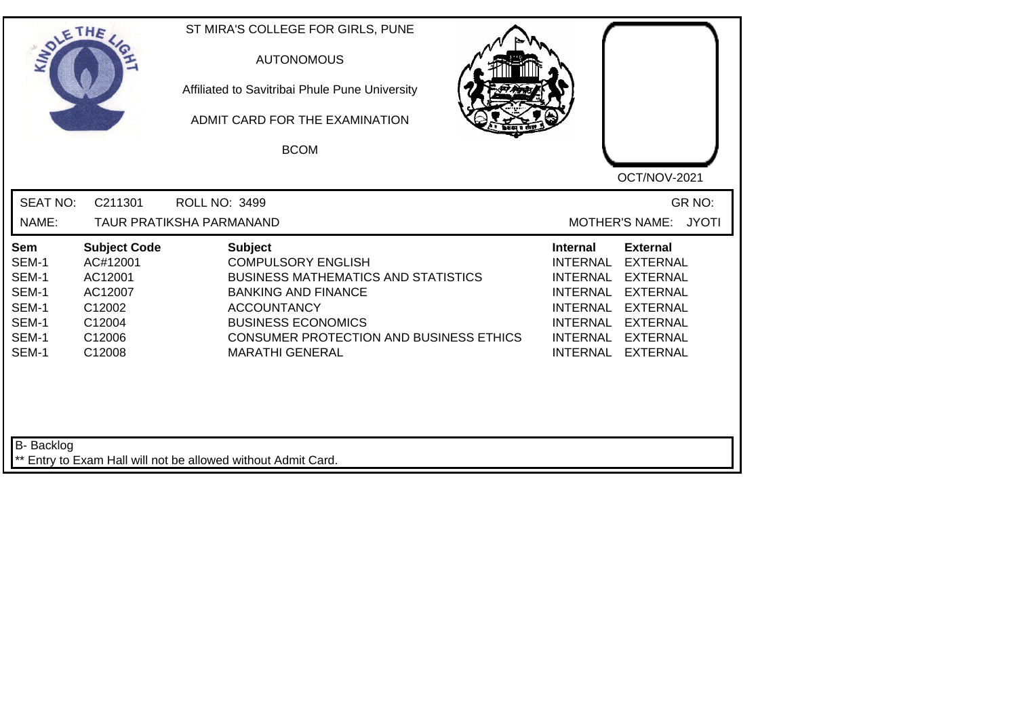| SOLETHE ,                                                          |                                                                                               | ST MIRA'S COLLEGE FOR GIRLS, PUNE<br><b>AUTONOMOUS</b><br>Affiliated to Savitribai Phule Pune University<br>ADMIT CARD FOR THE EXAMINATION<br><b>BCOM</b>                                                                                              | OCT/NOV-2021                                                                                                                                                                                                                                                                            |
|--------------------------------------------------------------------|-----------------------------------------------------------------------------------------------|--------------------------------------------------------------------------------------------------------------------------------------------------------------------------------------------------------------------------------------------------------|-----------------------------------------------------------------------------------------------------------------------------------------------------------------------------------------------------------------------------------------------------------------------------------------|
| <b>SEAT NO:</b><br>NAME:                                           | C211301                                                                                       | <b>ROLL NO: 3499</b><br><b>TAUR PRATIKSHA PARMANAND</b>                                                                                                                                                                                                | GR NO:<br>MOTHER'S NAME: JYOTI                                                                                                                                                                                                                                                          |
| Sem<br>SEM-1<br>SEM-1<br>SEM-1<br>SEM-1<br>SEM-1<br>SEM-1<br>SEM-1 | <b>Subject Code</b><br>AC#12001<br>AC12001<br>AC12007<br>C12002<br>C12004<br>C12006<br>C12008 | <b>Subject</b><br><b>COMPULSORY ENGLISH</b><br><b>BUSINESS MATHEMATICS AND STATISTICS</b><br><b>BANKING AND FINANCE</b><br><b>ACCOUNTANCY</b><br><b>BUSINESS ECONOMICS</b><br><b>CONSUMER PROTECTION AND BUSINESS ETHICS</b><br><b>MARATHI GENERAL</b> | <b>External</b><br><b>Internal</b><br><b>INTERNAL</b><br><b>EXTERNAL</b><br><b>EXTERNAL</b><br>INTERNAL<br>INTERNAL<br><b>EXTERNAL</b><br><b>INTERNAL</b><br><b>EXTERNAL</b><br><b>INTERNAL</b><br><b>EXTERNAL</b><br>INTERNAL<br><b>EXTERNAL</b><br><b>INTERNAL</b><br><b>EXTERNAL</b> |
| B- Backlog                                                         |                                                                                               | ** Entry to Exam Hall will not be allowed without Admit Card.                                                                                                                                                                                          |                                                                                                                                                                                                                                                                                         |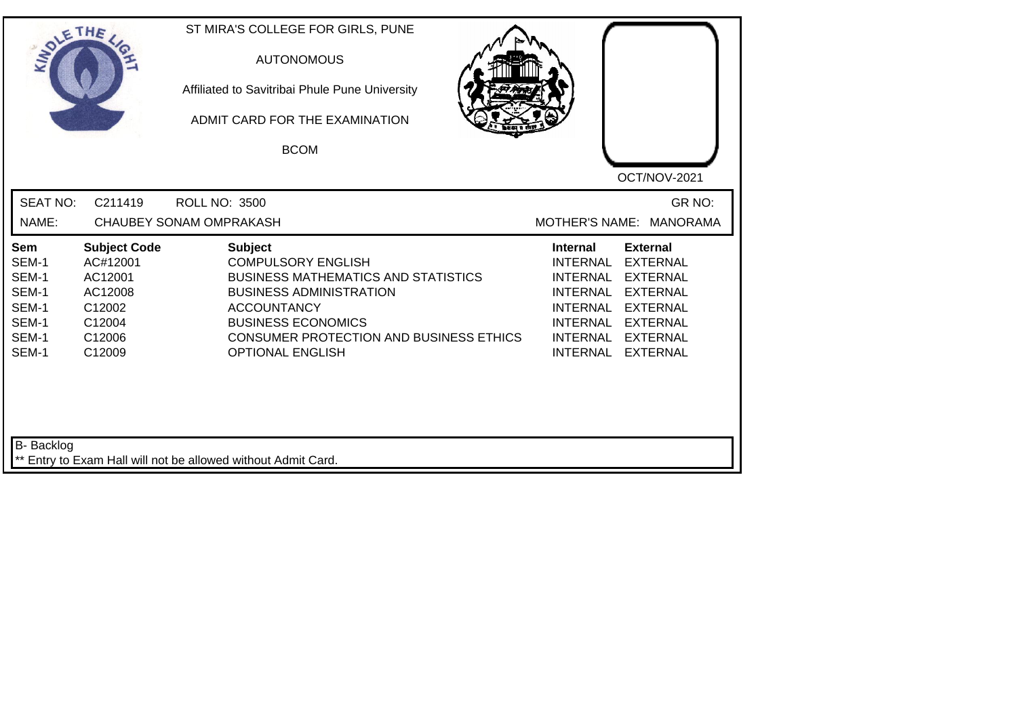| SOLETHE .                                                          |                                                                                               | ST MIRA'S COLLEGE FOR GIRLS, PUNE<br><b>AUTONOMOUS</b><br>Affiliated to Savitribai Phule Pune University<br>ADMIT CARD FOR THE EXAMINATION<br><b>BCOM</b>                                                                                                   | OCT/NOV-2021                                                                                                                                                                                                                             |
|--------------------------------------------------------------------|-----------------------------------------------------------------------------------------------|-------------------------------------------------------------------------------------------------------------------------------------------------------------------------------------------------------------------------------------------------------------|------------------------------------------------------------------------------------------------------------------------------------------------------------------------------------------------------------------------------------------|
| <b>SEAT NO:</b><br>NAME:                                           | C211419                                                                                       | <b>ROLL NO: 3500</b><br><b>CHAUBEY SONAM OMPRAKASH</b>                                                                                                                                                                                                      | GR NO:<br>MOTHER'S NAME: MANORAMA                                                                                                                                                                                                        |
| Sem<br>SEM-1<br>SEM-1<br>SEM-1<br>SEM-1<br>SEM-1<br>SEM-1<br>SEM-1 | <b>Subject Code</b><br>AC#12001<br>AC12001<br>AC12008<br>C12002<br>C12004<br>C12006<br>C12009 | <b>Subject</b><br><b>COMPULSORY ENGLISH</b><br><b>BUSINESS MATHEMATICS AND STATISTICS</b><br><b>BUSINESS ADMINISTRATION</b><br><b>ACCOUNTANCY</b><br><b>BUSINESS ECONOMICS</b><br><b>CONSUMER PROTECTION AND BUSINESS ETHICS</b><br><b>OPTIONAL ENGLISH</b> | <b>External</b><br><b>Internal</b><br><b>INTERNAL</b><br><b>EXTERNAL</b><br>INTERNAL EXTERNAL<br>INTERNAL EXTERNAL<br>INTERNAL EXTERNAL<br><b>INTERNAL</b><br><b>EXTERNAL</b><br>INTERNAL EXTERNAL<br><b>INTERNAL</b><br><b>EXTERNAL</b> |
| B- Backlog                                                         |                                                                                               | ** Entry to Exam Hall will not be allowed without Admit Card.                                                                                                                                                                                               |                                                                                                                                                                                                                                          |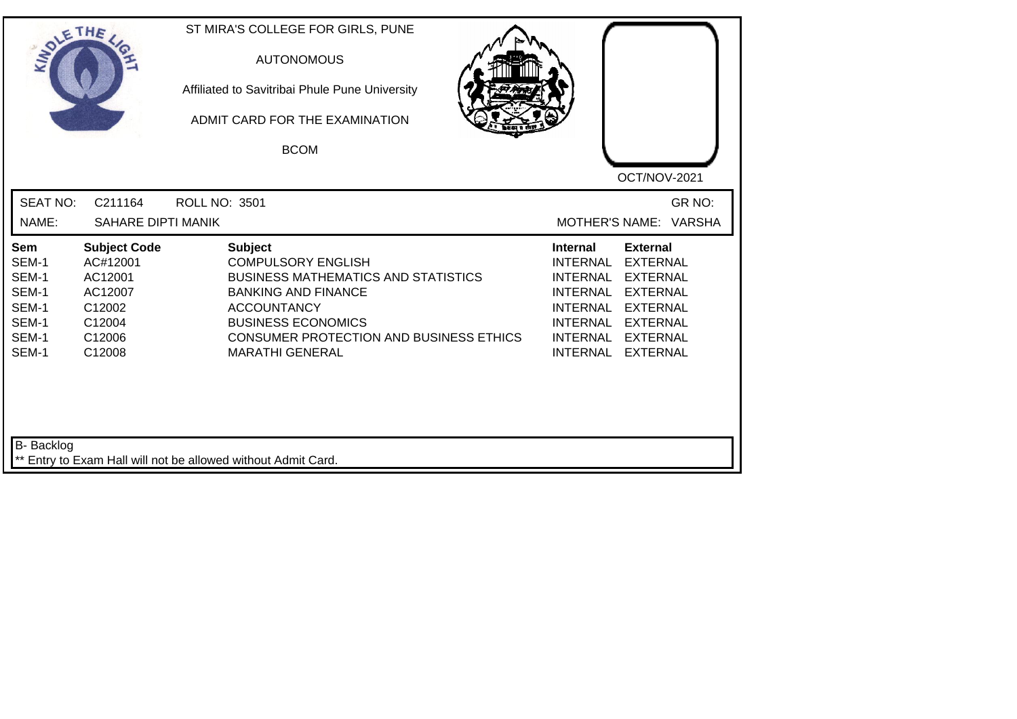| SOLE THE                                                           |                                                                                               | ST MIRA'S COLLEGE FOR GIRLS, PUNE<br><b>AUTONOMOUS</b><br>Affiliated to Savitribai Phule Pune University<br>ADMIT CARD FOR THE EXAMINATION<br><b>BCOM</b>                                                                                              | OCT/NOV-2021                                                                                                                                                                                                                                                                                                 |
|--------------------------------------------------------------------|-----------------------------------------------------------------------------------------------|--------------------------------------------------------------------------------------------------------------------------------------------------------------------------------------------------------------------------------------------------------|--------------------------------------------------------------------------------------------------------------------------------------------------------------------------------------------------------------------------------------------------------------------------------------------------------------|
| <b>SEAT NO:</b><br>NAME:                                           | C211164<br>SAHARE DIPTI MANIK                                                                 | <b>ROLL NO: 3501</b>                                                                                                                                                                                                                                   | GR NO:<br>MOTHER'S NAME: VARSHA                                                                                                                                                                                                                                                                              |
| Sem<br>SEM-1<br>SEM-1<br>SEM-1<br>SEM-1<br>SEM-1<br>SEM-1<br>SEM-1 | <b>Subject Code</b><br>AC#12001<br>AC12001<br>AC12007<br>C12002<br>C12004<br>C12006<br>C12008 | <b>Subject</b><br><b>COMPULSORY ENGLISH</b><br><b>BUSINESS MATHEMATICS AND STATISTICS</b><br><b>BANKING AND FINANCE</b><br><b>ACCOUNTANCY</b><br><b>BUSINESS ECONOMICS</b><br><b>CONSUMER PROTECTION AND BUSINESS ETHICS</b><br><b>MARATHI GENERAL</b> | <b>External</b><br><b>Internal</b><br><b>INTERNAL</b><br><b>EXTERNAL</b><br><b>INTERNAL</b><br><b>EXTERNAL</b><br><b>EXTERNAL</b><br><b>INTERNAL</b><br><b>INTERNAL</b><br><b>EXTERNAL</b><br><b>INTERNAL</b><br><b>EXTERNAL</b><br><b>INTERNAL</b><br><b>EXTERNAL</b><br><b>INTERNAL</b><br><b>EXTERNAL</b> |
| <b>B-</b> Backlog                                                  |                                                                                               | ** Entry to Exam Hall will not be allowed without Admit Card.                                                                                                                                                                                          |                                                                                                                                                                                                                                                                                                              |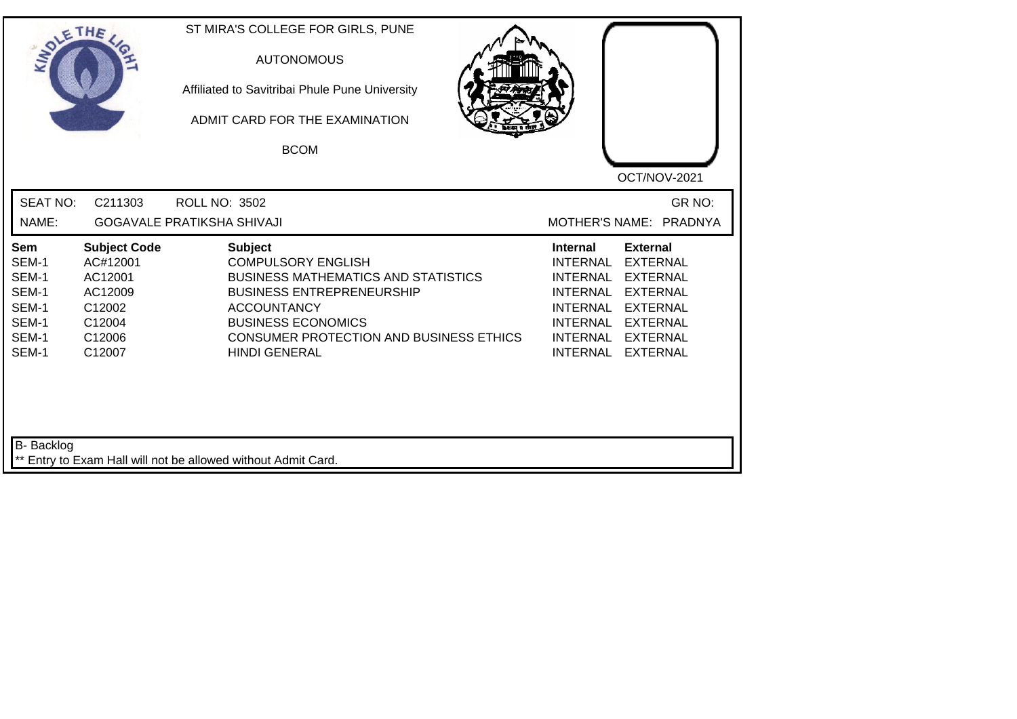| SOLETHE ,                                                          |                                                                                               | ST MIRA'S COLLEGE FOR GIRLS, PUNE<br><b>AUTONOMOUS</b><br>Affiliated to Savitribai Phule Pune University<br>ADMIT CARD FOR THE EXAMINATION<br><b>BCOM</b>                                                                                                  |                                                                                                                                                                                                                                                                                             |
|--------------------------------------------------------------------|-----------------------------------------------------------------------------------------------|------------------------------------------------------------------------------------------------------------------------------------------------------------------------------------------------------------------------------------------------------------|---------------------------------------------------------------------------------------------------------------------------------------------------------------------------------------------------------------------------------------------------------------------------------------------|
| <b>SEAT NO:</b><br>NAME:                                           | C211303                                                                                       | <b>ROLL NO: 3502</b><br><b>GOGAVALE PRATIKSHA SHIVAJI</b>                                                                                                                                                                                                  | OCT/NOV-2021<br>GR NO:<br>MOTHER'S NAME: PRADNYA                                                                                                                                                                                                                                            |
| Sem<br>SEM-1<br>SEM-1<br>SEM-1<br>SEM-1<br>SEM-1<br>SEM-1<br>SEM-1 | <b>Subject Code</b><br>AC#12001<br>AC12001<br>AC12009<br>C12002<br>C12004<br>C12006<br>C12007 | <b>Subject</b><br><b>COMPULSORY ENGLISH</b><br><b>BUSINESS MATHEMATICS AND STATISTICS</b><br><b>BUSINESS ENTREPRENEURSHIP</b><br><b>ACCOUNTANCY</b><br><b>BUSINESS ECONOMICS</b><br><b>CONSUMER PROTECTION AND BUSINESS ETHICS</b><br><b>HINDI GENERAL</b> | <b>External</b><br><b>Internal</b><br><b>INTERNAL</b><br><b>EXTERNAL</b><br><b>INTERNAL</b><br><b>EXTERNAL</b><br><b>INTERNAL</b><br><b>EXTERNAL</b><br>INTERNAL EXTERNAL<br><b>INTERNAL</b><br><b>EXTERNAL</b><br><b>INTERNAL</b><br><b>EXTERNAL</b><br><b>INTERNAL</b><br><b>EXTERNAL</b> |
| B- Backlog                                                         |                                                                                               | ** Entry to Exam Hall will not be allowed without Admit Card.                                                                                                                                                                                              |                                                                                                                                                                                                                                                                                             |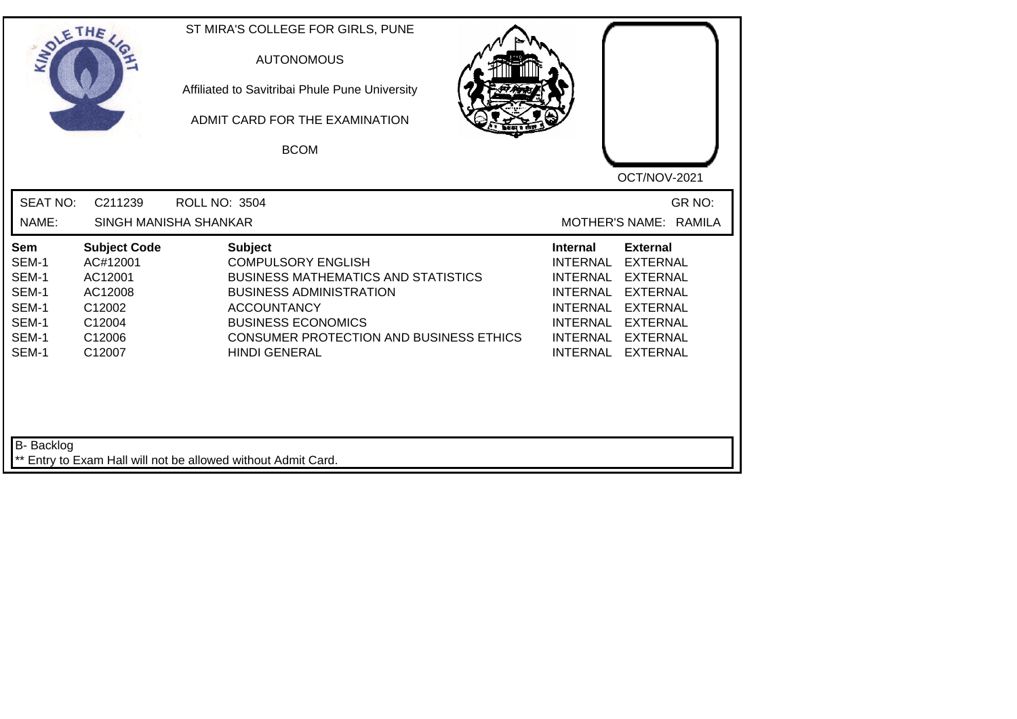| INO'                                                               | ETHE                                                                                          | ST MIRA'S COLLEGE FOR GIRLS, PUNE<br><b>AUTONOMOUS</b><br>Affiliated to Savitribai Phule Pune University<br>ADMIT CARD FOR THE EXAMINATION<br><b>BCOM</b>                                                                                         | OCT/NOV-2021                                                                                                                                                                                                                                                                                |
|--------------------------------------------------------------------|-----------------------------------------------------------------------------------------------|---------------------------------------------------------------------------------------------------------------------------------------------------------------------------------------------------------------------------------------------------|---------------------------------------------------------------------------------------------------------------------------------------------------------------------------------------------------------------------------------------------------------------------------------------------|
| <b>SEAT NO:</b>                                                    | C211239                                                                                       | <b>ROLL NO: 3504</b>                                                                                                                                                                                                                              | GR NO:                                                                                                                                                                                                                                                                                      |
| NAME:                                                              |                                                                                               | SINGH MANISHA SHANKAR                                                                                                                                                                                                                             | MOTHER'S NAME: RAMILA                                                                                                                                                                                                                                                                       |
| Sem<br>SEM-1<br>SEM-1<br>SEM-1<br>SEM-1<br>SEM-1<br>SEM-1<br>SEM-1 | <b>Subject Code</b><br>AC#12001<br>AC12001<br>AC12008<br>C12002<br>C12004<br>C12006<br>C12007 | <b>Subject</b><br><b>COMPULSORY ENGLISH</b><br><b>BUSINESS MATHEMATICS AND STATISTICS</b><br><b>BUSINESS ADMINISTRATION</b><br><b>ACCOUNTANCY</b><br><b>BUSINESS ECONOMICS</b><br>CONSUMER PROTECTION AND BUSINESS ETHICS<br><b>HINDI GENERAL</b> | <b>External</b><br><b>Internal</b><br><b>EXTERNAL</b><br><b>INTERNAL</b><br><b>INTERNAL</b><br><b>EXTERNAL</b><br><b>INTERNAL</b><br><b>EXTERNAL</b><br>INTERNAL EXTERNAL<br><b>INTERNAL</b><br><b>EXTERNAL</b><br><b>INTERNAL</b><br><b>EXTERNAL</b><br><b>INTERNAL</b><br><b>EXTERNAL</b> |
| B- Backlog                                                         |                                                                                               | ** Entry to Exam Hall will not be allowed without Admit Card.                                                                                                                                                                                     |                                                                                                                                                                                                                                                                                             |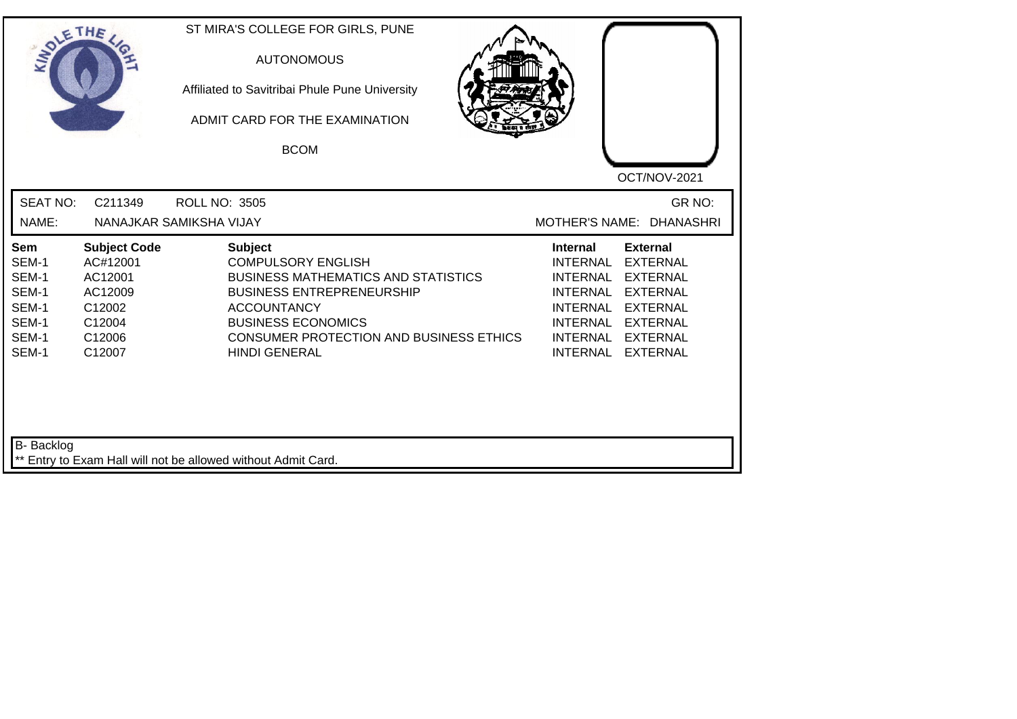|                                                                                  | ETHE                                                                                          | ST MIRA'S COLLEGE FOR GIRLS, PUNE<br><b>AUTONOMOUS</b><br>Affiliated to Savitribai Phule Pune University<br>ADMIT CARD FOR THE EXAMINATION<br><b>BCOM</b>                                                                                                  | OCT/NOV-2021                                                                                                                                                                                                            |
|----------------------------------------------------------------------------------|-----------------------------------------------------------------------------------------------|------------------------------------------------------------------------------------------------------------------------------------------------------------------------------------------------------------------------------------------------------------|-------------------------------------------------------------------------------------------------------------------------------------------------------------------------------------------------------------------------|
| <b>SEAT NO:</b><br>NAME:                                                         | C211349                                                                                       | <b>ROLL NO: 3505</b><br>NANAJKAR SAMIKSHA VIJAY                                                                                                                                                                                                            | GR NO:<br><b>MOTHER'S NAME:</b><br><b>DHANASHRI</b>                                                                                                                                                                     |
| Sem<br>SEM-1<br>SEM-1<br>SEM-1<br>SEM-1<br>SEM-1<br>SEM-1<br>SEM-1<br>B- Backlog | <b>Subject Code</b><br>AC#12001<br>AC12001<br>AC12009<br>C12002<br>C12004<br>C12006<br>C12007 | <b>Subject</b><br><b>COMPULSORY ENGLISH</b><br><b>BUSINESS MATHEMATICS AND STATISTICS</b><br><b>BUSINESS ENTREPRENEURSHIP</b><br><b>ACCOUNTANCY</b><br><b>BUSINESS ECONOMICS</b><br><b>CONSUMER PROTECTION AND BUSINESS ETHICS</b><br><b>HINDI GENERAL</b> | <b>External</b><br><b>Internal</b><br><b>EXTERNAL</b><br><b>INTERNAL</b><br>INTERNAL EXTERNAL<br>INTERNAL EXTERNAL<br>INTERNAL EXTERNAL<br><b>INTERNAL</b><br><b>EXTERNAL</b><br>INTERNAL EXTERNAL<br>INTERNAL EXTERNAL |
|                                                                                  |                                                                                               | ** Entry to Exam Hall will not be allowed without Admit Card.                                                                                                                                                                                              |                                                                                                                                                                                                                         |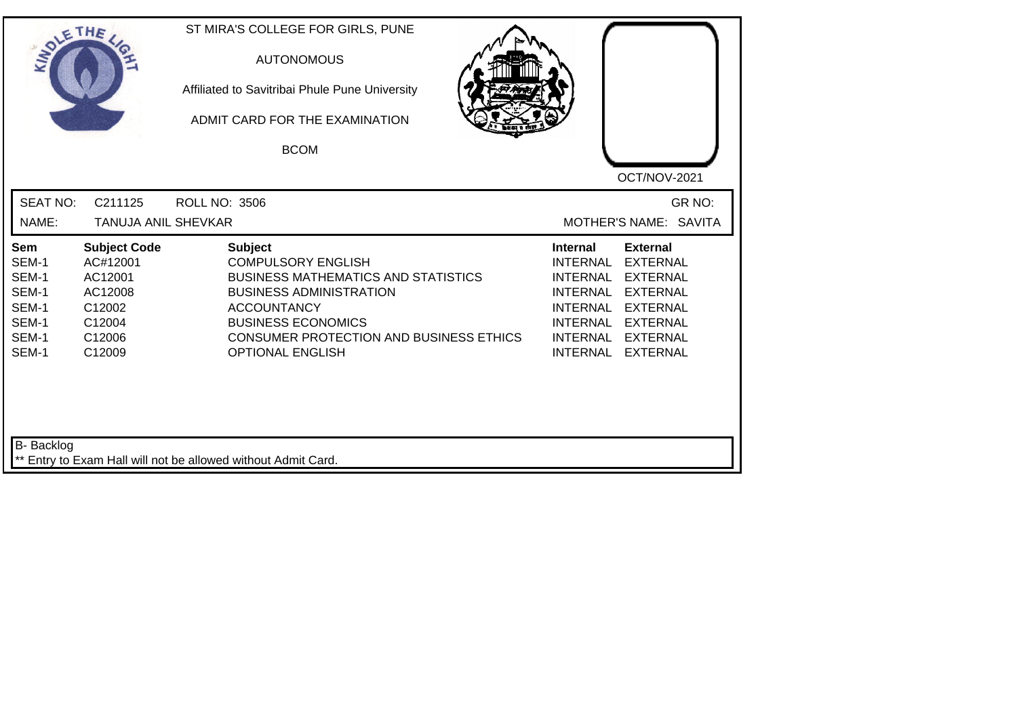| IN <sub>O1</sub>                                                   | ETHE                                                                                          | ST MIRA'S COLLEGE FOR GIRLS, PUNE<br><b>AUTONOMOUS</b><br>Affiliated to Savitribai Phule Pune University<br>ADMIT CARD FOR THE EXAMINATION<br><b>BCOM</b>                                                                                            | OCT/NOV-2021                                                                                                                                                                                                                                                                                |
|--------------------------------------------------------------------|-----------------------------------------------------------------------------------------------|------------------------------------------------------------------------------------------------------------------------------------------------------------------------------------------------------------------------------------------------------|---------------------------------------------------------------------------------------------------------------------------------------------------------------------------------------------------------------------------------------------------------------------------------------------|
| <b>SEAT NO:</b><br>NAME:                                           | C211125<br>TANUJA ANIL SHEVKAR                                                                | <b>ROLL NO: 3506</b>                                                                                                                                                                                                                                 | GR NO:<br>MOTHER'S NAME: SAVITA                                                                                                                                                                                                                                                             |
|                                                                    |                                                                                               |                                                                                                                                                                                                                                                      |                                                                                                                                                                                                                                                                                             |
| Sem<br>SEM-1<br>SEM-1<br>SEM-1<br>SEM-1<br>SEM-1<br>SEM-1<br>SEM-1 | <b>Subject Code</b><br>AC#12001<br>AC12001<br>AC12008<br>C12002<br>C12004<br>C12006<br>C12009 | <b>Subject</b><br><b>COMPULSORY ENGLISH</b><br><b>BUSINESS MATHEMATICS AND STATISTICS</b><br><b>BUSINESS ADMINISTRATION</b><br><b>ACCOUNTANCY</b><br><b>BUSINESS ECONOMICS</b><br>CONSUMER PROTECTION AND BUSINESS ETHICS<br><b>OPTIONAL ENGLISH</b> | <b>External</b><br><b>Internal</b><br><b>EXTERNAL</b><br><b>INTERNAL</b><br><b>INTERNAL</b><br><b>EXTERNAL</b><br><b>INTERNAL</b><br><b>EXTERNAL</b><br>INTERNAL EXTERNAL<br><b>INTERNAL</b><br><b>EXTERNAL</b><br><b>INTERNAL</b><br><b>EXTERNAL</b><br><b>INTERNAL</b><br><b>EXTERNAL</b> |
| B- Backlog                                                         |                                                                                               | ** Entry to Exam Hall will not be allowed without Admit Card.                                                                                                                                                                                        |                                                                                                                                                                                                                                                                                             |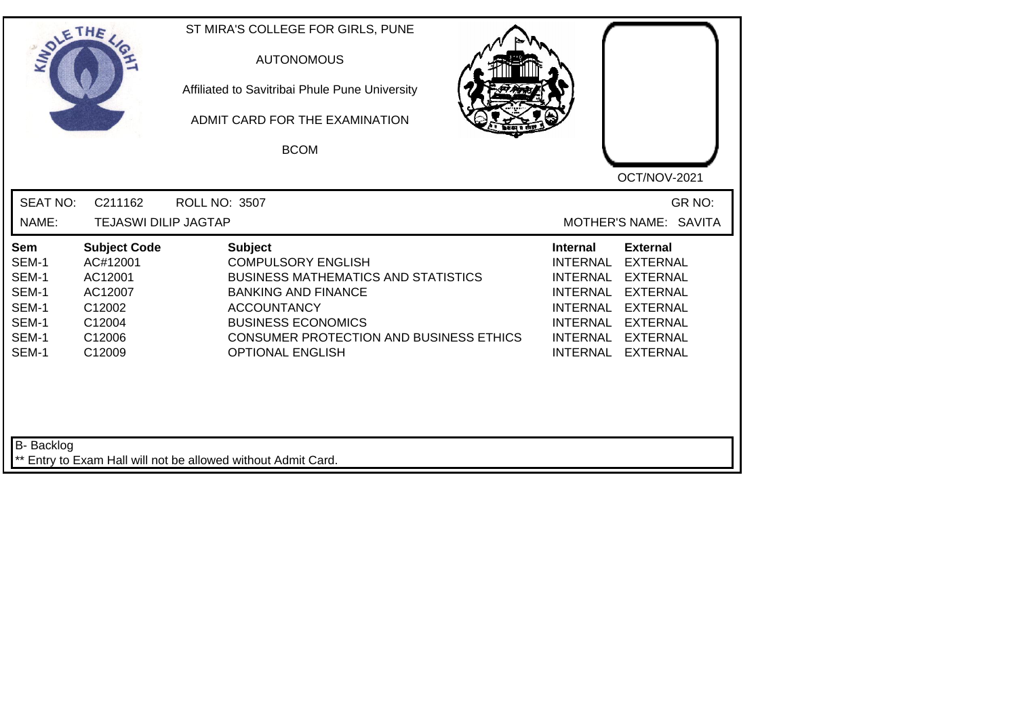| SOLETHE                                                            |                                                                                               | ST MIRA'S COLLEGE FOR GIRLS, PUNE<br><b>AUTONOMOUS</b><br>Affiliated to Savitribai Phule Pune University<br>ADMIT CARD FOR THE EXAMINATION<br><b>BCOM</b>                                                                                        | OCT/NOV-2021                                                                                                                                                                                                                                                                                          |
|--------------------------------------------------------------------|-----------------------------------------------------------------------------------------------|--------------------------------------------------------------------------------------------------------------------------------------------------------------------------------------------------------------------------------------------------|-------------------------------------------------------------------------------------------------------------------------------------------------------------------------------------------------------------------------------------------------------------------------------------------------------|
| <b>SEAT NO:</b><br>NAME:                                           | C211162<br><b>TEJASWI DILIP JAGTAP</b>                                                        | <b>ROLL NO: 3507</b>                                                                                                                                                                                                                             | GR NO:<br>MOTHER'S NAME: SAVITA                                                                                                                                                                                                                                                                       |
| Sem<br>SEM-1<br>SEM-1<br>SEM-1<br>SEM-1<br>SEM-1<br>SEM-1<br>SEM-1 | <b>Subject Code</b><br>AC#12001<br>AC12001<br>AC12007<br>C12002<br>C12004<br>C12006<br>C12009 | <b>Subject</b><br><b>COMPULSORY ENGLISH</b><br><b>BUSINESS MATHEMATICS AND STATISTICS</b><br><b>BANKING AND FINANCE</b><br><b>ACCOUNTANCY</b><br><b>BUSINESS ECONOMICS</b><br>CONSUMER PROTECTION AND BUSINESS ETHICS<br><b>OPTIONAL ENGLISH</b> | <b>Internal</b><br><b>External</b><br><b>EXTERNAL</b><br>INTERNAL<br><b>INTERNAL</b><br><b>EXTERNAL</b><br><b>INTERNAL</b><br><b>EXTERNAL</b><br><b>INTERNAL</b><br><b>EXTERNAL</b><br><b>INTERNAL</b><br><b>EXTERNAL</b><br><b>INTERNAL</b><br><b>EXTERNAL</b><br><b>INTERNAL</b><br><b>EXTERNAL</b> |
| <b>B-</b> Backlog                                                  |                                                                                               | ** Entry to Exam Hall will not be allowed without Admit Card.                                                                                                                                                                                    |                                                                                                                                                                                                                                                                                                       |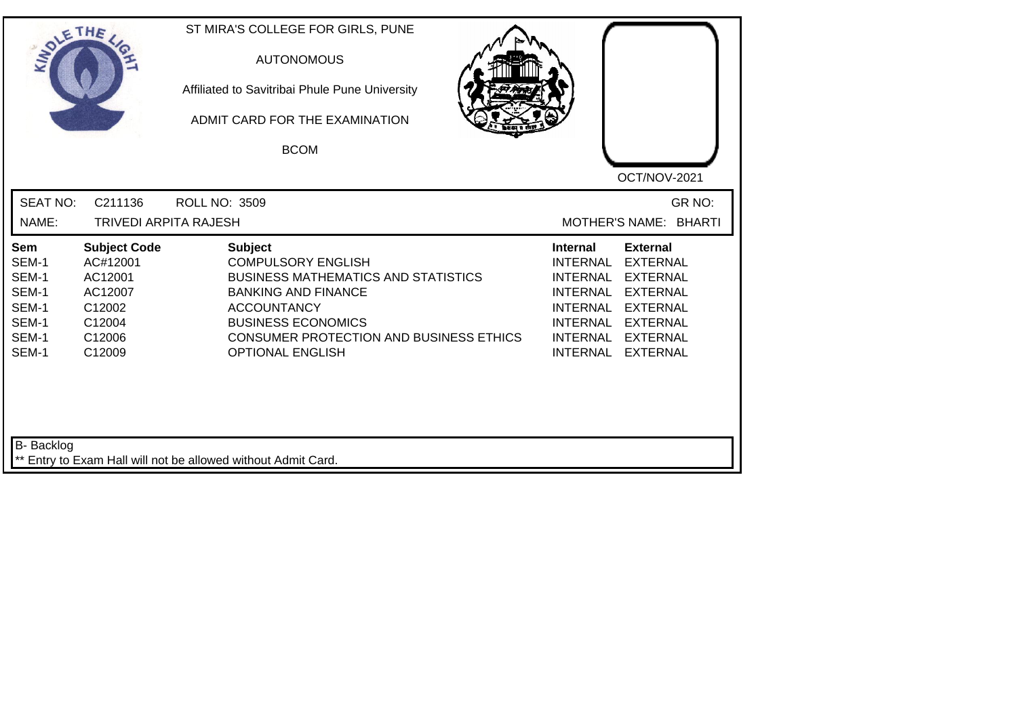| SOLETHE                                                            |                                                                                               | ST MIRA'S COLLEGE FOR GIRLS, PUNE<br><b>AUTONOMOUS</b><br>Affiliated to Savitribai Phule Pune University<br>ADMIT CARD FOR THE EXAMINATION<br><b>BCOM</b>                                                                                        | OCT/NOV-2021                                                                                                                                                                                                                                                                                          |
|--------------------------------------------------------------------|-----------------------------------------------------------------------------------------------|--------------------------------------------------------------------------------------------------------------------------------------------------------------------------------------------------------------------------------------------------|-------------------------------------------------------------------------------------------------------------------------------------------------------------------------------------------------------------------------------------------------------------------------------------------------------|
| <b>SEAT NO:</b><br>NAME:                                           | C211136<br><b>TRIVEDI ARPITA RAJESH</b>                                                       | <b>ROLL NO: 3509</b>                                                                                                                                                                                                                             | GR NO:<br>MOTHER'S NAME: BHARTI                                                                                                                                                                                                                                                                       |
| Sem<br>SEM-1<br>SEM-1<br>SEM-1<br>SEM-1<br>SEM-1<br>SEM-1<br>SEM-1 | <b>Subject Code</b><br>AC#12001<br>AC12001<br>AC12007<br>C12002<br>C12004<br>C12006<br>C12009 | <b>Subject</b><br><b>COMPULSORY ENGLISH</b><br><b>BUSINESS MATHEMATICS AND STATISTICS</b><br><b>BANKING AND FINANCE</b><br><b>ACCOUNTANCY</b><br><b>BUSINESS ECONOMICS</b><br>CONSUMER PROTECTION AND BUSINESS ETHICS<br><b>OPTIONAL ENGLISH</b> | <b>Internal</b><br><b>External</b><br><b>EXTERNAL</b><br>INTERNAL<br><b>INTERNAL</b><br><b>EXTERNAL</b><br><b>INTERNAL</b><br><b>EXTERNAL</b><br><b>INTERNAL</b><br><b>EXTERNAL</b><br><b>INTERNAL</b><br><b>EXTERNAL</b><br><b>INTERNAL</b><br><b>EXTERNAL</b><br><b>INTERNAL</b><br><b>EXTERNAL</b> |
| <b>B-</b> Backlog                                                  |                                                                                               | ** Entry to Exam Hall will not be allowed without Admit Card.                                                                                                                                                                                    |                                                                                                                                                                                                                                                                                                       |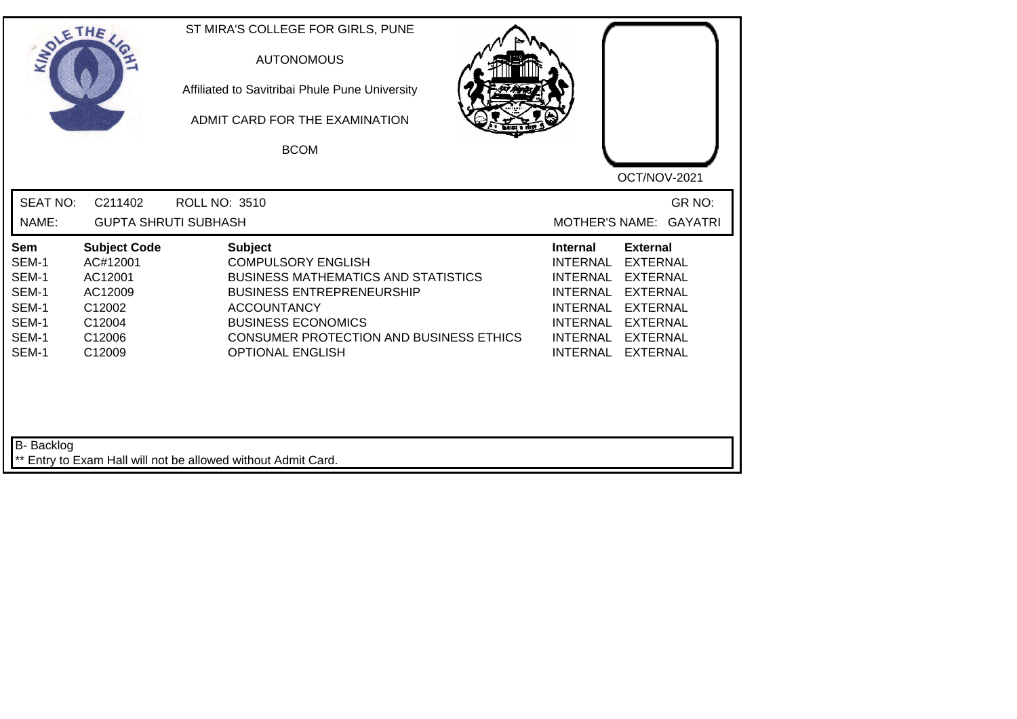| <b>SOLETHE</b>                                                     |                                                                                               | ST MIRA'S COLLEGE FOR GIRLS, PUNE<br><b>AUTONOMOUS</b><br>Affiliated to Savitribai Phule Pune University<br>ADMIT CARD FOR THE EXAMINATION<br><b>BCOM</b>                                                                                              | OCT/NOV-2021                                                                                                                                                                                                                                                                                          |
|--------------------------------------------------------------------|-----------------------------------------------------------------------------------------------|--------------------------------------------------------------------------------------------------------------------------------------------------------------------------------------------------------------------------------------------------------|-------------------------------------------------------------------------------------------------------------------------------------------------------------------------------------------------------------------------------------------------------------------------------------------------------|
| <b>SEAT NO:</b><br>NAME:                                           | C211402                                                                                       | <b>ROLL NO: 3510</b><br><b>GUPTA SHRUTI SUBHASH</b>                                                                                                                                                                                                    | GR NO:<br><b>MOTHER'S NAME:</b><br><b>GAYATRI</b>                                                                                                                                                                                                                                                     |
| Sem<br>SEM-1<br>SEM-1<br>SEM-1<br>SEM-1<br>SEM-1<br>SEM-1<br>SEM-1 | <b>Subject Code</b><br>AC#12001<br>AC12001<br>AC12009<br>C12002<br>C12004<br>C12006<br>C12009 | <b>Subject</b><br><b>COMPULSORY ENGLISH</b><br><b>BUSINESS MATHEMATICS AND STATISTICS</b><br><b>BUSINESS ENTREPRENEURSHIP</b><br><b>ACCOUNTANCY</b><br><b>BUSINESS ECONOMICS</b><br>CONSUMER PROTECTION AND BUSINESS ETHICS<br><b>OPTIONAL ENGLISH</b> | <b>Internal</b><br><b>External</b><br><b>EXTERNAL</b><br>INTERNAL<br><b>INTERNAL</b><br><b>EXTERNAL</b><br><b>INTERNAL</b><br><b>EXTERNAL</b><br><b>INTERNAL</b><br><b>EXTERNAL</b><br><b>INTERNAL</b><br><b>EXTERNAL</b><br><b>INTERNAL</b><br><b>EXTERNAL</b><br><b>INTERNAL</b><br><b>EXTERNAL</b> |
| <b>B-</b> Backlog                                                  |                                                                                               | ** Entry to Exam Hall will not be allowed without Admit Card.                                                                                                                                                                                          |                                                                                                                                                                                                                                                                                                       |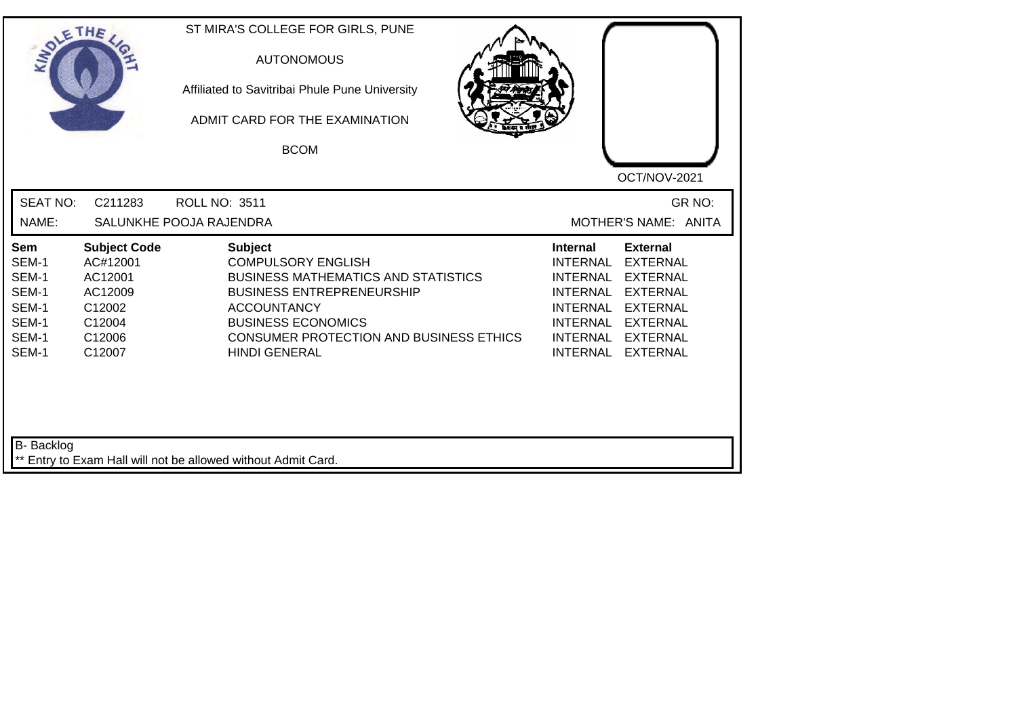| SOLETHE ,                                                          |                                                                                               | ST MIRA'S COLLEGE FOR GIRLS, PUNE<br><b>AUTONOMOUS</b><br>Affiliated to Savitribai Phule Pune University<br>ADMIT CARD FOR THE EXAMINATION<br><b>BCOM</b>                                                                                           | OCT/NOV-2021                                                                                                                                                                                                                                                                                   |
|--------------------------------------------------------------------|-----------------------------------------------------------------------------------------------|-----------------------------------------------------------------------------------------------------------------------------------------------------------------------------------------------------------------------------------------------------|------------------------------------------------------------------------------------------------------------------------------------------------------------------------------------------------------------------------------------------------------------------------------------------------|
| <b>SEAT NO:</b><br>NAME:                                           | C211283                                                                                       | <b>ROLL NO: 3511</b><br>SALUNKHE POOJA RAJENDRA                                                                                                                                                                                                     | GR NO:<br>MOTHER'S NAME: ANITA                                                                                                                                                                                                                                                                 |
| Sem<br>SEM-1<br>SEM-1<br>SEM-1<br>SEM-1<br>SEM-1<br>SEM-1<br>SEM-1 | <b>Subject Code</b><br>AC#12001<br>AC12001<br>AC12009<br>C12002<br>C12004<br>C12006<br>C12007 | <b>Subject</b><br><b>COMPULSORY ENGLISH</b><br><b>BUSINESS MATHEMATICS AND STATISTICS</b><br><b>BUSINESS ENTREPRENEURSHIP</b><br><b>ACCOUNTANCY</b><br><b>BUSINESS ECONOMICS</b><br>CONSUMER PROTECTION AND BUSINESS ETHICS<br><b>HINDI GENERAL</b> | <b>External</b><br><b>Internal</b><br><b>INTERNAL</b><br><b>EXTERNAL</b><br><b>INTERNAL</b><br><b>EXTERNAL</b><br>INTERNAL<br><b>EXTERNAL</b><br><b>INTERNAL</b><br><b>EXTERNAL</b><br><b>INTERNAL</b><br><b>EXTERNAL</b><br>INTERNAL<br><b>EXTERNAL</b><br><b>INTERNAL</b><br><b>EXTERNAL</b> |
| B- Backlog                                                         |                                                                                               | ** Entry to Exam Hall will not be allowed without Admit Card.                                                                                                                                                                                       |                                                                                                                                                                                                                                                                                                |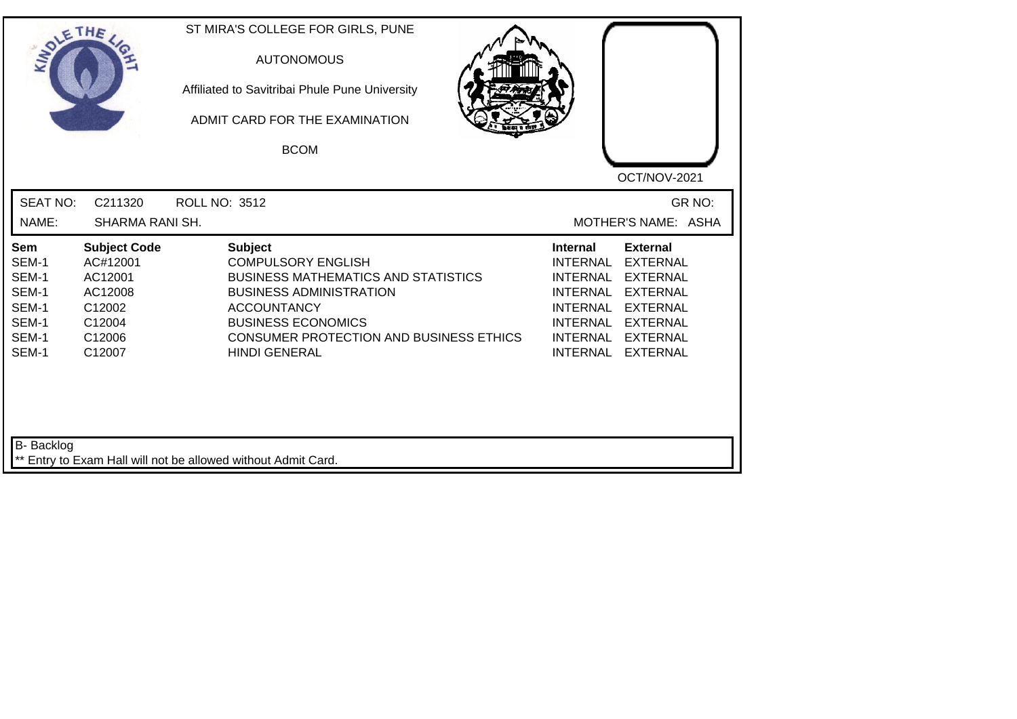| <b>SOLETHE</b>                                                     |                                                                                               | ST MIRA'S COLLEGE FOR GIRLS, PUNE<br><b>AUTONOMOUS</b><br>Affiliated to Savitribai Phule Pune University<br>ADMIT CARD FOR THE EXAMINATION<br><b>BCOM</b>                                                                                                | OCT/NOV-2021                                                                                                                                                                                                                                                                                                 |        |
|--------------------------------------------------------------------|-----------------------------------------------------------------------------------------------|----------------------------------------------------------------------------------------------------------------------------------------------------------------------------------------------------------------------------------------------------------|--------------------------------------------------------------------------------------------------------------------------------------------------------------------------------------------------------------------------------------------------------------------------------------------------------------|--------|
| <b>SEAT NO:</b><br>NAME:                                           | C211320<br>SHARMA RANI SH.                                                                    | <b>ROLL NO: 3512</b>                                                                                                                                                                                                                                     | MOTHER'S NAME: ASHA                                                                                                                                                                                                                                                                                          | GR NO: |
| Sem<br>SEM-1<br>SEM-1<br>SEM-1<br>SEM-1<br>SEM-1<br>SEM-1<br>SEM-1 | <b>Subject Code</b><br>AC#12001<br>AC12001<br>AC12008<br>C12002<br>C12004<br>C12006<br>C12007 | <b>Subject</b><br><b>COMPULSORY ENGLISH</b><br><b>BUSINESS MATHEMATICS AND STATISTICS</b><br><b>BUSINESS ADMINISTRATION</b><br><b>ACCOUNTANCY</b><br><b>BUSINESS ECONOMICS</b><br><b>CONSUMER PROTECTION AND BUSINESS ETHICS</b><br><b>HINDI GENERAL</b> | <b>External</b><br><b>Internal</b><br><b>INTERNAL</b><br><b>EXTERNAL</b><br><b>INTERNAL</b><br><b>EXTERNAL</b><br><b>INTERNAL</b><br><b>EXTERNAL</b><br><b>INTERNAL</b><br><b>EXTERNAL</b><br><b>INTERNAL</b><br><b>EXTERNAL</b><br><b>INTERNAL</b><br><b>EXTERNAL</b><br><b>INTERNAL</b><br><b>EXTERNAL</b> |        |
| <b>B-</b> Backlog                                                  |                                                                                               | ** Entry to Exam Hall will not be allowed without Admit Card.                                                                                                                                                                                            |                                                                                                                                                                                                                                                                                                              |        |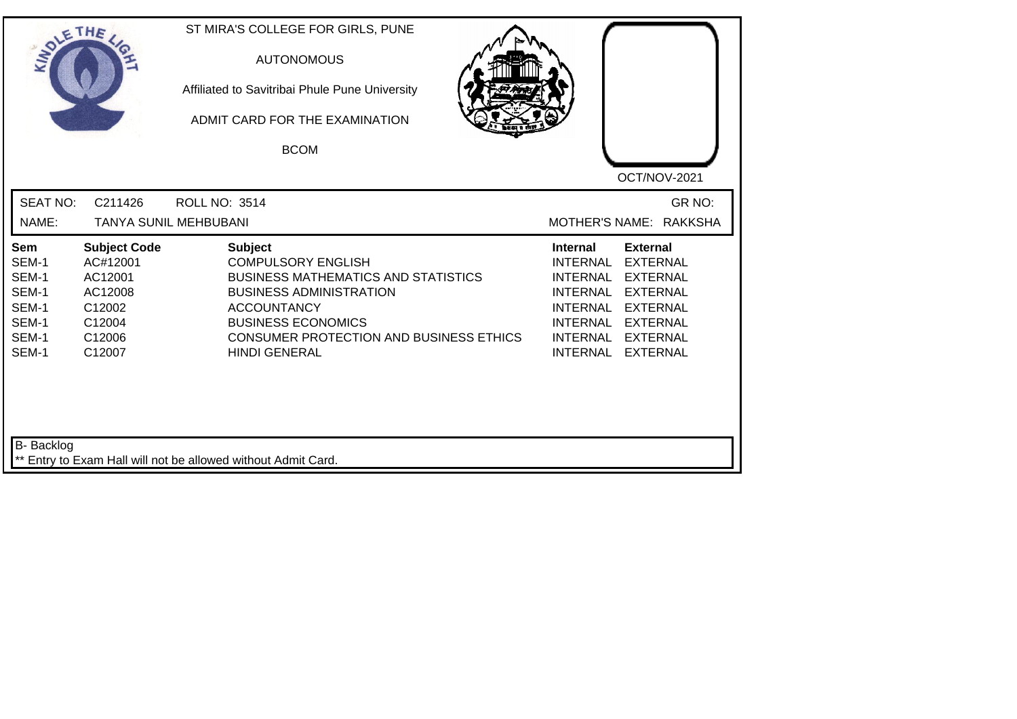| SOLETHE,                                                           |                                                                                               | ST MIRA'S COLLEGE FOR GIRLS, PUNE<br><b>AUTONOMOUS</b><br>Affiliated to Savitribai Phule Pune University<br>ADMIT CARD FOR THE EXAMINATION<br><b>BCOM</b>                                                                                                |                                                                                                                                                                                                                                                                                         |
|--------------------------------------------------------------------|-----------------------------------------------------------------------------------------------|----------------------------------------------------------------------------------------------------------------------------------------------------------------------------------------------------------------------------------------------------------|-----------------------------------------------------------------------------------------------------------------------------------------------------------------------------------------------------------------------------------------------------------------------------------------|
| <b>SEAT NO:</b><br>NAME:                                           | C211426<br><b>TANYA SUNIL MEHBUBANI</b>                                                       | <b>ROLL NO: 3514</b>                                                                                                                                                                                                                                     | OCT/NOV-2021<br>GR NO:<br>MOTHER'S NAME: RAKKSHA                                                                                                                                                                                                                                        |
| Sem<br>SEM-1<br>SEM-1<br>SEM-1<br>SEM-1<br>SEM-1<br>SEM-1<br>SEM-1 | <b>Subject Code</b><br>AC#12001<br>AC12001<br>AC12008<br>C12002<br>C12004<br>C12006<br>C12007 | <b>Subject</b><br><b>COMPULSORY ENGLISH</b><br><b>BUSINESS MATHEMATICS AND STATISTICS</b><br><b>BUSINESS ADMINISTRATION</b><br><b>ACCOUNTANCY</b><br><b>BUSINESS ECONOMICS</b><br><b>CONSUMER PROTECTION AND BUSINESS ETHICS</b><br><b>HINDI GENERAL</b> | <b>External</b><br><b>Internal</b><br><b>INTERNAL</b><br><b>EXTERNAL</b><br>INTERNAL<br><b>EXTERNAL</b><br>INTERNAL<br><b>EXTERNAL</b><br><b>INTERNAL</b><br><b>EXTERNAL</b><br><b>INTERNAL</b><br><b>EXTERNAL</b><br>INTERNAL<br><b>EXTERNAL</b><br><b>INTERNAL</b><br><b>EXTERNAL</b> |
| B- Backlog                                                         |                                                                                               | ** Entry to Exam Hall will not be allowed without Admit Card.                                                                                                                                                                                            |                                                                                                                                                                                                                                                                                         |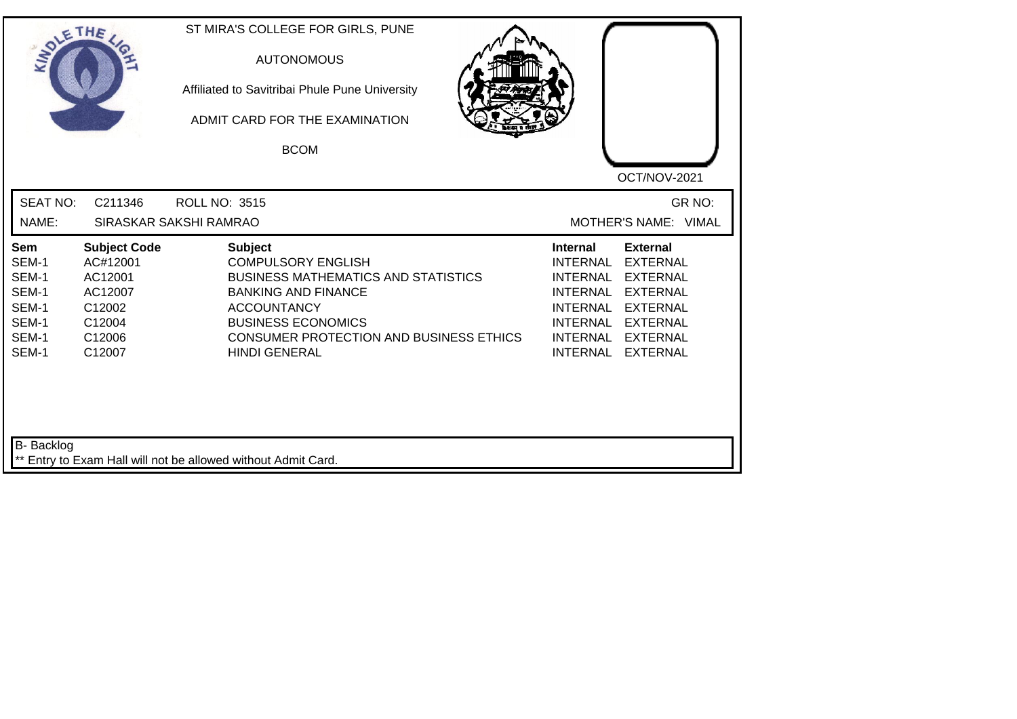| SOLETHE,                                                           |                                                                                               | ST MIRA'S COLLEGE FOR GIRLS, PUNE<br><b>AUTONOMOUS</b><br>Affiliated to Savitribai Phule Pune University<br>ADMIT CARD FOR THE EXAMINATION<br><b>BCOM</b>                                                                                     |                                                                                                                                                                                                                                                                                                |
|--------------------------------------------------------------------|-----------------------------------------------------------------------------------------------|-----------------------------------------------------------------------------------------------------------------------------------------------------------------------------------------------------------------------------------------------|------------------------------------------------------------------------------------------------------------------------------------------------------------------------------------------------------------------------------------------------------------------------------------------------|
| <b>SEAT NO:</b><br>NAME:                                           | C211346                                                                                       | <b>ROLL NO: 3515</b><br>SIRASKAR SAKSHI RAMRAO                                                                                                                                                                                                | OCT/NOV-2021<br>GR NO:<br>MOTHER'S NAME: VIMAL                                                                                                                                                                                                                                                 |
| Sem<br>SEM-1<br>SEM-1<br>SEM-1<br>SEM-1<br>SEM-1<br>SEM-1<br>SEM-1 | <b>Subject Code</b><br>AC#12001<br>AC12001<br>AC12007<br>C12002<br>C12004<br>C12006<br>C12007 | <b>Subject</b><br><b>COMPULSORY ENGLISH</b><br><b>BUSINESS MATHEMATICS AND STATISTICS</b><br><b>BANKING AND FINANCE</b><br><b>ACCOUNTANCY</b><br><b>BUSINESS ECONOMICS</b><br>CONSUMER PROTECTION AND BUSINESS ETHICS<br><b>HINDI GENERAL</b> | <b>External</b><br><b>Internal</b><br><b>INTERNAL</b><br><b>EXTERNAL</b><br><b>INTERNAL</b><br><b>EXTERNAL</b><br>INTERNAL<br><b>EXTERNAL</b><br><b>INTERNAL</b><br><b>EXTERNAL</b><br><b>INTERNAL</b><br><b>EXTERNAL</b><br>INTERNAL<br><b>EXTERNAL</b><br><b>INTERNAL</b><br><b>EXTERNAL</b> |
| B- Backlog                                                         |                                                                                               | ** Entry to Exam Hall will not be allowed without Admit Card.                                                                                                                                                                                 |                                                                                                                                                                                                                                                                                                |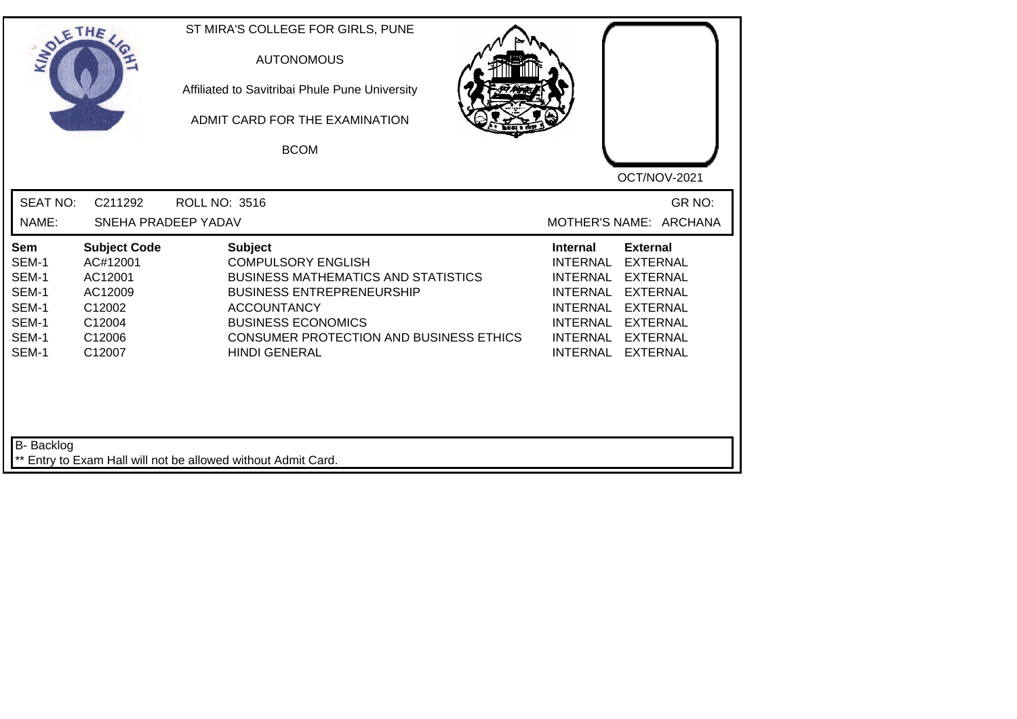| SOLE THE                                                           |                                                                                               | ST MIRA'S COLLEGE FOR GIRLS, PUNE<br><b>AUTONOMOUS</b><br>Affiliated to Savitribai Phule Pune University<br>ADMIT CARD FOR THE EXAMINATION<br><b>BCOM</b>                                                                                                  | OCT/NOV-2021                                                                                                                                                                                                                                                                                |
|--------------------------------------------------------------------|-----------------------------------------------------------------------------------------------|------------------------------------------------------------------------------------------------------------------------------------------------------------------------------------------------------------------------------------------------------------|---------------------------------------------------------------------------------------------------------------------------------------------------------------------------------------------------------------------------------------------------------------------------------------------|
| <b>SEAT NO:</b><br>NAME:                                           | C211292<br>SNEHA PRADEEP YADAV                                                                | <b>ROLL NO: 3516</b>                                                                                                                                                                                                                                       | GR NO:<br>MOTHER'S NAME: ARCHANA                                                                                                                                                                                                                                                            |
|                                                                    |                                                                                               |                                                                                                                                                                                                                                                            |                                                                                                                                                                                                                                                                                             |
| Sem<br>SEM-1<br>SEM-1<br>SEM-1<br>SEM-1<br>SEM-1<br>SEM-1<br>SEM-1 | <b>Subject Code</b><br>AC#12001<br>AC12001<br>AC12009<br>C12002<br>C12004<br>C12006<br>C12007 | <b>Subject</b><br><b>COMPULSORY ENGLISH</b><br><b>BUSINESS MATHEMATICS AND STATISTICS</b><br><b>BUSINESS ENTREPRENEURSHIP</b><br><b>ACCOUNTANCY</b><br><b>BUSINESS ECONOMICS</b><br><b>CONSUMER PROTECTION AND BUSINESS ETHICS</b><br><b>HINDI GENERAL</b> | <b>External</b><br><b>Internal</b><br><b>INTERNAL</b><br><b>EXTERNAL</b><br><b>EXTERNAL</b><br><b>INTERNAL</b><br><b>INTERNAL</b><br><b>EXTERNAL</b><br><b>INTERNAL</b><br><b>EXTERNAL</b><br>INTERNAL EXTERNAL<br><b>INTERNAL</b><br><b>EXTERNAL</b><br><b>INTERNAL</b><br><b>EXTERNAL</b> |
| B- Backlog                                                         |                                                                                               |                                                                                                                                                                                                                                                            |                                                                                                                                                                                                                                                                                             |
|                                                                    |                                                                                               | ** Entry to Exam Hall will not be allowed without Admit Card.                                                                                                                                                                                              |                                                                                                                                                                                                                                                                                             |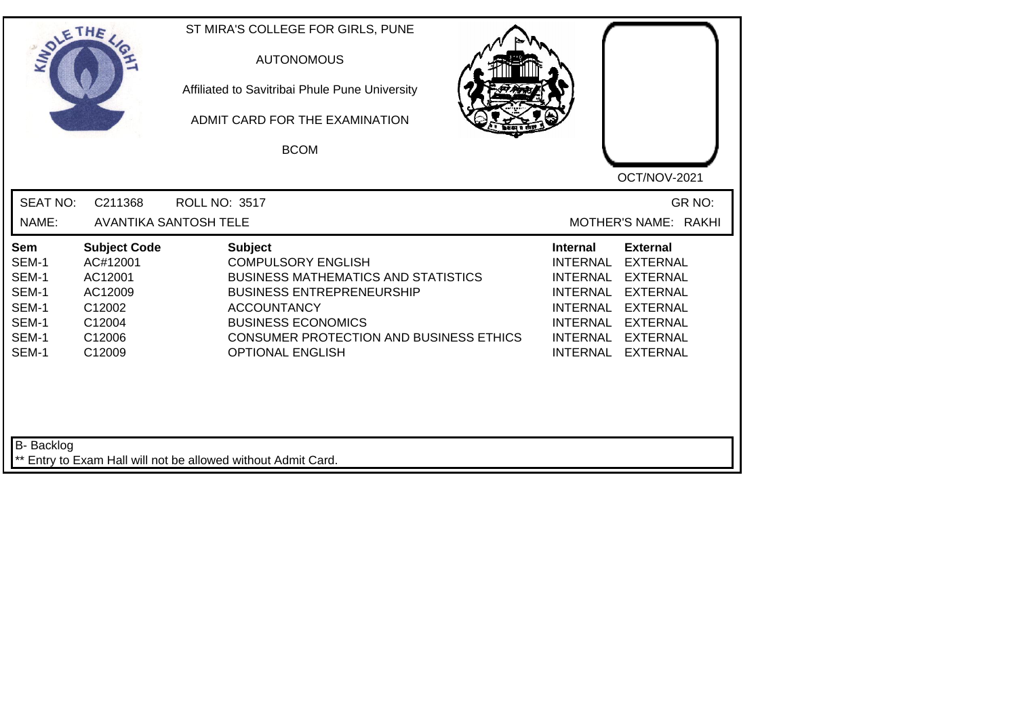| SOLE THE                                                                    |                                                                                               | ST MIRA'S COLLEGE FOR GIRLS, PUNE<br><b>AUTONOMOUS</b><br>Affiliated to Savitribai Phule Pune University<br>ADMIT CARD FOR THE EXAMINATION<br><b>BCOM</b>                                                                                                     | OCT/NOV-2021                                                                                                                                                                                                                                                                                                 |
|-----------------------------------------------------------------------------|-----------------------------------------------------------------------------------------------|---------------------------------------------------------------------------------------------------------------------------------------------------------------------------------------------------------------------------------------------------------------|--------------------------------------------------------------------------------------------------------------------------------------------------------------------------------------------------------------------------------------------------------------------------------------------------------------|
| <b>SEAT NO:</b><br>NAME:                                                    | C211368                                                                                       | ROLL NO: 3517<br><b>AVANTIKA SANTOSH TELE</b>                                                                                                                                                                                                                 | GR NO:<br>MOTHER'S NAME: RAKHI                                                                                                                                                                                                                                                                               |
| <b>Sem</b><br>SEM-1<br>SEM-1<br>SEM-1<br>SEM-1<br>SEM-1<br>SEM-1<br>SEM-1   | <b>Subject Code</b><br>AC#12001<br>AC12001<br>AC12009<br>C12002<br>C12004<br>C12006<br>C12009 | <b>Subject</b><br><b>COMPULSORY ENGLISH</b><br><b>BUSINESS MATHEMATICS AND STATISTICS</b><br><b>BUSINESS ENTREPRENEURSHIP</b><br><b>ACCOUNTANCY</b><br><b>BUSINESS ECONOMICS</b><br><b>CONSUMER PROTECTION AND BUSINESS ETHICS</b><br><b>OPTIONAL ENGLISH</b> | <b>External</b><br><b>Internal</b><br><b>INTERNAL</b><br><b>EXTERNAL</b><br><b>INTERNAL</b><br><b>EXTERNAL</b><br><b>INTERNAL</b><br><b>EXTERNAL</b><br><b>INTERNAL</b><br><b>EXTERNAL</b><br><b>INTERNAL</b><br><b>EXTERNAL</b><br><b>INTERNAL</b><br><b>EXTERNAL</b><br><b>INTERNAL</b><br><b>EXTERNAL</b> |
| B- Backlog<br>** Entry to Exam Hall will not be allowed without Admit Card. |                                                                                               |                                                                                                                                                                                                                                                               |                                                                                                                                                                                                                                                                                                              |

┙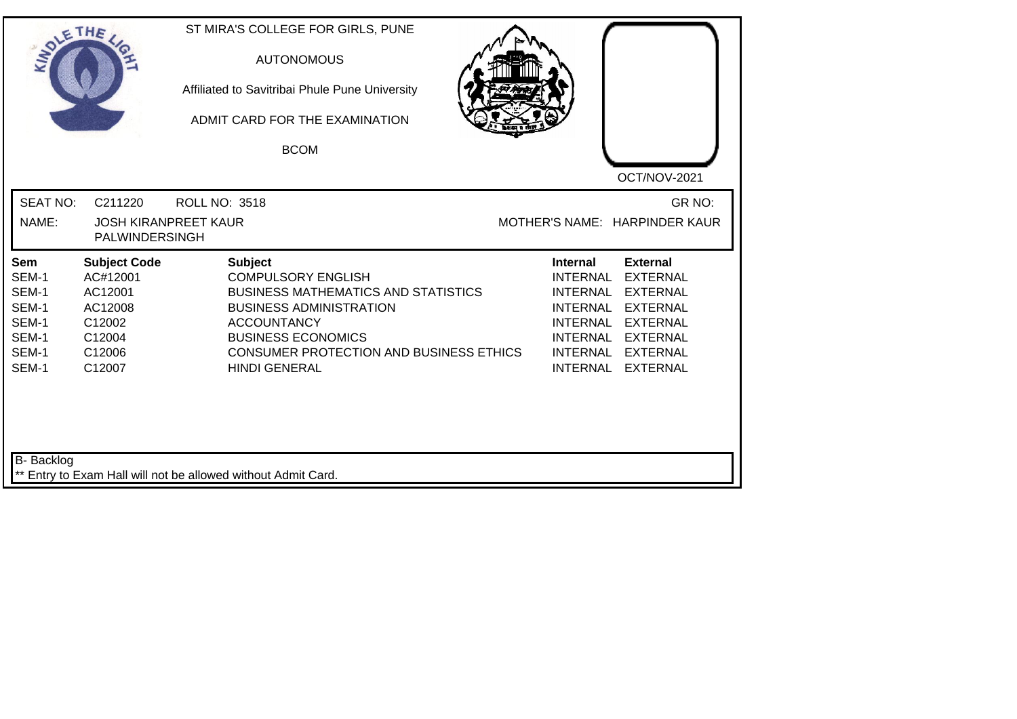| SOLETHE ,                                                          |                                                                                               | ST MIRA'S COLLEGE FOR GIRLS, PUNE<br><b>AUTONOMOUS</b><br>Affiliated to Savitribai Phule Pune University<br>ADMIT CARD FOR THE EXAMINATION<br><b>BCOM</b>                                                                                                | OCT/NOV-2021                                                                                                                                                                                                                                                                                          |  |
|--------------------------------------------------------------------|-----------------------------------------------------------------------------------------------|----------------------------------------------------------------------------------------------------------------------------------------------------------------------------------------------------------------------------------------------------------|-------------------------------------------------------------------------------------------------------------------------------------------------------------------------------------------------------------------------------------------------------------------------------------------------------|--|
| <b>SEAT NO:</b><br>NAME:                                           | C211220<br>PALWINDERSINGH                                                                     | <b>ROLL NO: 3518</b><br><b>JOSH KIRANPREET KAUR</b>                                                                                                                                                                                                      | GR NO:<br>MOTHER'S NAME: HARPINDER KAUR                                                                                                                                                                                                                                                               |  |
| Sem<br>SEM-1<br>SEM-1<br>SEM-1<br>SEM-1<br>SEM-1<br>SEM-1<br>SEM-1 | <b>Subject Code</b><br>AC#12001<br>AC12001<br>AC12008<br>C12002<br>C12004<br>C12006<br>C12007 | <b>Subject</b><br><b>COMPULSORY ENGLISH</b><br><b>BUSINESS MATHEMATICS AND STATISTICS</b><br><b>BUSINESS ADMINISTRATION</b><br><b>ACCOUNTANCY</b><br><b>BUSINESS ECONOMICS</b><br><b>CONSUMER PROTECTION AND BUSINESS ETHICS</b><br><b>HINDI GENERAL</b> | <b>External</b><br>Internal<br><b>INTERNAL</b><br><b>EXTERNAL</b><br><b>INTERNAL</b><br><b>EXTERNAL</b><br><b>INTERNAL</b><br><b>EXTERNAL</b><br><b>INTERNAL</b><br><b>EXTERNAL</b><br><b>INTERNAL</b><br><b>EXTERNAL</b><br><b>EXTERNAL</b><br><b>INTERNAL</b><br><b>INTERNAL</b><br><b>EXTERNAL</b> |  |
| B- Backlog                                                         |                                                                                               | ** Entry to Exam Hall will not be allowed without Admit Card.                                                                                                                                                                                            |                                                                                                                                                                                                                                                                                                       |  |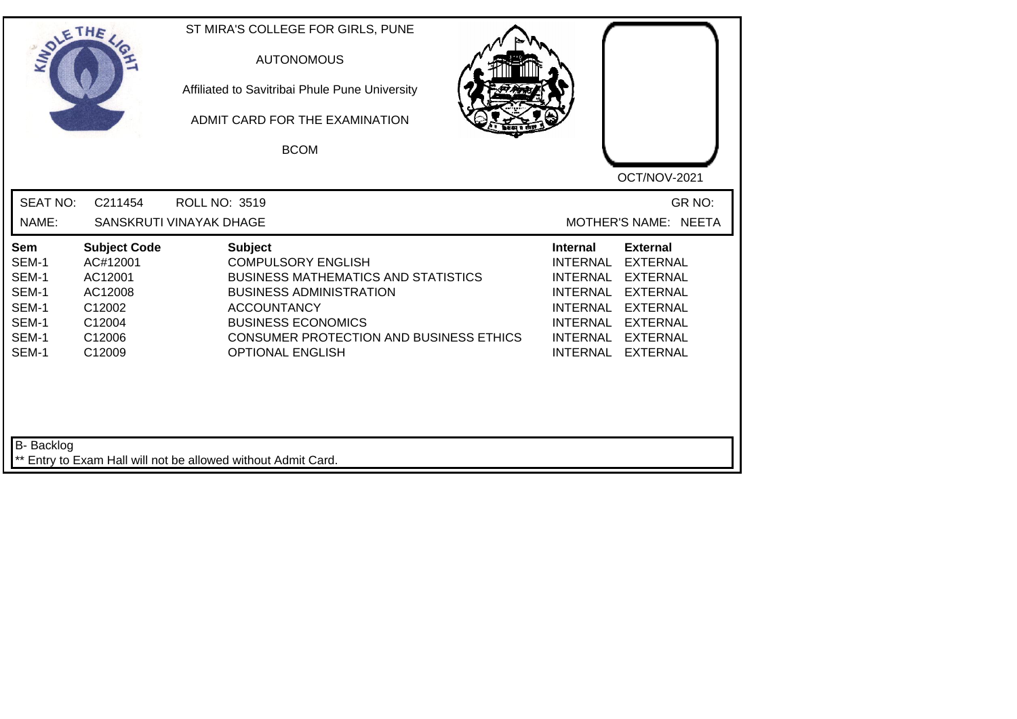| SOLE THE                                                           |                                                                                               | ST MIRA'S COLLEGE FOR GIRLS, PUNE<br><b>AUTONOMOUS</b><br>Affiliated to Savitribai Phule Pune University<br>ADMIT CARD FOR THE EXAMINATION<br><b>BCOM</b>                                                                                                   | OCT/NOV-2021                                                                                                                                                                                                                                                                                          |
|--------------------------------------------------------------------|-----------------------------------------------------------------------------------------------|-------------------------------------------------------------------------------------------------------------------------------------------------------------------------------------------------------------------------------------------------------------|-------------------------------------------------------------------------------------------------------------------------------------------------------------------------------------------------------------------------------------------------------------------------------------------------------|
| <b>SEAT NO:</b><br>NAME:                                           | C211454                                                                                       | <b>ROLL NO: 3519</b><br>SANSKRUTI VINAYAK DHAGE                                                                                                                                                                                                             | GR NO:<br>MOTHER'S NAME: NEETA                                                                                                                                                                                                                                                                        |
| Sem<br>SEM-1<br>SEM-1<br>SEM-1<br>SEM-1<br>SEM-1<br>SEM-1<br>SEM-1 | <b>Subject Code</b><br>AC#12001<br>AC12001<br>AC12008<br>C12002<br>C12004<br>C12006<br>C12009 | <b>Subject</b><br><b>COMPULSORY ENGLISH</b><br><b>BUSINESS MATHEMATICS AND STATISTICS</b><br><b>BUSINESS ADMINISTRATION</b><br><b>ACCOUNTANCY</b><br><b>BUSINESS ECONOMICS</b><br><b>CONSUMER PROTECTION AND BUSINESS ETHICS</b><br><b>OPTIONAL ENGLISH</b> | <b>External</b><br>Internal<br><b>INTERNAL</b><br><b>EXTERNAL</b><br><b>INTERNAL</b><br><b>EXTERNAL</b><br><b>INTERNAL</b><br><b>EXTERNAL</b><br><b>INTERNAL</b><br><b>EXTERNAL</b><br><b>INTERNAL</b><br><b>EXTERNAL</b><br><b>INTERNAL</b><br><b>EXTERNAL</b><br><b>INTERNAL</b><br><b>EXTERNAL</b> |
| B- Backlog                                                         |                                                                                               | ** Entry to Exam Hall will not be allowed without Admit Card.                                                                                                                                                                                               |                                                                                                                                                                                                                                                                                                       |

┙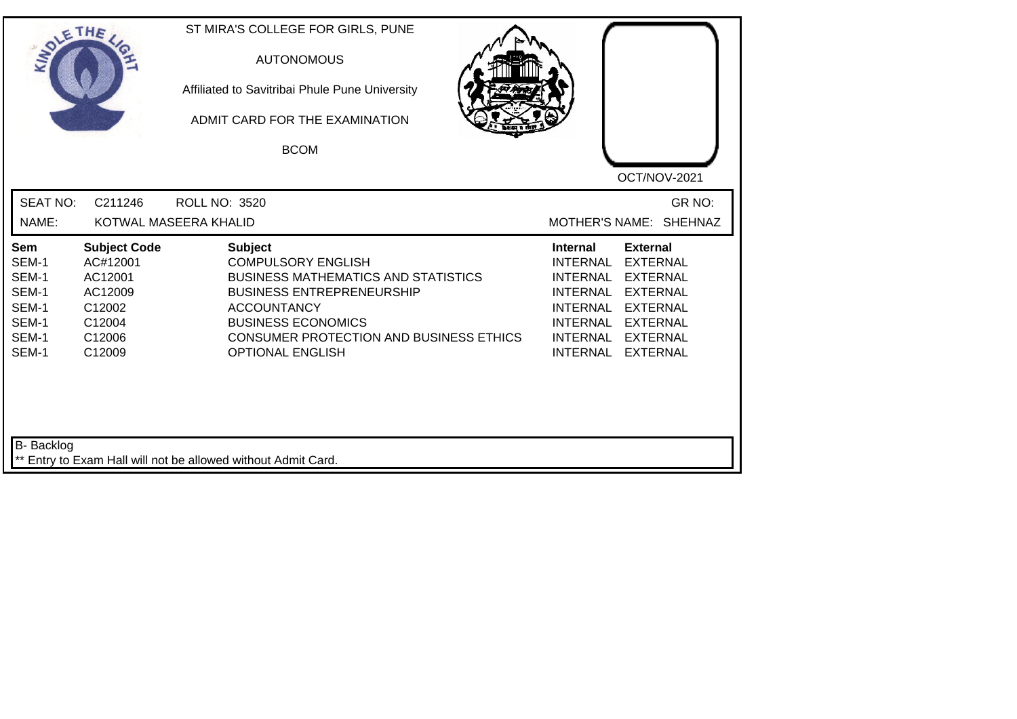| SOLETHE                                                                   |                                                                                               | ST MIRA'S COLLEGE FOR GIRLS, PUNE<br><b>AUTONOMOUS</b><br>Affiliated to Savitribai Phule Pune University<br>ADMIT CARD FOR THE EXAMINATION<br><b>BCOM</b>                                                                                                     | OCT/NOV-2021                                                                                                                                                                                                                                                                                          |
|---------------------------------------------------------------------------|-----------------------------------------------------------------------------------------------|---------------------------------------------------------------------------------------------------------------------------------------------------------------------------------------------------------------------------------------------------------------|-------------------------------------------------------------------------------------------------------------------------------------------------------------------------------------------------------------------------------------------------------------------------------------------------------|
| <b>SEAT NO:</b><br>NAME:                                                  | C211246                                                                                       | <b>ROLL NO: 3520</b><br>KOTWAL MASEERA KHALID                                                                                                                                                                                                                 | GR NO:<br>MOTHER'S NAME: SHEHNAZ                                                                                                                                                                                                                                                                      |
| <b>Sem</b><br>SEM-1<br>SEM-1<br>SEM-1<br>SEM-1<br>SEM-1<br>SEM-1<br>SEM-1 | <b>Subject Code</b><br>AC#12001<br>AC12001<br>AC12009<br>C12002<br>C12004<br>C12006<br>C12009 | <b>Subject</b><br><b>COMPULSORY ENGLISH</b><br><b>BUSINESS MATHEMATICS AND STATISTICS</b><br><b>BUSINESS ENTREPRENEURSHIP</b><br><b>ACCOUNTANCY</b><br><b>BUSINESS ECONOMICS</b><br><b>CONSUMER PROTECTION AND BUSINESS ETHICS</b><br><b>OPTIONAL ENGLISH</b> | <b>External</b><br>Internal<br><b>INTERNAL</b><br><b>EXTERNAL</b><br><b>EXTERNAL</b><br><b>INTERNAL</b><br><b>EXTERNAL</b><br><b>INTERNAL</b><br><b>INTERNAL</b><br><b>EXTERNAL</b><br><b>INTERNAL</b><br><b>EXTERNAL</b><br><b>INTERNAL</b><br><b>EXTERNAL</b><br><b>INTERNAL</b><br><b>EXTERNAL</b> |
| <b>B-</b> Backlog                                                         |                                                                                               | ** Entry to Exam Hall will not be allowed without Admit Card.                                                                                                                                                                                                 |                                                                                                                                                                                                                                                                                                       |

┛╵